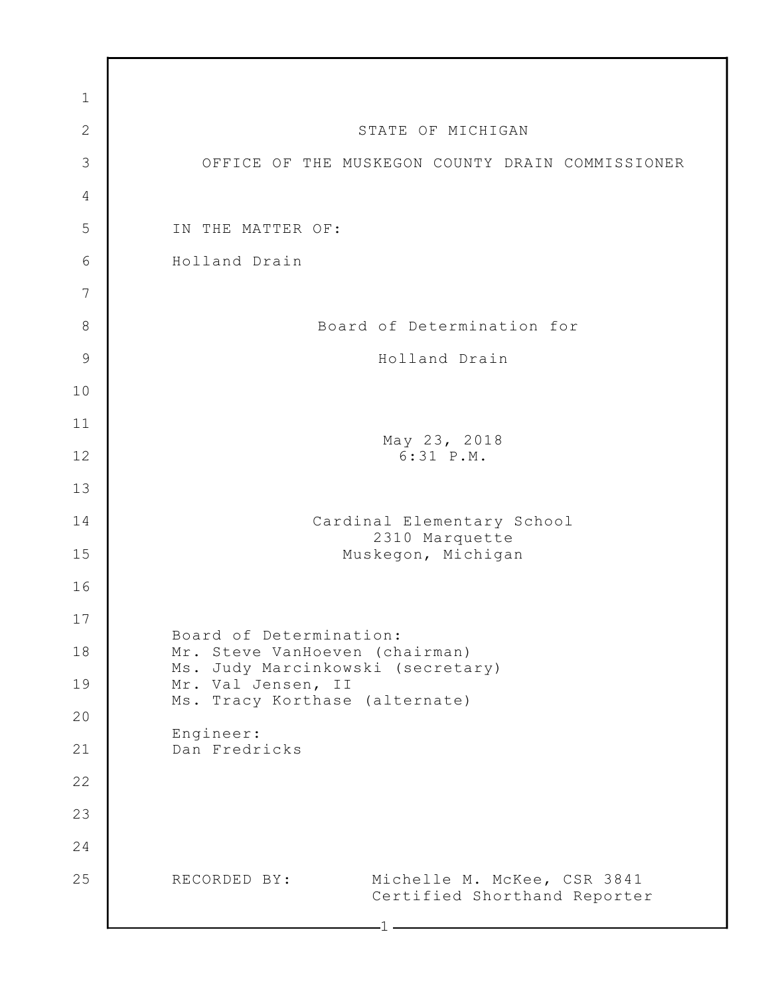| $\mathbf 1$    |                                                                             |
|----------------|-----------------------------------------------------------------------------|
| $\overline{2}$ | STATE OF MICHIGAN                                                           |
| 3              | OFFICE OF THE MUSKEGON COUNTY DRAIN COMMISSIONER                            |
| $\overline{4}$ |                                                                             |
| 5              | IN THE MATTER OF:                                                           |
| 6              | Holland Drain                                                               |
| 7              |                                                                             |
| 8              | Board of Determination for                                                  |
| $\mathcal{G}$  | Holland Drain                                                               |
| 10             |                                                                             |
| 11             |                                                                             |
| 12             | May 23, 2018<br>6:31 P.M.                                                   |
| 13             |                                                                             |
| 14             | Cardinal Elementary School<br>2310 Marquette                                |
| 15             | Muskegon, Michigan                                                          |
| 16             |                                                                             |
| 17             | Board of Determination:                                                     |
| 18             | Mr. Steve VanHoeven (chairman)<br>Ms. Judy Marcinkowski (secretary)         |
| 19             | Mr. Val Jensen, II<br>Ms. Tracy Korthase (alternate)                        |
| 20             | Engineer:                                                                   |
| 21             | Dan Fredricks                                                               |
| 22             |                                                                             |
| 23             |                                                                             |
| 24             |                                                                             |
| 25             | Michelle M. McKee, CSR 3841<br>RECORDED BY:<br>Certified Shorthand Reporter |
|                |                                                                             |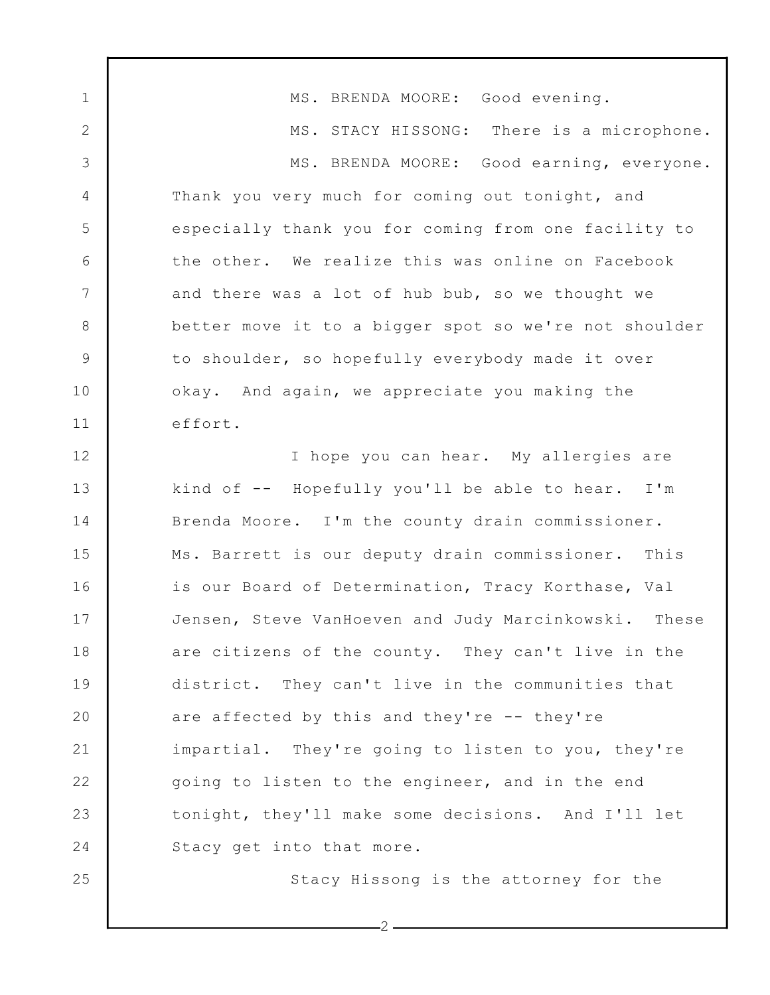1 2 3 4 5 6 7 8 9 10 11 12 13 14 15 16 17 18 19 20 21 22 23 24 25 MS. BRENDA MOORE: Good evening. MS. STACY HISSONG: There is a microphone. MS. BRENDA MOORE: Good earning, everyone. Thank you very much for coming out tonight, and especially thank you for coming from one facility to the other. We realize this was online on Facebook and there was a lot of hub bub, so we thought we better move it to a bigger spot so we're not shoulder to shoulder, so hopefully everybody made it over okay. And again, we appreciate you making the effort. I hope you can hear. My allergies are kind of -- Hopefully you'll be able to hear. I'm Brenda Moore. I'm the county drain commissioner. Ms. Barrett is our deputy drain commissioner. This is our Board of Determination, Tracy Korthase, Val Jensen, Steve VanHoeven and Judy Marcinkowski. These are citizens of the county. They can't live in the district. They can't live in the communities that are affected by this and they're -- they're impartial. They're going to listen to you, they're going to listen to the engineer, and in the end tonight, they'll make some decisions. And I'll let Stacy get into that more. Stacy Hissong is the attorney for the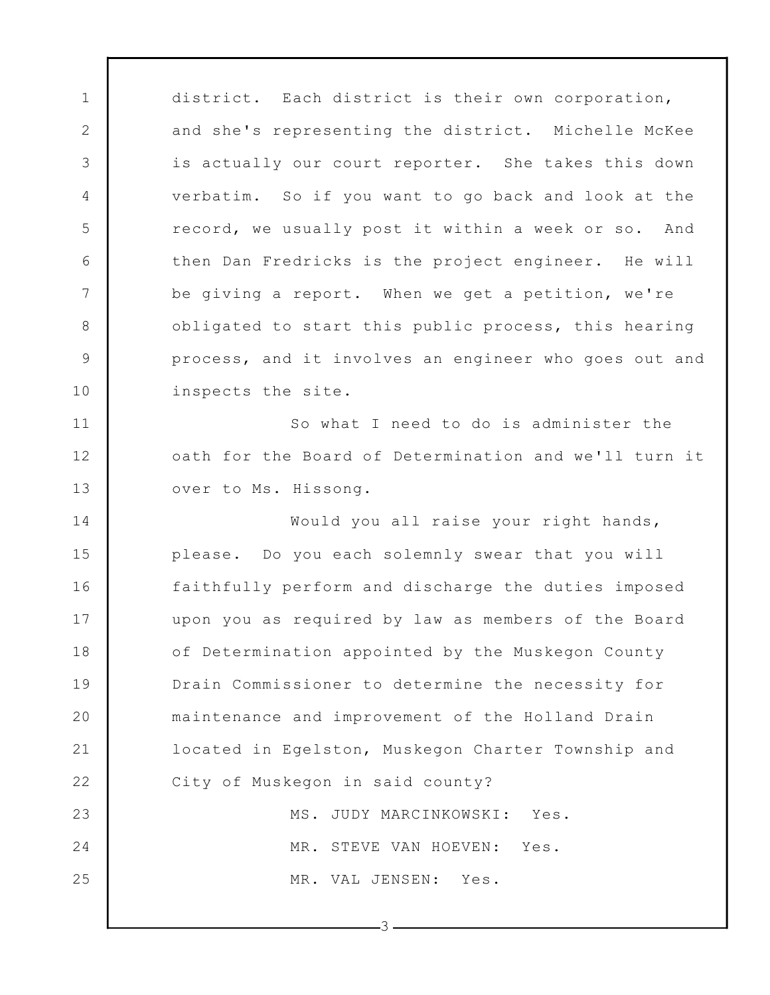1 2 3 4 5 6 7 8 9 10 11 12 13 14 15 16 17 18 19 20 21 22 23 24 25 district. Each district is their own corporation, and she's representing the district. Michelle McKee is actually our court reporter. She takes this down verbatim. So if you want to go back and look at the record, we usually post it within a week or so. And then Dan Fredricks is the project engineer. He will be giving a report. When we get a petition, we're obligated to start this public process, this hearing process, and it involves an engineer who goes out and inspects the site. So what I need to do is administer the oath for the Board of Determination and we'll turn it over to Ms. Hissong. Would you all raise your right hands, please. Do you each solemnly swear that you will faithfully perform and discharge the duties imposed upon you as required by law as members of the Board of Determination appointed by the Muskegon County Drain Commissioner to determine the necessity for maintenance and improvement of the Holland Drain located in Egelston, Muskegon Charter Township and City of Muskegon in said county? MS. JUDY MARCINKOWSKI: Yes. MR. STEVE VAN HOEVEN: Yes. MR. VAL JENSEN: Yes.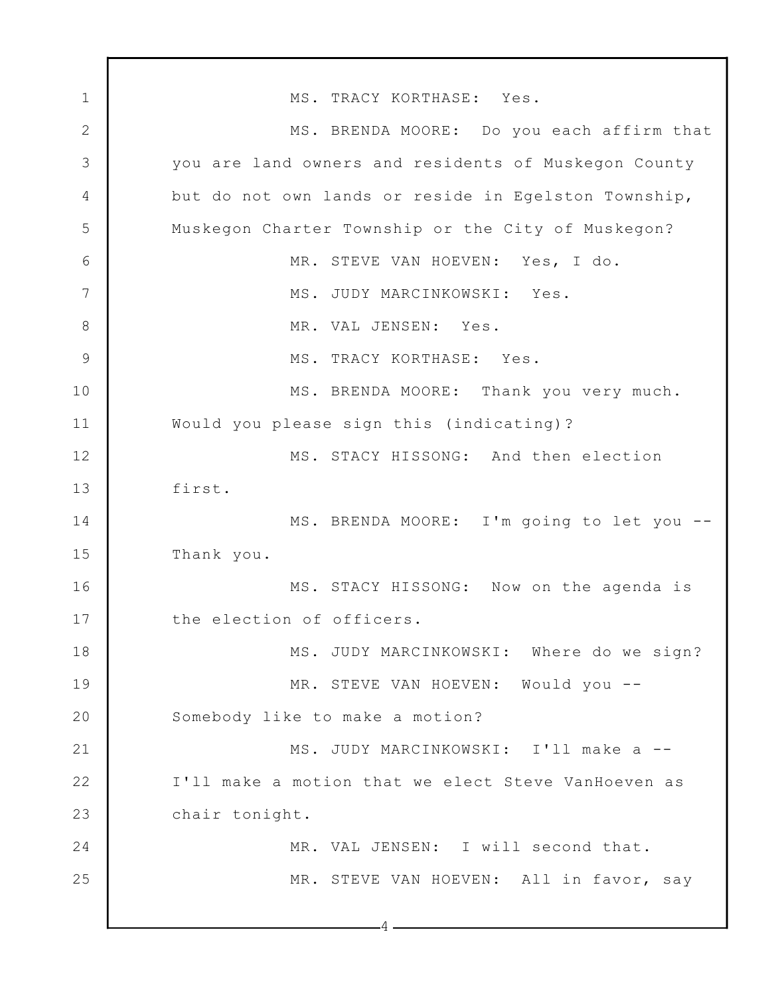1 2 3 4 5 6 7 8 9 10 11 12 13 14 15 16 17 18 19 20 21 22 23 24 25 4 MS. TRACY KORTHASE: Yes. MS. BRENDA MOORE: Do you each affirm that you are land owners and residents of Muskegon County but do not own lands or reside in Egelston Township, Muskegon Charter Township or the City of Muskegon? MR. STEVE VAN HOEVEN: Yes, I do. MS. JUDY MARCINKOWSKI: Yes. MR. VAL JENSEN: Yes. MS. TRACY KORTHASE: Yes. MS. BRENDA MOORE: Thank you very much. Would you please sign this (indicating)? MS. STACY HISSONG: And then election first. MS. BRENDA MOORE: I'm going to let you -- Thank you. MS. STACY HISSONG: Now on the agenda is the election of officers. MS. JUDY MARCINKOWSKI: Where do we sign? MR. STEVE VAN HOEVEN: Would you -- Somebody like to make a motion? MS. JUDY MARCINKOWSKI: I'll make a -- I'll make a motion that we elect Steve VanHoeven as chair tonight. MR. VAL JENSEN: I will second that. MR. STEVE VAN HOEVEN: All in favor, say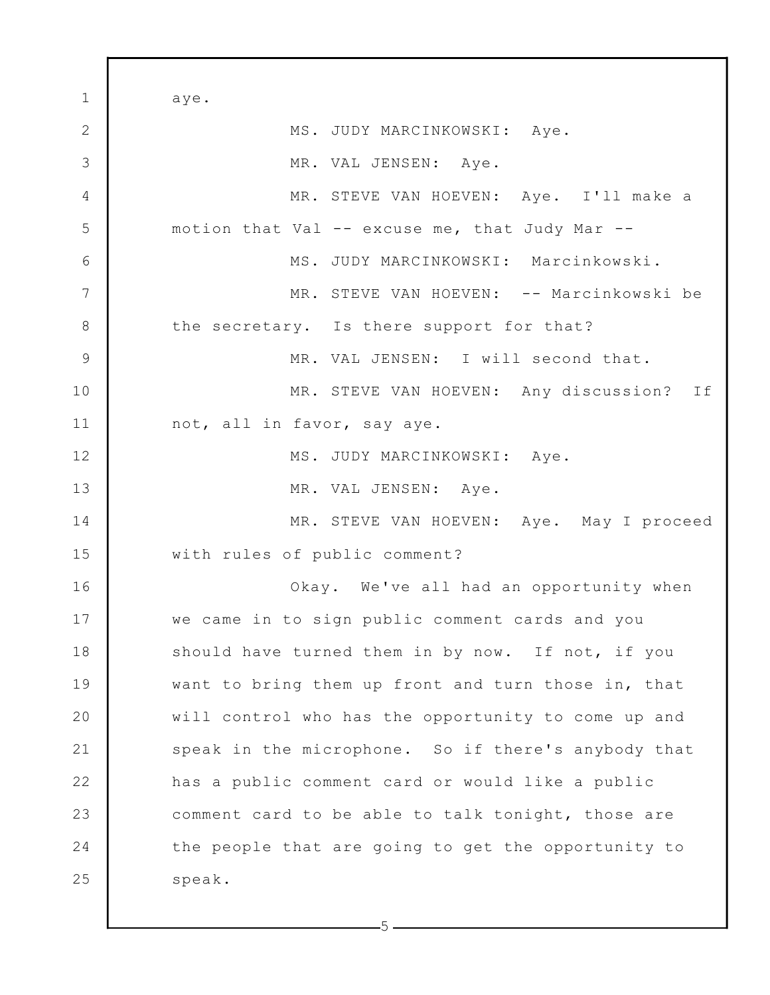1 2 3 4 5 6 7 8 9 10 11 12 13 14 15 16 17 18 19 20 21 22 23 24 25 aye. MS. JUDY MARCINKOWSKI: Aye. MR. VAL JENSEN: Aye. MR. STEVE VAN HOEVEN: Aye. I'll make a motion that Val -- excuse me, that Judy Mar -- MS. JUDY MARCINKOWSKI: Marcinkowski. MR. STEVE VAN HOEVEN: -- Marcinkowski be the secretary. Is there support for that? MR. VAL JENSEN: I will second that. MR. STEVE VAN HOEVEN: Any discussion? If not, all in favor, say aye. MS. JUDY MARCINKOWSKI: Aye. MR. VAL JENSEN: Aye. MR. STEVE VAN HOEVEN: Aye. May I proceed with rules of public comment? Okay. We've all had an opportunity when we came in to sign public comment cards and you should have turned them in by now. If not, if you want to bring them up front and turn those in, that will control who has the opportunity to come up and speak in the microphone. So if there's anybody that has a public comment card or would like a public comment card to be able to talk tonight, those are the people that are going to get the opportunity to speak.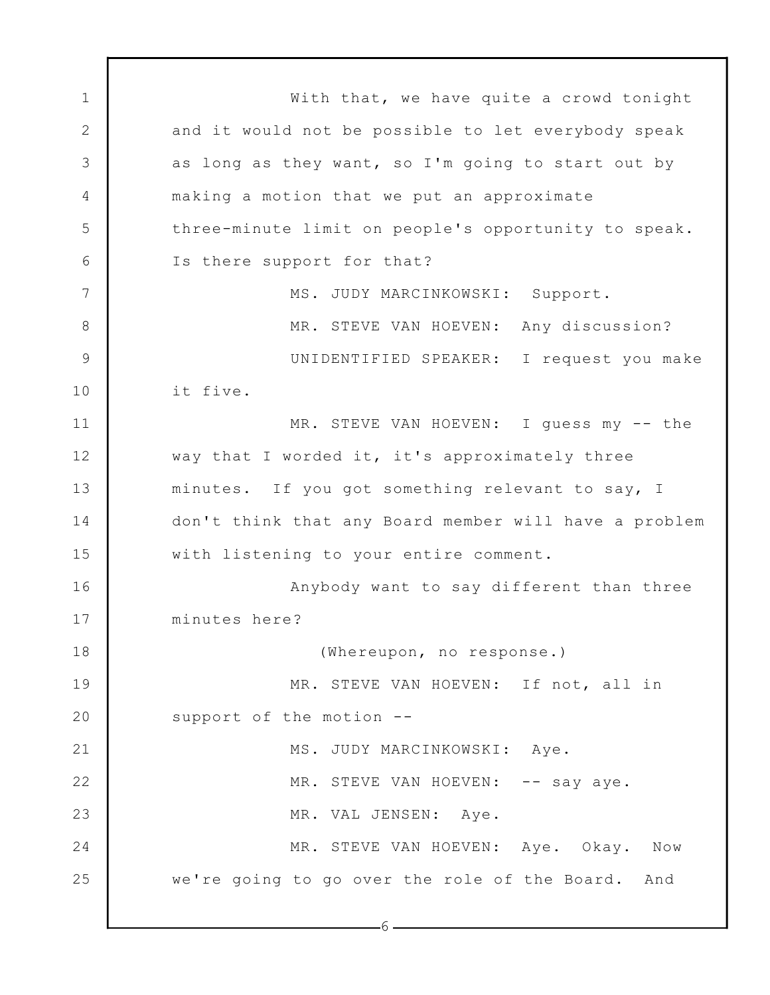1 2 3 4 5 6 7 8 9 10 11 12 13 14 15 16 17 18 19 20 21 22 23 24 25 With that, we have quite a crowd tonight and it would not be possible to let everybody speak as long as they want, so I'm going to start out by making a motion that we put an approximate three-minute limit on people's opportunity to speak. Is there support for that? MS. JUDY MARCINKOWSKI: Support. MR. STEVE VAN HOEVEN: Any discussion? UNIDENTIFIED SPEAKER: I request you make it five. MR. STEVE VAN HOEVEN: I guess my -- the way that I worded it, it's approximately three minutes. If you got something relevant to say, I don't think that any Board member will have a problem with listening to your entire comment. Anybody want to say different than three minutes here? (Whereupon, no response.) MR. STEVE VAN HOEVEN: If not, all in support of the motion -- MS. JUDY MARCINKOWSKI: Aye. MR. STEVE VAN HOEVEN: -- say aye. MR. VAL JENSEN: Aye. MR. STEVE VAN HOEVEN: Aye. Okay. Now we're going to go over the role of the Board. And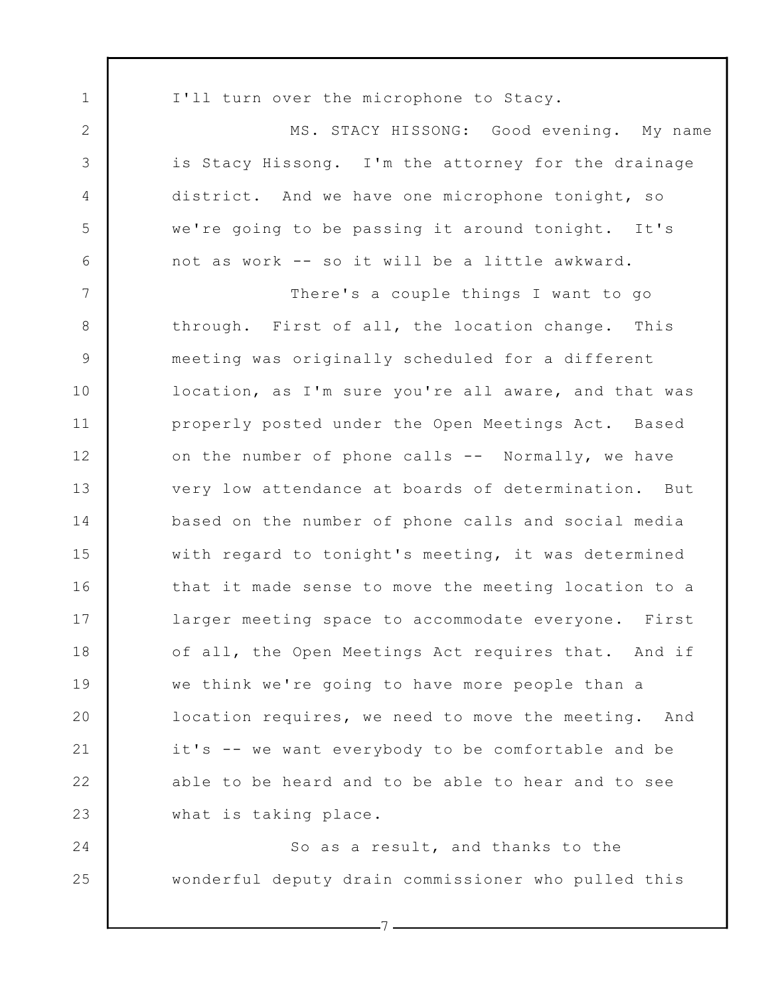1 2 3 4 5 6 7 8 9 10 11 12 13 14 15 16 17 18 19 20 21 22 23 24 25 I'll turn over the microphone to Stacy. MS. STACY HISSONG: Good evening. My name is Stacy Hissong. I'm the attorney for the drainage district. And we have one microphone tonight, so we're going to be passing it around tonight. It's not as work -- so it will be a little awkward. There's a couple things I want to go through. First of all, the location change. This meeting was originally scheduled for a different location, as I'm sure you're all aware, and that was properly posted under the Open Meetings Act. Based on the number of phone calls -- Normally, we have very low attendance at boards of determination. But based on the number of phone calls and social media with regard to tonight's meeting, it was determined that it made sense to move the meeting location to a larger meeting space to accommodate everyone. First of all, the Open Meetings Act requires that. And if we think we're going to have more people than a location requires, we need to move the meeting. And it's -- we want everybody to be comfortable and be able to be heard and to be able to hear and to see what is taking place. So as a result, and thanks to the wonderful deputy drain commissioner who pulled this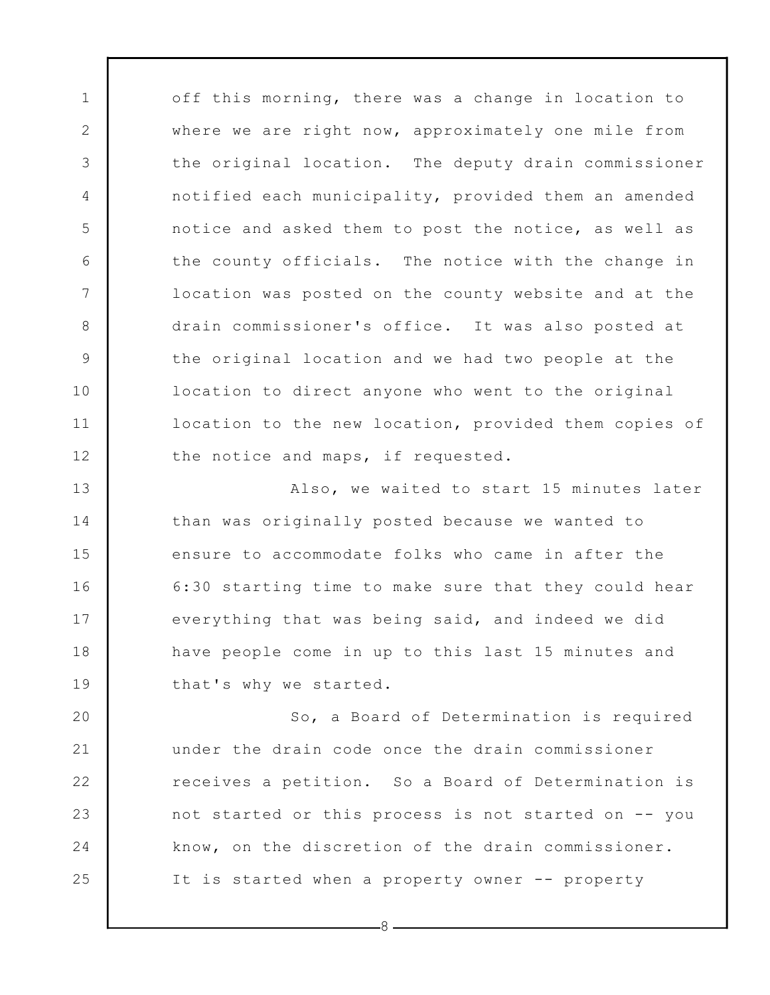off this morning, there was a change in location to where we are right now, approximately one mile from the original location. The deputy drain commissioner notified each municipality, provided them an amended notice and asked them to post the notice, as well as the county officials. The notice with the change in location was posted on the county website and at the drain commissioner's office. It was also posted at the original location and we had two people at the location to direct anyone who went to the original location to the new location, provided them copies of the notice and maps, if requested.

1

2

3

4

5

6

7

8

9

10

11

12

13 14 15 16 17 18 19 Also, we waited to start 15 minutes later than was originally posted because we wanted to ensure to accommodate folks who came in after the 6:30 starting time to make sure that they could hear everything that was being said, and indeed we did have people come in up to this last 15 minutes and that's why we started.

20 21 22 23 24 25 So, a Board of Determination is required under the drain code once the drain commissioner receives a petition. So a Board of Determination is not started or this process is not started on -- you know, on the discretion of the drain commissioner. It is started when a property owner -- property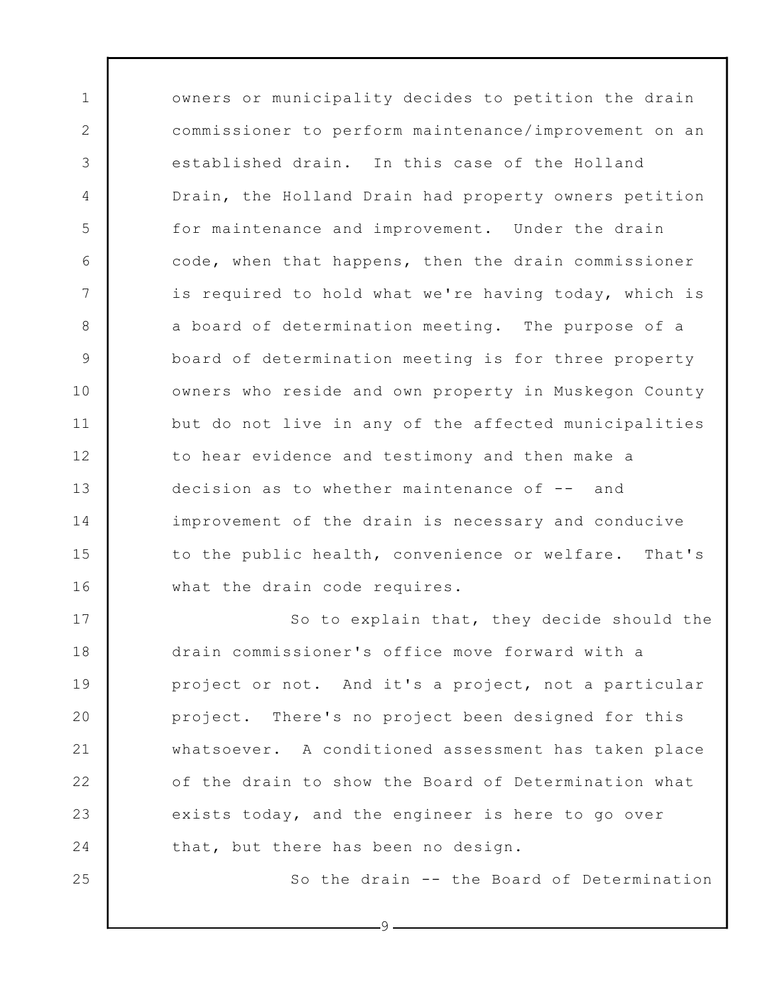owners or municipality decides to petition the drain commissioner to perform maintenance/improvement on an established drain. In this case of the Holland Drain, the Holland Drain had property owners petition for maintenance and improvement. Under the drain code, when that happens, then the drain commissioner is required to hold what we're having today, which is a board of determination meeting. The purpose of a board of determination meeting is for three property owners who reside and own property in Muskegon County but do not live in any of the affected municipalities to hear evidence and testimony and then make a decision as to whether maintenance of -- and improvement of the drain is necessary and conducive to the public health, convenience or welfare. That's what the drain code requires.

1

2

3

4

5

6

7

8

9

10

11

12

13

14

15

16

25

17 18 19 20 21 22 23 24 So to explain that, they decide should the drain commissioner's office move forward with a project or not. And it's a project, not a particular project. There's no project been designed for this whatsoever. A conditioned assessment has taken place of the drain to show the Board of Determination what exists today, and the engineer is here to go over that, but there has been no design.

So the drain -- the Board of Determination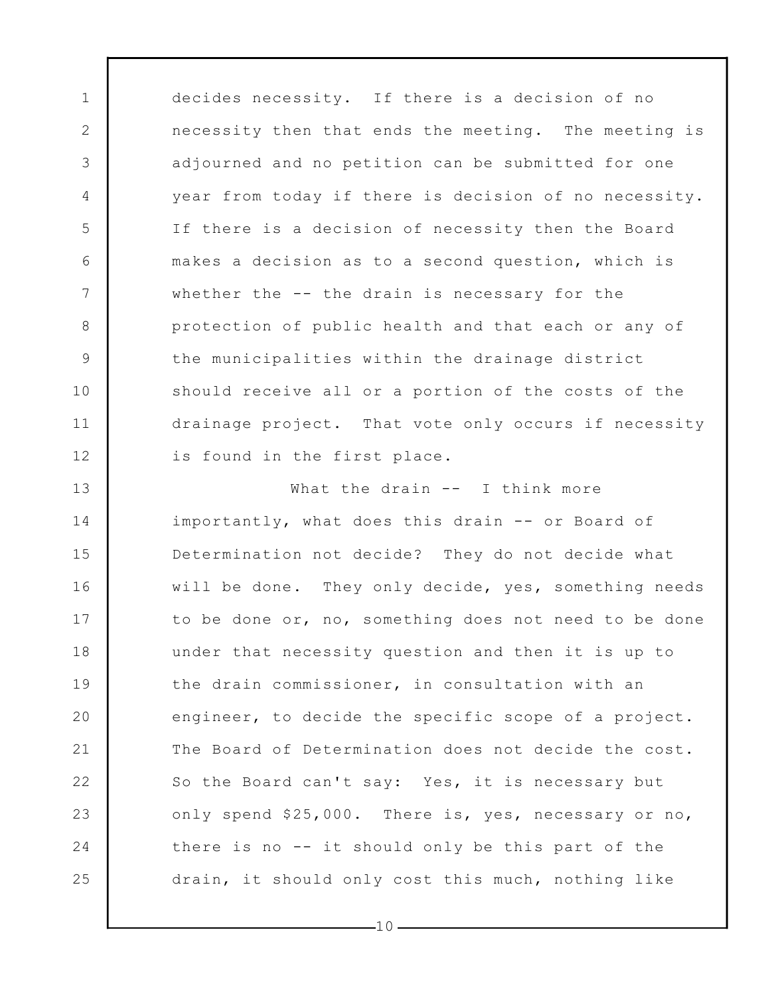decides necessity. If there is a decision of no necessity then that ends the meeting. The meeting is adjourned and no petition can be submitted for one year from today if there is decision of no necessity. If there is a decision of necessity then the Board makes a decision as to a second question, which is whether the -- the drain is necessary for the protection of public health and that each or any of the municipalities within the drainage district should receive all or a portion of the costs of the drainage project. That vote only occurs if necessity is found in the first place.

1

2

3

4

5

6

7

8

9

10

11

12

13 14 15 16 17 18 19 20 21 22 23 24 25 What the drain -- I think more importantly, what does this drain -- or Board of Determination not decide? They do not decide what will be done. They only decide, yes, something needs to be done or, no, something does not need to be done under that necessity question and then it is up to the drain commissioner, in consultation with an engineer, to decide the specific scope of a project. The Board of Determination does not decide the cost. So the Board can't say: Yes, it is necessary but only spend \$25,000. There is, yes, necessary or no, there is no -- it should only be this part of the drain, it should only cost this much, nothing like

 $-10-$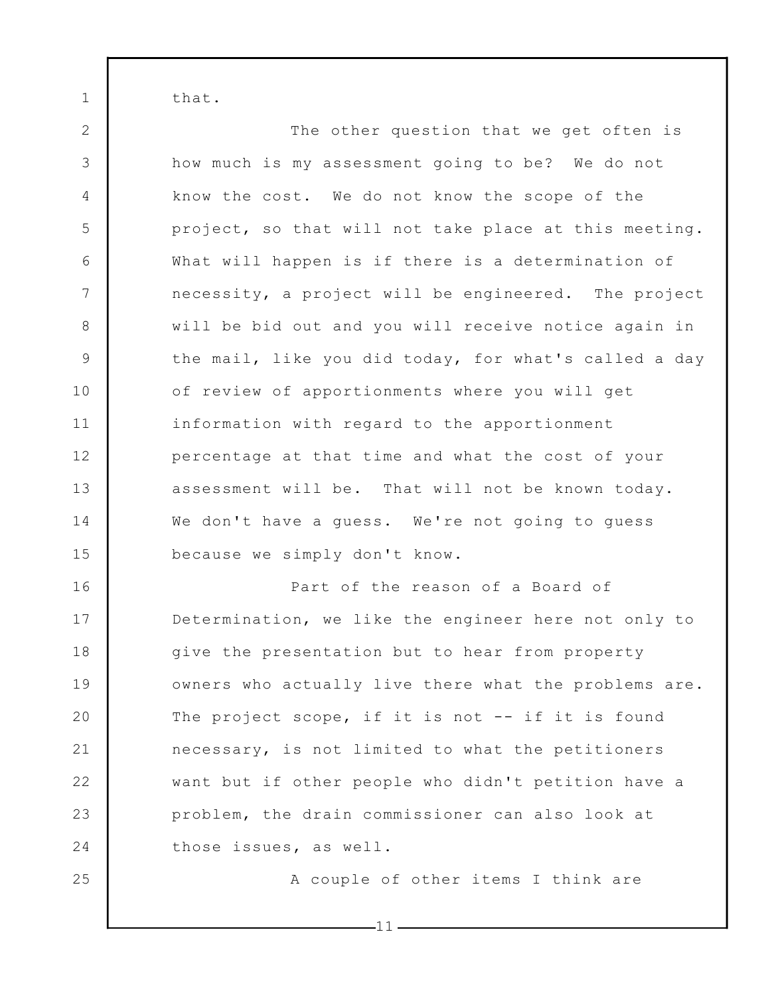that.

1

2 3 4 5 6 7 8 9 10 11 12 13 14 15 16 17 18 19 20 21 22 23 The other question that we get often is how much is my assessment going to be? We do not know the cost. We do not know the scope of the project, so that will not take place at this meeting. What will happen is if there is a determination of necessity, a project will be engineered. The project will be bid out and you will receive notice again in the mail, like you did today, for what's called a day of review of apportionments where you will get information with regard to the apportionment percentage at that time and what the cost of your assessment will be. That will not be known today. We don't have a guess. We're not going to guess because we simply don't know. Part of the reason of a Board of Determination, we like the engineer here not only to give the presentation but to hear from property owners who actually live there what the problems are. The project scope, if it is not  $--$  if it is found necessary, is not limited to what the petitioners want but if other people who didn't petition have a problem, the drain commissioner can also look at

24

25

A couple of other items I think are

 $-11$  –

those issues, as well.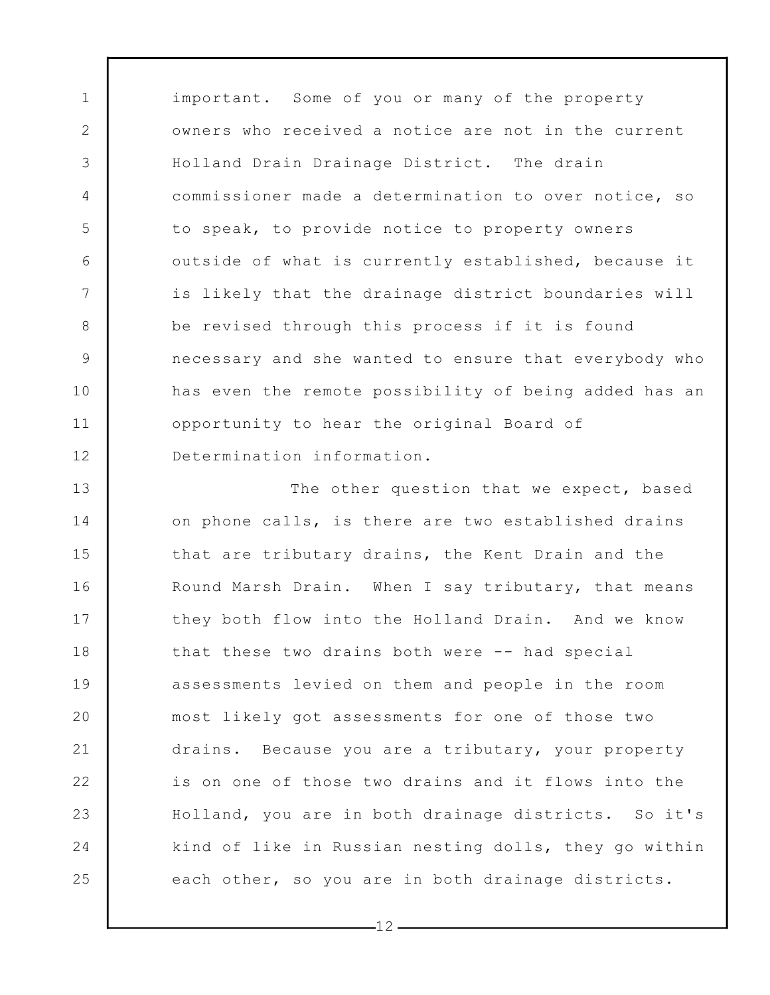important. Some of you or many of the property owners who received a notice are not in the current Holland Drain Drainage District. The drain commissioner made a determination to over notice, so to speak, to provide notice to property owners outside of what is currently established, because it is likely that the drainage district boundaries will be revised through this process if it is found necessary and she wanted to ensure that everybody who has even the remote possibility of being added has an opportunity to hear the original Board of Determination information.

1

2

3

4

5

6

7

8

9

10

11

12

13 14 15 16 17 18 19 20 21 22 23 24 25 The other question that we expect, based on phone calls, is there are two established drains that are tributary drains, the Kent Drain and the Round Marsh Drain. When I say tributary, that means they both flow into the Holland Drain. And we know that these two drains both were -- had special assessments levied on them and people in the room most likely got assessments for one of those two drains. Because you are a tributary, your property is on one of those two drains and it flows into the Holland, you are in both drainage districts. So it's kind of like in Russian nesting dolls, they go within each other, so you are in both drainage districts.

 $-12$  -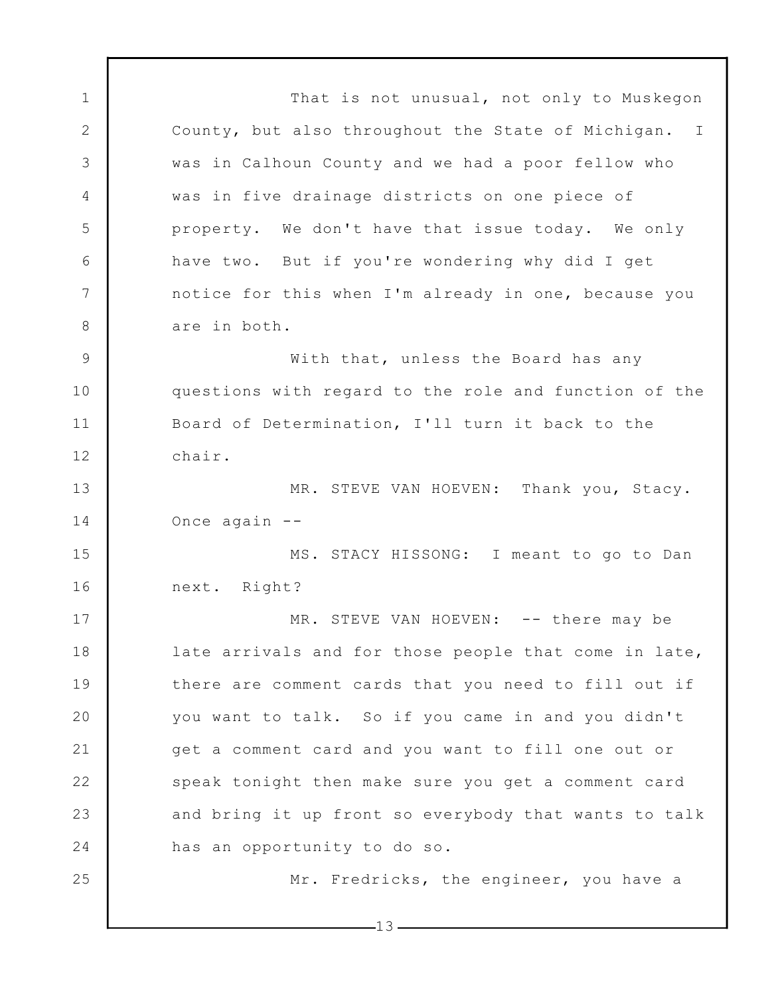1 2 3 4 5 6 7 8 9 10 11 12 13 14 15 16 17 18 19 20 21 22 23 24 25 That is not unusual, not only to Muskegon County, but also throughout the State of Michigan. I was in Calhoun County and we had a poor fellow who was in five drainage districts on one piece of property. We don't have that issue today. We only have two. But if you're wondering why did I get notice for this when I'm already in one, because you are in both. With that, unless the Board has any questions with regard to the role and function of the Board of Determination, I'll turn it back to the chair. MR. STEVE VAN HOEVEN: Thank you, Stacy. Once again -- MS. STACY HISSONG: I meant to go to Dan next. Right? MR. STEVE VAN HOEVEN: -- there may be late arrivals and for those people that come in late, there are comment cards that you need to fill out if you want to talk. So if you came in and you didn't get a comment card and you want to fill one out or speak tonight then make sure you get a comment card and bring it up front so everybody that wants to talk has an opportunity to do so. Mr. Fredricks, the engineer, you have a

 $-13-$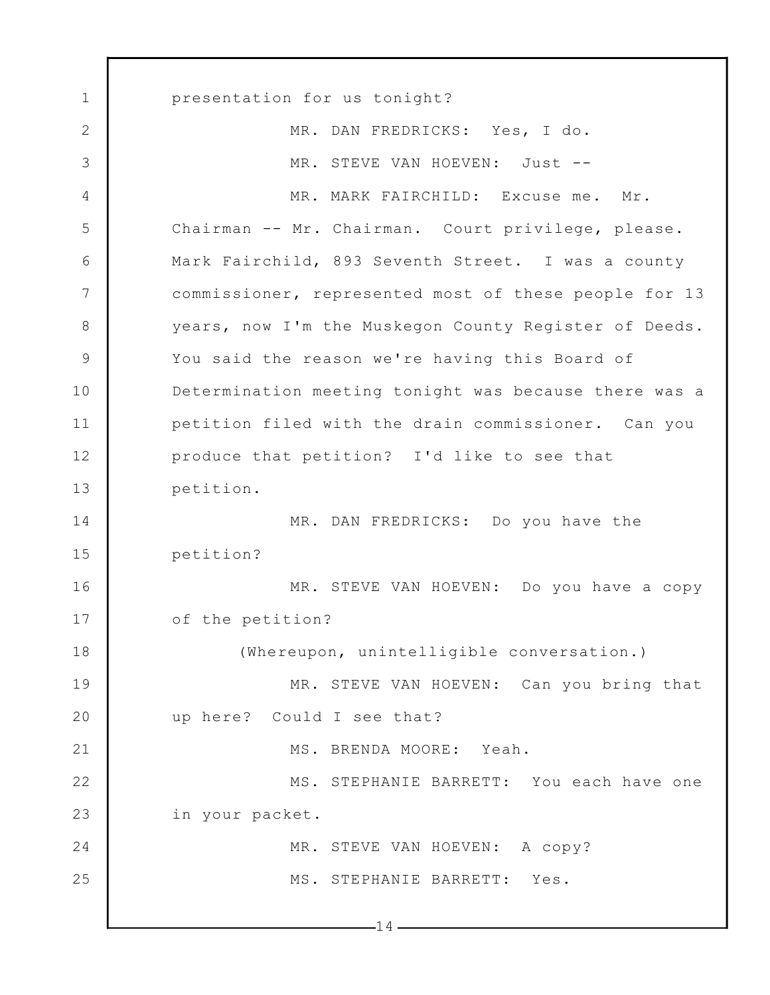1 2 3 4 5 6 7 8 9 10 11 12 13 14 15 16 17 18 19 20 21 22 23 24 25  $-14$ presentation for us tonight? MR. DAN FREDRICKS: Yes, I do. MR. STEVE VAN HOEVEN: Just -- MR. MARK FAIRCHILD: Excuse me. Mr. Chairman -- Mr. Chairman. Court privilege, please. Mark Fairchild, 893 Seventh Street. I was a county commissioner, represented most of these people for 13 years, now I'm the Muskegon County Register of Deeds. You said the reason we're having this Board of Determination meeting tonight was because there was a petition filed with the drain commissioner. Can you produce that petition? I'd like to see that petition. MR. DAN FREDRICKS: Do you have the petition? MR. STEVE VAN HOEVEN: Do you have a copy of the petition? (Whereupon, unintelligible conversation.) MR. STEVE VAN HOEVEN: Can you bring that up here? Could I see that? MS. BRENDA MOORE: Yeah. MS. STEPHANIE BARRETT: You each have one in your packet. MR. STEVE VAN HOEVEN: A copy? MS. STEPHANIE BARRETT: Yes.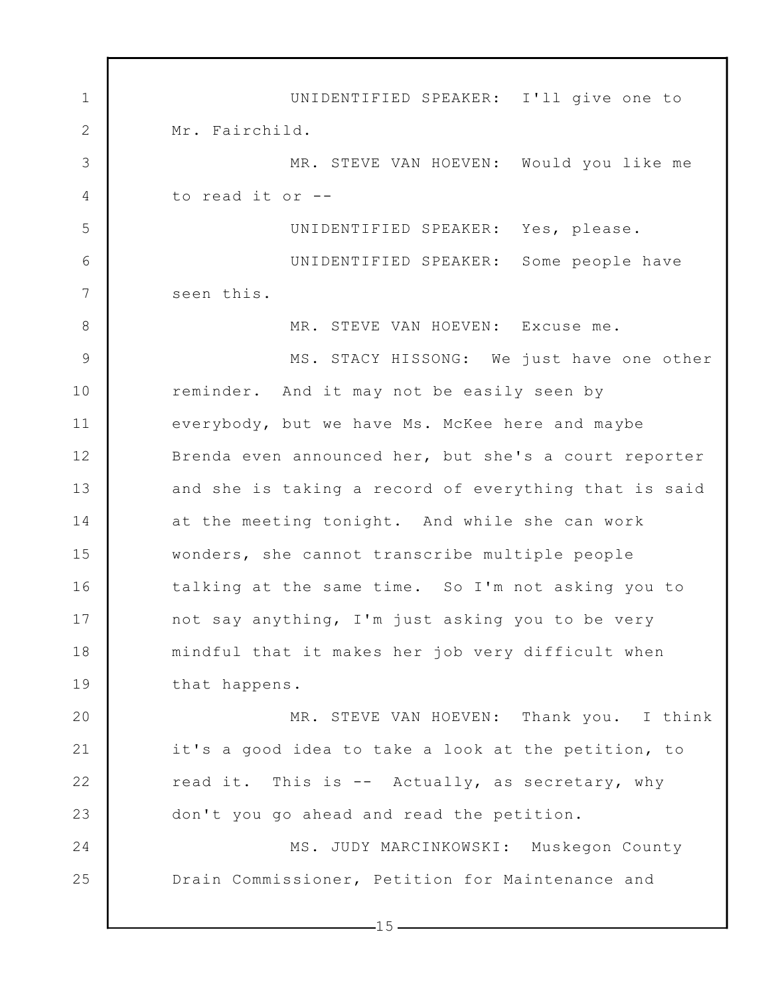1 2 3 4 5 6 7 8 9 10 11 12 13 14 15 16 17 18 19 20 21 22 23 24 25 UNIDENTIFIED SPEAKER: I'll give one to Mr. Fairchild. MR. STEVE VAN HOEVEN: Would you like me to read it or -- UNIDENTIFIED SPEAKER: Yes, please. UNIDENTIFIED SPEAKER: Some people have seen this. MR. STEVE VAN HOEVEN: Excuse me. MS. STACY HISSONG: We just have one other reminder. And it may not be easily seen by everybody, but we have Ms. McKee here and maybe Brenda even announced her, but she's a court reporter and she is taking a record of everything that is said at the meeting tonight. And while she can work wonders, she cannot transcribe multiple people talking at the same time. So I'm not asking you to not say anything, I'm just asking you to be very mindful that it makes her job very difficult when that happens. MR. STEVE VAN HOEVEN: Thank you. I think it's a good idea to take a look at the petition, to read it. This is -- Actually, as secretary, why don't you go ahead and read the petition. MS. JUDY MARCINKOWSKI: Muskegon County Drain Commissioner, Petition for Maintenance and

 $-15-$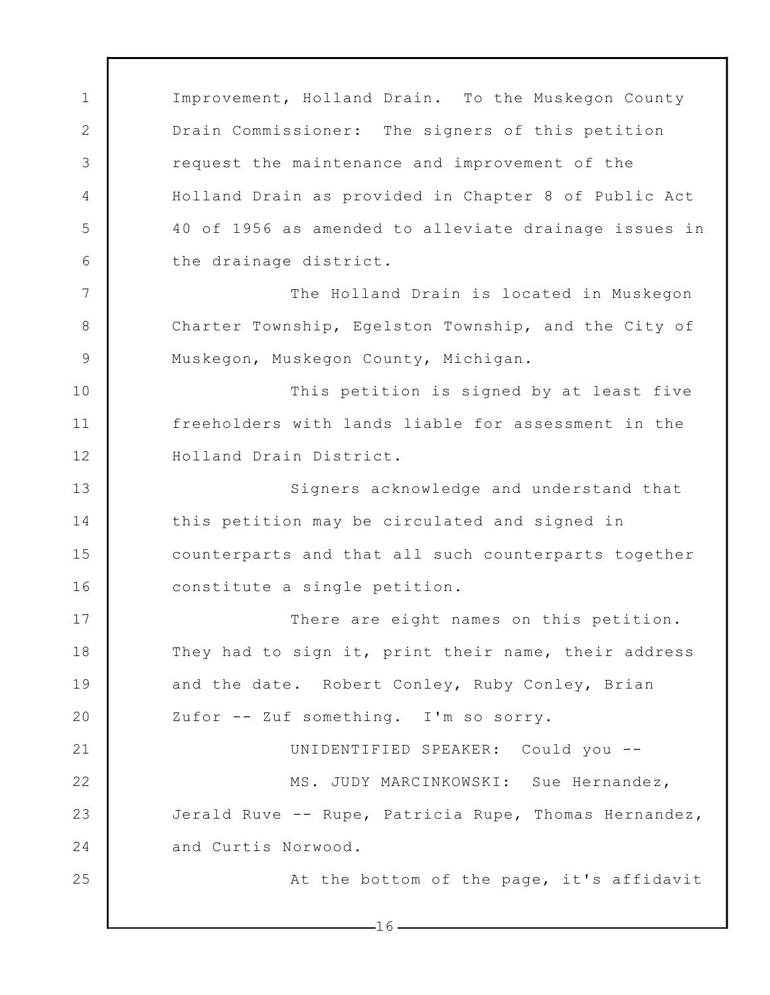1 2 3 4 5 6 7 8 9 10 11 12 13 14 15 16 17 18 19 20 21 22 23 24 25 Improvement, Holland Drain. To the Muskegon County Drain Commissioner: The signers of this petition request the maintenance and improvement of the Holland Drain as provided in Chapter 8 of Public Act 40 of 1956 as amended to alleviate drainage issues in the drainage district. The Holland Drain is located in Muskegon Charter Township, Egelston Township, and the City of Muskegon, Muskegon County, Michigan. This petition is signed by at least five freeholders with lands liable for assessment in the Holland Drain District. Signers acknowledge and understand that this petition may be circulated and signed in counterparts and that all such counterparts together constitute a single petition. There are eight names on this petition. They had to sign it, print their name, their address and the date. Robert Conley, Ruby Conley, Brian Zufor -- Zuf something. I'm so sorry. UNIDENTIFIED SPEAKER: Could you -- MS. JUDY MARCINKOWSKI: Sue Hernandez, Jerald Ruve -- Rupe, Patricia Rupe, Thomas Hernandez, and Curtis Norwood. At the bottom of the page, it's affidavit

 $-16-$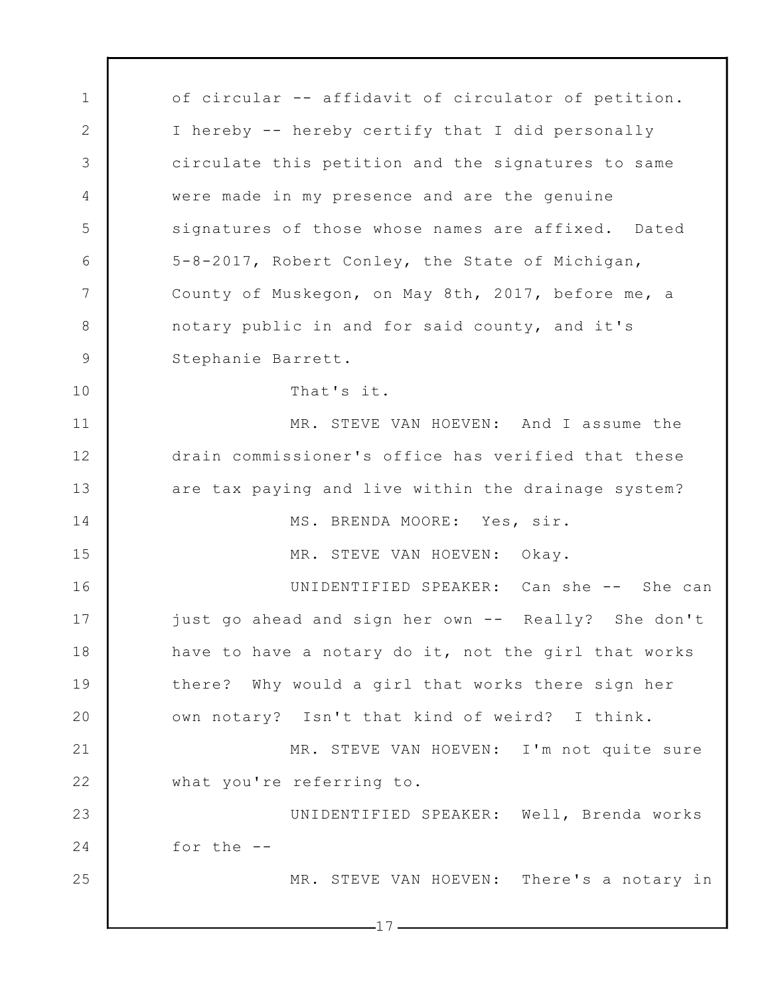1 2 3 4 5 6 7 8 9 10 11 12 13 14 15 16 17 18 19 20 21 22 23 24 25  $-17$ of circular -- affidavit of circulator of petition. I hereby -- hereby certify that I did personally circulate this petition and the signatures to same were made in my presence and are the genuine signatures of those whose names are affixed. Dated 5-8-2017, Robert Conley, the State of Michigan, County of Muskegon, on May 8th, 2017, before me, a notary public in and for said county, and it's Stephanie Barrett. That's it. MR. STEVE VAN HOEVEN: And I assume the drain commissioner's office has verified that these are tax paying and live within the drainage system? MS. BRENDA MOORE: Yes, sir. MR. STEVE VAN HOEVEN: Okay. UNIDENTIFIED SPEAKER: Can she -- She can just go ahead and sign her own -- Really? She don't have to have a notary do it, not the girl that works there? Why would a girl that works there sign her own notary? Isn't that kind of weird? I think. MR. STEVE VAN HOEVEN: I'm not quite sure what you're referring to. UNIDENTIFIED SPEAKER: Well, Brenda works for the -- MR. STEVE VAN HOEVEN: There's a notary in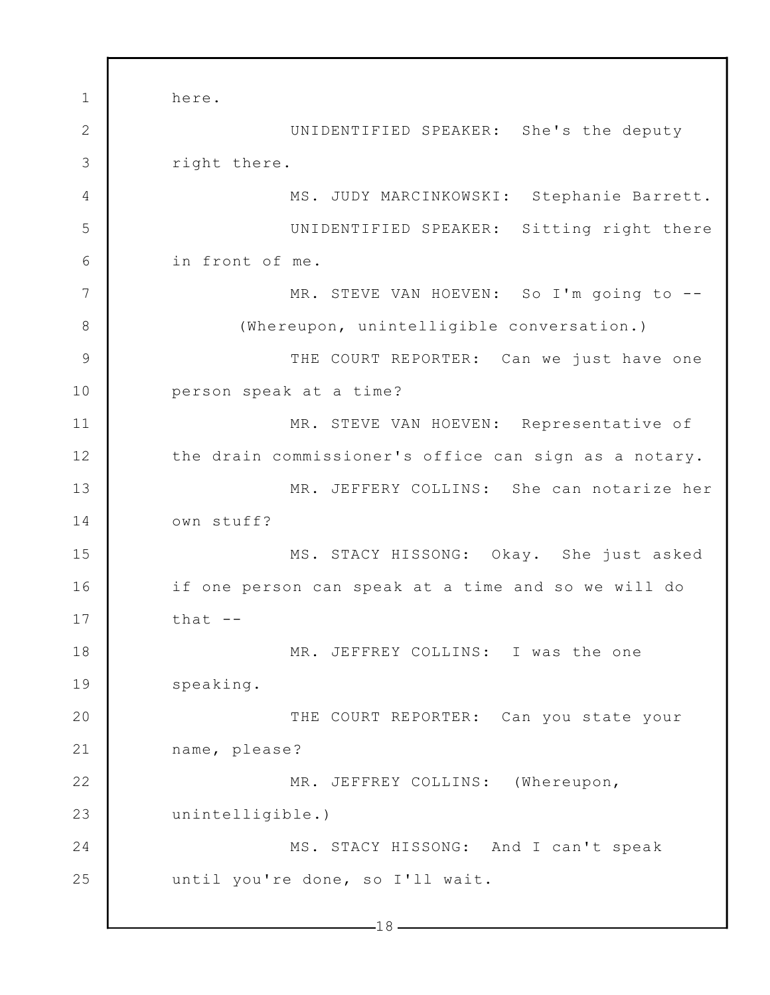1 2 3 4 5 6 7 8 9 10 11 12 13 14 15 16 17 18 19 20 21 22 23 24 25  $-18$ here. UNIDENTIFIED SPEAKER: She's the deputy right there. MS. JUDY MARCINKOWSKI: Stephanie Barrett. UNIDENTIFIED SPEAKER: Sitting right there in front of me. MR. STEVE VAN HOEVEN: So I'm going to --(Whereupon, unintelligible conversation.) THE COURT REPORTER: Can we just have one person speak at a time? MR. STEVE VAN HOEVEN: Representative of the drain commissioner's office can sign as a notary. MR. JEFFERY COLLINS: She can notarize her own stuff? MS. STACY HISSONG: Okay. She just asked if one person can speak at a time and so we will do that  $-$ MR. JEFFREY COLLINS: I was the one speaking. THE COURT REPORTER: Can you state your name, please? MR. JEFFREY COLLINS: (Whereupon, unintelligible.) MS. STACY HISSONG: And I can't speak until you're done, so I'll wait.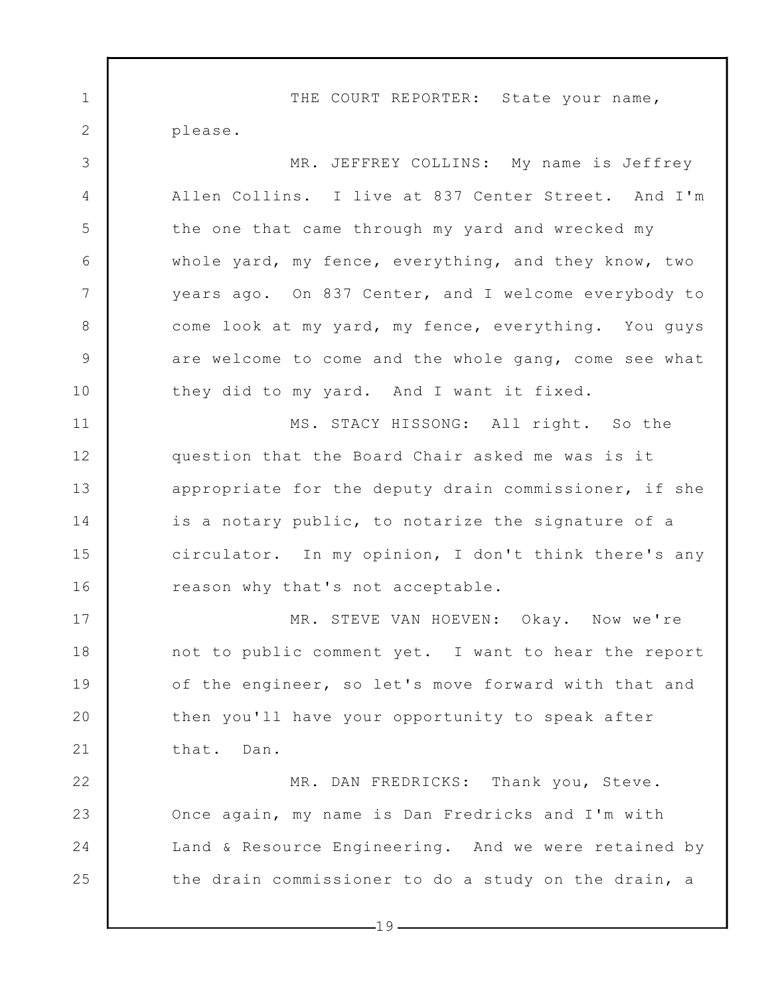1 2 3 4 5 6 7 8 9 10 11 12 13 14 15 16 17 18 19 20 21 22 23 24 25 THE COURT REPORTER: State your name, please. MR. JEFFREY COLLINS: My name is Jeffrey Allen Collins. I live at 837 Center Street. And I'm the one that came through my yard and wrecked my whole yard, my fence, everything, and they know, two years ago. On 837 Center, and I welcome everybody to come look at my yard, my fence, everything. You guys are welcome to come and the whole gang, come see what they did to my yard. And I want it fixed. MS. STACY HISSONG: All right. So the question that the Board Chair asked me was is it appropriate for the deputy drain commissioner, if she is a notary public, to notarize the signature of a circulator. In my opinion, I don't think there's any reason why that's not acceptable. MR. STEVE VAN HOEVEN: Okay. Now we're not to public comment yet. I want to hear the report of the engineer, so let's move forward with that and then you'll have your opportunity to speak after that. Dan. MR. DAN FREDRICKS: Thank you, Steve. Once again, my name is Dan Fredricks and I'm with Land & Resource Engineering. And we were retained by the drain commissioner to do a study on the drain, a

 $-19-$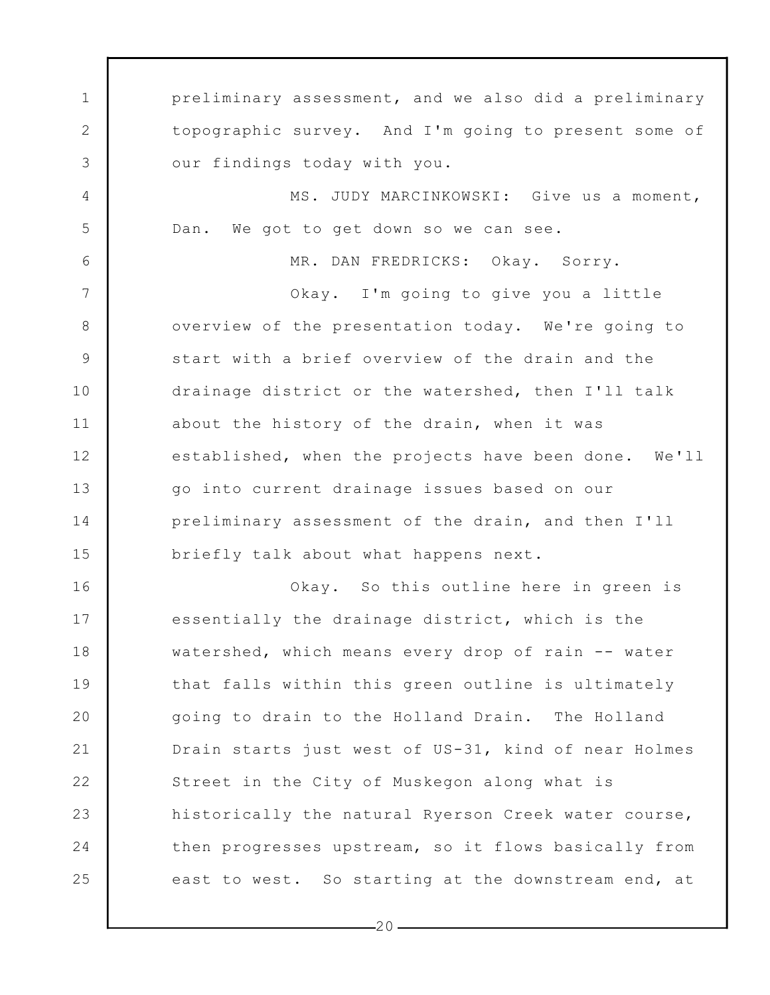1 2 3 4 5 6 7 8 9 10 11 12 13 14 15 16 17 18 19 20 21 22 23 24 25 preliminary assessment, and we also did a preliminary topographic survey. And I'm going to present some of our findings today with you. MS. JUDY MARCINKOWSKI: Give us a moment, Dan. We got to get down so we can see. MR. DAN FREDRICKS: Okay. Sorry. Okay. I'm going to give you a little overview of the presentation today. We're going to start with a brief overview of the drain and the drainage district or the watershed, then I'll talk about the history of the drain, when it was established, when the projects have been done. We'll go into current drainage issues based on our preliminary assessment of the drain, and then I'll briefly talk about what happens next. Okay. So this outline here in green is essentially the drainage district, which is the watershed, which means every drop of rain -- water that falls within this green outline is ultimately going to drain to the Holland Drain. The Holland Drain starts just west of US-31, kind of near Holmes Street in the City of Muskegon along what is historically the natural Ryerson Creek water course, then progresses upstream, so it flows basically from east to west. So starting at the downstream end, at

 $-20-$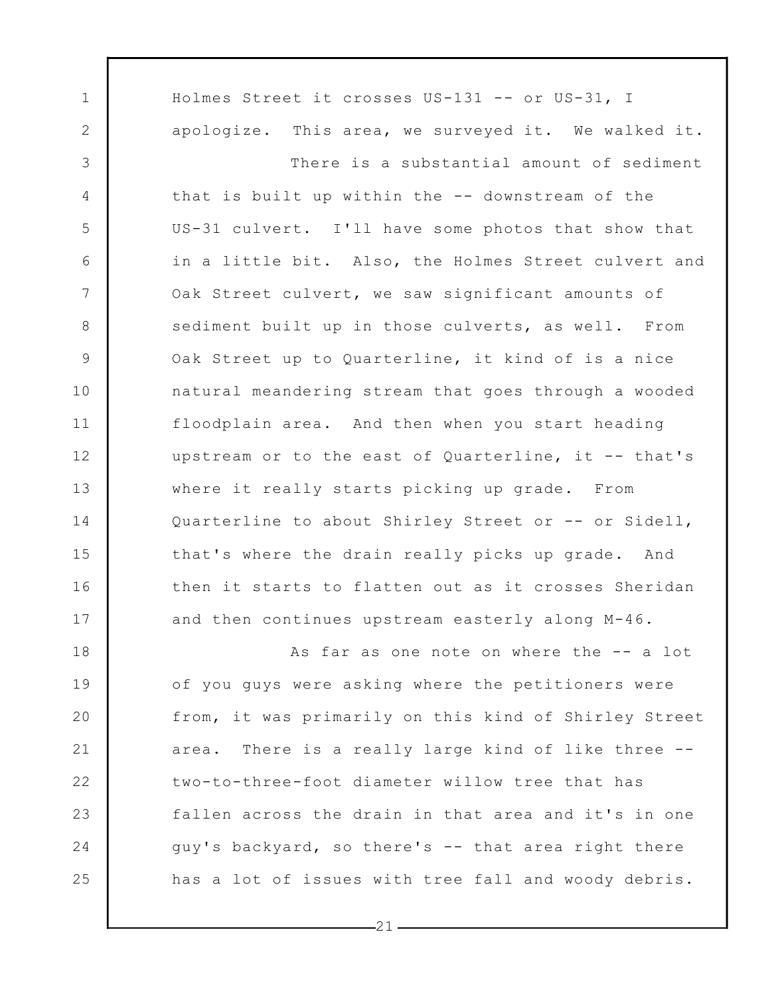1 2 3 4 5 6 7 8 9 10 11 12 13 14 15 16 17 18 19 20 21 22 23 24 25 Holmes Street it crosses US-131 -- or US-31, I apologize. This area, we surveyed it. We walked it. There is a substantial amount of sediment that is built up within the -- downstream of the US-31 culvert. I'll have some photos that show that in a little bit. Also, the Holmes Street culvert and Oak Street culvert, we saw significant amounts of sediment built up in those culverts, as well. From Oak Street up to Quarterline, it kind of is a nice natural meandering stream that goes through a wooded floodplain area. And then when you start heading upstream or to the east of Quarterline, it -- that's where it really starts picking up grade. From Quarterline to about Shirley Street or -- or Sidell, that's where the drain really picks up grade. And then it starts to flatten out as it crosses Sheridan and then continues upstream easterly along M-46. As far as one note on where the -- a lot of you guys were asking where the petitioners were from, it was primarily on this kind of Shirley Street area. There is a really large kind of like three - two-to-three-foot diameter willow tree that has fallen across the drain in that area and it's in one guy's backyard, so there's -- that area right there has a lot of issues with tree fall and woody debris.

 $-21-$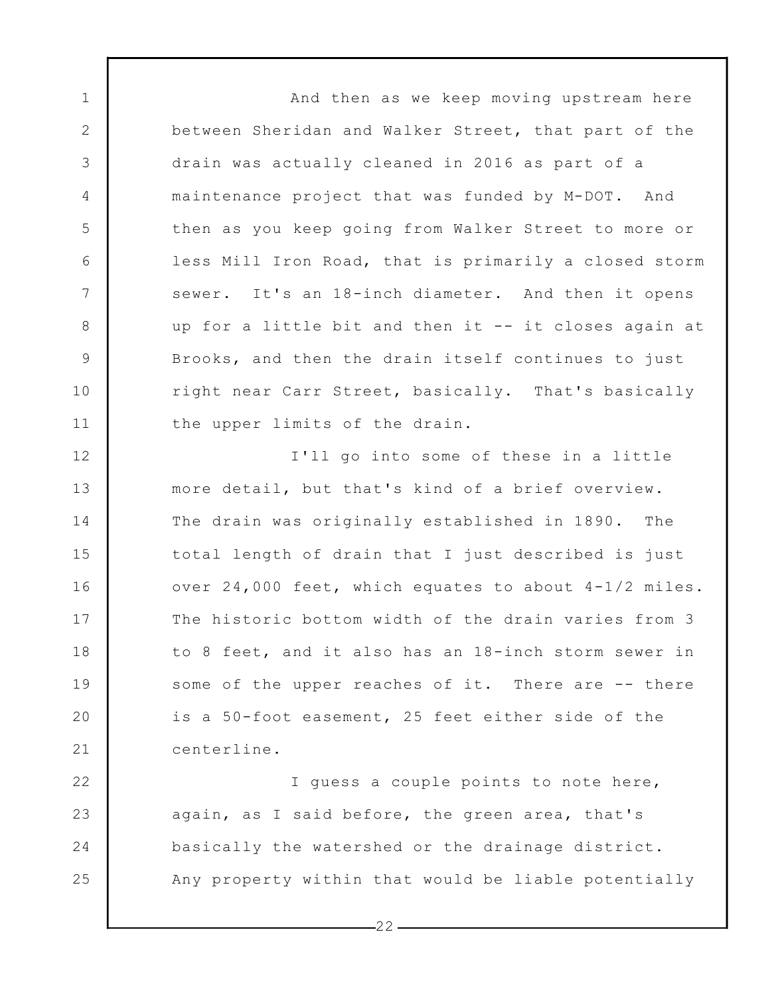And then as we keep moving upstream here between Sheridan and Walker Street, that part of the drain was actually cleaned in 2016 as part of a maintenance project that was funded by M-DOT. And then as you keep going from Walker Street to more or less Mill Iron Road, that is primarily a closed storm sewer. It's an 18-inch diameter. And then it opens up for a little bit and then it -- it closes again at Brooks, and then the drain itself continues to just right near Carr Street, basically. That's basically the upper limits of the drain.

1

2

3

4

5

6

7

8

9

10

11

12 13 14 15 16 17 18 19 20 21 I'll go into some of these in a little more detail, but that's kind of a brief overview. The drain was originally established in 1890. The total length of drain that I just described is just over 24,000 feet, which equates to about 4-1/2 miles. The historic bottom width of the drain varies from 3 to 8 feet, and it also has an 18-inch storm sewer in some of the upper reaches of it. There are -- there is a 50-foot easement, 25 feet either side of the centerline.

22 23 24 25 I guess a couple points to note here, again, as I said before, the green area, that's basically the watershed or the drainage district. Any property within that would be liable potentially

 $-22-$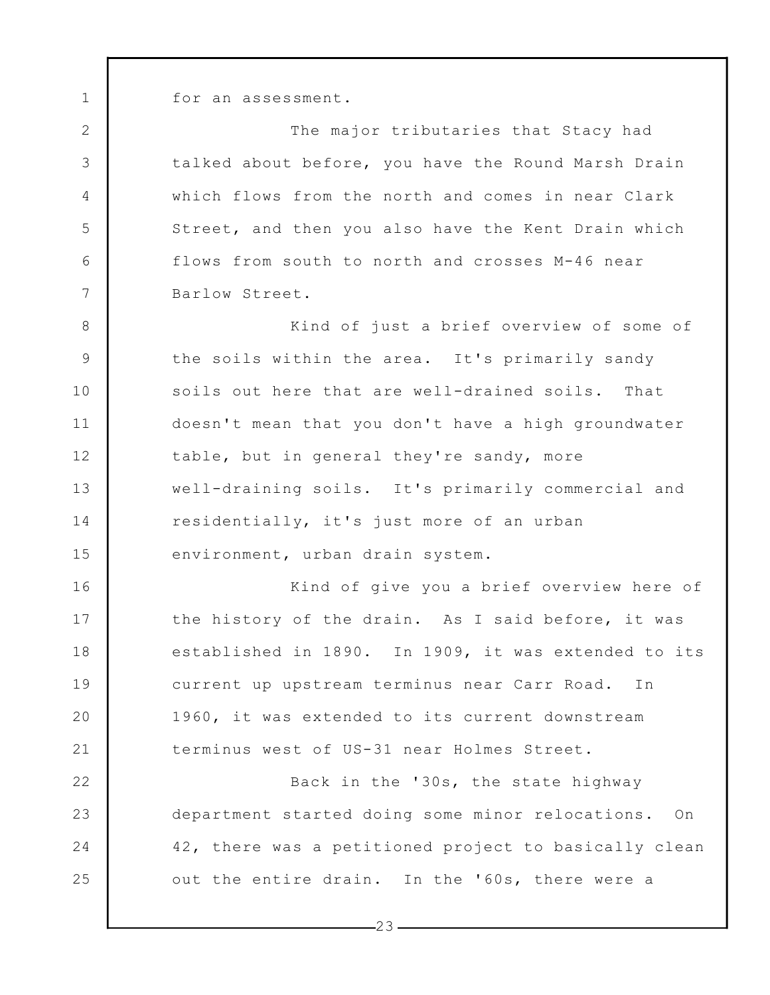1

2

3

4

5

6

7

16

17

18

19

20

21

22

23

24

25

for an assessment.

The major tributaries that Stacy had talked about before, you have the Round Marsh Drain which flows from the north and comes in near Clark Street, and then you also have the Kent Drain which flows from south to north and crosses M-46 near Barlow Street.

8 9 10 11 12 13 14 15 Kind of just a brief overview of some of the soils within the area. It's primarily sandy soils out here that are well-drained soils. That doesn't mean that you don't have a high groundwater table, but in general they're sandy, more well-draining soils. It's primarily commercial and residentially, it's just more of an urban environment, urban drain system.

Kind of give you a brief overview here of the history of the drain. As I said before, it was established in 1890. In 1909, it was extended to its current up upstream terminus near Carr Road. In 1960, it was extended to its current downstream terminus west of US-31 near Holmes Street.

Back in the '30s, the state highway department started doing some minor relocations. On 42, there was a petitioned project to basically clean out the entire drain. In the '60s, there were a

 $-23-$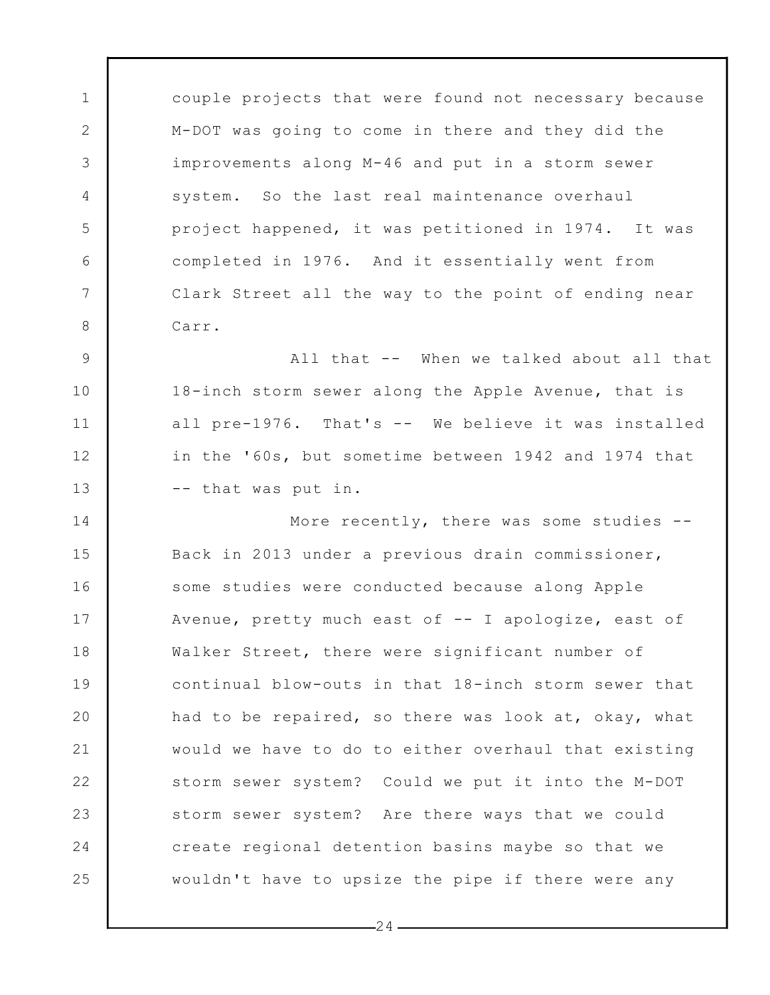couple projects that were found not necessary because M-DOT was going to come in there and they did the improvements along M-46 and put in a storm sewer system. So the last real maintenance overhaul project happened, it was petitioned in 1974. It was completed in 1976. And it essentially went from Clark Street all the way to the point of ending near Carr.

1

2

3

4

5

6

7

8

9

10

11

12

13

All that -- When we talked about all that 18-inch storm sewer along the Apple Avenue, that is all pre-1976. That's -- We believe it was installed in the '60s, but sometime between 1942 and 1974 that -- that was put in.

14 15 16 17 18 19 20 21 22 23 24 25 More recently, there was some studies -- Back in 2013 under a previous drain commissioner, some studies were conducted because along Apple Avenue, pretty much east of -- I apologize, east of Walker Street, there were significant number of continual blow-outs in that 18-inch storm sewer that had to be repaired, so there was look at, okay, what would we have to do to either overhaul that existing storm sewer system? Could we put it into the M-DOT storm sewer system? Are there ways that we could create regional detention basins maybe so that we wouldn't have to upsize the pipe if there were any

 $-24-$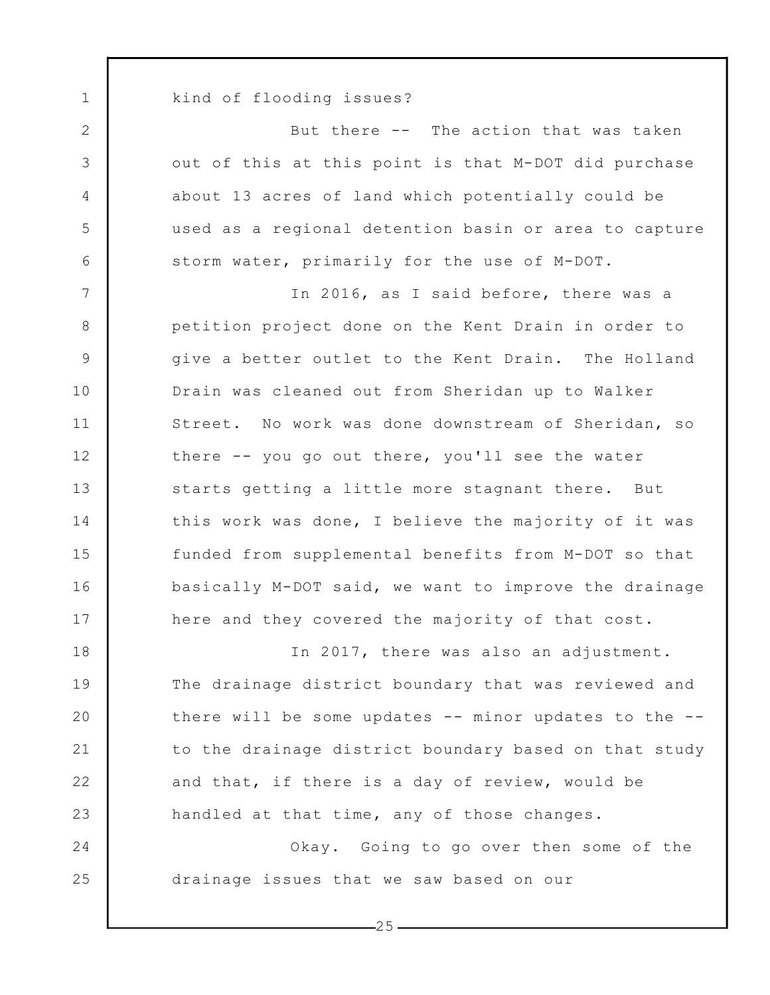kind of flooding issues?

1

2

3

4

5

6

7

8

9

10

11

12

13

14

15

16

17

24

25

But there -- The action that was taken out of this at this point is that M-DOT did purchase about 13 acres of land which potentially could be used as a regional detention basin or area to capture storm water, primarily for the use of M-DOT.

In 2016, as I said before, there was a petition project done on the Kent Drain in order to give a better outlet to the Kent Drain. The Holland Drain was cleaned out from Sheridan up to Walker Street. No work was done downstream of Sheridan, so there -- you go out there, you'll see the water starts getting a little more stagnant there. But this work was done, I believe the majority of it was funded from supplemental benefits from M-DOT so that basically M-DOT said, we want to improve the drainage here and they covered the majority of that cost.

18 19 20 21 22 23 In 2017, there was also an adjustment. The drainage district boundary that was reviewed and there will be some updates  $--$  minor updates to the  $-$ to the drainage district boundary based on that study and that, if there is a day of review, would be handled at that time, any of those changes.

Okay. Going to go over then some of the drainage issues that we saw based on our

 $-25-$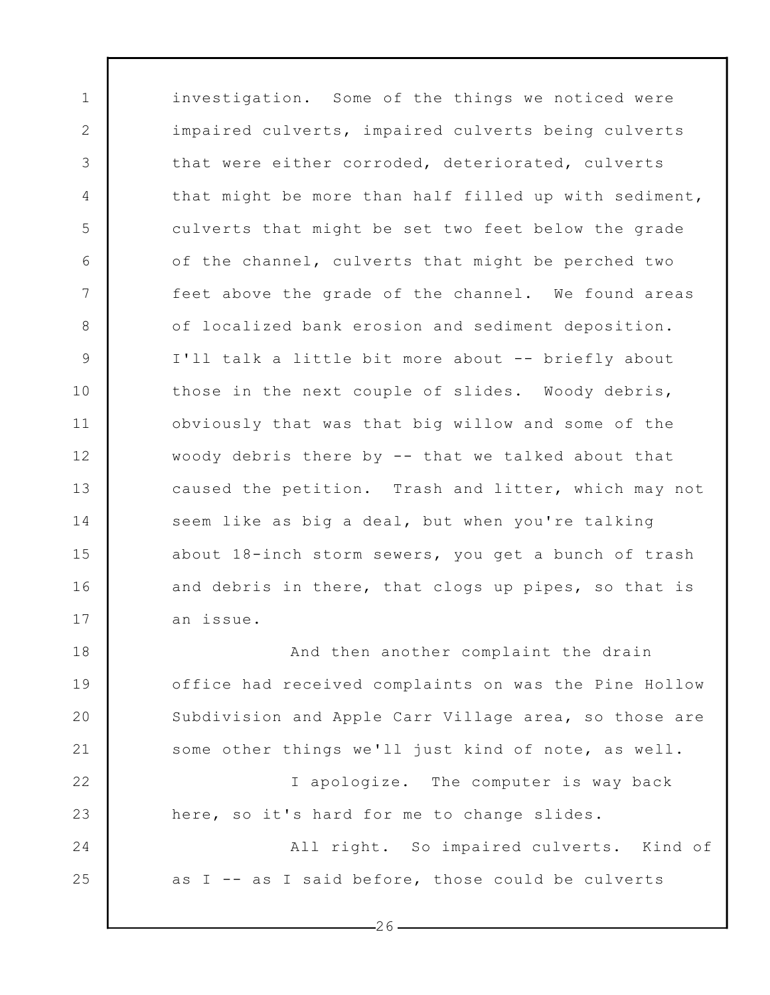investigation. Some of the things we noticed were impaired culverts, impaired culverts being culverts that were either corroded, deteriorated, culverts that might be more than half filled up with sediment, culverts that might be set two feet below the grade of the channel, culverts that might be perched two feet above the grade of the channel. We found areas of localized bank erosion and sediment deposition. I'll talk a little bit more about -- briefly about those in the next couple of slides. Woody debris, obviously that was that big willow and some of the woody debris there by -- that we talked about that caused the petition. Trash and litter, which may not seem like as big a deal, but when you're talking about 18-inch storm sewers, you get a bunch of trash and debris in there, that clogs up pipes, so that is an issue.

1

2

3

4

5

6

7

8

9

10

11

12

13

14

15

16

17

22

23

24

25

18 19 20 21 And then another complaint the drain office had received complaints on was the Pine Hollow Subdivision and Apple Carr Village area, so those are some other things we'll just kind of note, as well.

I apologize. The computer is way back here, so it's hard for me to change slides.

All right. So impaired culverts. Kind of as I -- as I said before, those could be culverts

 $-26-$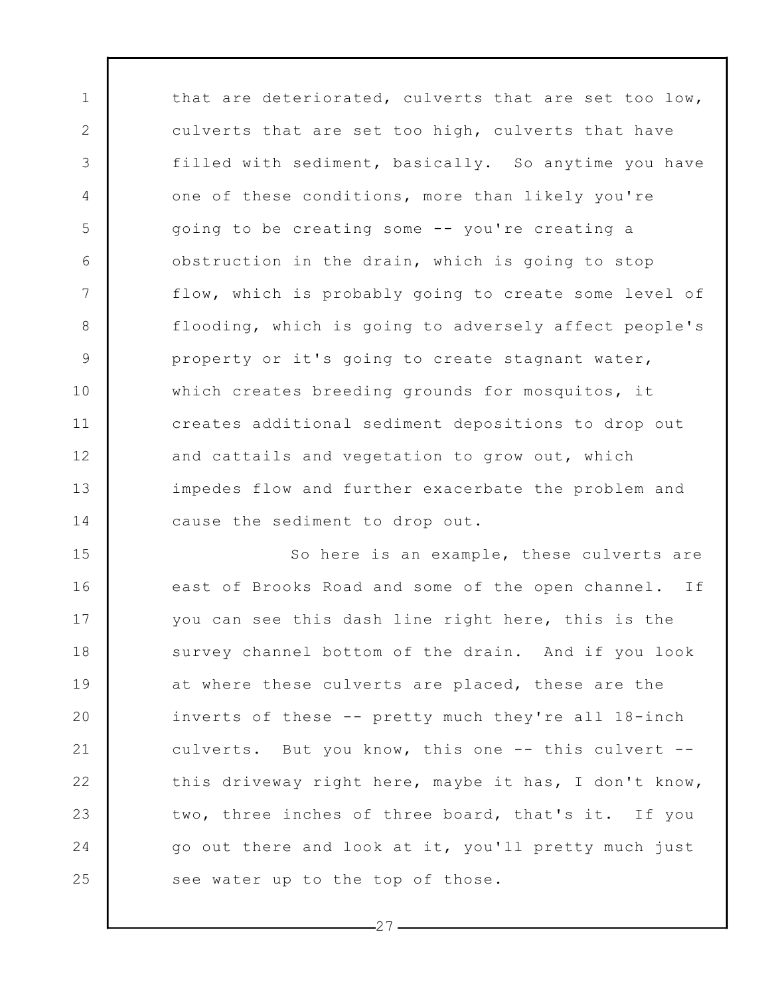that are deteriorated, culverts that are set too low, culverts that are set too high, culverts that have filled with sediment, basically. So anytime you have one of these conditions, more than likely you're going to be creating some -- you're creating a obstruction in the drain, which is going to stop flow, which is probably going to create some level of flooding, which is going to adversely affect people's property or it's going to create stagnant water, which creates breeding grounds for mosquitos, it creates additional sediment depositions to drop out and cattails and vegetation to grow out, which impedes flow and further exacerbate the problem and cause the sediment to drop out.

1

2

3

4

5

6

7

8

9

10

11

12

13

14

15 16 17 18 19 20 21 22 23 24 25 So here is an example, these culverts are east of Brooks Road and some of the open channel. If you can see this dash line right here, this is the survey channel bottom of the drain. And if you look at where these culverts are placed, these are the inverts of these -- pretty much they're all 18-inch culverts. But you know, this one -- this culvert - this driveway right here, maybe it has, I don't know, two, three inches of three board, that's it. If you go out there and look at it, you'll pretty much just see water up to the top of those.

 $-27-$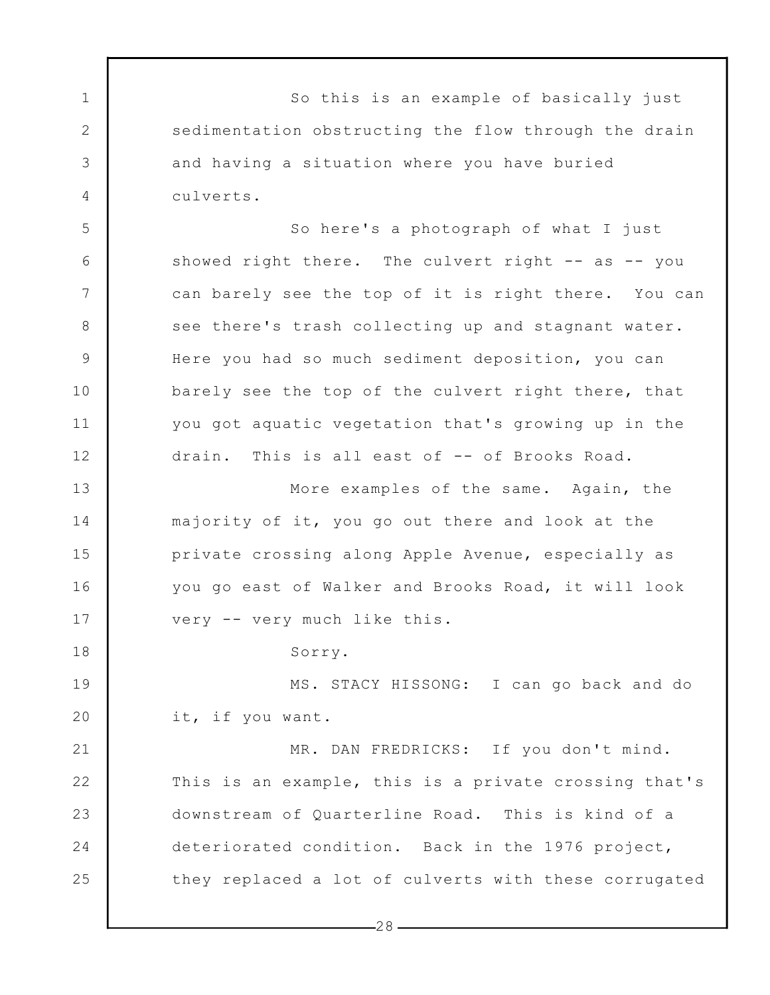So this is an example of basically just sedimentation obstructing the flow through the drain and having a situation where you have buried culverts.

1

2

3

4

5

6

7

8

9

10

11

12

13

14

15

16

17

18

So here's a photograph of what I just showed right there. The culvert right -- as -- you can barely see the top of it is right there. You can see there's trash collecting up and stagnant water. Here you had so much sediment deposition, you can barely see the top of the culvert right there, that you got aquatic vegetation that's growing up in the drain. This is all east of -- of Brooks Road.

More examples of the same. Again, the majority of it, you go out there and look at the private crossing along Apple Avenue, especially as you go east of Walker and Brooks Road, it will look very -- very much like this.

Sorry.

19 20 MS. STACY HISSONG: I can go back and do it, if you want.

21 22 23 24 25 MR. DAN FREDRICKS: If you don't mind. This is an example, this is a private crossing that's downstream of Quarterline Road. This is kind of a deteriorated condition. Back in the 1976 project, they replaced a lot of culverts with these corrugated

 $-28-$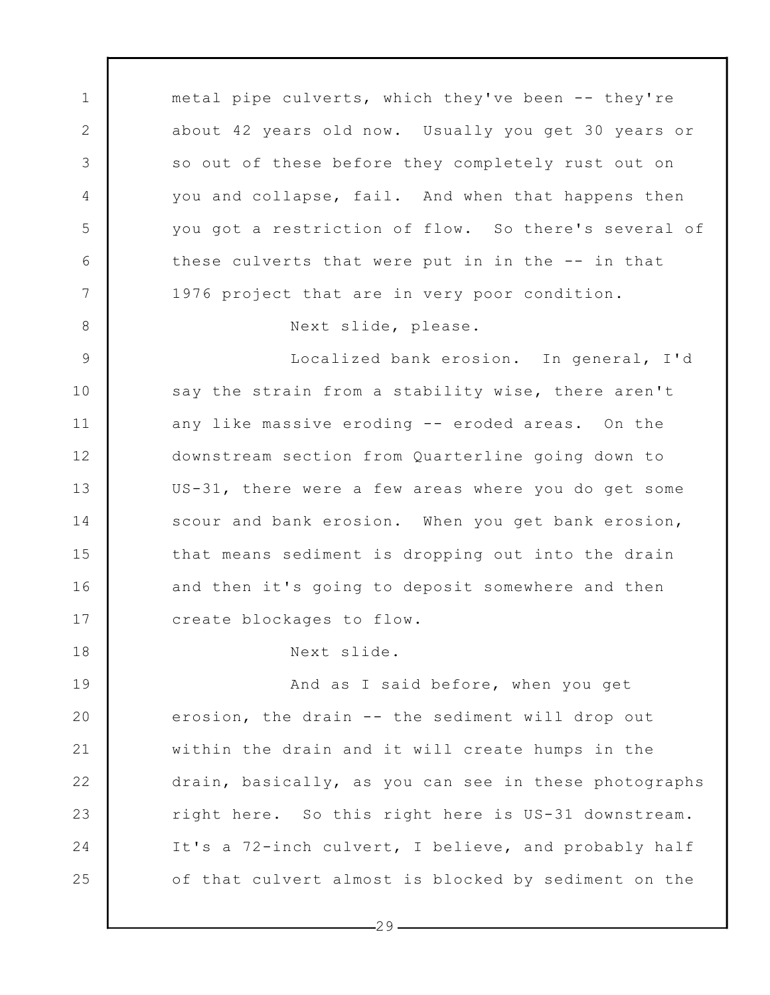1 2 3 4 5 6 7 8 9 10 11 12 13 14 15 16 17 18 19 20 21 22 23 24 25 metal pipe culverts, which they've been -- they're about 42 years old now. Usually you get 30 years or so out of these before they completely rust out on you and collapse, fail. And when that happens then you got a restriction of flow. So there's several of these culverts that were put in in the -- in that 1976 project that are in very poor condition. Next slide, please. Localized bank erosion. In general, I'd say the strain from a stability wise, there aren't any like massive eroding -- eroded areas. On the downstream section from Quarterline going down to US-31, there were a few areas where you do get some scour and bank erosion. When you get bank erosion, that means sediment is dropping out into the drain and then it's going to deposit somewhere and then create blockages to flow. Next slide. And as I said before, when you get erosion, the drain -- the sediment will drop out within the drain and it will create humps in the drain, basically, as you can see in these photographs right here. So this right here is US-31 downstream. It's a 72-inch culvert, I believe, and probably half of that culvert almost is blocked by sediment on the

 $-29-$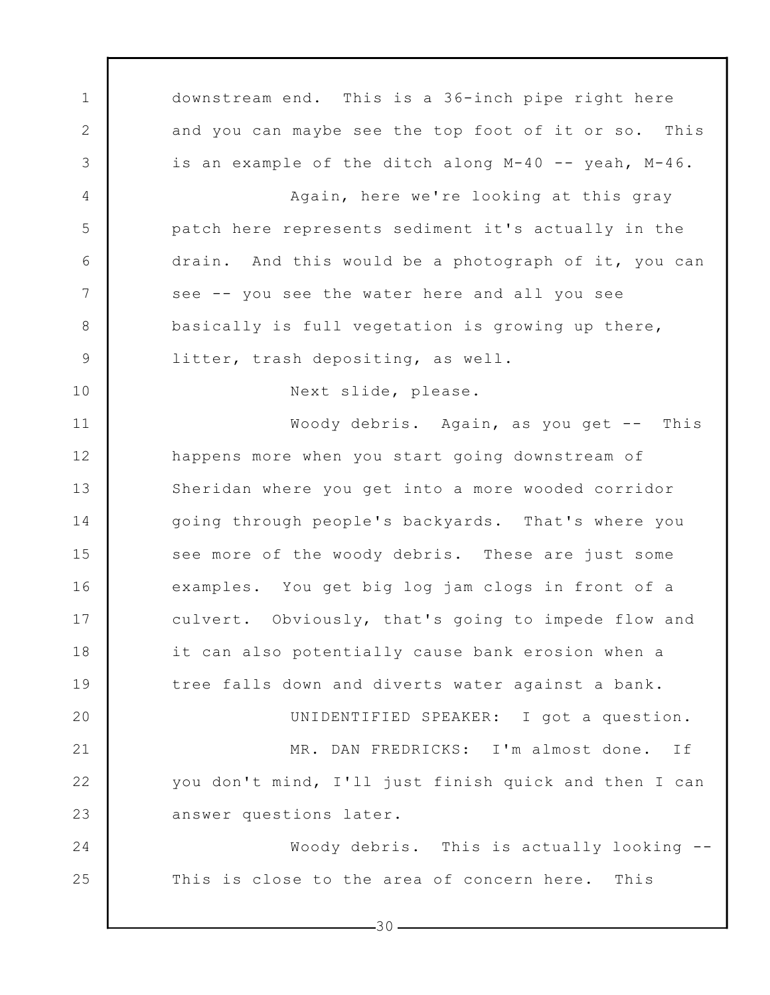1 2 3 4 5 6 7 8 9 10 11 12 13 14 15 16 17 18 19 20 21 22 23 24 25 downstream end. This is a 36-inch pipe right here and you can maybe see the top foot of it or so. This is an example of the ditch along M-40 -- yeah, M-46. Again, here we're looking at this gray patch here represents sediment it's actually in the drain. And this would be a photograph of it, you can see -- you see the water here and all you see basically is full vegetation is growing up there, litter, trash depositing, as well. Next slide, please. Woody debris. Again, as you get -- This happens more when you start going downstream of Sheridan where you get into a more wooded corridor going through people's backyards. That's where you see more of the woody debris. These are just some examples. You get big log jam clogs in front of a culvert. Obviously, that's going to impede flow and it can also potentially cause bank erosion when a tree falls down and diverts water against a bank. UNIDENTIFIED SPEAKER: I got a question. MR. DAN FREDRICKS: I'm almost done. If you don't mind, I'll just finish quick and then I can answer questions later. Woody debris. This is actually looking -- This is close to the area of concern here. This

 $-30-$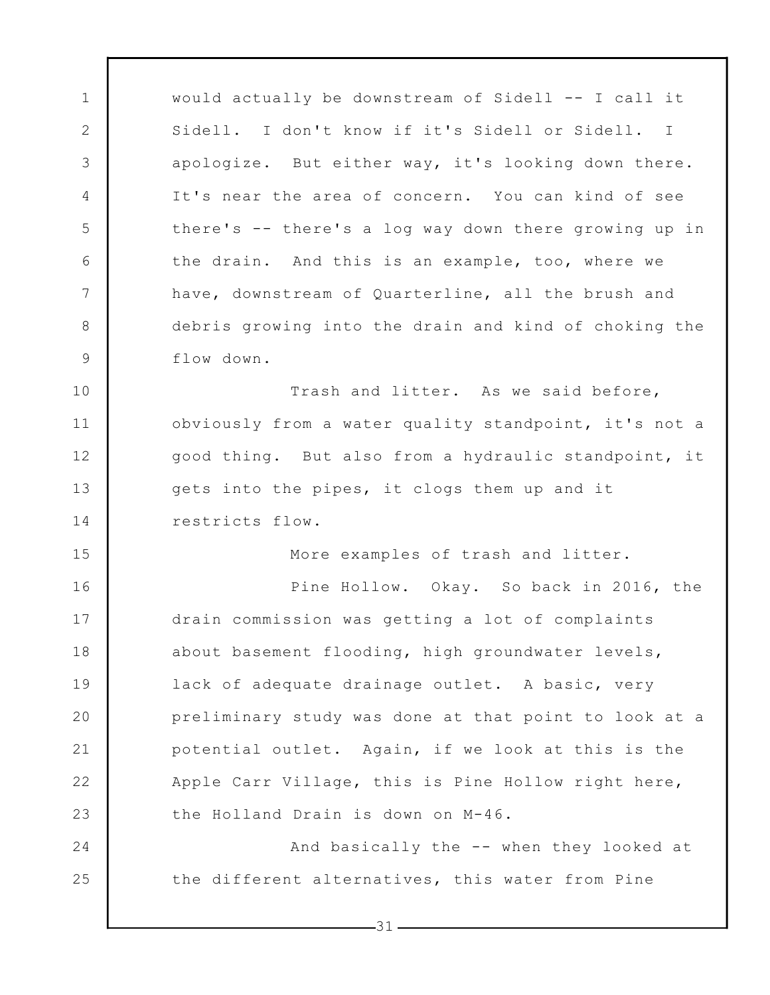would actually be downstream of Sidell -- I call it Sidell. I don't know if it's Sidell or Sidell. I apologize. But either way, it's looking down there. It's near the area of concern. You can kind of see there's -- there's a log way down there growing up in the drain. And this is an example, too, where we have, downstream of Quarterline, all the brush and debris growing into the drain and kind of choking the flow down.

1

2

3

4

5

6

7

8

9

15

24

25

10 11 12 13 14 Trash and litter. As we said before, obviously from a water quality standpoint, it's not a good thing. But also from a hydraulic standpoint, it gets into the pipes, it clogs them up and it restricts flow.

More examples of trash and litter.

16 17 18 19 20 21 22 23 Pine Hollow. Okay. So back in 2016, the drain commission was getting a lot of complaints about basement flooding, high groundwater levels, lack of adequate drainage outlet. A basic, very preliminary study was done at that point to look at a potential outlet. Again, if we look at this is the Apple Carr Village, this is Pine Hollow right here, the Holland Drain is down on M-46.

And basically the -- when they looked at the different alternatives, this water from Pine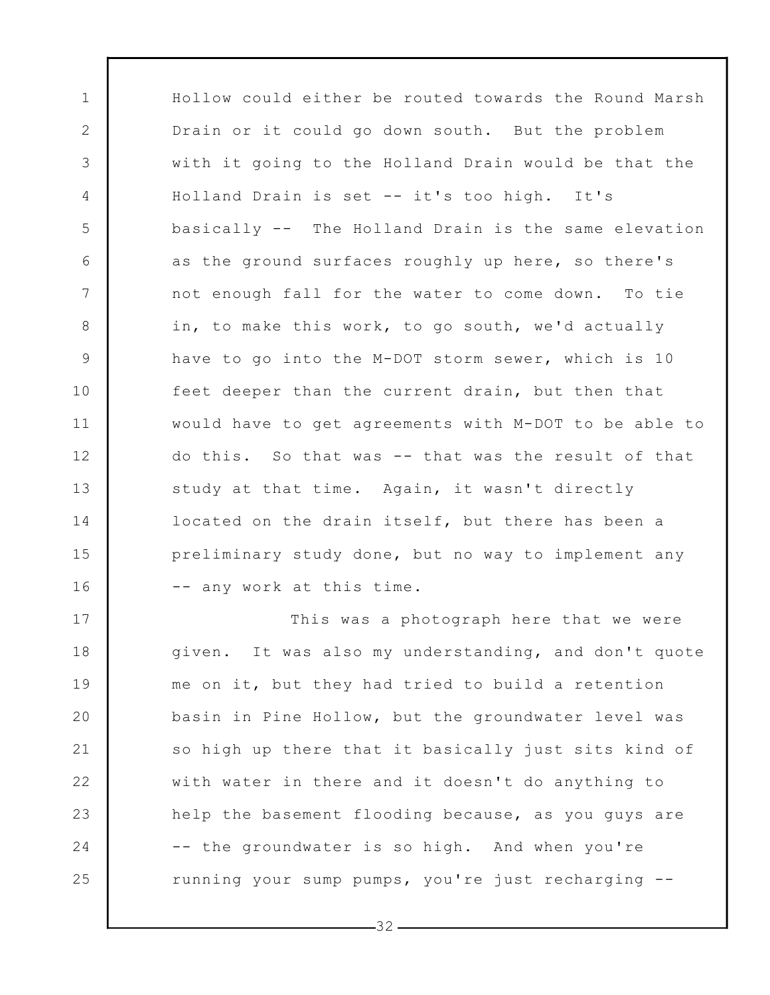Hollow could either be routed towards the Round Marsh Drain or it could go down south. But the problem with it going to the Holland Drain would be that the Holland Drain is set -- it's too high. It's basically -- The Holland Drain is the same elevation as the ground surfaces roughly up here, so there's not enough fall for the water to come down. To tie in, to make this work, to go south, we'd actually have to go into the M-DOT storm sewer, which is 10 feet deeper than the current drain, but then that would have to get agreements with M-DOT to be able to do this. So that was -- that was the result of that study at that time. Again, it wasn't directly located on the drain itself, but there has been a preliminary study done, but no way to implement any -- any work at this time.

1

2

3

4

5

6

7

8

9

10

11

12

13

14

15

16

17 18 19 20 21 22 23 24 25 This was a photograph here that we were given. It was also my understanding, and don't quote me on it, but they had tried to build a retention basin in Pine Hollow, but the groundwater level was so high up there that it basically just sits kind of with water in there and it doesn't do anything to help the basement flooding because, as you guys are -- the groundwater is so high. And when you're running your sump pumps, you're just recharging --

 $-32-$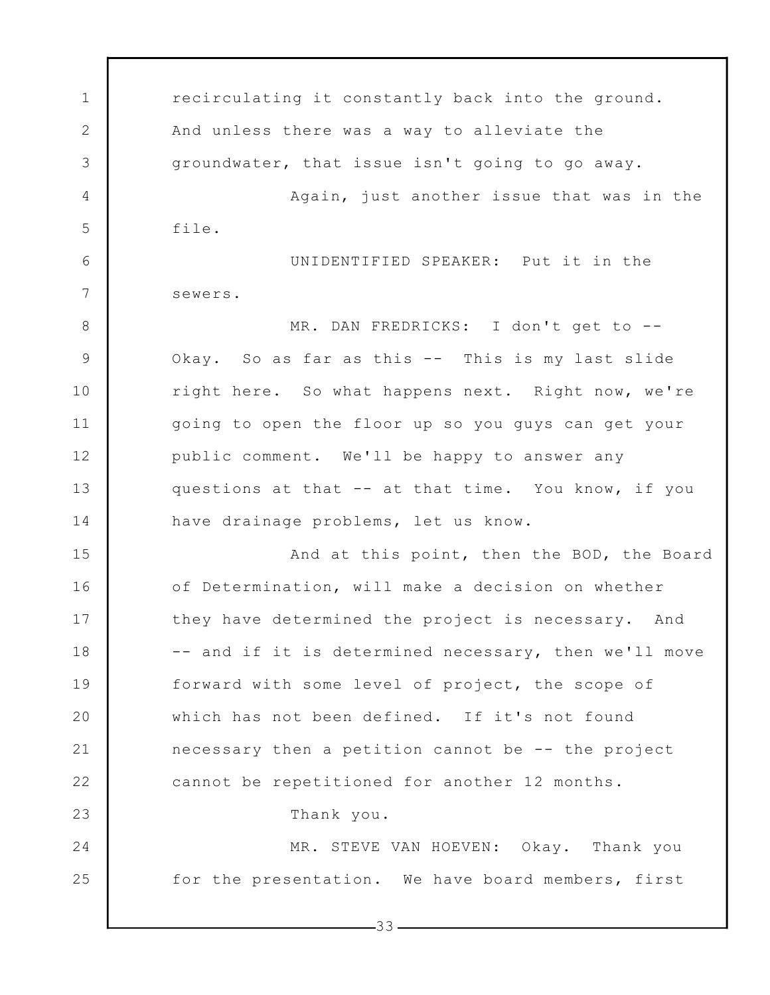1 2 3 4 5 6 7 8 9 10 11 12 13 14 15 16 17 18 19 20 21 22 23 24 25  $-33$ recirculating it constantly back into the ground. And unless there was a way to alleviate the groundwater, that issue isn't going to go away. Again, just another issue that was in the file. UNIDENTIFIED SPEAKER: Put it in the sewers. MR. DAN FREDRICKS: I don't get to -- Okay. So as far as this -- This is my last slide right here. So what happens next. Right now, we're going to open the floor up so you guys can get your public comment. We'll be happy to answer any questions at that -- at that time. You know, if you have drainage problems, let us know. And at this point, then the BOD, the Board of Determination, will make a decision on whether they have determined the project is necessary. And -- and if it is determined necessary, then we'll move forward with some level of project, the scope of which has not been defined. If it's not found necessary then a petition cannot be -- the project cannot be repetitioned for another 12 months. Thank you. MR. STEVE VAN HOEVEN: Okay. Thank you for the presentation. We have board members, first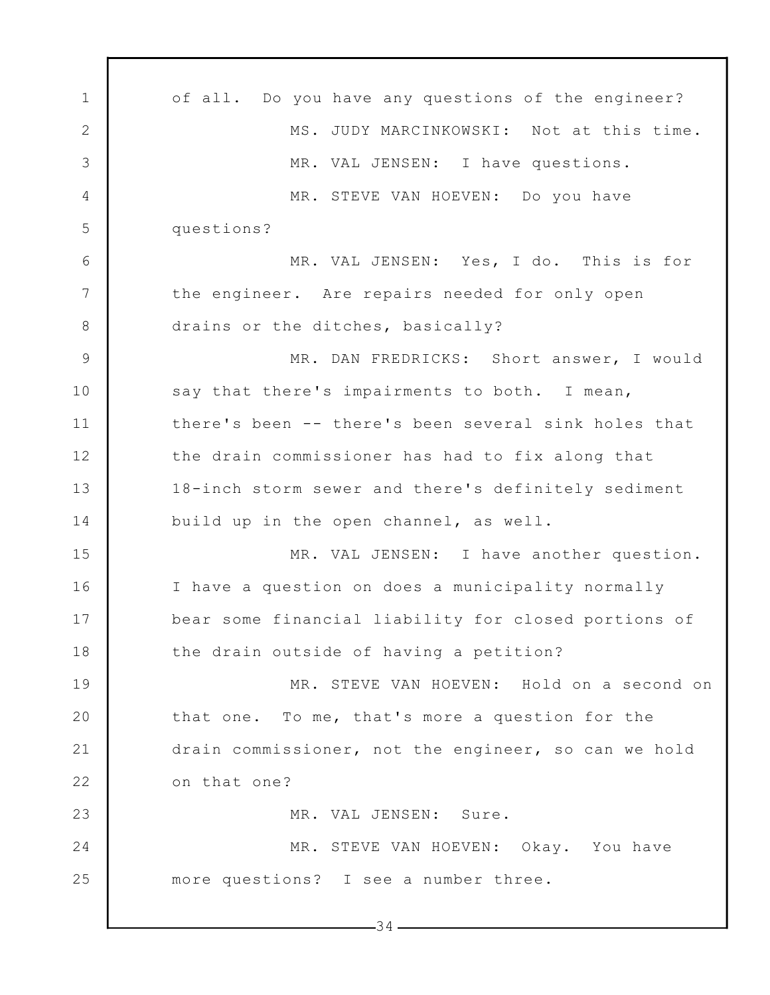1 2 3 4 5 6 7 8 9 10 11 12 13 14 15 16 17 18 19 20 21 22 23 24 25  $-34$ of all. Do you have any questions of the engineer? MS. JUDY MARCINKOWSKI: Not at this time. MR. VAL JENSEN: I have questions. MR. STEVE VAN HOEVEN: Do you have questions? MR. VAL JENSEN: Yes, I do. This is for the engineer. Are repairs needed for only open drains or the ditches, basically? MR. DAN FREDRICKS: Short answer, I would say that there's impairments to both. I mean, there's been -- there's been several sink holes that the drain commissioner has had to fix along that 18-inch storm sewer and there's definitely sediment build up in the open channel, as well. MR. VAL JENSEN: I have another question. I have a question on does a municipality normally bear some financial liability for closed portions of the drain outside of having a petition? MR. STEVE VAN HOEVEN: Hold on a second on that one. To me, that's more a question for the drain commissioner, not the engineer, so can we hold on that one? MR. VAL JENSEN: Sure. MR. STEVE VAN HOEVEN: Okay. You have more questions? I see a number three.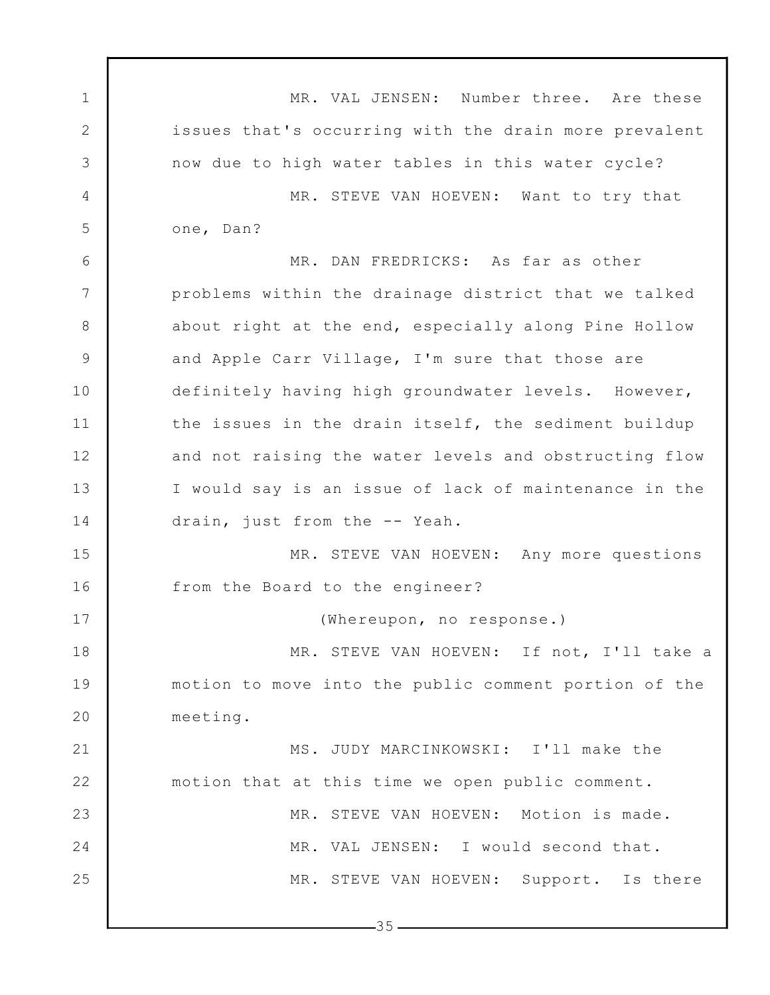1 2 3 4 5 6 7 8 9 10 11 12 13 14 15 16 17 18 19 20 21 22 23 24 25  $-35-$ MR. VAL JENSEN: Number three. Are these issues that's occurring with the drain more prevalent now due to high water tables in this water cycle? MR. STEVE VAN HOEVEN: Want to try that one, Dan? MR. DAN FREDRICKS: As far as other problems within the drainage district that we talked about right at the end, especially along Pine Hollow and Apple Carr Village, I'm sure that those are definitely having high groundwater levels. However, the issues in the drain itself, the sediment buildup and not raising the water levels and obstructing flow I would say is an issue of lack of maintenance in the drain, just from the -- Yeah. MR. STEVE VAN HOEVEN: Any more questions from the Board to the engineer? (Whereupon, no response.) MR. STEVE VAN HOEVEN: If not, I'll take a motion to move into the public comment portion of the meeting. MS. JUDY MARCINKOWSKI: I'll make the motion that at this time we open public comment. MR. STEVE VAN HOEVEN: Motion is made. MR. VAL JENSEN: I would second that. MR. STEVE VAN HOEVEN: Support. Is there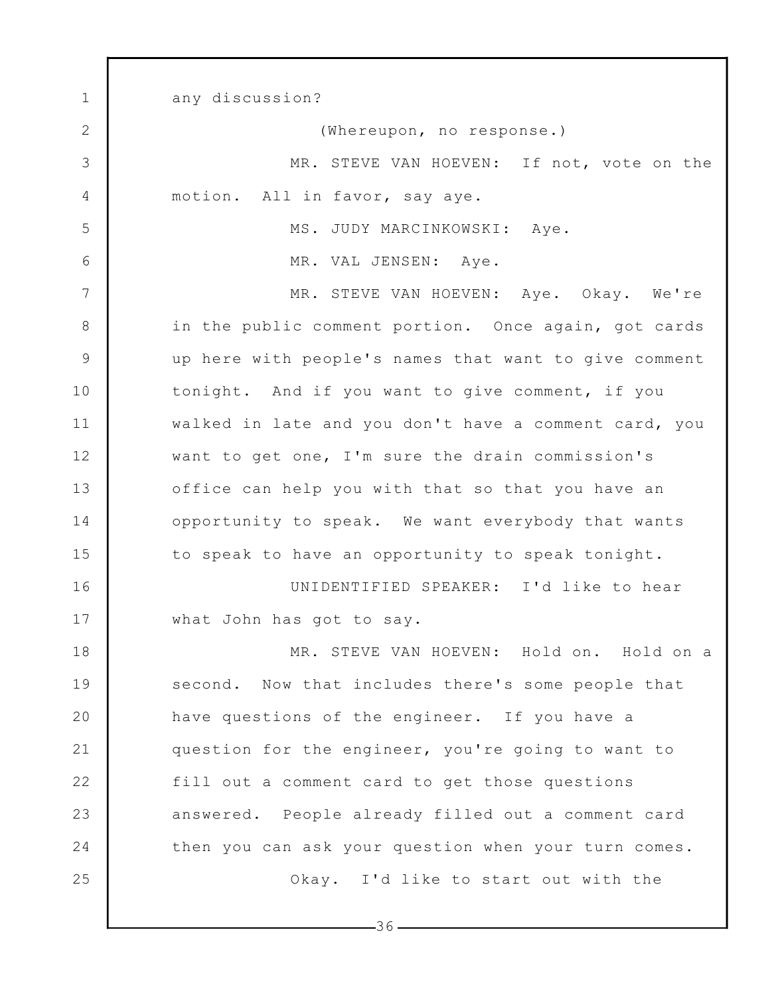1 2 3 4 5 6 7 8 9 10 11 12 13 14 15 16 17 18 19 20 21 22 23 24 25 any discussion? (Whereupon, no response.) MR. STEVE VAN HOEVEN: If not, vote on the motion. All in favor, say aye. MS. JUDY MARCINKOWSKI: Aye. MR. VAL JENSEN: Aye. MR. STEVE VAN HOEVEN: Aye. Okay. We're in the public comment portion. Once again, got cards up here with people's names that want to give comment tonight. And if you want to give comment, if you walked in late and you don't have a comment card, you want to get one, I'm sure the drain commission's office can help you with that so that you have an opportunity to speak. We want everybody that wants to speak to have an opportunity to speak tonight. UNIDENTIFIED SPEAKER: I'd like to hear what John has got to say. MR. STEVE VAN HOEVEN: Hold on. Hold on a second. Now that includes there's some people that have questions of the engineer. If you have a question for the engineer, you're going to want to fill out a comment card to get those questions answered. People already filled out a comment card then you can ask your question when your turn comes. Okay. I'd like to start out with the

 $-36-$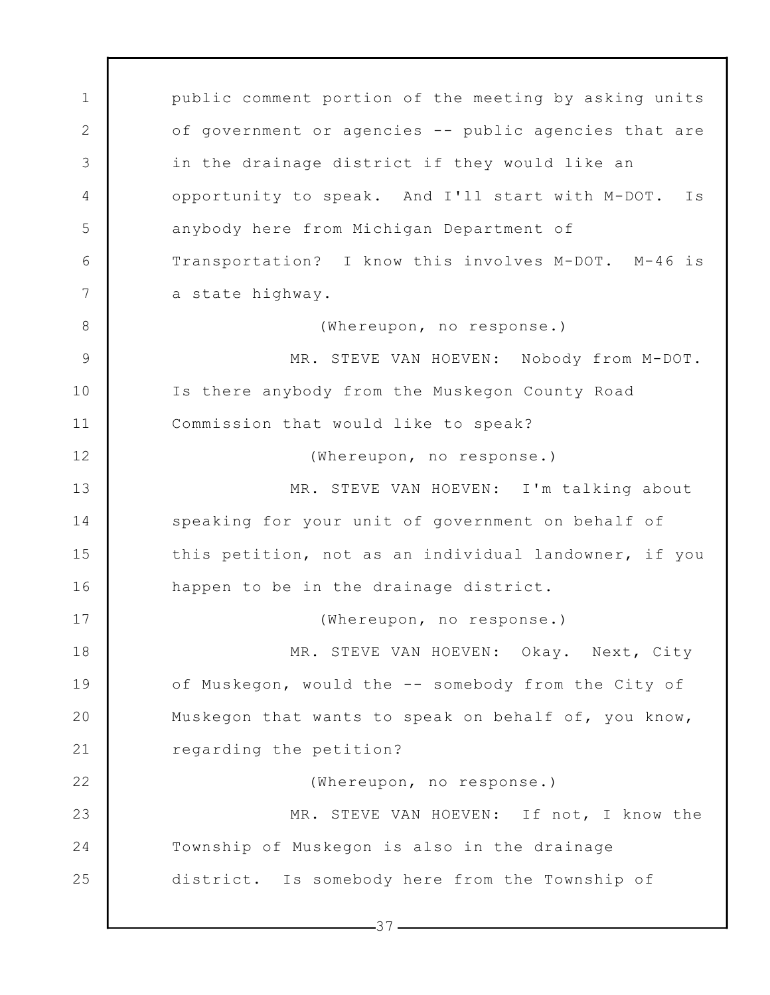1 2 3 4 5 6 7 8 9 10 11 12 13 14 15 16 17 18 19 20 21 22 23 24 25 public comment portion of the meeting by asking units of government or agencies -- public agencies that are in the drainage district if they would like an opportunity to speak. And I'll start with M-DOT. Is anybody here from Michigan Department of Transportation? I know this involves M-DOT. M-46 is a state highway. (Whereupon, no response.) MR. STEVE VAN HOEVEN: Nobody from M-DOT. Is there anybody from the Muskegon County Road Commission that would like to speak? (Whereupon, no response.) MR. STEVE VAN HOEVEN: I'm talking about speaking for your unit of government on behalf of this petition, not as an individual landowner, if you happen to be in the drainage district. (Whereupon, no response.) MR. STEVE VAN HOEVEN: Okay. Next, City of Muskegon, would the -- somebody from the City of Muskegon that wants to speak on behalf of, you know, regarding the petition? (Whereupon, no response.) MR. STEVE VAN HOEVEN: If not, I know the Township of Muskegon is also in the drainage district. Is somebody here from the Township of

 $-37-$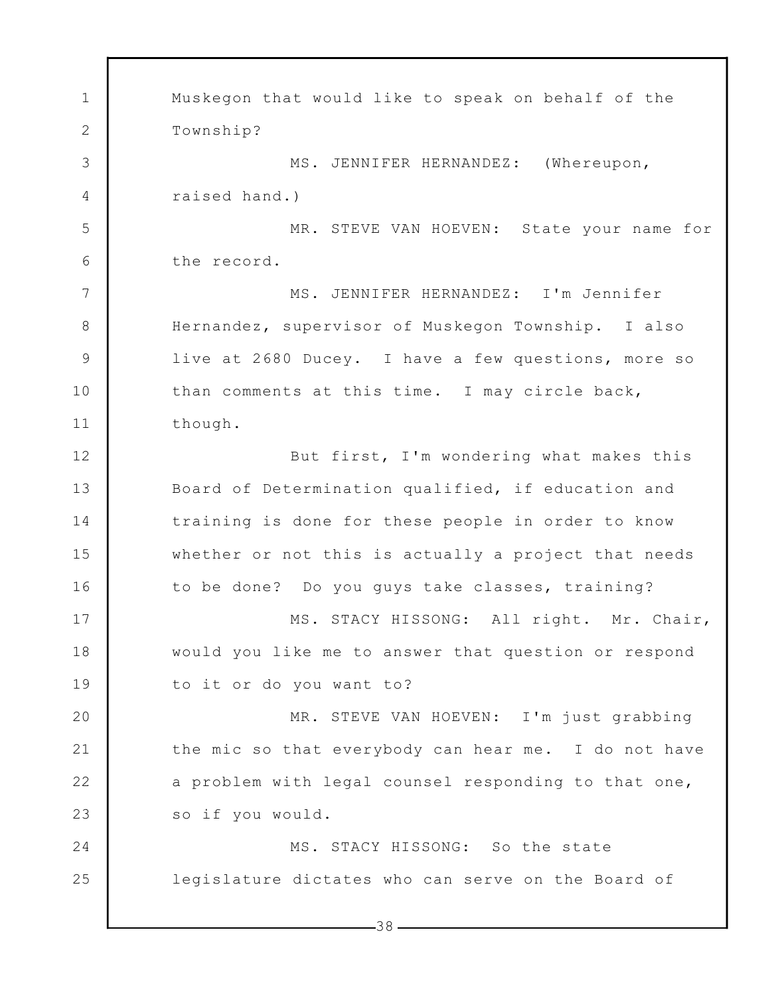1 2 3 4 5 6 7 8 9 10 11 12 13 14 15 16 17 18 19 20 21 22 23 24 25 Muskegon that would like to speak on behalf of the Township? MS. JENNIFER HERNANDEZ: (Whereupon, raised hand.) MR. STEVE VAN HOEVEN: State your name for the record. MS. JENNIFER HERNANDEZ: I'm Jennifer Hernandez, supervisor of Muskegon Township. I also live at 2680 Ducey. I have a few questions, more so than comments at this time. I may circle back, though. But first, I'm wondering what makes this Board of Determination qualified, if education and training is done for these people in order to know whether or not this is actually a project that needs to be done? Do you guys take classes, training? MS. STACY HISSONG: All right. Mr. Chair, would you like me to answer that question or respond to it or do you want to? MR. STEVE VAN HOEVEN: I'm just grabbing the mic so that everybody can hear me. I do not have a problem with legal counsel responding to that one, so if you would. MS. STACY HISSONG: So the state legislature dictates who can serve on the Board of

 $-38-$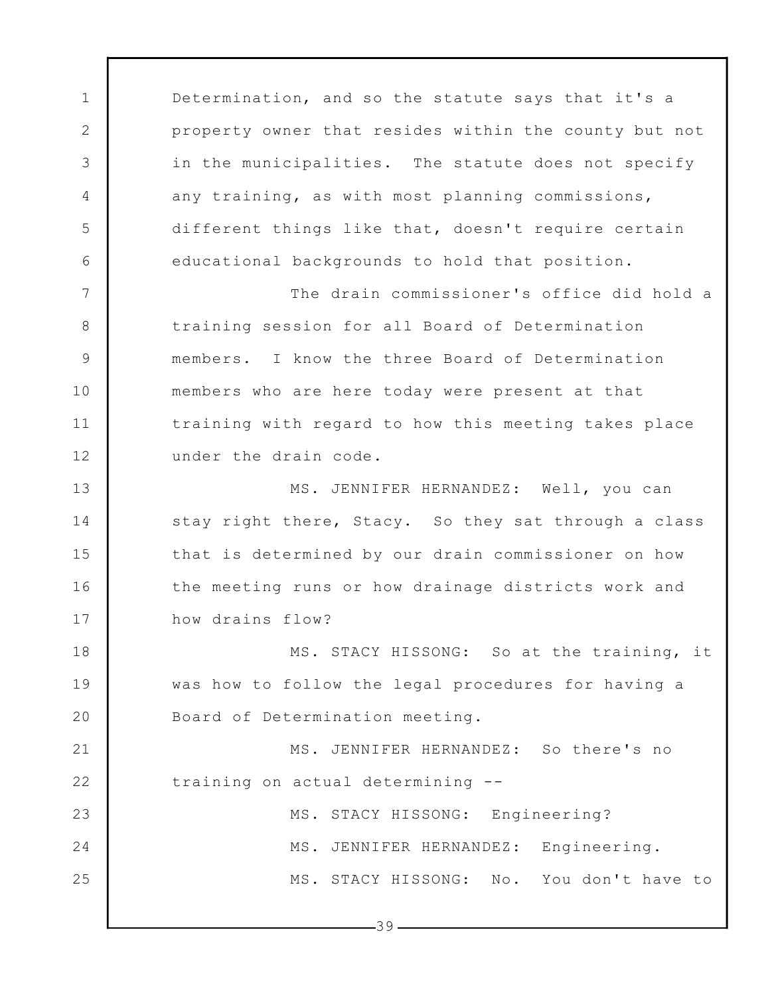Determination, and so the statute says that it's a property owner that resides within the county but not in the municipalities. The statute does not specify any training, as with most planning commissions, different things like that, doesn't require certain educational backgrounds to hold that position.

1

2

3

4

5

6

7

8

9

10

11

12

The drain commissioner's office did hold a training session for all Board of Determination members. I know the three Board of Determination members who are here today were present at that training with regard to how this meeting takes place under the drain code.

13 14 15 16 17 MS. JENNIFER HERNANDEZ: Well, you can stay right there, Stacy. So they sat through a class that is determined by our drain commissioner on how the meeting runs or how drainage districts work and how drains flow?

18 19 20 MS. STACY HISSONG: So at the training, it was how to follow the legal procedures for having a Board of Determination meeting.

21 22 23 MS. JENNIFER HERNANDEZ: So there's no training on actual determining -- MS. STACY HISSONG: Engineering?

24 25 MS. JENNIFER HERNANDEZ: Engineering. MS. STACY HISSONG: No. You don't have to

 $-39-$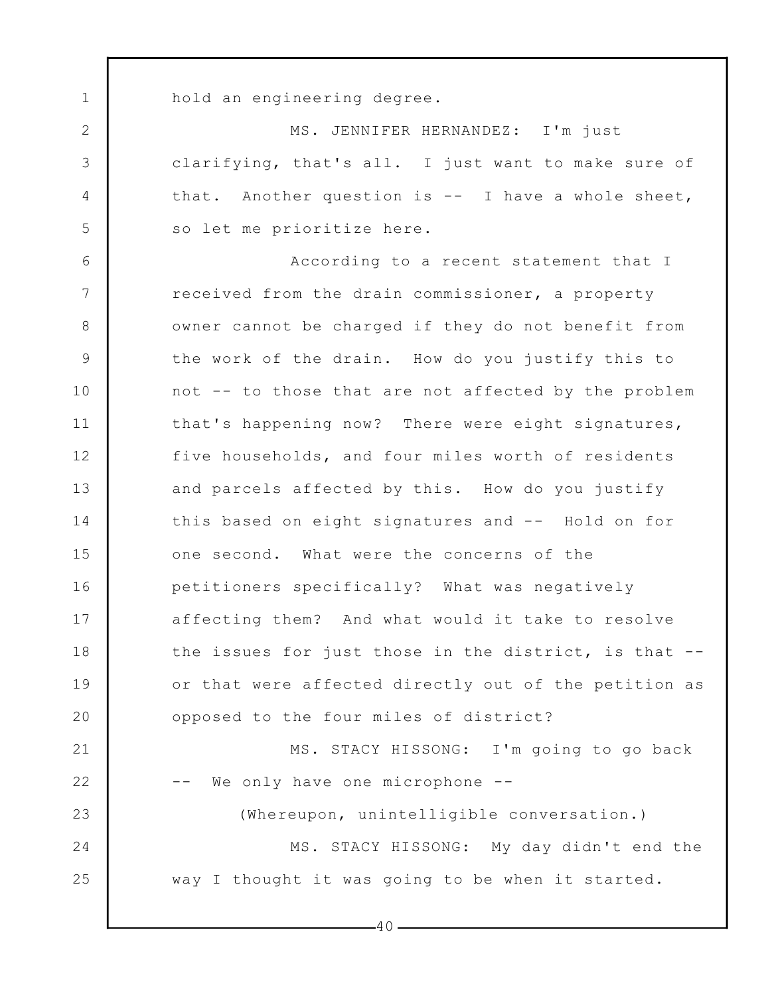hold an engineering degree.

1

2

3

4

5

MS. JENNIFER HERNANDEZ: I'm just clarifying, that's all. I just want to make sure of that. Another question is -- I have a whole sheet, so let me prioritize here.

6 7 8 9 10 11 12 13 14 15 16 17 18 19 20 21 22 23 24 25 According to a recent statement that I received from the drain commissioner, a property owner cannot be charged if they do not benefit from the work of the drain. How do you justify this to not -- to those that are not affected by the problem that's happening now? There were eight signatures, five households, and four miles worth of residents and parcels affected by this. How do you justify this based on eight signatures and -- Hold on for one second. What were the concerns of the petitioners specifically? What was negatively affecting them? And what would it take to resolve the issues for just those in the district, is that - or that were affected directly out of the petition as opposed to the four miles of district? MS. STACY HISSONG: I'm going to go back -- We only have one microphone -- (Whereupon, unintelligible conversation.) MS. STACY HISSONG: My day didn't end the way I thought it was going to be when it started.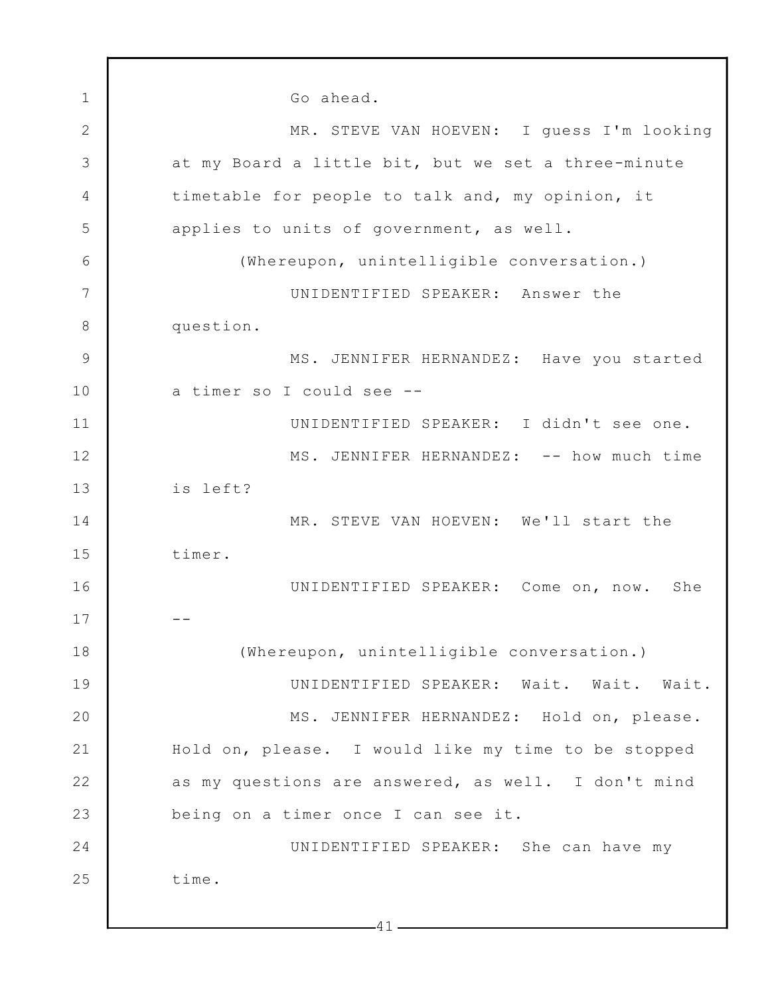1 2 3 4 5 6 7 8 9 10 11 12 13 14 15 16 17 18 19 20 21 22 23 24 25 Go ahead. MR. STEVE VAN HOEVEN: I guess I'm looking at my Board a little bit, but we set a three-minute timetable for people to talk and, my opinion, it applies to units of government, as well. (Whereupon, unintelligible conversation.) UNIDENTIFIED SPEAKER: Answer the question. MS. JENNIFER HERNANDEZ: Have you started a timer so I could see -- UNIDENTIFIED SPEAKER: I didn't see one. MS. JENNIFER HERNANDEZ: -- how much time is left? MR. STEVE VAN HOEVEN: We'll start the timer. UNIDENTIFIED SPEAKER: Come on, now. She -- (Whereupon, unintelligible conversation.) UNIDENTIFIED SPEAKER: Wait. Wait. Wait. MS. JENNIFER HERNANDEZ: Hold on, please. Hold on, please. I would like my time to be stopped as my questions are answered, as well. I don't mind being on a timer once I can see it. UNIDENTIFIED SPEAKER: She can have my time.

 $-41-$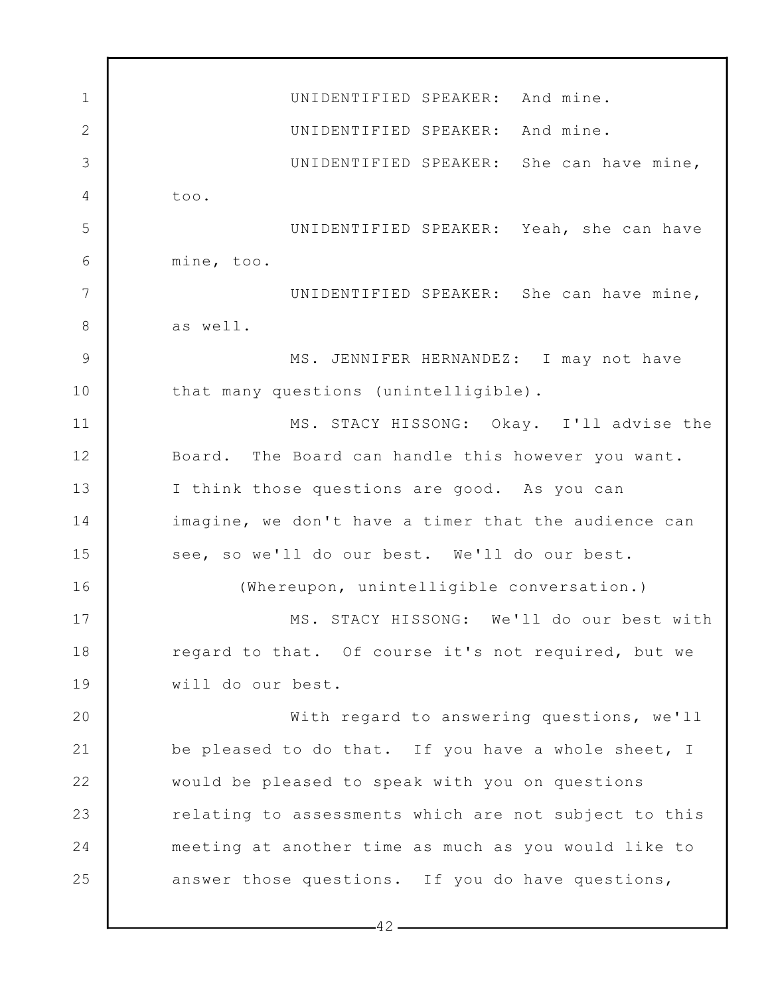1 2 3 4 5 6 7 8 9 10 11 12 13 14 15 16 17 18 19 20 21 22 23 24 25 UNIDENTIFIED SPEAKER: And mine. UNIDENTIFIED SPEAKER: And mine. UNIDENTIFIED SPEAKER: She can have mine, too. UNIDENTIFIED SPEAKER: Yeah, she can have mine, too. UNIDENTIFIED SPEAKER: She can have mine, as well. MS. JENNIFER HERNANDEZ: I may not have that many questions (unintelligible). MS. STACY HISSONG: Okay. I'll advise the Board. The Board can handle this however you want. I think those questions are good. As you can imagine, we don't have a timer that the audience can see, so we'll do our best. We'll do our best. (Whereupon, unintelligible conversation.) MS. STACY HISSONG: We'll do our best with regard to that. Of course it's not required, but we will do our best. With regard to answering questions, we'll be pleased to do that. If you have a whole sheet, I would be pleased to speak with you on questions relating to assessments which are not subject to this meeting at another time as much as you would like to answer those questions. If you do have questions,

 $-42-$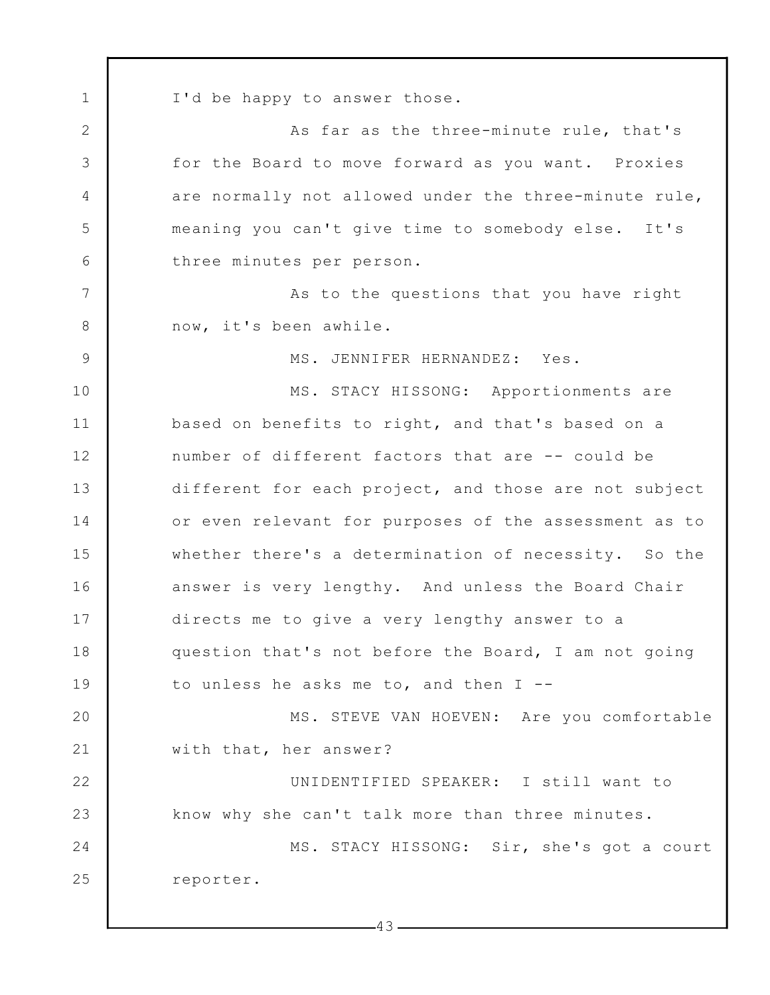1 2 3 4 5 6 7 8 9 10 11 12 13 14 15 16 17 18 19 20 21 22 23 24 25 I'd be happy to answer those. As far as the three-minute rule, that's for the Board to move forward as you want. Proxies are normally not allowed under the three-minute rule, meaning you can't give time to somebody else. It's three minutes per person. As to the questions that you have right now, it's been awhile. MS. JENNIFER HERNANDEZ: Yes. MS. STACY HISSONG: Apportionments are based on benefits to right, and that's based on a number of different factors that are -- could be different for each project, and those are not subject or even relevant for purposes of the assessment as to whether there's a determination of necessity. So the answer is very lengthy. And unless the Board Chair directs me to give a very lengthy answer to a question that's not before the Board, I am not going to unless he asks me to, and then I -- MS. STEVE VAN HOEVEN: Are you comfortable with that, her answer? UNIDENTIFIED SPEAKER: I still want to know why she can't talk more than three minutes. MS. STACY HISSONG: Sir, she's got a court reporter.

 $-43-$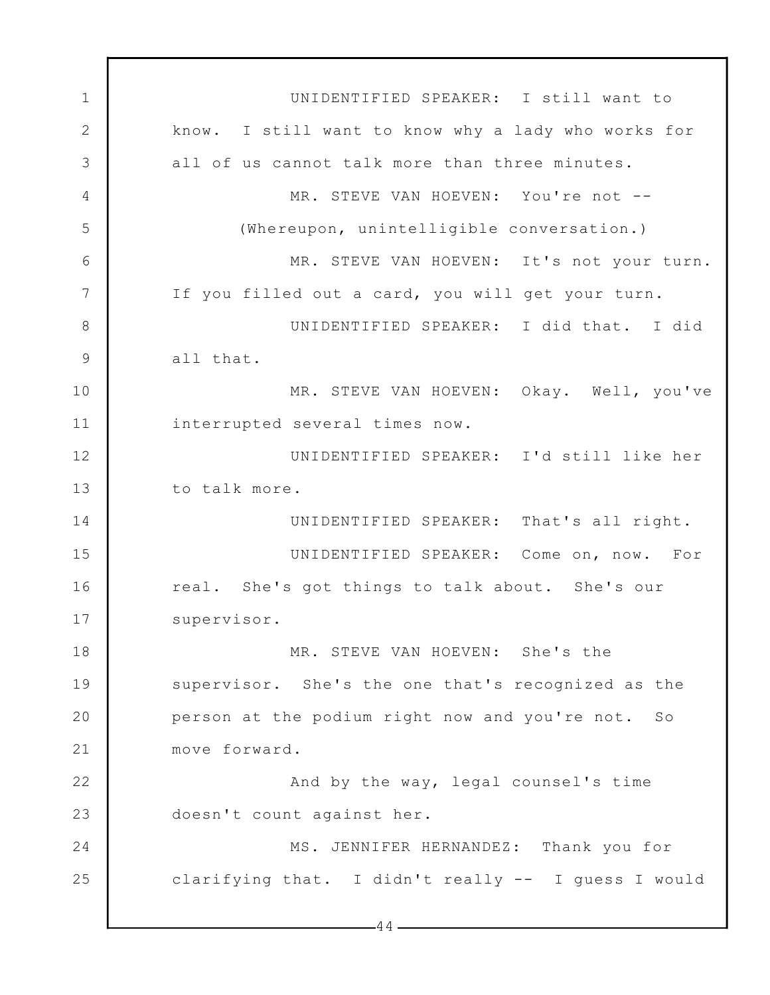1 2 3 4 5 6 7 8 9 10 11 12 13 14 15 16 17 18 19 20 21 22 23 24 25  $-44-$ UNIDENTIFIED SPEAKER: I still want to know. I still want to know why a lady who works for all of us cannot talk more than three minutes. MR. STEVE VAN HOEVEN: You're not --(Whereupon, unintelligible conversation.) MR. STEVE VAN HOEVEN: It's not your turn. If you filled out a card, you will get your turn. UNIDENTIFIED SPEAKER: I did that. I did all that. MR. STEVE VAN HOEVEN: Okay. Well, you've interrupted several times now. UNIDENTIFIED SPEAKER: I'd still like her to talk more. UNIDENTIFIED SPEAKER: That's all right. UNIDENTIFIED SPEAKER: Come on, now. For real. She's got things to talk about. She's our supervisor. MR. STEVE VAN HOEVEN: She's the supervisor. She's the one that's recognized as the person at the podium right now and you're not. So move forward. And by the way, legal counsel's time doesn't count against her. MS. JENNIFER HERNANDEZ: Thank you for clarifying that. I didn't really -- I guess I would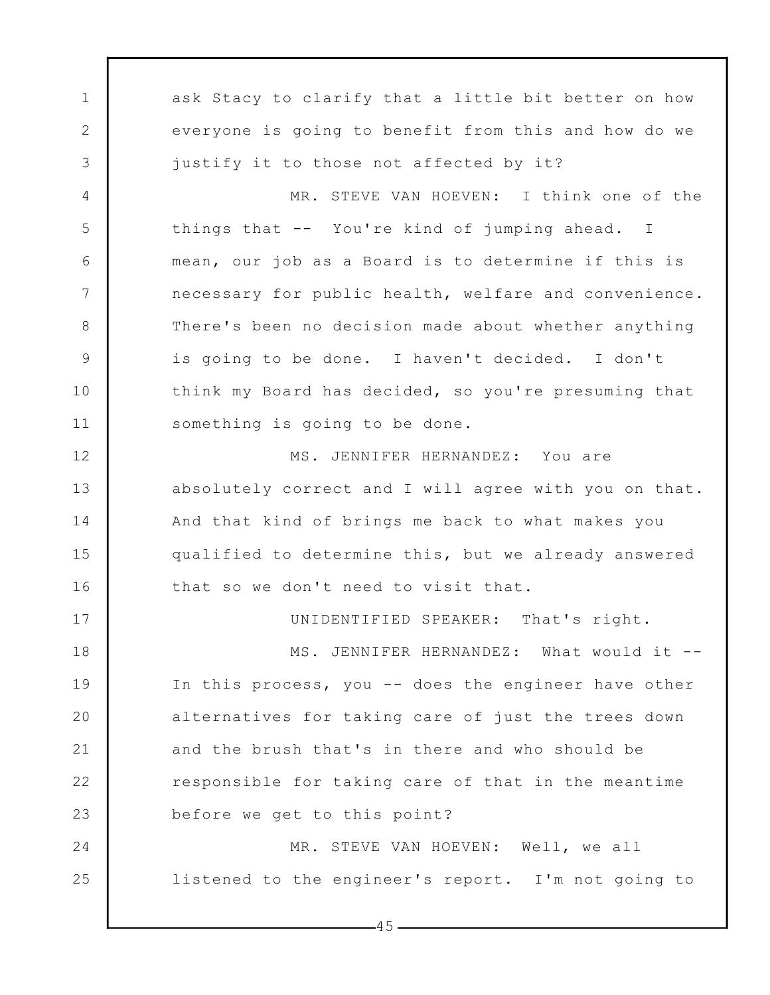1 2 3 4 5 6 7 8 9 10 11 12 13 14 15 16 17 18 19 20 21 22 23 24 25 ask Stacy to clarify that a little bit better on how everyone is going to benefit from this and how do we justify it to those not affected by it? MR. STEVE VAN HOEVEN: I think one of the things that -- You're kind of jumping ahead. I mean, our job as a Board is to determine if this is necessary for public health, welfare and convenience. There's been no decision made about whether anything is going to be done. I haven't decided. I don't think my Board has decided, so you're presuming that something is going to be done. MS. JENNIFER HERNANDEZ: You are absolutely correct and I will agree with you on that. And that kind of brings me back to what makes you qualified to determine this, but we already answered that so we don't need to visit that. UNIDENTIFIED SPEAKER: That's right. MS. JENNIFER HERNANDEZ: What would it --In this process, you -- does the engineer have other alternatives for taking care of just the trees down and the brush that's in there and who should be responsible for taking care of that in the meantime before we get to this point? MR. STEVE VAN HOEVEN: Well, we all listened to the engineer's report. I'm not going to

 $-45-$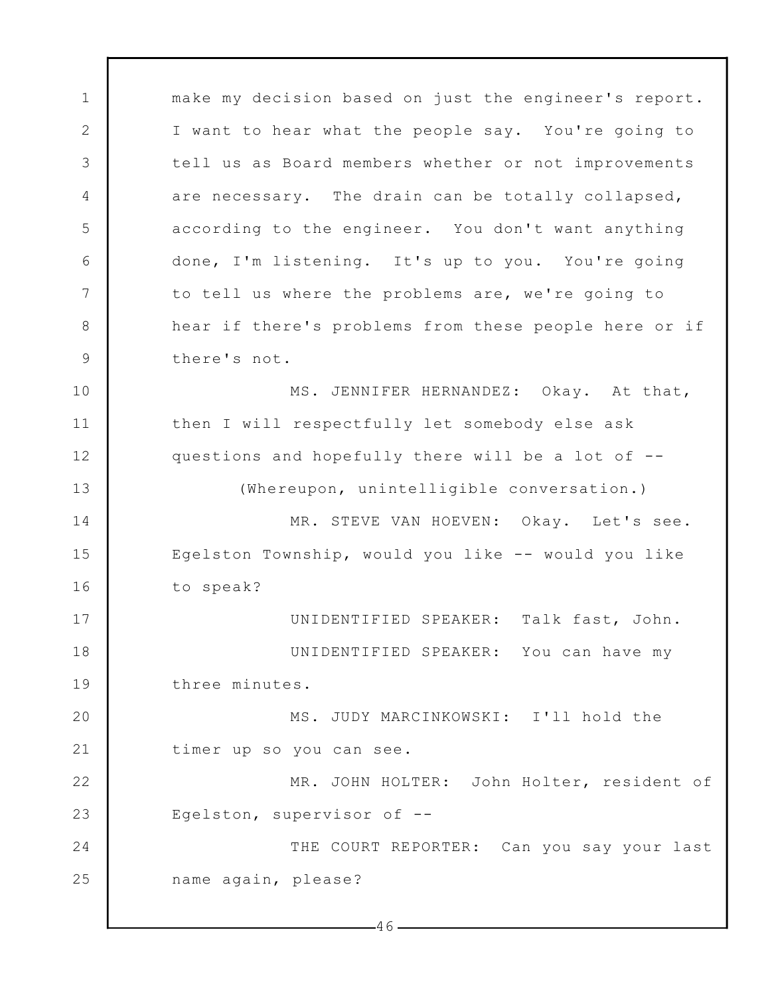1 2 3 4 5 6 7 8 9 10 11 12 13 14 15 16 17 18 19 20 21 22 23 24 25  $-46$ make my decision based on just the engineer's report. I want to hear what the people say. You're going to tell us as Board members whether or not improvements are necessary. The drain can be totally collapsed, according to the engineer. You don't want anything done, I'm listening. It's up to you. You're going to tell us where the problems are, we're going to hear if there's problems from these people here or if there's not. MS. JENNIFER HERNANDEZ: Okay. At that, then I will respectfully let somebody else ask questions and hopefully there will be a lot of -- (Whereupon, unintelligible conversation.) MR. STEVE VAN HOEVEN: Okay. Let's see. Egelston Township, would you like -- would you like to speak? UNIDENTIFIED SPEAKER: Talk fast, John. UNIDENTIFIED SPEAKER: You can have my three minutes. MS. JUDY MARCINKOWSKI: I'll hold the timer up so you can see. MR. JOHN HOLTER: John Holter, resident of Egelston, supervisor of -- THE COURT REPORTER: Can you say your last name again, please?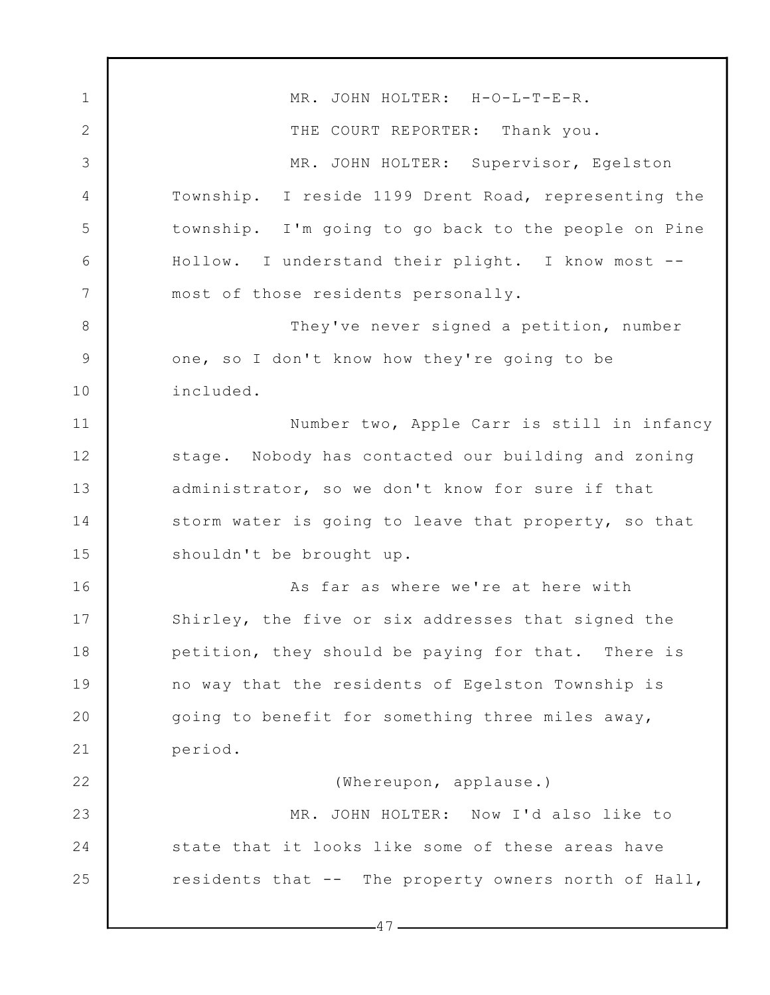1 2 3 4 5 6 7 8 9 10 11 12 13 14 15 16 17 18 19 20 21 22 23 24 25 MR. JOHN HOLTER: H-O-L-T-E-R. THE COURT REPORTER: Thank you. MR. JOHN HOLTER: Supervisor, Egelston Township. I reside 1199 Drent Road, representing the township. I'm going to go back to the people on Pine Hollow. I understand their plight. I know most - most of those residents personally. They've never signed a petition, number one, so I don't know how they're going to be included. Number two, Apple Carr is still in infancy stage. Nobody has contacted our building and zoning administrator, so we don't know for sure if that storm water is going to leave that property, so that shouldn't be brought up. As far as where we're at here with Shirley, the five or six addresses that signed the petition, they should be paying for that. There is no way that the residents of Egelston Township is going to benefit for something three miles away, period. (Whereupon, applause.) MR. JOHN HOLTER: Now I'd also like to state that it looks like some of these areas have residents that -- The property owners north of Hall,

 $-47-$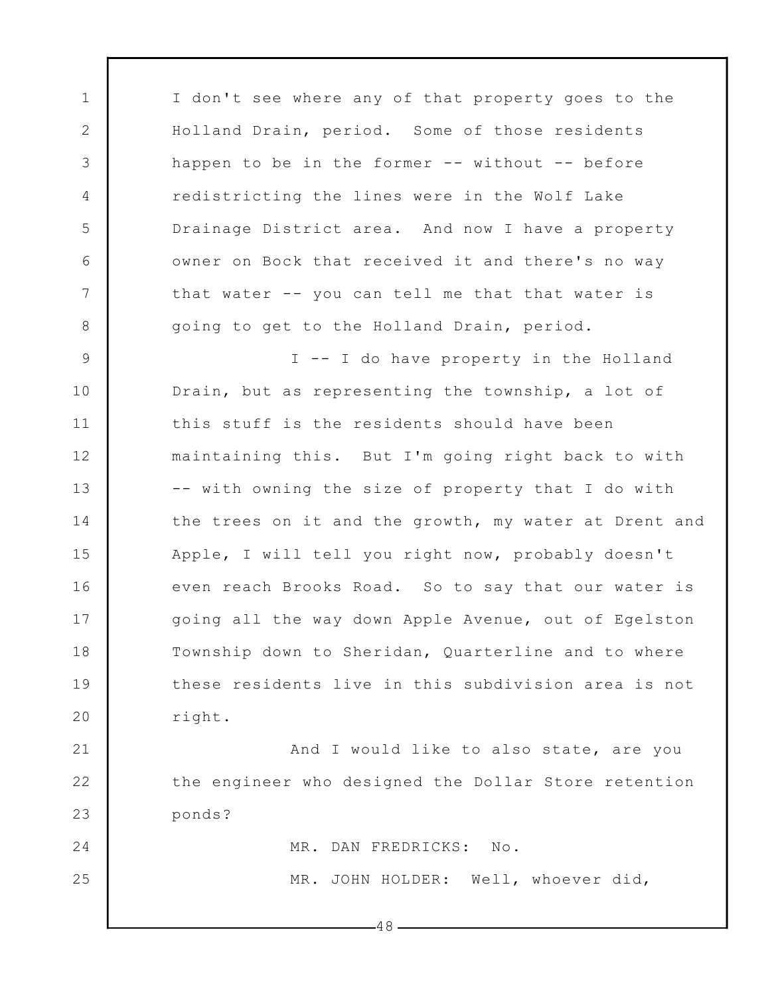1 2 3 4 5 6 7 8 9 10 11 12 13 14 15 16 17 18 19 20 21 22 23 24 25 I don't see where any of that property goes to the Holland Drain, period. Some of those residents happen to be in the former -- without -- before redistricting the lines were in the Wolf Lake Drainage District area. And now I have a property owner on Bock that received it and there's no way that water -- you can tell me that that water is going to get to the Holland Drain, period. I -- I do have property in the Holland Drain, but as representing the township, a lot of this stuff is the residents should have been maintaining this. But I'm going right back to with -- with owning the size of property that I do with the trees on it and the growth, my water at Drent and Apple, I will tell you right now, probably doesn't even reach Brooks Road. So to say that our water is going all the way down Apple Avenue, out of Egelston Township down to Sheridan, Quarterline and to where these residents live in this subdivision area is not right. And I would like to also state, are you the engineer who designed the Dollar Store retention ponds? MR. DAN FREDRICKS: No. MR. JOHN HOLDER: Well, whoever did,

 $-48-$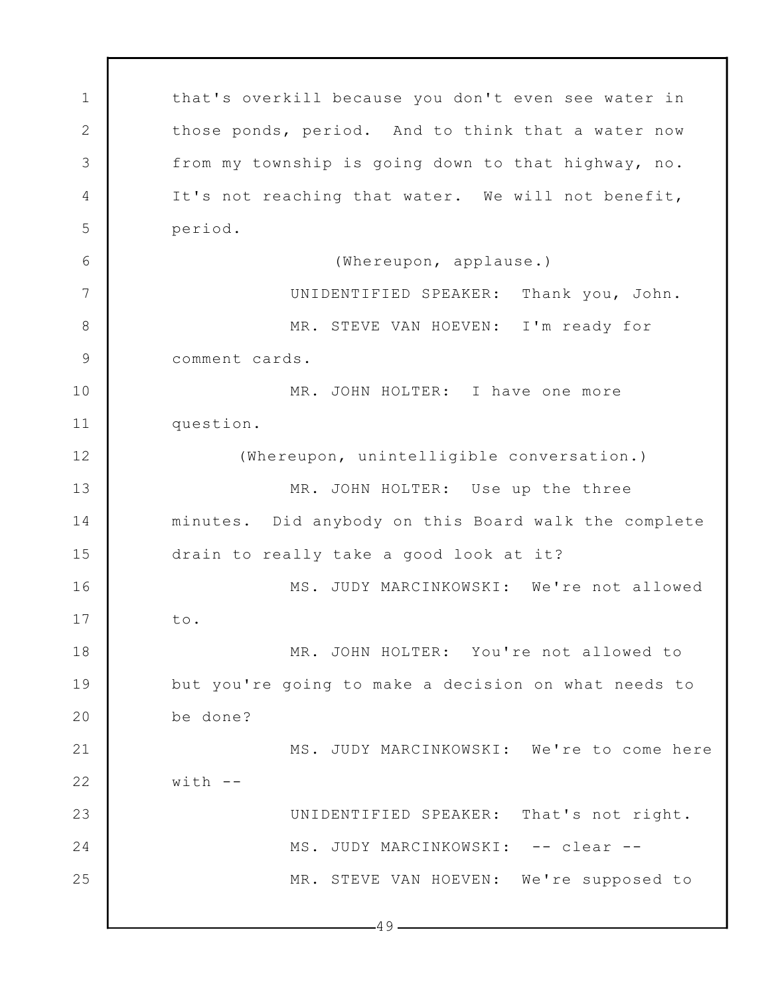1 2 3 4 5 6 7 8 9 10 11 12 13 14 15 16 17 18 19 20 21 22 23 24 25  $-49$ that's overkill because you don't even see water in those ponds, period. And to think that a water now from my township is going down to that highway, no. It's not reaching that water. We will not benefit, period. (Whereupon, applause.) UNIDENTIFIED SPEAKER: Thank you, John. MR. STEVE VAN HOEVEN: I'm ready for comment cards. MR. JOHN HOLTER: I have one more question. (Whereupon, unintelligible conversation.) MR. JOHN HOLTER: Use up the three minutes. Did anybody on this Board walk the complete drain to really take a good look at it? MS. JUDY MARCINKOWSKI: We're not allowed to. MR. JOHN HOLTER: You're not allowed to but you're going to make a decision on what needs to be done? MS. JUDY MARCINKOWSKI: We're to come here  $with$   $-$ UNIDENTIFIED SPEAKER: That's not right. MS. JUDY MARCINKOWSKI: -- clear --MR. STEVE VAN HOEVEN: We're supposed to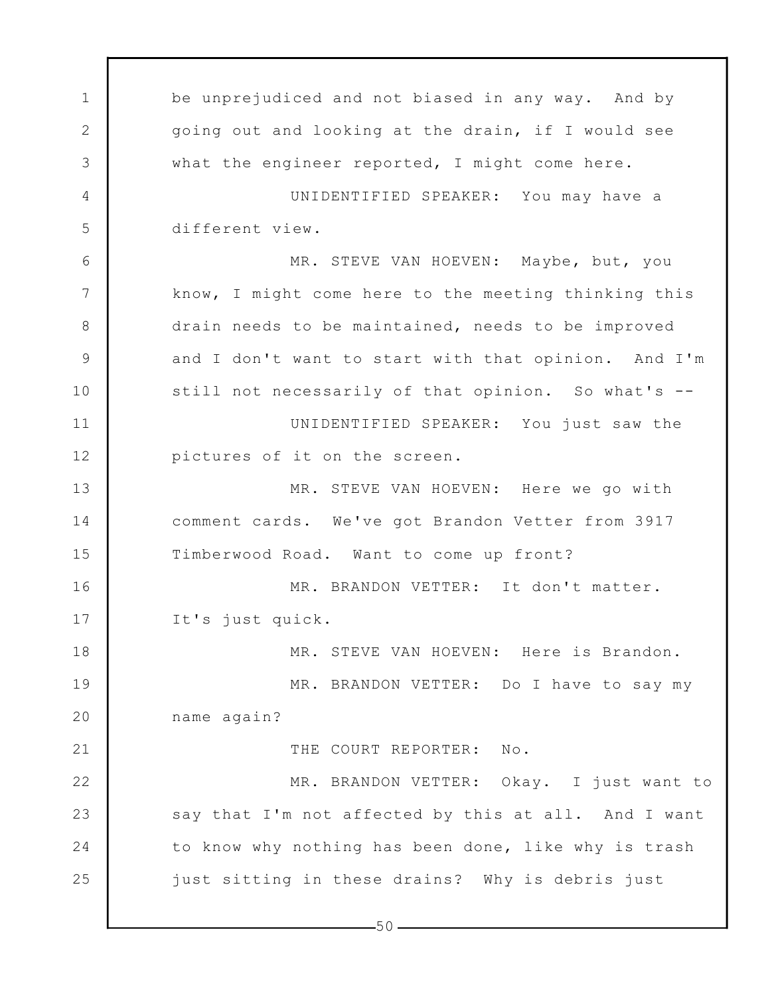1 2 3 4 5 6 7 8 9 10 11 12 13 14 15 16 17 18 19 20 21 22 23 24 25 be unprejudiced and not biased in any way. And by going out and looking at the drain, if I would see what the engineer reported, I might come here. UNIDENTIFIED SPEAKER: You may have a different view. MR. STEVE VAN HOEVEN: Maybe, but, you know, I might come here to the meeting thinking this drain needs to be maintained, needs to be improved and I don't want to start with that opinion. And I'm still not necessarily of that opinion. So what's -- UNIDENTIFIED SPEAKER: You just saw the pictures of it on the screen. MR. STEVE VAN HOEVEN: Here we go with comment cards. We've got Brandon Vetter from 3917 Timberwood Road. Want to come up front? MR. BRANDON VETTER: It don't matter. It's just quick. MR. STEVE VAN HOEVEN: Here is Brandon. MR. BRANDON VETTER: Do I have to say my name again? THE COURT REPORTER: No. MR. BRANDON VETTER: Okay. I just want to say that I'm not affected by this at all. And I want to know why nothing has been done, like why is trash just sitting in these drains? Why is debris just

 $-50-$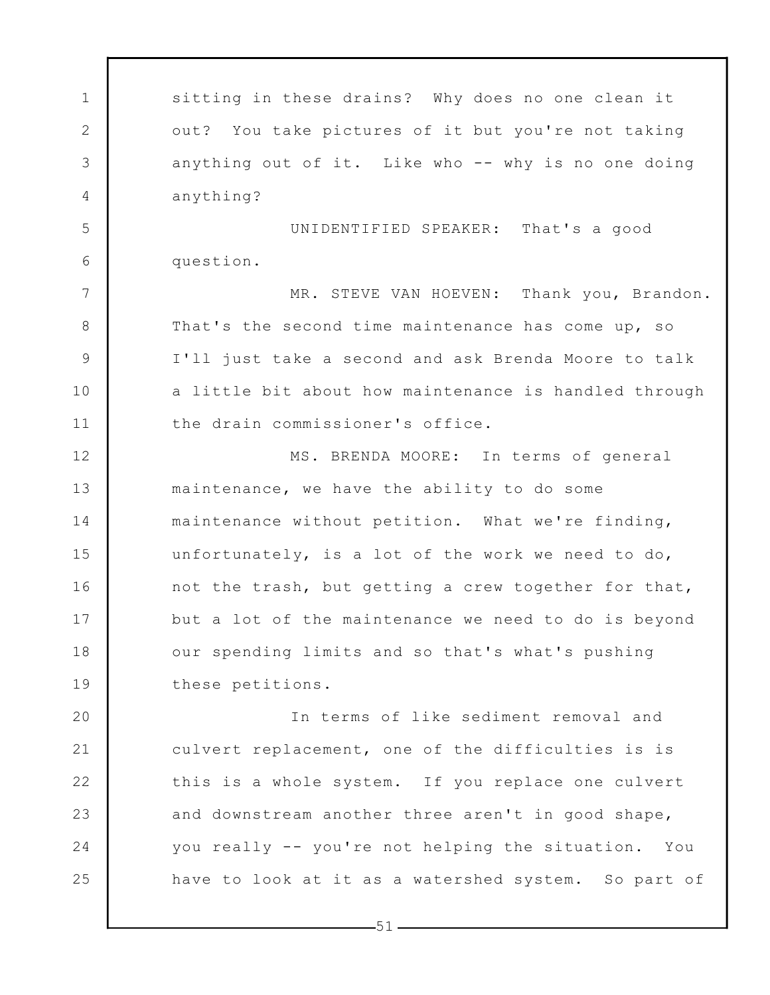1 2 3 4 5 6 7 8 9 10 11 12 13 14 15 16 17 18 19 20 21 22 23 24 25 sitting in these drains? Why does no one clean it out? You take pictures of it but you're not taking anything out of it. Like who -- why is no one doing anything? UNIDENTIFIED SPEAKER: That's a good question. MR. STEVE VAN HOEVEN: Thank you, Brandon. That's the second time maintenance has come up, so I'll just take a second and ask Brenda Moore to talk a little bit about how maintenance is handled through the drain commissioner's office. MS. BRENDA MOORE: In terms of general maintenance, we have the ability to do some maintenance without petition. What we're finding, unfortunately, is a lot of the work we need to do, not the trash, but getting a crew together for that, but a lot of the maintenance we need to do is beyond our spending limits and so that's what's pushing these petitions. In terms of like sediment removal and culvert replacement, one of the difficulties is is this is a whole system. If you replace one culvert and downstream another three aren't in good shape, you really -- you're not helping the situation. You have to look at it as a watershed system. So part of

 $-51-$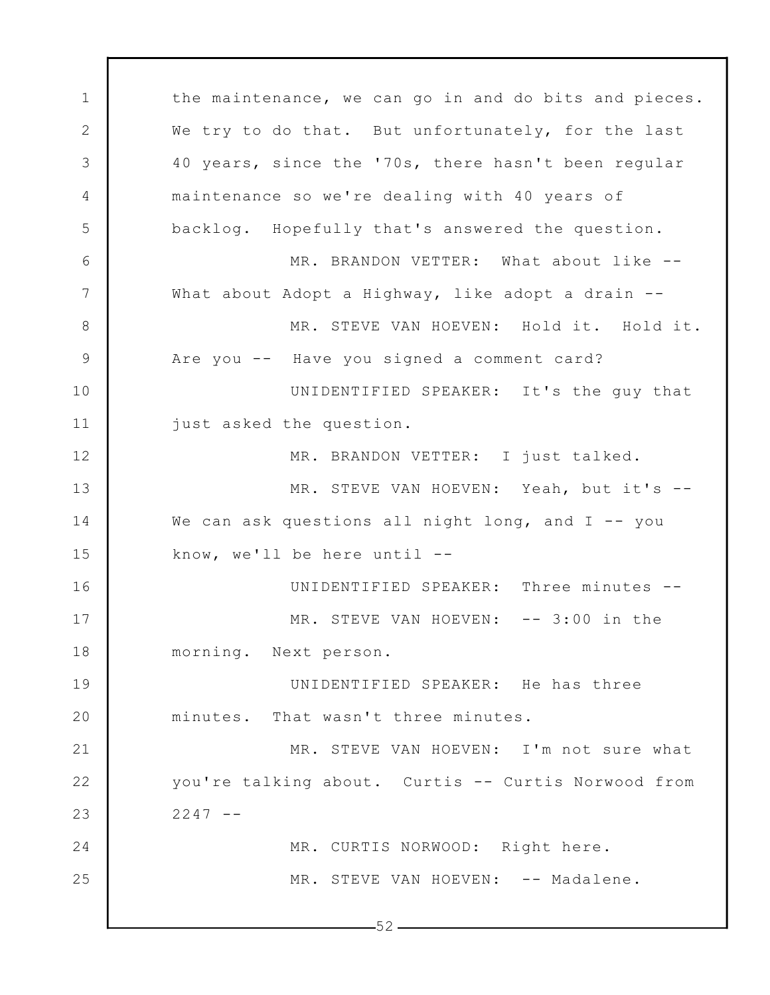1 2 3 4 5 6 7 8 9 10 11 12 13 14 15 16 17 18 19 20 21 22 23 24 25  $-52$ the maintenance, we can go in and do bits and pieces. We try to do that. But unfortunately, for the last 40 years, since the '70s, there hasn't been regular maintenance so we're dealing with 40 years of backlog. Hopefully that's answered the question. MR. BRANDON VETTER: What about like --What about Adopt a Highway, like adopt a drain --MR. STEVE VAN HOEVEN: Hold it. Hold it. Are you -- Have you signed a comment card? UNIDENTIFIED SPEAKER: It's the guy that just asked the question. MR. BRANDON VETTER: I just talked. MR. STEVE VAN HOEVEN: Yeah, but it's -- We can ask questions all night long, and I -- you know, we'll be here until -- UNIDENTIFIED SPEAKER: Three minutes -- MR. STEVE VAN HOEVEN: -- 3:00 in the morning. Next person. UNIDENTIFIED SPEAKER: He has three minutes. That wasn't three minutes. MR. STEVE VAN HOEVEN: I'm not sure what you're talking about. Curtis -- Curtis Norwood from  $2247 - -$ MR. CURTIS NORWOOD: Right here. MR. STEVE VAN HOEVEN: -- Madalene.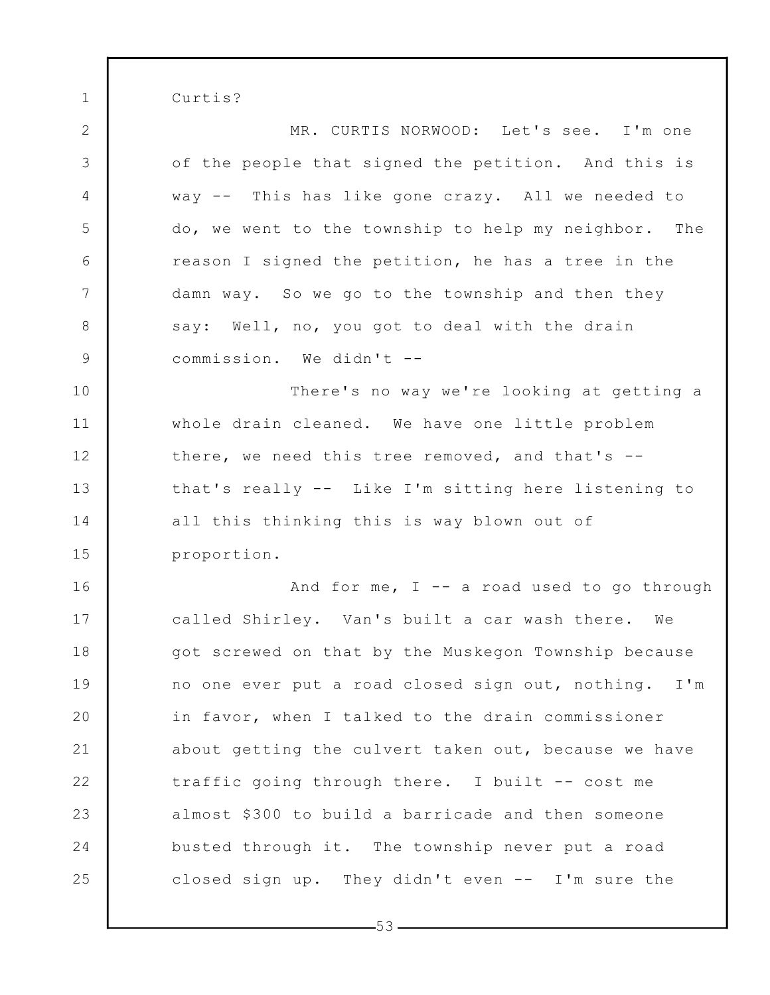Curtis?

1

2 3 4 5 6 7 8 9 10 11 12 13 14 15 16 17 18 19 20 21 22 23 24 25 MR. CURTIS NORWOOD: Let's see. I'm one of the people that signed the petition. And this is way -- This has like gone crazy. All we needed to do, we went to the township to help my neighbor. The reason I signed the petition, he has a tree in the damn way. So we go to the township and then they say: Well, no, you got to deal with the drain commission. We didn't -- There's no way we're looking at getting a whole drain cleaned. We have one little problem there, we need this tree removed, and that's - that's really -- Like I'm sitting here listening to all this thinking this is way blown out of proportion. And for me,  $I - - a$  road used to go through called Shirley. Van's built a car wash there. We got screwed on that by the Muskegon Township because no one ever put a road closed sign out, nothing. I'm in favor, when I talked to the drain commissioner about getting the culvert taken out, because we have traffic going through there. I built -- cost me almost \$300 to build a barricade and then someone busted through it. The township never put a road closed sign up. They didn't even -- I'm sure the

 $-53-$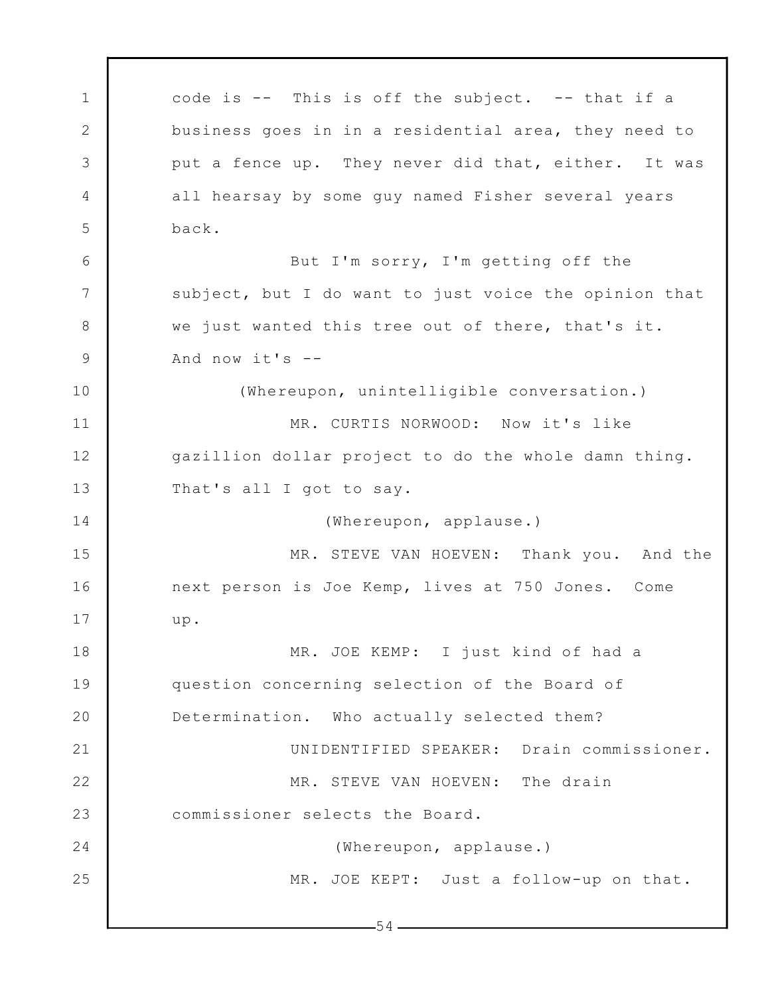1 2 3 4 5 6 7 8 9 10 11 12 13 14 15 16 17 18 19 20 21 22 23 24 25  $-54$ code is -- This is off the subject. -- that if a business goes in in a residential area, they need to put a fence up. They never did that, either. It was all hearsay by some guy named Fisher several years back. But I'm sorry, I'm getting off the subject, but I do want to just voice the opinion that we just wanted this tree out of there, that's it. And now it's -- (Whereupon, unintelligible conversation.) MR. CURTIS NORWOOD: Now it's like gazillion dollar project to do the whole damn thing. That's all I got to say. (Whereupon, applause.) MR. STEVE VAN HOEVEN: Thank you. And the next person is Joe Kemp, lives at 750 Jones. Come up. MR. JOE KEMP: I just kind of had a question concerning selection of the Board of Determination. Who actually selected them? UNIDENTIFIED SPEAKER: Drain commissioner. MR. STEVE VAN HOEVEN: The drain commissioner selects the Board. (Whereupon, applause.) MR. JOE KEPT: Just a follow-up on that.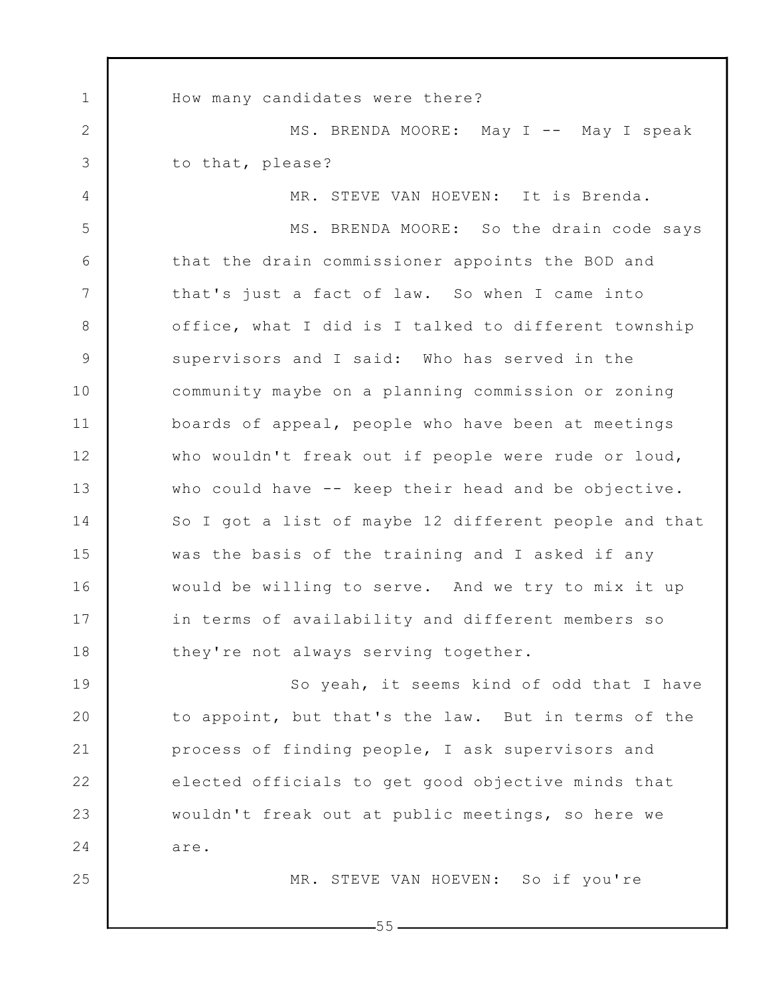1 2 3 4 5 6 7 8 9 10 11 12 13 14 15 16 17 18 19 20 21 22 23 24 25 How many candidates were there? MS. BRENDA MOORE: May I -- May I speak to that, please? MR. STEVE VAN HOEVEN: It is Brenda. MS. BRENDA MOORE: So the drain code says that the drain commissioner appoints the BOD and that's just a fact of law. So when I came into office, what I did is I talked to different township supervisors and I said: Who has served in the community maybe on a planning commission or zoning boards of appeal, people who have been at meetings who wouldn't freak out if people were rude or loud, who could have -- keep their head and be objective. So I got a list of maybe 12 different people and that was the basis of the training and I asked if any would be willing to serve. And we try to mix it up in terms of availability and different members so they're not always serving together. So yeah, it seems kind of odd that I have to appoint, but that's the law. But in terms of the process of finding people, I ask supervisors and elected officials to get good objective minds that wouldn't freak out at public meetings, so here we are. MR. STEVE VAN HOEVEN: So if you're

 $-55-$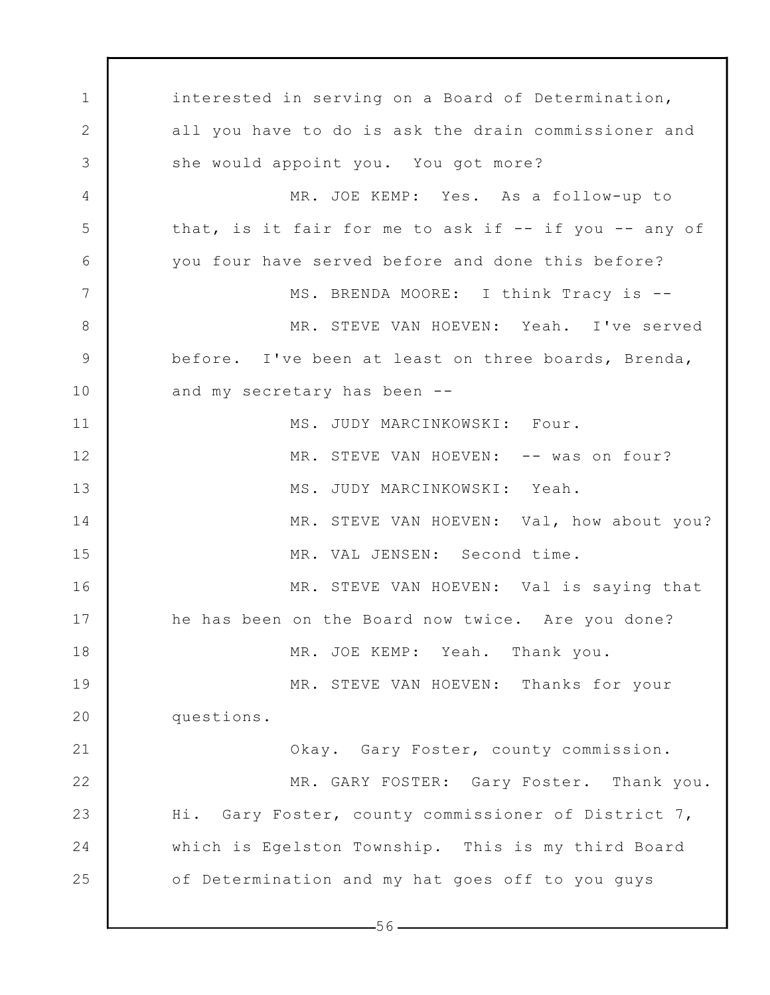1 2 3 4 5 6 7 8 9 10 11 12 13 14 15 16 17 18 19 20 21 22 23 24 25 interested in serving on a Board of Determination, all you have to do is ask the drain commissioner and she would appoint you. You got more? MR. JOE KEMP: Yes. As a follow-up to that, is it fair for me to ask if -- if you -- any of you four have served before and done this before? MS. BRENDA MOORE: I think Tracy is -- MR. STEVE VAN HOEVEN: Yeah. I've served before. I've been at least on three boards, Brenda, and my secretary has been -- MS. JUDY MARCINKOWSKI: Four. MR. STEVE VAN HOEVEN: -- was on four? MS. JUDY MARCINKOWSKI: Yeah. MR. STEVE VAN HOEVEN: Val, how about you? MR. VAL JENSEN: Second time. MR. STEVE VAN HOEVEN: Val is saying that he has been on the Board now twice. Are you done? MR. JOE KEMP: Yeah. Thank you. MR. STEVE VAN HOEVEN: Thanks for your questions. Okay. Gary Foster, county commission. MR. GARY FOSTER: Gary Foster. Thank you. Hi. Gary Foster, county commissioner of District 7, which is Egelston Township. This is my third Board of Determination and my hat goes off to you guys

 $-56-$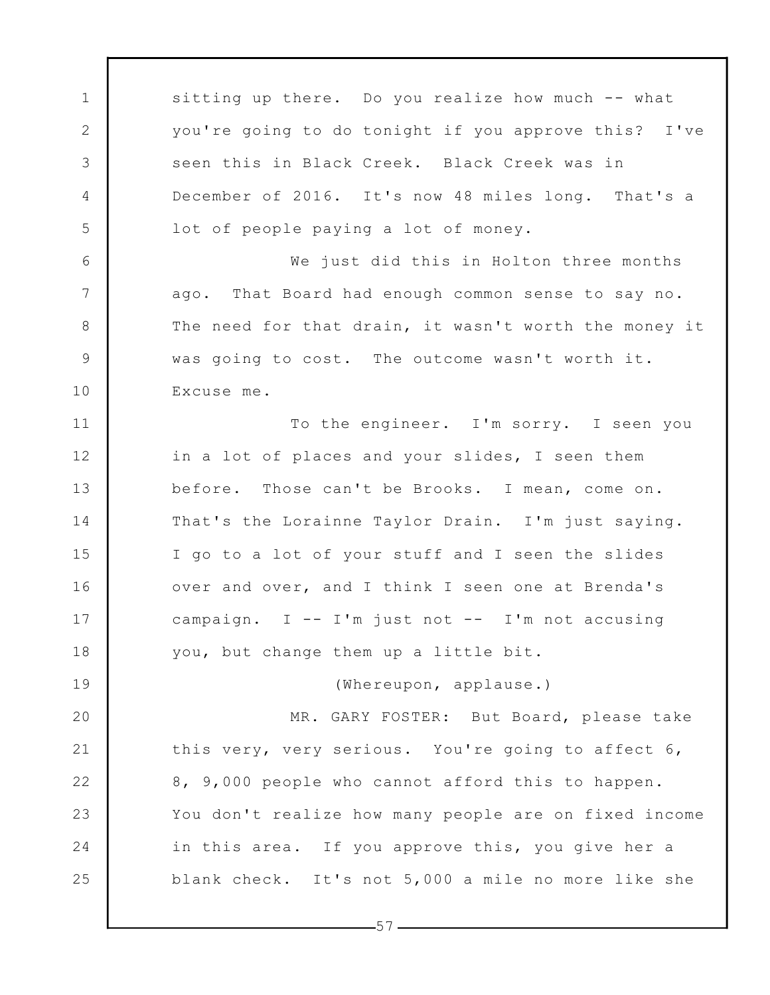sitting up there. Do you realize how much -- what you're going to do tonight if you approve this? I've seen this in Black Creek. Black Creek was in December of 2016. It's now 48 miles long. That's a lot of people paying a lot of money.

1

2

3

4

5

6

7

8

9

10

11

12

13

14

15

16

17

18

19

We just did this in Holton three months ago. That Board had enough common sense to say no. The need for that drain, it wasn't worth the money it was going to cost. The outcome wasn't worth it. Excuse me.

To the engineer. I'm sorry. I seen you in a lot of places and your slides, I seen them before. Those can't be Brooks. I mean, come on. That's the Lorainne Taylor Drain. I'm just saying. I go to a lot of your stuff and I seen the slides over and over, and I think I seen one at Brenda's campaign.  $I$  -- I'm just not -- I'm not accusing you, but change them up a little bit.

(Whereupon, applause.)

20 21 22 23 24 25 MR. GARY FOSTER: But Board, please take this very, very serious. You're going to affect 6, 8, 9,000 people who cannot afford this to happen. You don't realize how many people are on fixed income in this area. If you approve this, you give her a blank check. It's not 5,000 a mile no more like she

 $-57-$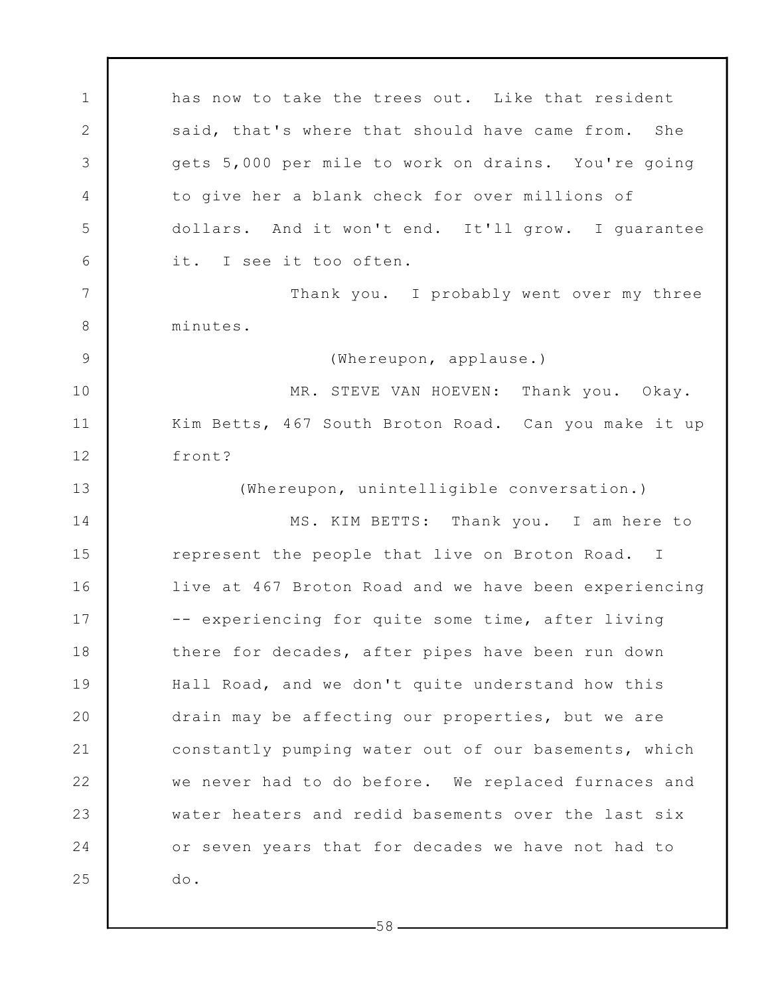1 2 3 4 5 6 7 8 9 10 11 12 13 14 15 16 17 18 19 20 21 22 23 24 25 has now to take the trees out. Like that resident said, that's where that should have came from. She gets 5,000 per mile to work on drains. You're going to give her a blank check for over millions of dollars. And it won't end. It'll grow. I guarantee it. I see it too often. Thank you. I probably went over my three minutes. (Whereupon, applause.) MR. STEVE VAN HOEVEN: Thank you. Okay. Kim Betts, 467 South Broton Road. Can you make it up front? (Whereupon, unintelligible conversation.) MS. KIM BETTS: Thank you. I am here to represent the people that live on Broton Road. I live at 467 Broton Road and we have been experiencing -- experiencing for quite some time, after living there for decades, after pipes have been run down Hall Road, and we don't quite understand how this drain may be affecting our properties, but we are constantly pumping water out of our basements, which we never had to do before. We replaced furnaces and water heaters and redid basements over the last six or seven years that for decades we have not had to do.

 $-58-$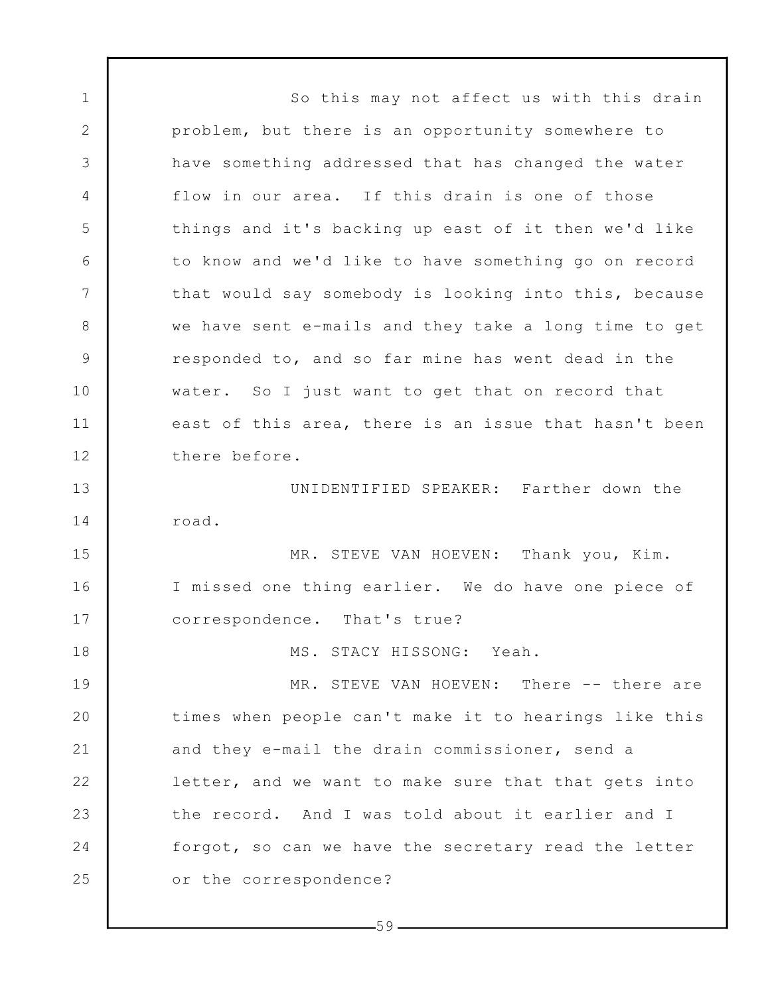1 2 3 4 5 6 7 8 9 10 11 12 13 14 15 16 17 18 19 20 21 22 23 24 25 So this may not affect us with this drain problem, but there is an opportunity somewhere to have something addressed that has changed the water flow in our area. If this drain is one of those things and it's backing up east of it then we'd like to know and we'd like to have something go on record that would say somebody is looking into this, because we have sent e-mails and they take a long time to get responded to, and so far mine has went dead in the water. So I just want to get that on record that east of this area, there is an issue that hasn't been there before. UNIDENTIFIED SPEAKER: Farther down the road. MR. STEVE VAN HOEVEN: Thank you, Kim. I missed one thing earlier. We do have one piece of correspondence. That's true? MS. STACY HISSONG: Yeah. MR. STEVE VAN HOEVEN: There -- there are times when people can't make it to hearings like this and they e-mail the drain commissioner, send a letter, and we want to make sure that that gets into the record. And I was told about it earlier and I forgot, so can we have the secretary read the letter or the correspondence?

 $-59-$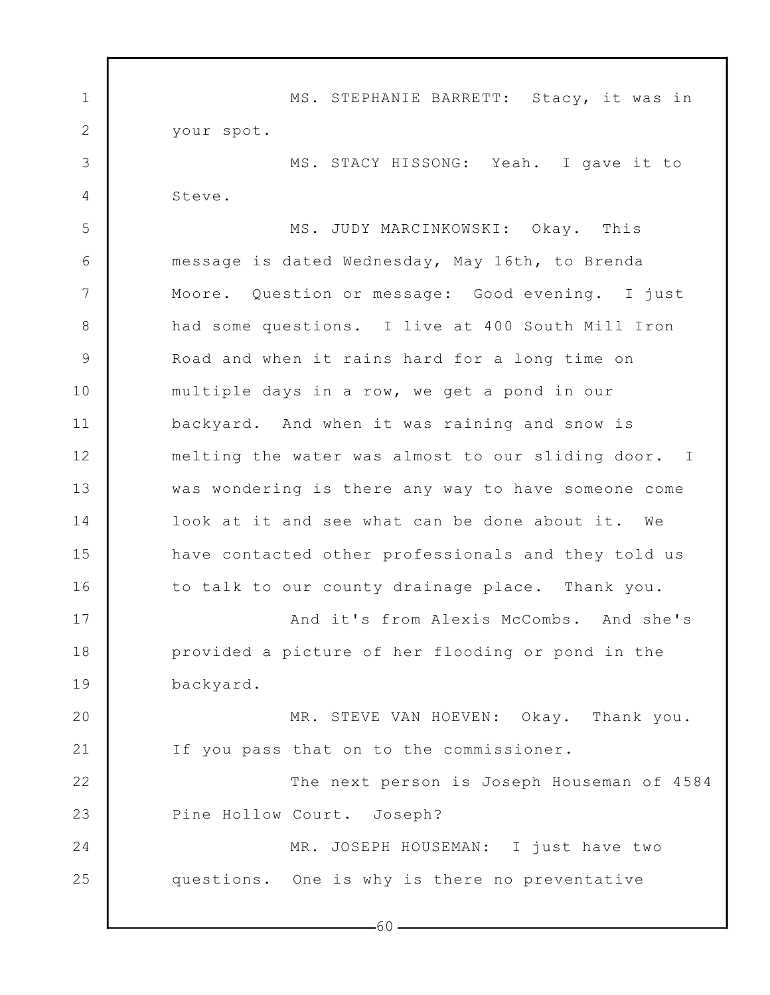1 2 3 4 5 6 7 8 9 10 11 12 13 14 15 16 17 18 19 20 21 22 23 24 25 MS. STEPHANIE BARRETT: Stacy, it was in your spot. MS. STACY HISSONG: Yeah. I gave it to Steve. MS. JUDY MARCINKOWSKI: Okay. This message is dated Wednesday, May 16th, to Brenda Moore. Question or message: Good evening. I just had some questions. I live at 400 South Mill Iron Road and when it rains hard for a long time on multiple days in a row, we get a pond in our backyard. And when it was raining and snow is melting the water was almost to our sliding door. I was wondering is there any way to have someone come look at it and see what can be done about it. We have contacted other professionals and they told us to talk to our county drainage place. Thank you. And it's from Alexis McCombs. And she's provided a picture of her flooding or pond in the backyard. MR. STEVE VAN HOEVEN: Okay. Thank you. If you pass that on to the commissioner. The next person is Joseph Houseman of 4584 Pine Hollow Court. Joseph? MR. JOSEPH HOUSEMAN: I just have two questions. One is why is there no preventative

 $-60-$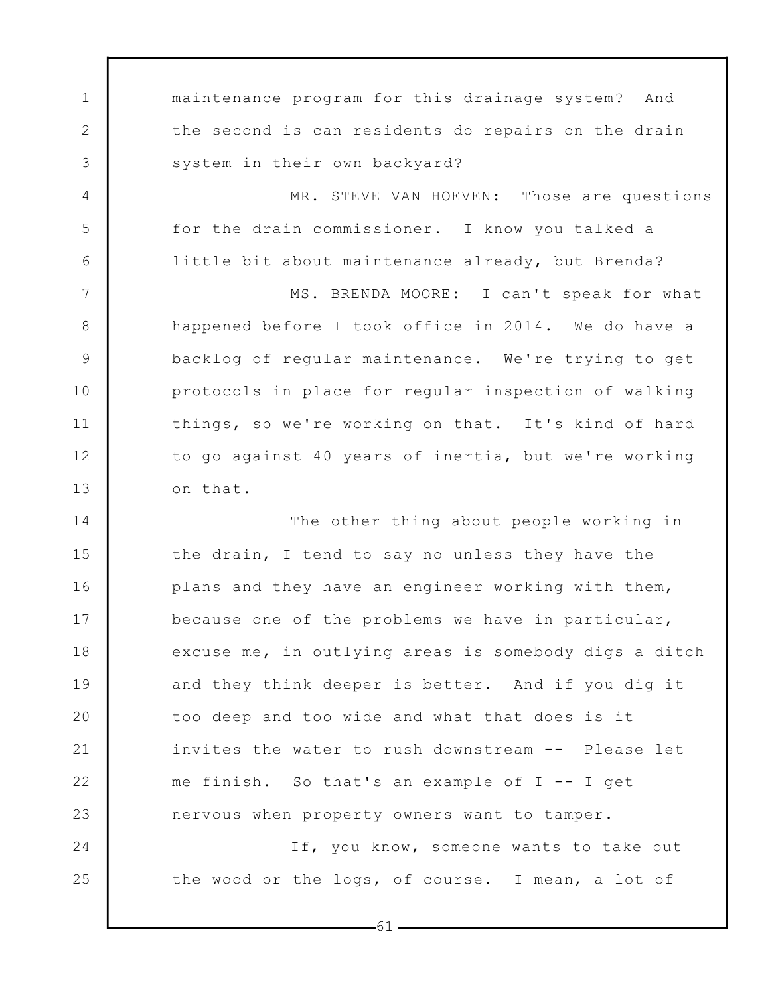1 2 3 4 5 6 7 8 9 10 11 12 13 14 15 16 17 18 19 20 21 22 23 24 25 maintenance program for this drainage system? And the second is can residents do repairs on the drain system in their own backyard? MR. STEVE VAN HOEVEN: Those are questions for the drain commissioner. I know you talked a little bit about maintenance already, but Brenda? MS. BRENDA MOORE: I can't speak for what happened before I took office in 2014. We do have a backlog of regular maintenance. We're trying to get protocols in place for regular inspection of walking things, so we're working on that. It's kind of hard to go against 40 years of inertia, but we're working on that. The other thing about people working in the drain, I tend to say no unless they have the plans and they have an engineer working with them, because one of the problems we have in particular, excuse me, in outlying areas is somebody digs a ditch and they think deeper is better. And if you dig it too deep and too wide and what that does is it invites the water to rush downstream -- Please let me finish. So that's an example of  $I$  -- I get nervous when property owners want to tamper. If, you know, someone wants to take out the wood or the logs, of course. I mean, a lot of

-61 -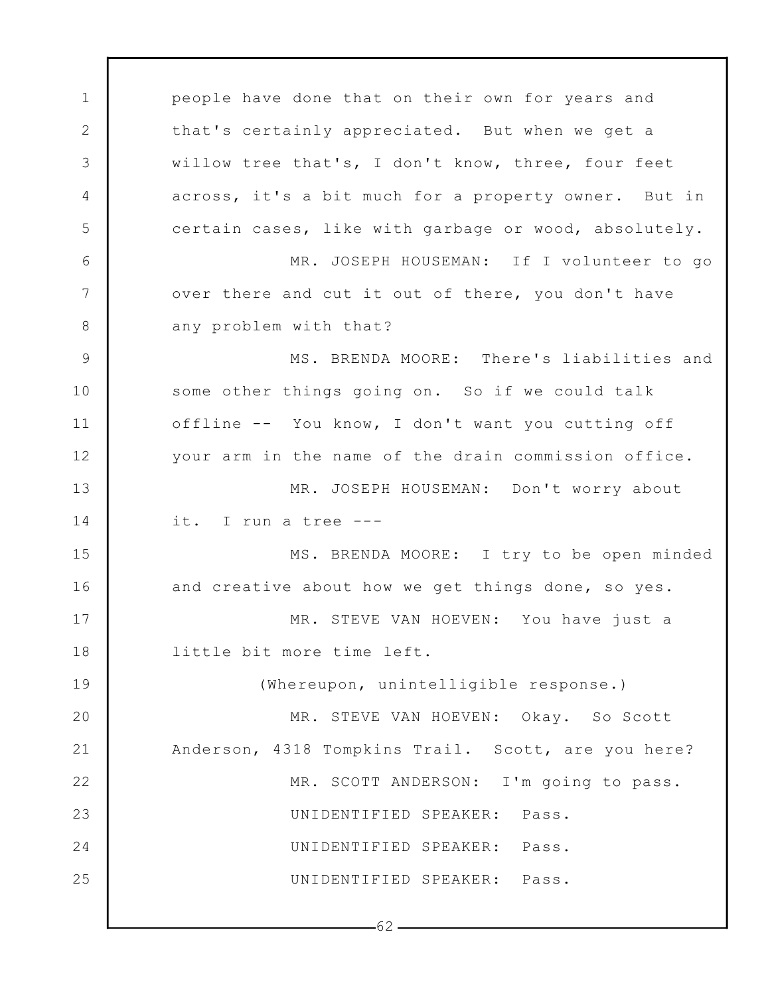1 2 3 4 5 6 7 8 9 10 11 12 13 14 15 16 17 18 19 20 21 22 23 24 25  $-62$ people have done that on their own for years and that's certainly appreciated. But when we get a willow tree that's, I don't know, three, four feet across, it's a bit much for a property owner. But in certain cases, like with garbage or wood, absolutely. MR. JOSEPH HOUSEMAN: If I volunteer to go over there and cut it out of there, you don't have any problem with that? MS. BRENDA MOORE: There's liabilities and some other things going on. So if we could talk offline -- You know, I don't want you cutting off your arm in the name of the drain commission office. MR. JOSEPH HOUSEMAN: Don't worry about it. I run a tree --- MS. BRENDA MOORE: I try to be open minded and creative about how we get things done, so yes. MR. STEVE VAN HOEVEN: You have just a little bit more time left. (Whereupon, unintelligible response.) MR. STEVE VAN HOEVEN: Okay. So Scott Anderson, 4318 Tompkins Trail. Scott, are you here? MR. SCOTT ANDERSON: I'm going to pass. UNIDENTIFIED SPEAKER: Pass. UNIDENTIFIED SPEAKER: Pass. UNIDENTIFIED SPEAKER: Pass.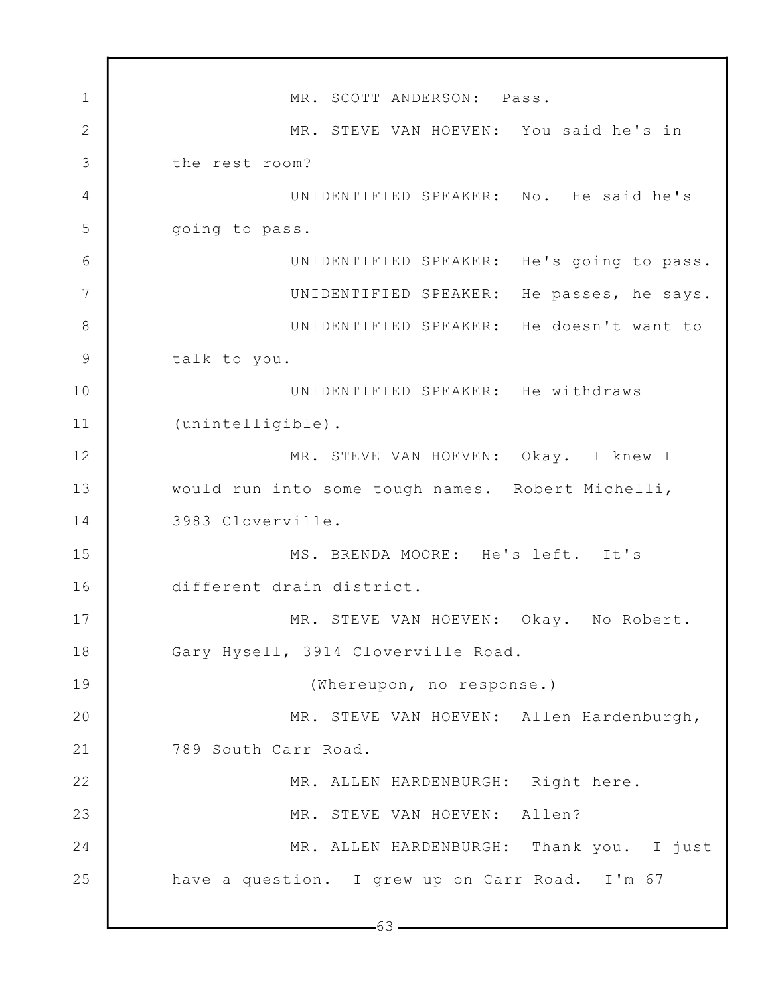1 2 3 4 5 6 7 8 9 10 11 12 13 14 15 16 17 18 19 20 21 22 23 24 25  $-63$   $-$ MR. SCOTT ANDERSON: Pass. MR. STEVE VAN HOEVEN: You said he's in the rest room? UNIDENTIFIED SPEAKER: No. He said he's going to pass. UNIDENTIFIED SPEAKER: He's going to pass. UNIDENTIFIED SPEAKER: He passes, he says. UNIDENTIFIED SPEAKER: He doesn't want to talk to you. UNIDENTIFIED SPEAKER: He withdraws (unintelligible). MR. STEVE VAN HOEVEN: Okay. I knew I would run into some tough names. Robert Michelli, 3983 Cloverville. MS. BRENDA MOORE: He's left. It's different drain district. MR. STEVE VAN HOEVEN: Okay. No Robert. Gary Hysell, 3914 Cloverville Road. (Whereupon, no response.) MR. STEVE VAN HOEVEN: Allen Hardenburgh, 789 South Carr Road. MR. ALLEN HARDENBURGH: Right here. MR. STEVE VAN HOEVEN: Allen? MR. ALLEN HARDENBURGH: Thank you. I just have a question. I grew up on Carr Road. I'm 67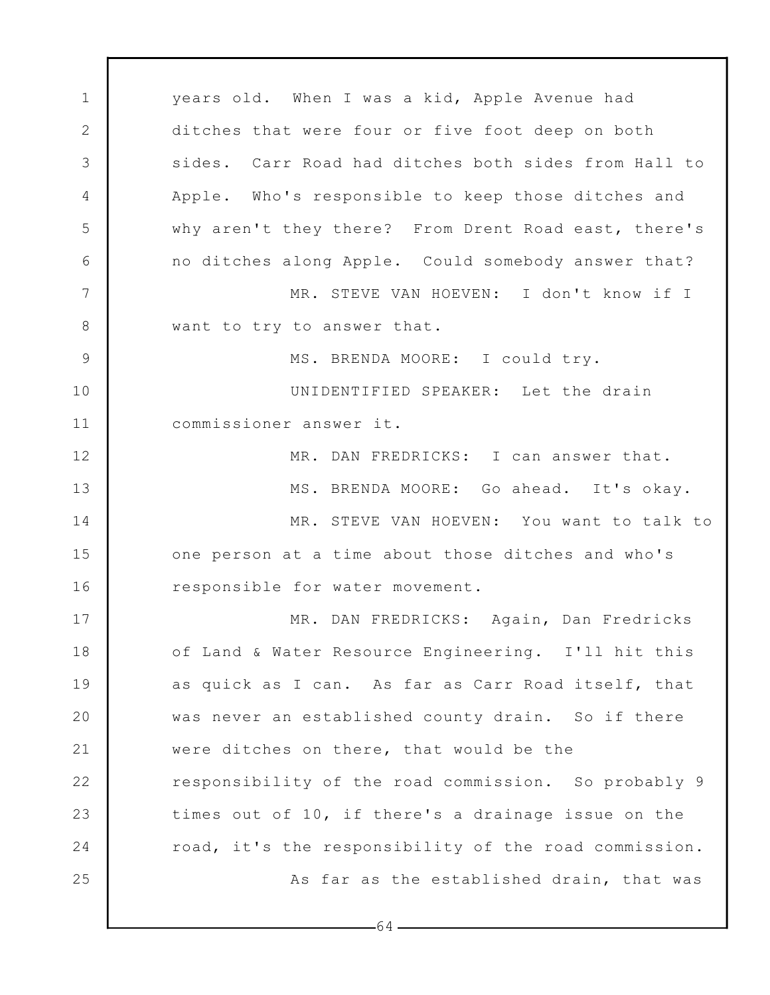1 2 3 4 5 6 7 8 9 10 11 12 13 14 15 16 17 18 19 20 21 22 23 24 25 years old. When I was a kid, Apple Avenue had ditches that were four or five foot deep on both sides. Carr Road had ditches both sides from Hall to Apple. Who's responsible to keep those ditches and why aren't they there? From Drent Road east, there's no ditches along Apple. Could somebody answer that? MR. STEVE VAN HOEVEN: I don't know if I want to try to answer that. MS. BRENDA MOORE: I could try. UNIDENTIFIED SPEAKER: Let the drain commissioner answer it. MR. DAN FREDRICKS: I can answer that. MS. BRENDA MOORE: Go ahead. It's okay. MR. STEVE VAN HOEVEN: You want to talk to one person at a time about those ditches and who's responsible for water movement. MR. DAN FREDRICKS: Again, Dan Fredricks of Land & Water Resource Engineering. I'll hit this as quick as I can. As far as Carr Road itself, that was never an established county drain. So if there were ditches on there, that would be the responsibility of the road commission. So probably 9 times out of 10, if there's a drainage issue on the road, it's the responsibility of the road commission. As far as the established drain, that was

 $-64-$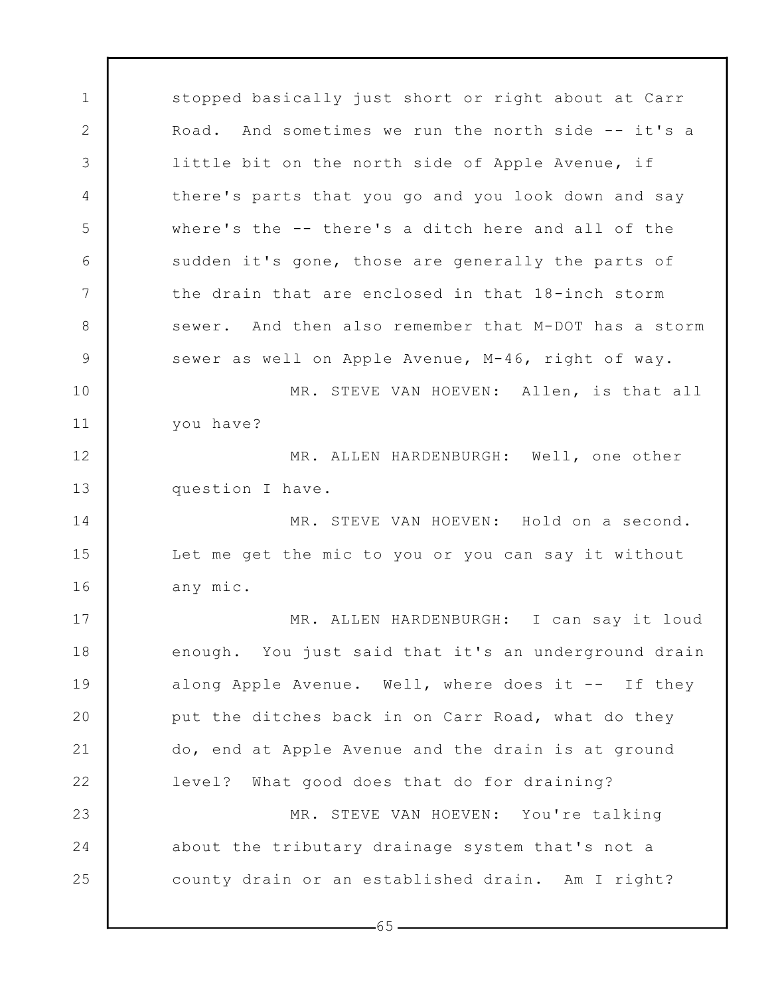1 2 3 4 5 6 7 8 9 10 11 12 13 14 15 16 17 18 19 20 21 22 23 24 25 stopped basically just short or right about at Carr Road. And sometimes we run the north side -- it's a little bit on the north side of Apple Avenue, if there's parts that you go and you look down and say where's the -- there's a ditch here and all of the sudden it's gone, those are generally the parts of the drain that are enclosed in that 18-inch storm sewer. And then also remember that M-DOT has a storm sewer as well on Apple Avenue, M-46, right of way. MR. STEVE VAN HOEVEN: Allen, is that all you have? MR. ALLEN HARDENBURGH: Well, one other question I have. MR. STEVE VAN HOEVEN: Hold on a second. Let me get the mic to you or you can say it without any mic. MR. ALLEN HARDENBURGH: I can say it loud enough. You just said that it's an underground drain along Apple Avenue. Well, where does it -- If they put the ditches back in on Carr Road, what do they do, end at Apple Avenue and the drain is at ground level? What good does that do for draining? MR. STEVE VAN HOEVEN: You're talking about the tributary drainage system that's not a county drain or an established drain. Am I right?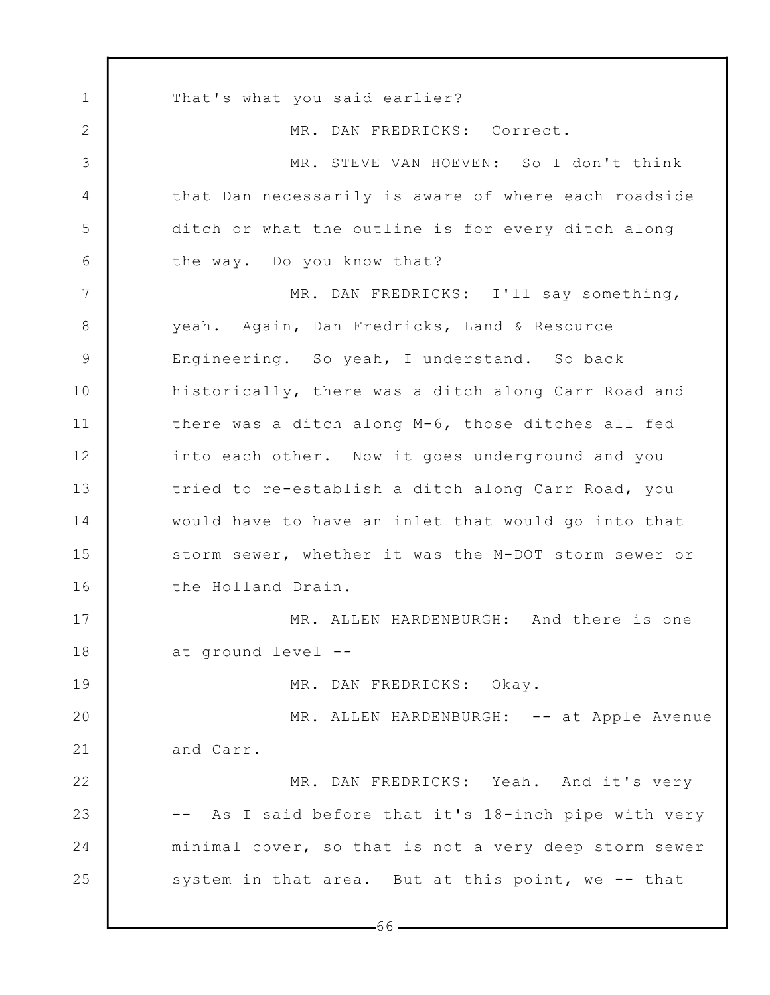1 2 3 4 5 6 7 8 9 10 11 12 13 14 15 16 17 18 19 20 21 22 23 24 25 That's what you said earlier? MR. DAN FREDRICKS: Correct. MR. STEVE VAN HOEVEN: So I don't think that Dan necessarily is aware of where each roadside ditch or what the outline is for every ditch along the way. Do you know that? MR. DAN FREDRICKS: I'll say something, yeah. Again, Dan Fredricks, Land & Resource Engineering. So yeah, I understand. So back historically, there was a ditch along Carr Road and there was a ditch along M-6, those ditches all fed into each other. Now it goes underground and you tried to re-establish a ditch along Carr Road, you would have to have an inlet that would go into that storm sewer, whether it was the M-DOT storm sewer or the Holland Drain. MR. ALLEN HARDENBURGH: And there is one at ground level -- MR. DAN FREDRICKS: Okay. MR. ALLEN HARDENBURGH: -- at Apple Avenue and Carr. MR. DAN FREDRICKS: Yeah. And it's very -- As I said before that it's 18-inch pipe with very minimal cover, so that is not a very deep storm sewer system in that area. But at this point, we -- that

 $-66-$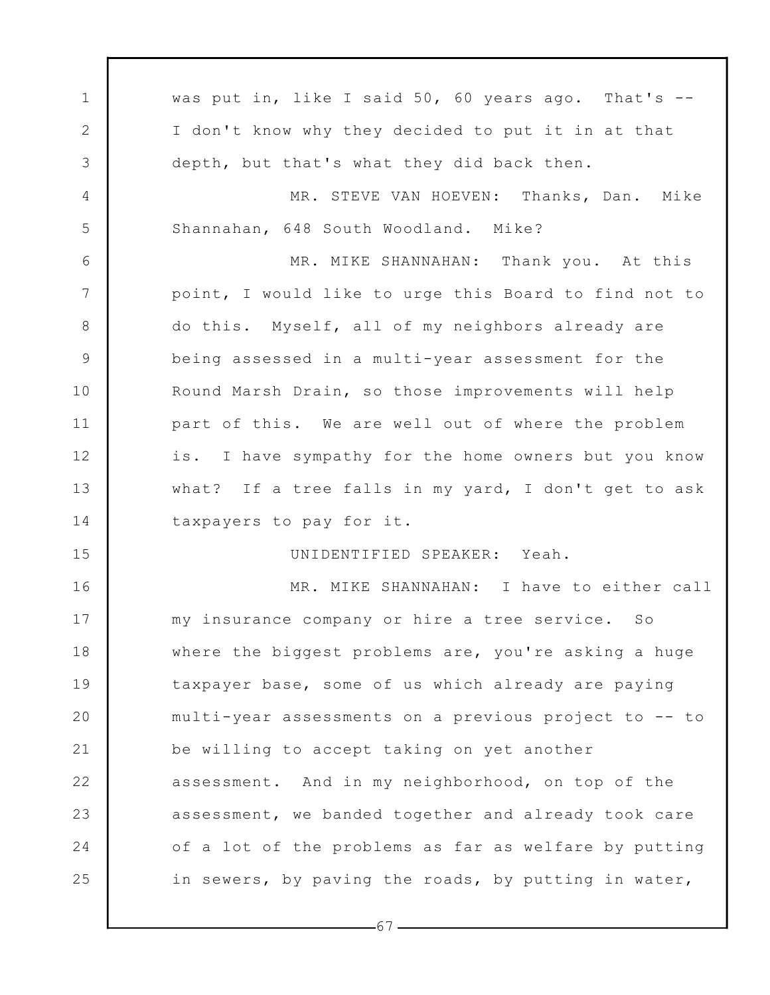1 2 3 4 5 6 7 8 9 10 11 12 13 14 15 16 17 18 19 20 21 22 23 24 25 was put in, like I said 50, 60 years ago. That's  $-$ I don't know why they decided to put it in at that depth, but that's what they did back then. MR. STEVE VAN HOEVEN: Thanks, Dan. Mike Shannahan, 648 South Woodland. Mike? MR. MIKE SHANNAHAN: Thank you. At this point, I would like to urge this Board to find not to do this. Myself, all of my neighbors already are being assessed in a multi-year assessment for the Round Marsh Drain, so those improvements will help part of this. We are well out of where the problem is. I have sympathy for the home owners but you know what? If a tree falls in my yard, I don't get to ask taxpayers to pay for it. UNIDENTIFIED SPEAKER: Yeah. MR. MIKE SHANNAHAN: I have to either call my insurance company or hire a tree service. So where the biggest problems are, you're asking a huge taxpayer base, some of us which already are paying multi-year assessments on a previous project to -- to be willing to accept taking on yet another assessment. And in my neighborhood, on top of the assessment, we banded together and already took care of a lot of the problems as far as welfare by putting in sewers, by paving the roads, by putting in water,

 $-67-$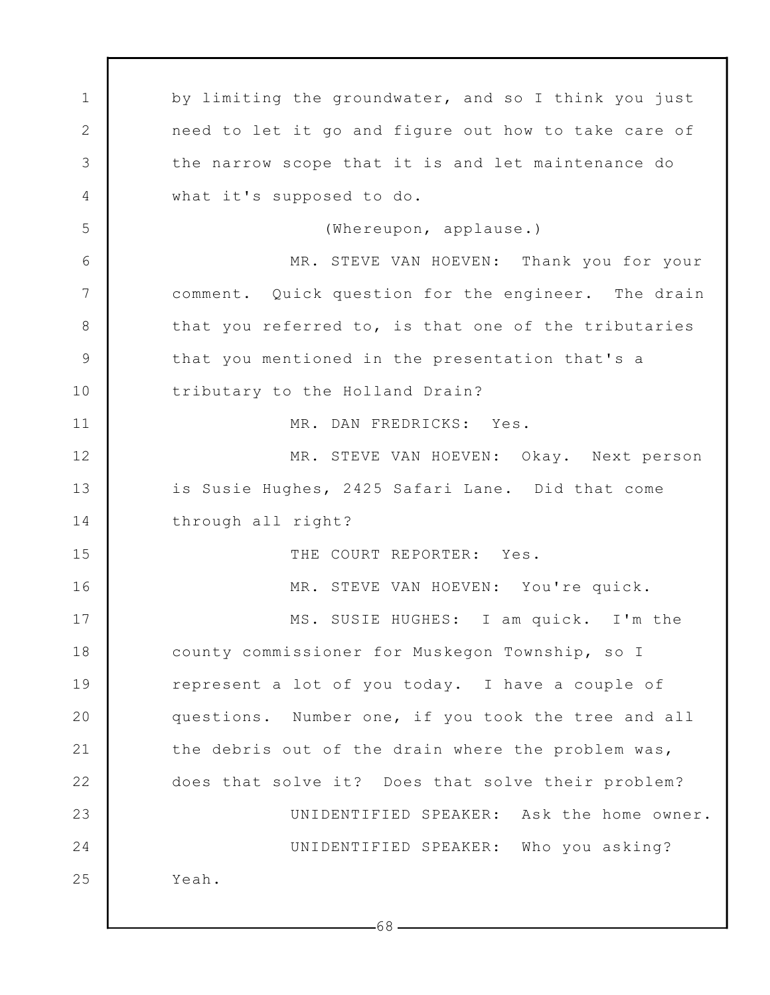1 2 3 4 5 6 7 8 9 10 11 12 13 14 15 16 17 18 19 20 21 22 23 24 25 by limiting the groundwater, and so I think you just need to let it go and figure out how to take care of the narrow scope that it is and let maintenance do what it's supposed to do. (Whereupon, applause.) MR. STEVE VAN HOEVEN: Thank you for your comment. Quick question for the engineer. The drain that you referred to, is that one of the tributaries that you mentioned in the presentation that's a tributary to the Holland Drain? MR. DAN FREDRICKS: Yes. MR. STEVE VAN HOEVEN: Okay. Next person is Susie Hughes, 2425 Safari Lane. Did that come through all right? THE COURT REPORTER: Yes. MR. STEVE VAN HOEVEN: You're quick. MS. SUSIE HUGHES: I am quick. I'm the county commissioner for Muskegon Township, so I represent a lot of you today. I have a couple of questions. Number one, if you took the tree and all the debris out of the drain where the problem was, does that solve it? Does that solve their problem? UNIDENTIFIED SPEAKER: Ask the home owner. UNIDENTIFIED SPEAKER: Who you asking? Yeah.

68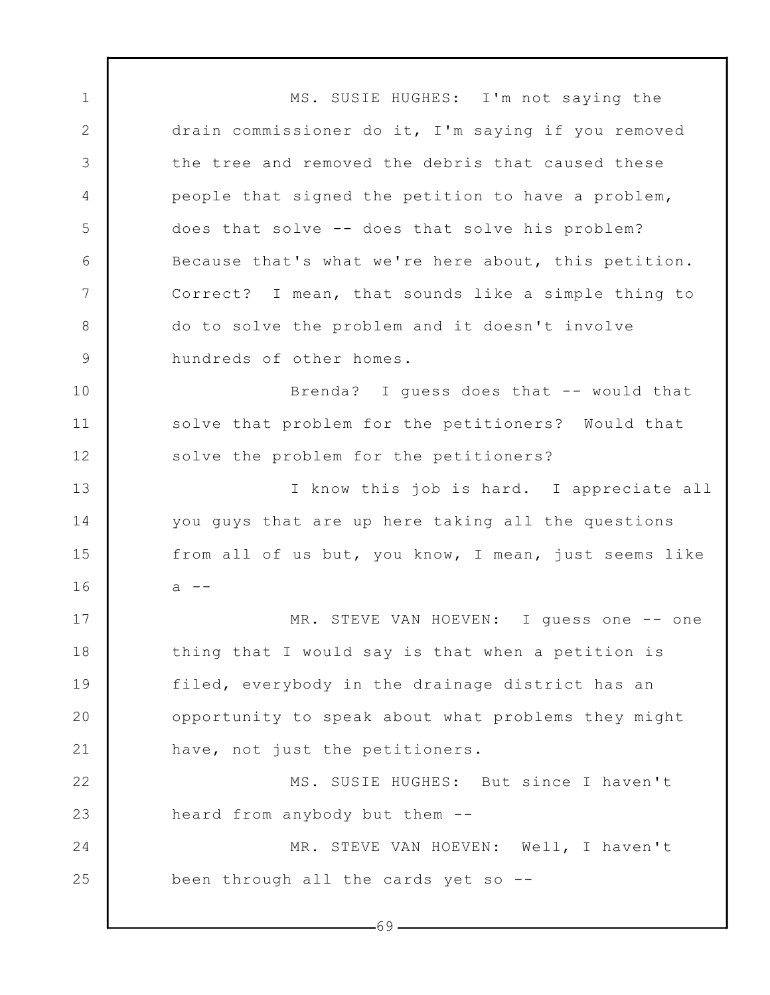1 2 3 4 5 6 7 8 9 10 11 12 13 14 15 16 17 18 19 20 21 22 23 24 25 -69-MS. SUSIE HUGHES: I'm not saying the drain commissioner do it, I'm saying if you removed the tree and removed the debris that caused these people that signed the petition to have a problem, does that solve -- does that solve his problem? Because that's what we're here about, this petition. Correct? I mean, that sounds like a simple thing to do to solve the problem and it doesn't involve hundreds of other homes. Brenda? I guess does that -- would that solve that problem for the petitioners? Would that solve the problem for the petitioners? I know this job is hard. I appreciate all you guys that are up here taking all the questions from all of us but, you know, I mean, just seems like  $a - -$ MR. STEVE VAN HOEVEN: I quess one -- one thing that I would say is that when a petition is filed, everybody in the drainage district has an opportunity to speak about what problems they might have, not just the petitioners. MS. SUSIE HUGHES: But since I haven't heard from anybody but them -- MR. STEVE VAN HOEVEN: Well, I haven't been through all the cards yet so --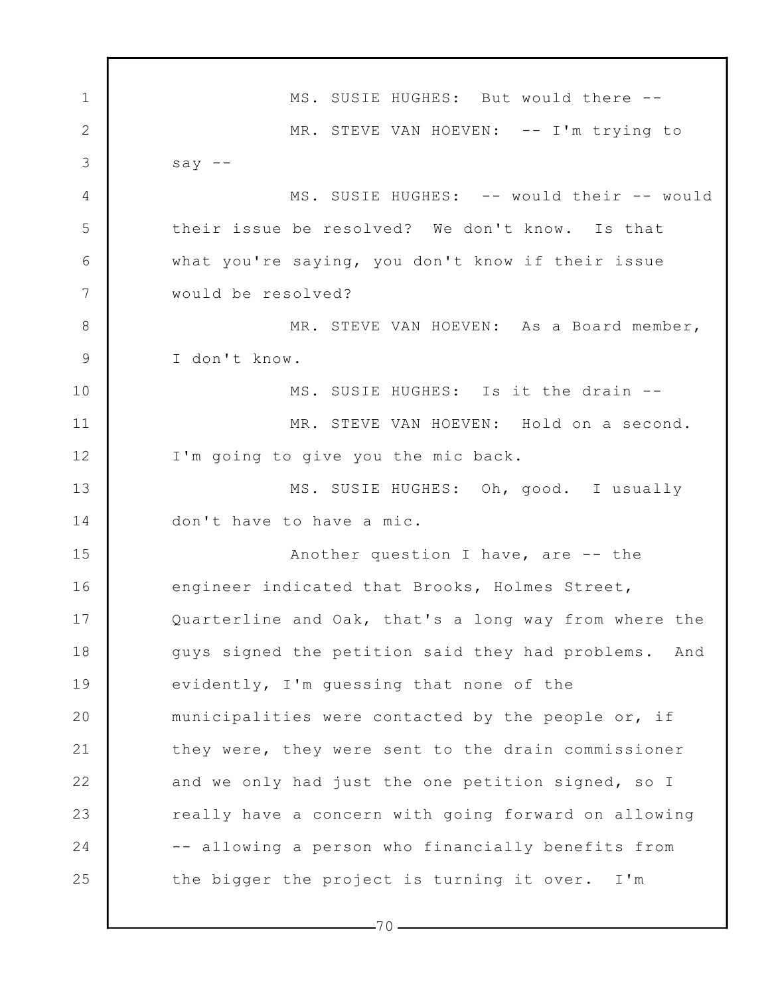1 2 3 4 5 6 7 8 9 10 11 12 13 14 15 16 17 18 19 20 21 22 23 24 25 MS. SUSIE HUGHES: But would there -- MR. STEVE VAN HOEVEN: -- I'm trying to say  $--$ MS. SUSIE HUGHES: -- would their -- would their issue be resolved? We don't know. Is that what you're saying, you don't know if their issue would be resolved? MR. STEVE VAN HOEVEN: As a Board member, I don't know. MS. SUSIE HUGHES: Is it the drain -- MR. STEVE VAN HOEVEN: Hold on a second. I'm going to give you the mic back. MS. SUSIE HUGHES: Oh, good. I usually don't have to have a mic. Another question I have, are -- the engineer indicated that Brooks, Holmes Street, Quarterline and Oak, that's a long way from where the guys signed the petition said they had problems. And evidently, I'm guessing that none of the municipalities were contacted by the people or, if they were, they were sent to the drain commissioner and we only had just the one petition signed, so I really have a concern with going forward on allowing -- allowing a person who financially benefits from the bigger the project is turning it over. I'm

 $-70-$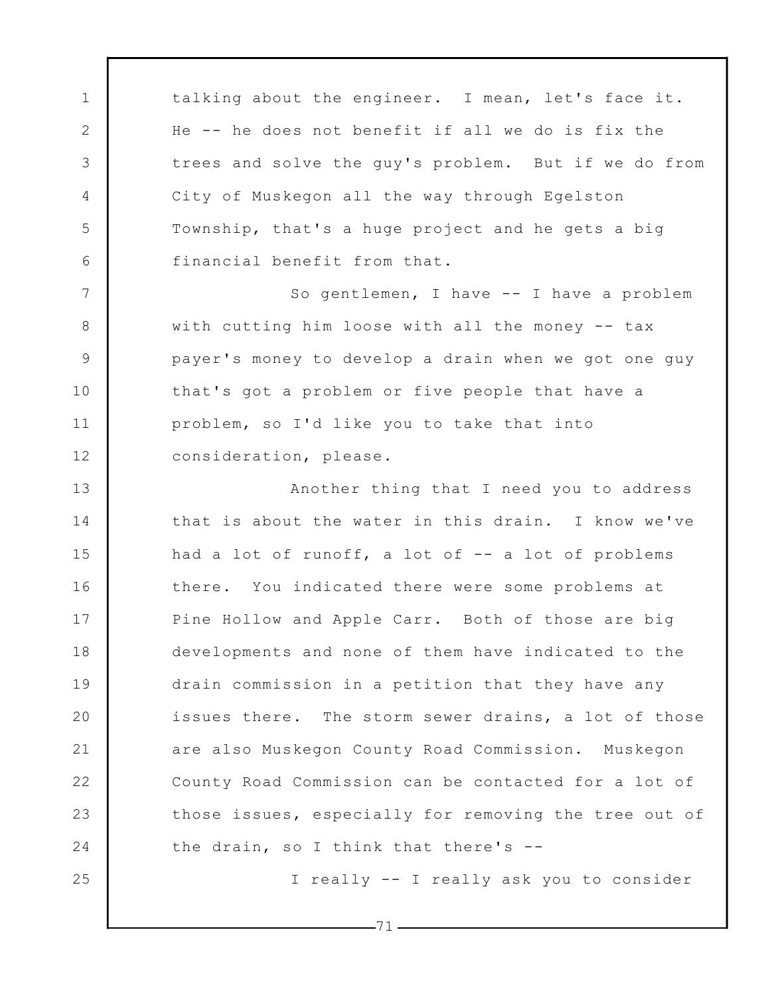talking about the engineer. I mean, let's face it. He -- he does not benefit if all we do is fix the trees and solve the guy's problem. But if we do from City of Muskegon all the way through Egelston Township, that's a huge project and he gets a big financial benefit from that.

1

2

3

4

5

6

7

8

9

10

11

12

25

So gentlemen, I have -- I have a problem with cutting him loose with all the money -- tax payer's money to develop a drain when we got one guy that's got a problem or five people that have a problem, so I'd like you to take that into consideration, please.

13 14 15 16 17 18 19 20 21 22 23 24 Another thing that I need you to address that is about the water in this drain. I know we've had a lot of runoff, a lot of -- a lot of problems there. You indicated there were some problems at Pine Hollow and Apple Carr. Both of those are big developments and none of them have indicated to the drain commission in a petition that they have any issues there. The storm sewer drains, a lot of those are also Muskegon County Road Commission. Muskegon County Road Commission can be contacted for a lot of those issues, especially for removing the tree out of the drain, so I think that there's --

I really -- I really ask you to consider

 $-71-$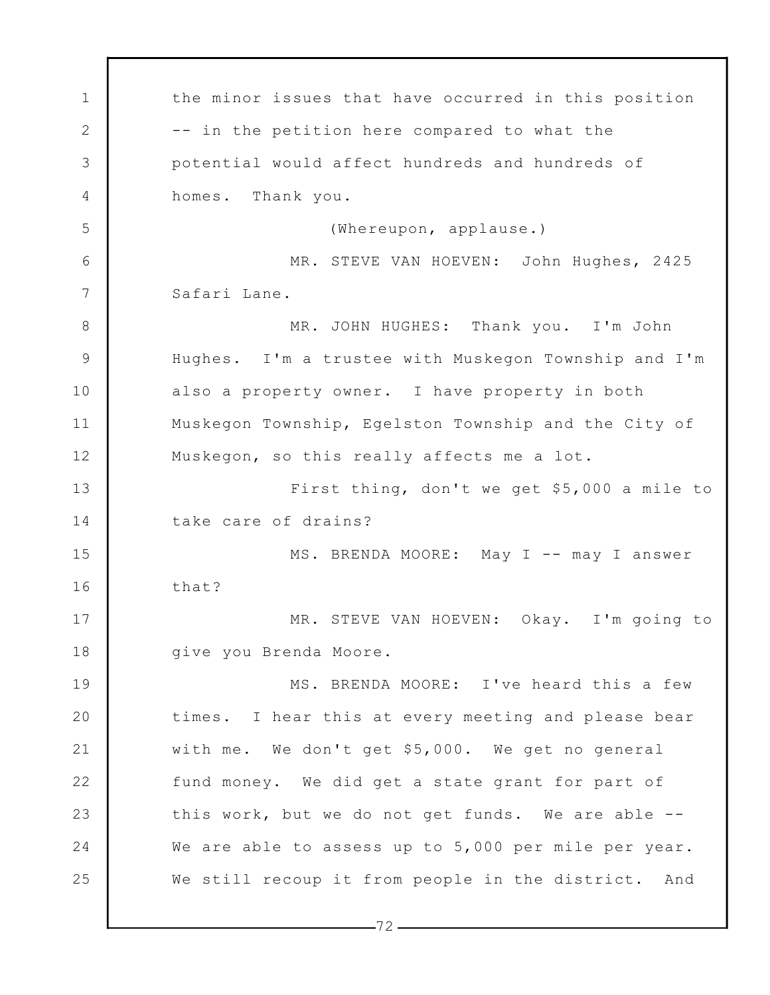1 2 3 4 5 6 7 8 9 10 11 12 13 14 15 16 17 18 19 20 21 22 23 24 25 the minor issues that have occurred in this position -- in the petition here compared to what the potential would affect hundreds and hundreds of homes. Thank you. (Whereupon, applause.) MR. STEVE VAN HOEVEN: John Hughes, 2425 Safari Lane. MR. JOHN HUGHES: Thank you. I'm John Hughes. I'm a trustee with Muskegon Township and I'm also a property owner. I have property in both Muskegon Township, Egelston Township and the City of Muskegon, so this really affects me a lot. First thing, don't we get \$5,000 a mile to take care of drains? MS. BRENDA MOORE: May I -- may I answer that? MR. STEVE VAN HOEVEN: Okay. I'm going to give you Brenda Moore. MS. BRENDA MOORE: I've heard this a few times. I hear this at every meeting and please bear with me. We don't get \$5,000. We get no general fund money. We did get a state grant for part of this work, but we do not get funds. We are able -- We are able to assess up to 5,000 per mile per year. We still recoup it from people in the district. And

 $-72-$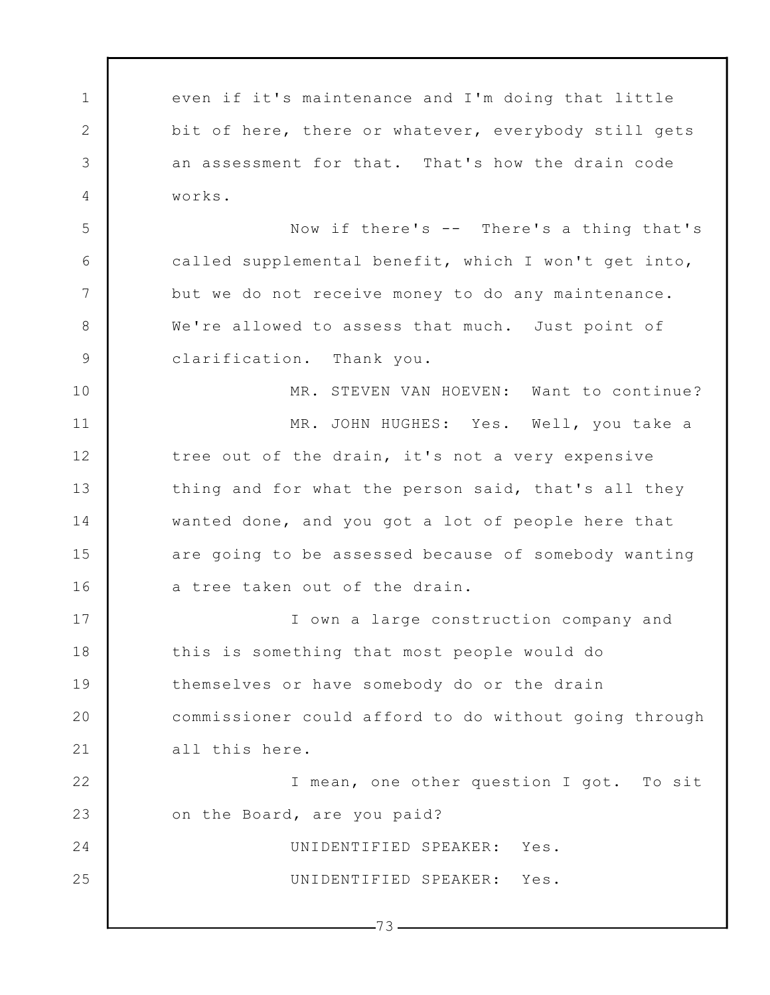1 2 3 4 5 6 7 8 9 10 11 12 13 14 15 16 17 18 19 20 21 22 23 24 25  $-73$ even if it's maintenance and I'm doing that little bit of here, there or whatever, everybody still gets an assessment for that. That's how the drain code works. Now if there's -- There's a thing that's called supplemental benefit, which I won't get into, but we do not receive money to do any maintenance. We're allowed to assess that much. Just point of clarification. Thank you. MR. STEVEN VAN HOEVEN: Want to continue? MR. JOHN HUGHES: Yes. Well, you take a tree out of the drain, it's not a very expensive thing and for what the person said, that's all they wanted done, and you got a lot of people here that are going to be assessed because of somebody wanting a tree taken out of the drain. I own a large construction company and this is something that most people would do themselves or have somebody do or the drain commissioner could afford to do without going through all this here. I mean, one other question I got. To sit on the Board, are you paid? UNIDENTIFIED SPEAKER: Yes. UNIDENTIFIED SPEAKER: Yes.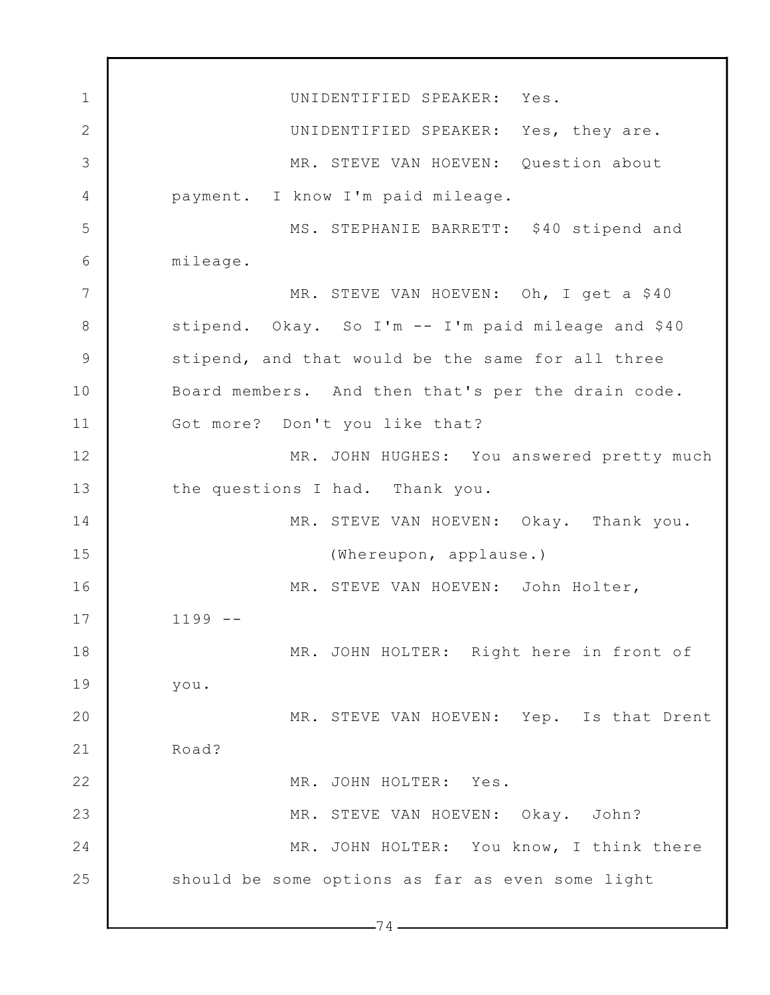1 2 3 4 5 6 7 8 9 10 11 12 13 14 15 16 17 18 19 20 21 22 23 24 25  $-74-$ UNIDENTIFIED SPEAKER: Yes. UNIDENTIFIED SPEAKER: Yes, they are. MR. STEVE VAN HOEVEN: Question about payment. I know I'm paid mileage. MS. STEPHANIE BARRETT: \$40 stipend and mileage. MR. STEVE VAN HOEVEN: Oh, I get a \$40 stipend. Okay. So I'm -- I'm paid mileage and \$40 stipend, and that would be the same for all three Board members. And then that's per the drain code. Got more? Don't you like that? MR. JOHN HUGHES: You answered pretty much the questions I had. Thank you. MR. STEVE VAN HOEVEN: Okay. Thank you. (Whereupon, applause.) MR. STEVE VAN HOEVEN: John Holter, 1199 -- MR. JOHN HOLTER: Right here in front of you. MR. STEVE VAN HOEVEN: Yep. Is that Drent Road? MR. JOHN HOLTER: Yes. MR. STEVE VAN HOEVEN: Okay. John? MR. JOHN HOLTER: You know, I think there should be some options as far as even some light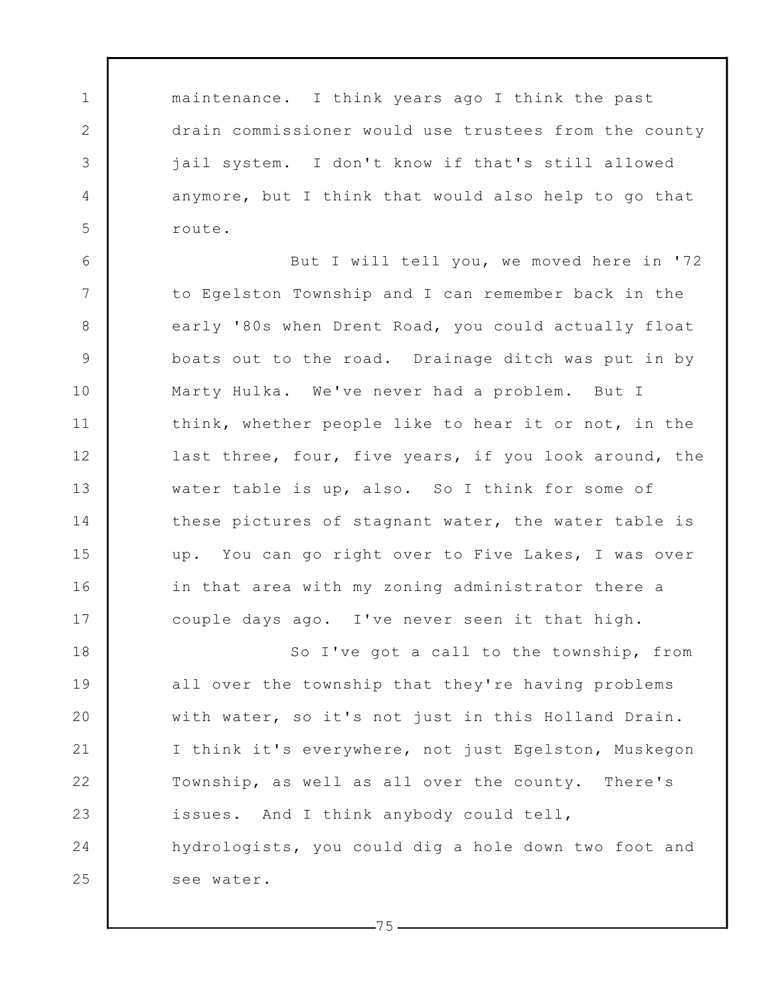maintenance. I think years ago I think the past drain commissioner would use trustees from the county jail system. I don't know if that's still allowed anymore, but I think that would also help to go that route.

1

2

3

4

5

6 7 8 9 10 11 12 13 14 15 16 17 But I will tell you, we moved here in '72 to Egelston Township and I can remember back in the early '80s when Drent Road, you could actually float boats out to the road. Drainage ditch was put in by Marty Hulka. We've never had a problem. But I think, whether people like to hear it or not, in the last three, four, five years, if you look around, the water table is up, also. So I think for some of these pictures of stagnant water, the water table is up. You can go right over to Five Lakes, I was over in that area with my zoning administrator there a couple days ago. I've never seen it that high.

18 19 20 21 22 23 24 25 So I've got a call to the township, from all over the township that they're having problems with water, so it's not just in this Holland Drain. I think it's everywhere, not just Egelston, Muskegon Township, as well as all over the county. There's issues. And I think anybody could tell, hydrologists, you could dig a hole down two foot and see water.

 $-75-$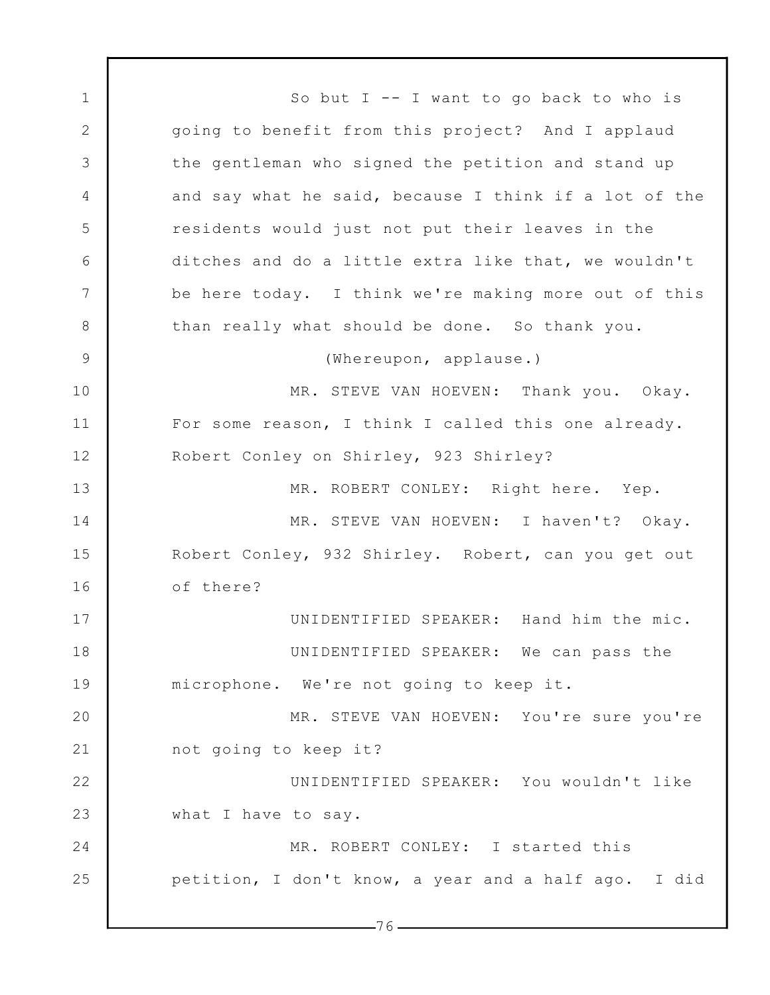1 2 3 4 5 6 7 8 9 10 11 12 13 14 15 16 17 18 19 20 21 22 23 24 25 So but  $I$  -- I want to go back to who is going to benefit from this project? And I applaud the gentleman who signed the petition and stand up and say what he said, because I think if a lot of the residents would just not put their leaves in the ditches and do a little extra like that, we wouldn't be here today. I think we're making more out of this than really what should be done. So thank you. (Whereupon, applause.) MR. STEVE VAN HOEVEN: Thank you. Okay. For some reason, I think I called this one already. Robert Conley on Shirley, 923 Shirley? MR. ROBERT CONLEY: Right here. Yep. MR. STEVE VAN HOEVEN: I haven't? Okay. Robert Conley, 932 Shirley. Robert, can you get out of there? UNIDENTIFIED SPEAKER: Hand him the mic. UNIDENTIFIED SPEAKER: We can pass the microphone. We're not going to keep it. MR. STEVE VAN HOEVEN: You're sure you're not going to keep it? UNIDENTIFIED SPEAKER: You wouldn't like what I have to say. MR. ROBERT CONLEY: I started this petition, I don't know, a year and a half ago. I did

 $-76-$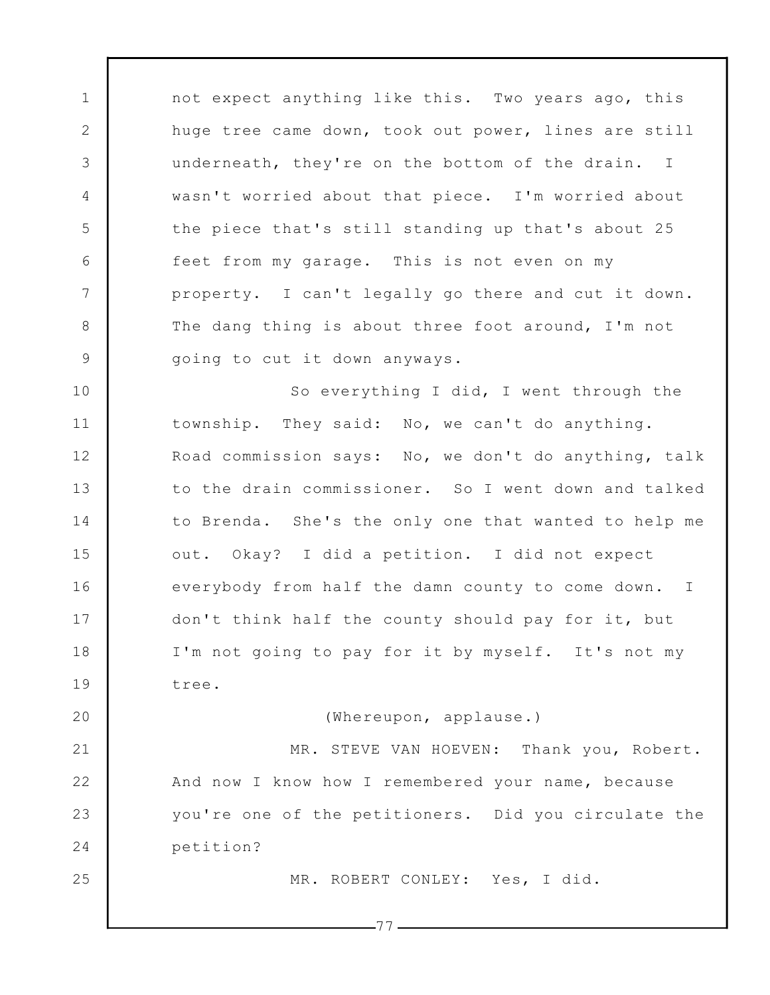not expect anything like this. Two years ago, this huge tree came down, took out power, lines are still underneath, they're on the bottom of the drain. I wasn't worried about that piece. I'm worried about the piece that's still standing up that's about 25 feet from my garage. This is not even on my property. I can't legally go there and cut it down. The dang thing is about three foot around, I'm not going to cut it down anyways.

1

2

3

4

5

6

7

8

9

20

25

10 11 12 13 14 15 16 17 18 19 So everything I did, I went through the township. They said: No, we can't do anything. Road commission says: No, we don't do anything, talk to the drain commissioner. So I went down and talked to Brenda. She's the only one that wanted to help me out. Okay? I did a petition. I did not expect everybody from half the damn county to come down. I don't think half the county should pay for it, but I'm not going to pay for it by myself. It's not my tree.

(Whereupon, applause.)

21 22 23 24 MR. STEVE VAN HOEVEN: Thank you, Robert. And now I know how I remembered your name, because you're one of the petitioners. Did you circulate the petition?

MR. ROBERT CONLEY: Yes, I did.

 $-77-$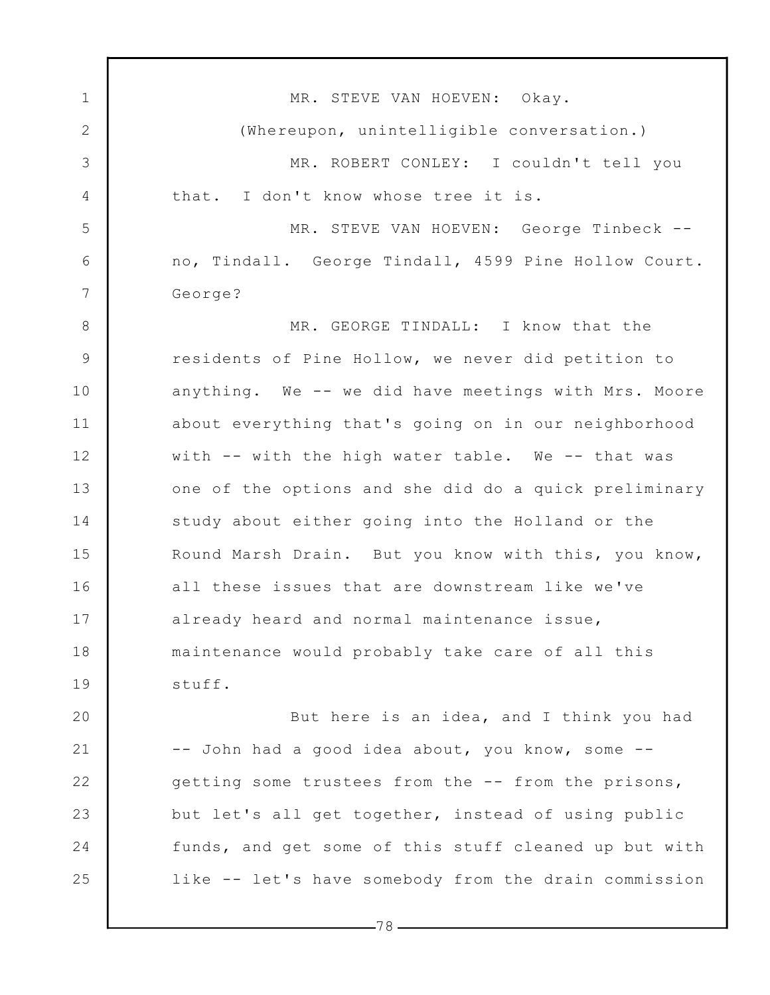1 2 3 4 5 6 7 8 9 10 11 12 13 14 15 16 17 18 19 20 21 22 23 24 25 MR. STEVE VAN HOEVEN: Okay. (Whereupon, unintelligible conversation.) MR. ROBERT CONLEY: I couldn't tell you that. I don't know whose tree it is. MR. STEVE VAN HOEVEN: George Tinbeck - no, Tindall. George Tindall, 4599 Pine Hollow Court. George? MR. GEORGE TINDALL: I know that the residents of Pine Hollow, we never did petition to anything. We -- we did have meetings with Mrs. Moore about everything that's going on in our neighborhood with -- with the high water table. We -- that was one of the options and she did do a quick preliminary study about either going into the Holland or the Round Marsh Drain. But you know with this, you know, all these issues that are downstream like we've already heard and normal maintenance issue, maintenance would probably take care of all this stuff. But here is an idea, and I think you had -- John had a good idea about, you know, some - getting some trustees from the -- from the prisons, but let's all get together, instead of using public funds, and get some of this stuff cleaned up but with like -- let's have somebody from the drain commission

 $-78-$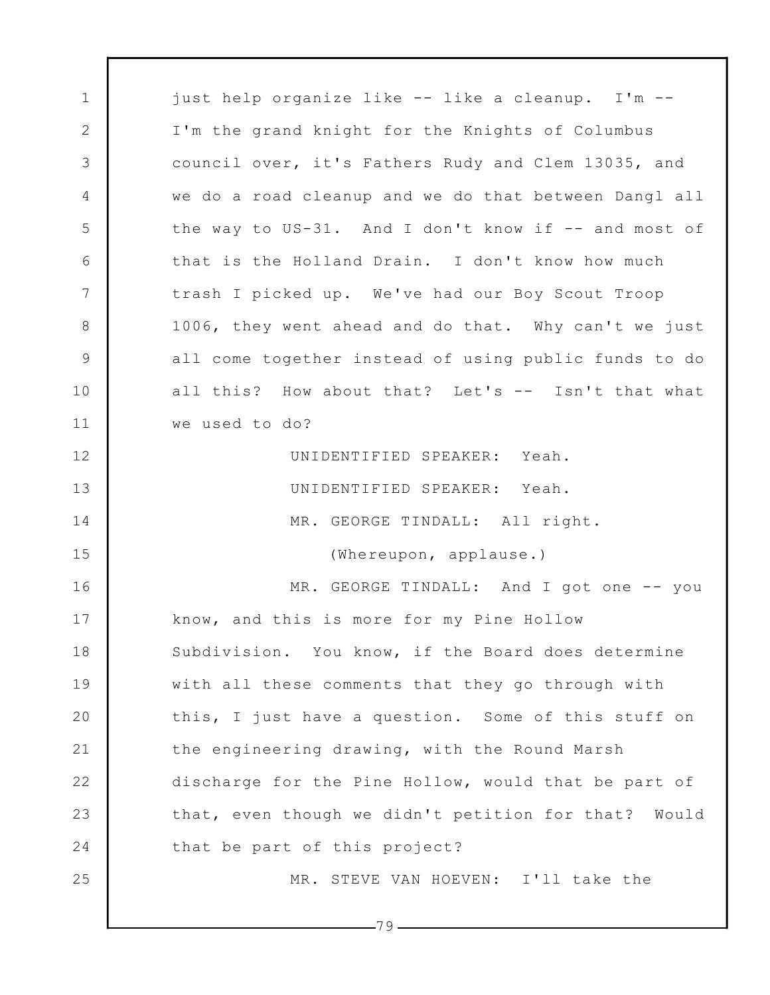1 2 3 4 5 6 7 8 9 10 11 12 13 14 15 16 17 18 19 20 21 22 23 24 25 just help organize like -- like a cleanup. I'm -- I'm the grand knight for the Knights of Columbus council over, it's Fathers Rudy and Clem 13035, and we do a road cleanup and we do that between Dangl all the way to US-31. And I don't know if -- and most of that is the Holland Drain. I don't know how much trash I picked up. We've had our Boy Scout Troop 1006, they went ahead and do that. Why can't we just all come together instead of using public funds to do all this? How about that? Let's -- Isn't that what we used to do? UNIDENTIFIED SPEAKER: Yeah. UNIDENTIFIED SPEAKER: Yeah. MR. GEORGE TINDALL: All right. (Whereupon, applause.) MR. GEORGE TINDALL: And I got one -- you know, and this is more for my Pine Hollow Subdivision. You know, if the Board does determine with all these comments that they go through with this, I just have a question. Some of this stuff on the engineering drawing, with the Round Marsh discharge for the Pine Hollow, would that be part of that, even though we didn't petition for that? Would that be part of this project? MR. STEVE VAN HOEVEN: I'll take the

-79 -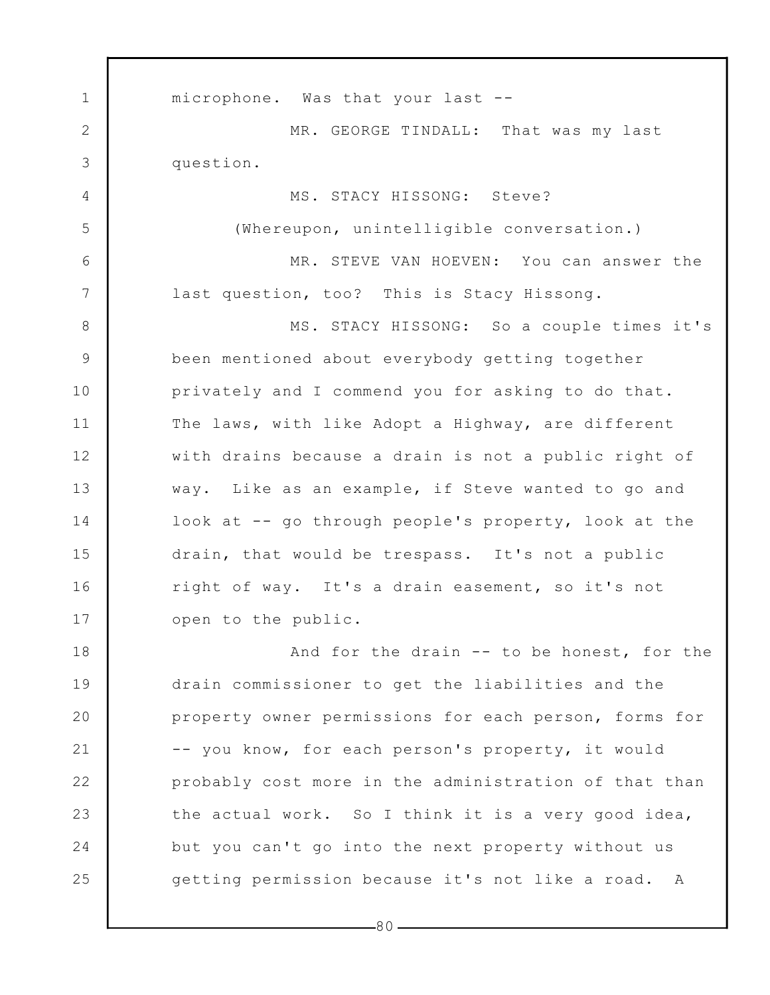1 2 3 4 5 6 7 8 9 10 11 12 13 14 15 16 17 18 19 20 21 22 23 24 25 microphone. Was that your last -- MR. GEORGE TINDALL: That was my last question. MS. STACY HISSONG: Steve? (Whereupon, unintelligible conversation.) MR. STEVE VAN HOEVEN: You can answer the last question, too? This is Stacy Hissong. MS. STACY HISSONG: So a couple times it's been mentioned about everybody getting together privately and I commend you for asking to do that. The laws, with like Adopt a Highway, are different with drains because a drain is not a public right of way. Like as an example, if Steve wanted to go and look at -- go through people's property, look at the drain, that would be trespass. It's not a public right of way. It's a drain easement, so it's not open to the public. And for the drain -- to be honest, for the drain commissioner to get the liabilities and the property owner permissions for each person, forms for -- you know, for each person's property, it would probably cost more in the administration of that than the actual work. So I think it is a very good idea, but you can't go into the next property without us getting permission because it's not like a road. A

80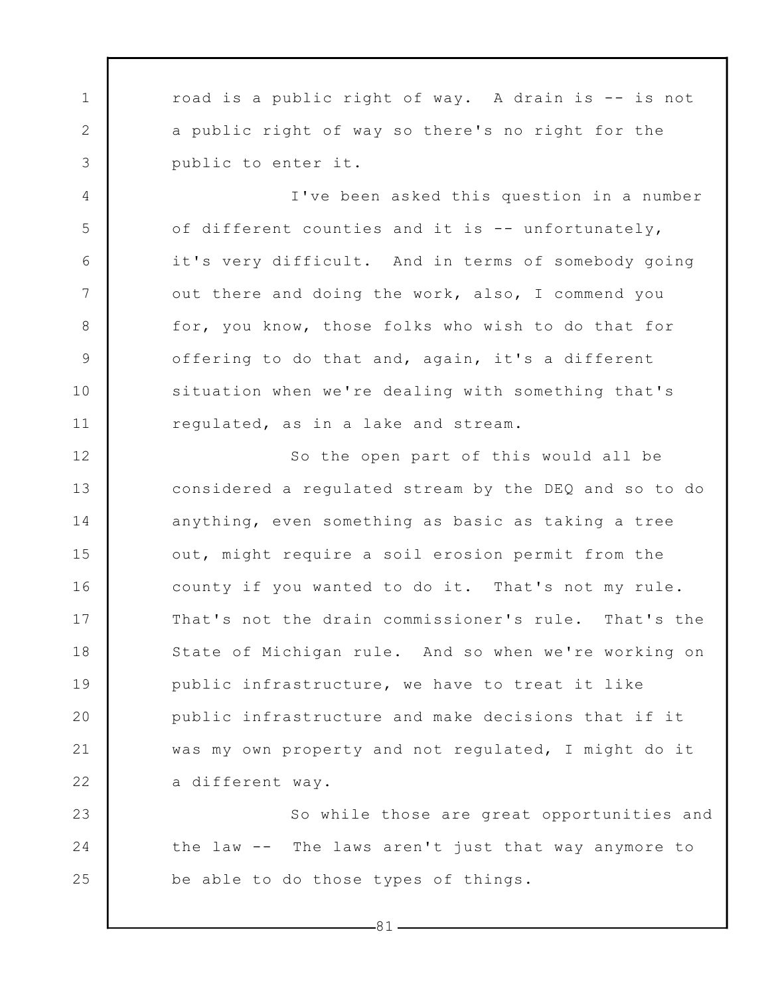1 2 3 road is a public right of way. A drain is -- is not a public right of way so there's no right for the public to enter it.

4

5

6

7

8

9

10

11

I've been asked this question in a number of different counties and it is -- unfortunately, it's very difficult. And in terms of somebody going out there and doing the work, also, I commend you for, you know, those folks who wish to do that for offering to do that and, again, it's a different situation when we're dealing with something that's regulated, as in a lake and stream.

12 13 14 15 16 17 18 19 20 21 22 So the open part of this would all be considered a regulated stream by the DEQ and so to do anything, even something as basic as taking a tree out, might require a soil erosion permit from the county if you wanted to do it. That's not my rule. That's not the drain commissioner's rule. That's the State of Michigan rule. And so when we're working on public infrastructure, we have to treat it like public infrastructure and make decisions that if it was my own property and not regulated, I might do it a different way.

23 24 25 So while those are great opportunities and the law -- The laws aren't just that way anymore to be able to do those types of things.

 $-81-$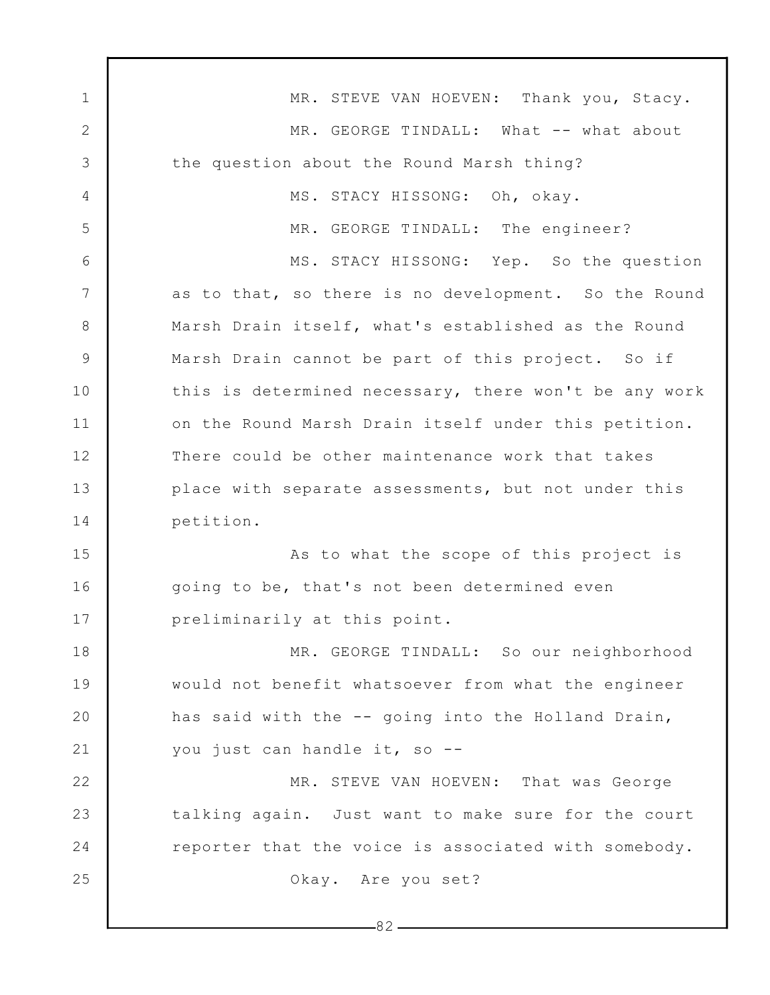1 2 3 4 5 6 7 8 9 10 11 12 13 14 15 16 17 18 19 20 21 22 23 24 25  $-82-$ MR. STEVE VAN HOEVEN: Thank you, Stacy. MR. GEORGE TINDALL: What -- what about the question about the Round Marsh thing? MS. STACY HISSONG: Oh, okay. MR. GEORGE TINDALL: The engineer? MS. STACY HISSONG: Yep. So the question as to that, so there is no development. So the Round Marsh Drain itself, what's established as the Round Marsh Drain cannot be part of this project. So if this is determined necessary, there won't be any work on the Round Marsh Drain itself under this petition. There could be other maintenance work that takes place with separate assessments, but not under this petition. As to what the scope of this project is going to be, that's not been determined even preliminarily at this point. MR. GEORGE TINDALL: So our neighborhood would not benefit whatsoever from what the engineer has said with the -- going into the Holland Drain, you just can handle it, so -- MR. STEVE VAN HOEVEN: That was George talking again. Just want to make sure for the court reporter that the voice is associated with somebody. Okay. Are you set?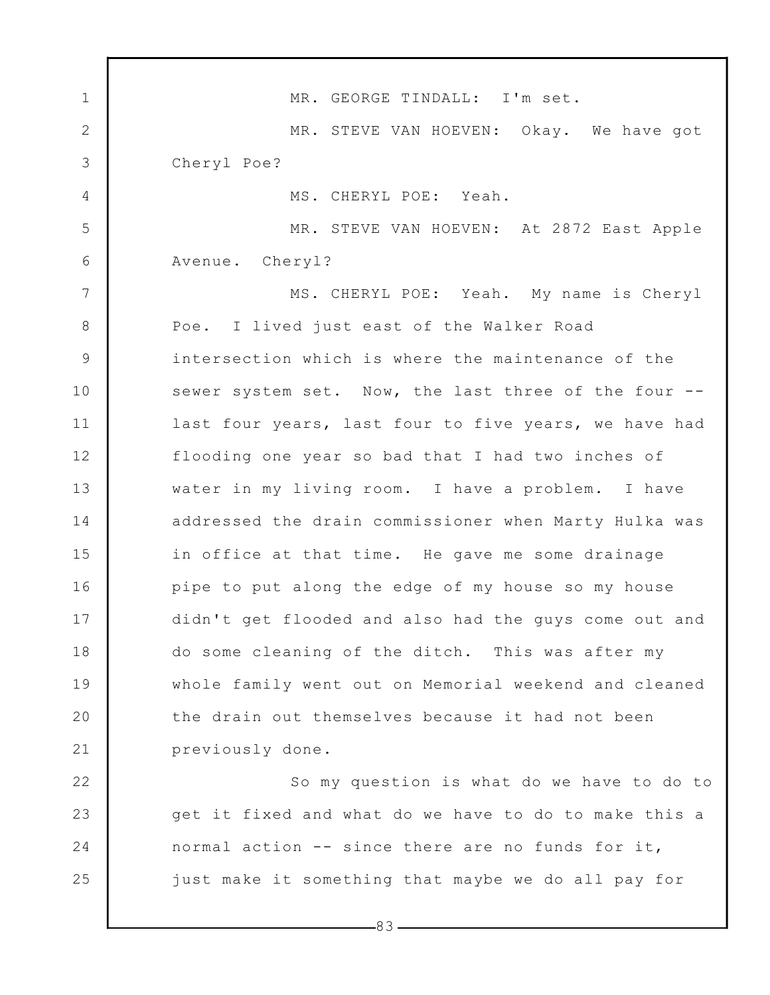1 2 3 4 5 6 7 8 9 10 11 12 13 14 15 16 17 18 19 20 21 22 23 24 25 MR. GEORGE TINDALL: I'm set. MR. STEVE VAN HOEVEN: Okay. We have got Cheryl Poe? MS. CHERYL POE: Yeah. MR. STEVE VAN HOEVEN: At 2872 East Apple Avenue. Cheryl? MS. CHERYL POE: Yeah. My name is Cheryl Poe. I lived just east of the Walker Road intersection which is where the maintenance of the sewer system set. Now, the last three of the four -last four years, last four to five years, we have had flooding one year so bad that I had two inches of water in my living room. I have a problem. I have addressed the drain commissioner when Marty Hulka was in office at that time. He gave me some drainage pipe to put along the edge of my house so my house didn't get flooded and also had the guys come out and do some cleaning of the ditch. This was after my whole family went out on Memorial weekend and cleaned the drain out themselves because it had not been previously done. So my question is what do we have to do to get it fixed and what do we have to do to make this a normal action -- since there are no funds for it, just make it something that maybe we do all pay for

 $-83-$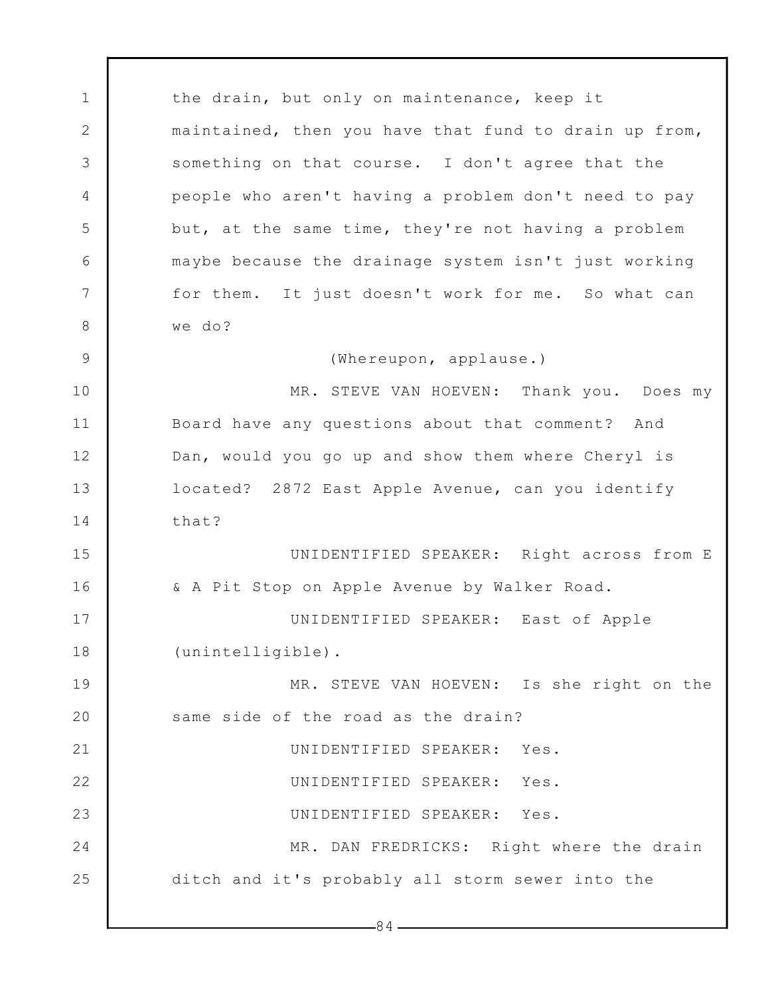1 2 3 4 5 6 7 8 9 10 11 12 13 14 15 16 17 18 19 20 21 22 23 24 25  $-84$ the drain, but only on maintenance, keep it maintained, then you have that fund to drain up from, something on that course. I don't agree that the people who aren't having a problem don't need to pay but, at the same time, they're not having a problem maybe because the drainage system isn't just working for them. It just doesn't work for me. So what can we do? (Whereupon, applause.) MR. STEVE VAN HOEVEN: Thank you. Does my Board have any questions about that comment? And Dan, would you go up and show them where Cheryl is located? 2872 East Apple Avenue, can you identify that? UNIDENTIFIED SPEAKER: Right across from E & A Pit Stop on Apple Avenue by Walker Road. UNIDENTIFIED SPEAKER: East of Apple (unintelligible). MR. STEVE VAN HOEVEN: Is she right on the same side of the road as the drain? UNIDENTIFIED SPEAKER: Yes. UNIDENTIFIED SPEAKER: Yes. UNIDENTIFIED SPEAKER: Yes. MR. DAN FREDRICKS: Right where the drain ditch and it's probably all storm sewer into the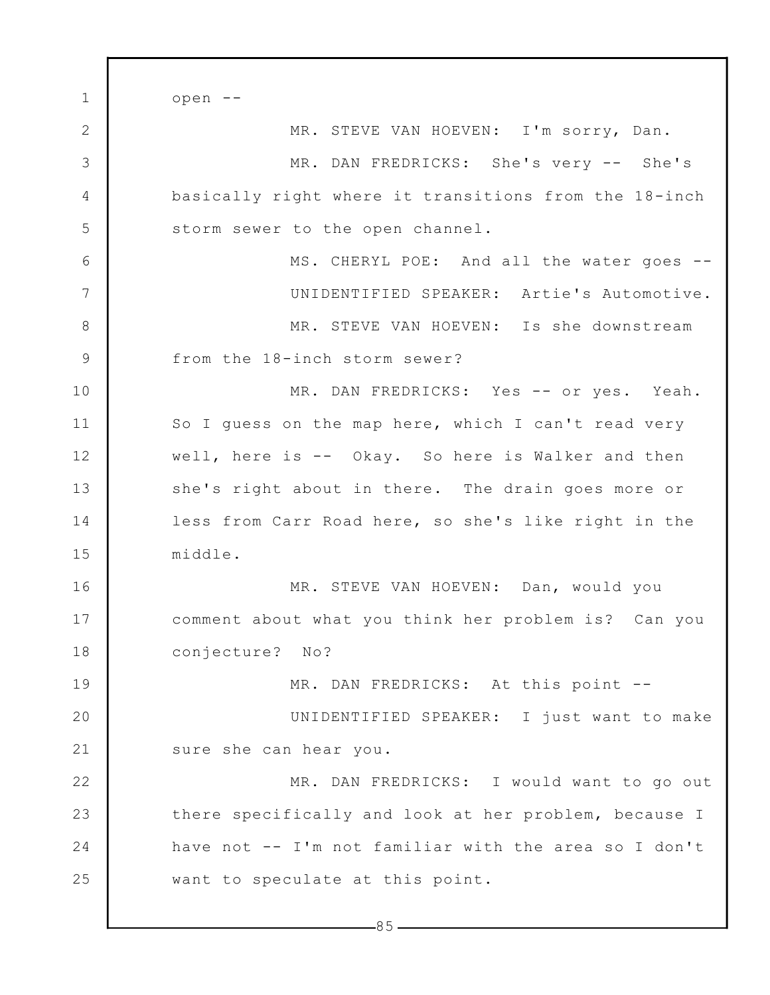1 2 3 4 5 6 7 8 9 10 11 12 13 14 15 16 17 18 19 20 21 22 23 24 25 open -- MR. STEVE VAN HOEVEN: I'm sorry, Dan. MR. DAN FREDRICKS: She's very -- She's basically right where it transitions from the 18-inch storm sewer to the open channel. MS. CHERYL POE: And all the water goes -- UNIDENTIFIED SPEAKER: Artie's Automotive. MR. STEVE VAN HOEVEN: Is she downstream from the 18-inch storm sewer? MR. DAN FREDRICKS: Yes -- or yes. Yeah. So I guess on the map here, which I can't read very well, here is -- Okay. So here is Walker and then she's right about in there. The drain goes more or less from Carr Road here, so she's like right in the middle. MR. STEVE VAN HOEVEN: Dan, would you comment about what you think her problem is? Can you conjecture? No? MR. DAN FREDRICKS: At this point --UNIDENTIFIED SPEAKER: I just want to make sure she can hear you. MR. DAN FREDRICKS: I would want to go out there specifically and look at her problem, because I have not -- I'm not familiar with the area so I don't want to speculate at this point.

 $-85-$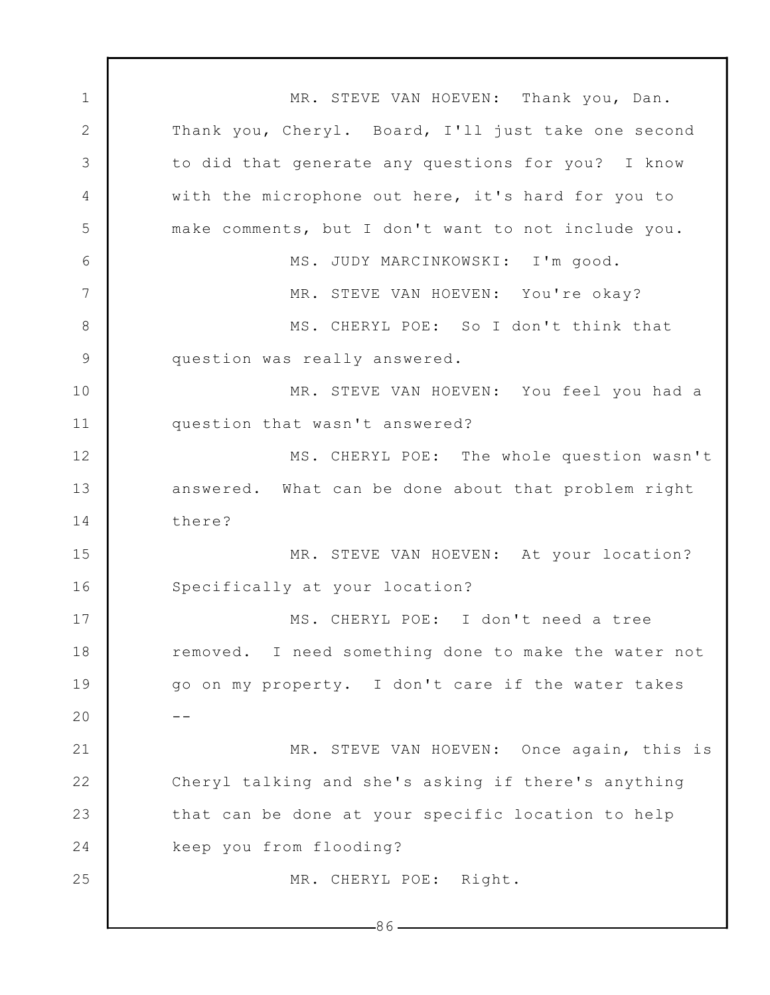1 2 3 4 5 6 7 8 9 10 11 12 13 14 15 16 17 18 19 20 21 22 23 24 25 MR. STEVE VAN HOEVEN: Thank you, Dan. Thank you, Cheryl. Board, I'll just take one second to did that generate any questions for you? I know with the microphone out here, it's hard for you to make comments, but I don't want to not include you. MS. JUDY MARCINKOWSKI: I'm good. MR. STEVE VAN HOEVEN: You're okay? MS. CHERYL POE: So I don't think that question was really answered. MR. STEVE VAN HOEVEN: You feel you had a question that wasn't answered? MS. CHERYL POE: The whole question wasn't answered. What can be done about that problem right there? MR. STEVE VAN HOEVEN: At your location? Specifically at your location? MS. CHERYL POE: I don't need a tree removed. I need something done to make the water not go on my property. I don't care if the water takes -- MR. STEVE VAN HOEVEN: Once again, this is Cheryl talking and she's asking if there's anything that can be done at your specific location to help keep you from flooding? MR. CHERYL POE: Right.

86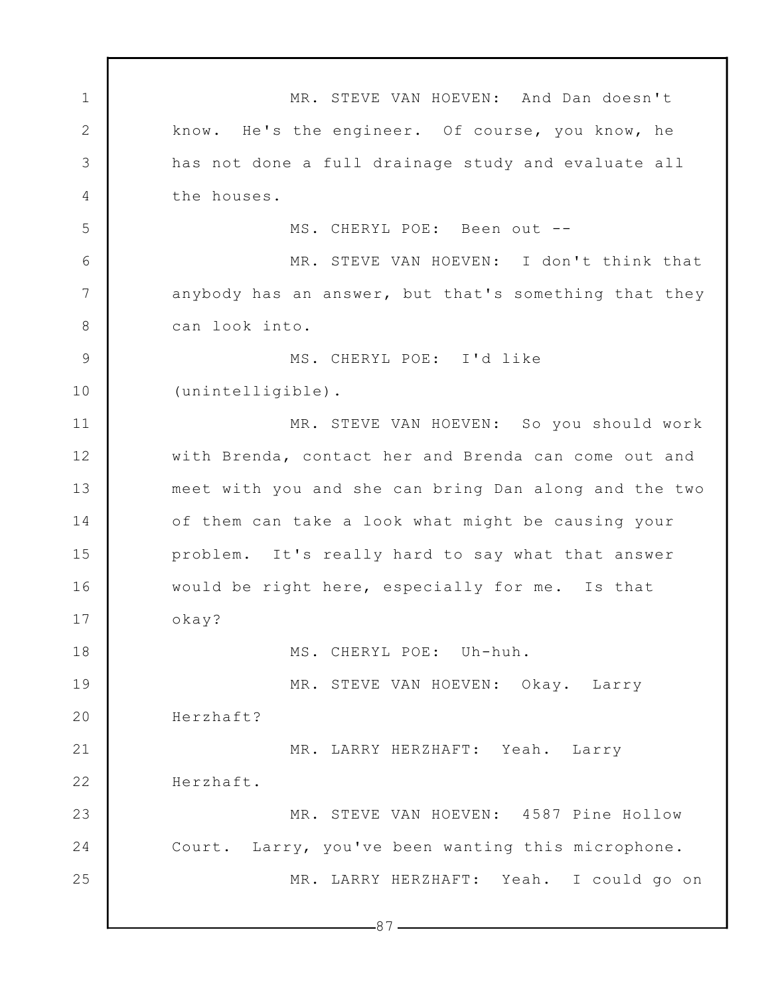1 2 3 4 5 6 7 8 9 10 11 12 13 14 15 16 17 18 19 20 21 22 23 24 25  $-87-$ MR. STEVE VAN HOEVEN: And Dan doesn't know. He's the engineer. Of course, you know, he has not done a full drainage study and evaluate all the houses. MS. CHERYL POE: Been out -- MR. STEVE VAN HOEVEN: I don't think that anybody has an answer, but that's something that they can look into. MS. CHERYL POE: I'd like (unintelligible). MR. STEVE VAN HOEVEN: So you should work with Brenda, contact her and Brenda can come out and meet with you and she can bring Dan along and the two of them can take a look what might be causing your problem. It's really hard to say what that answer would be right here, especially for me. Is that okay? MS. CHERYL POE: Uh-huh. MR. STEVE VAN HOEVEN: Okay. Larry Herzhaft? MR. LARRY HERZHAFT: Yeah. Larry Herzhaft. MR. STEVE VAN HOEVEN: 4587 Pine Hollow Court. Larry, you've been wanting this microphone. MR. LARRY HERZHAFT: Yeah. I could go on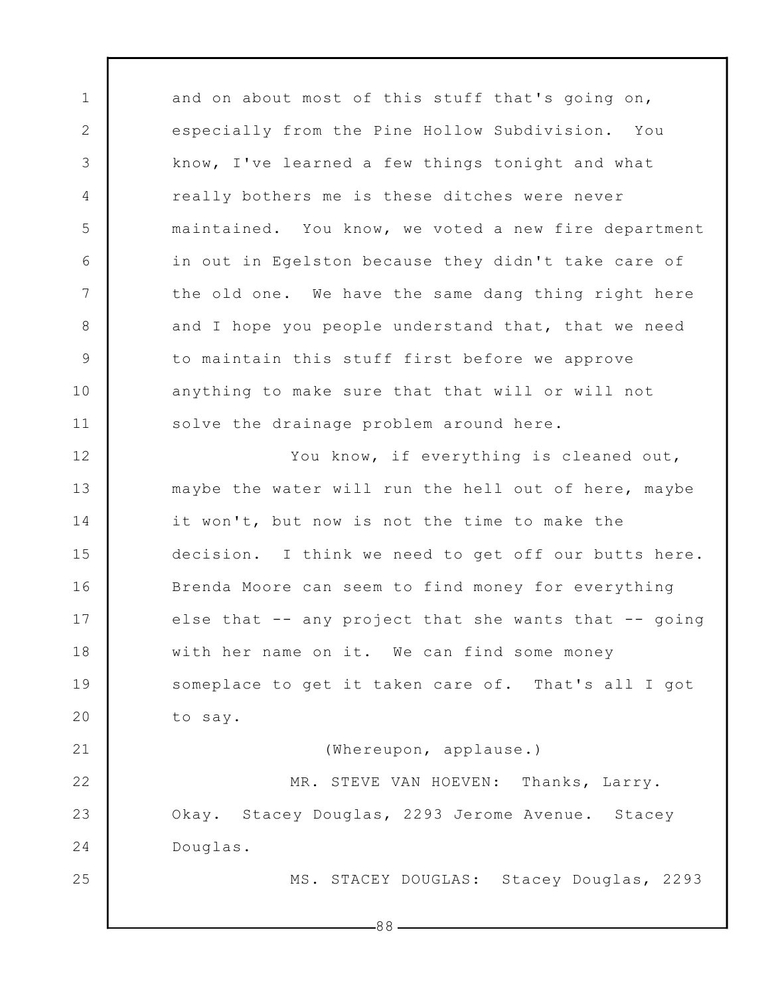1 2 3 4 5 6 7 8 9 10 11 12 13 14 15 16 17 18 19 20 21 22 23 24 25 and on about most of this stuff that's going on, especially from the Pine Hollow Subdivision. You know, I've learned a few things tonight and what really bothers me is these ditches were never maintained. You know, we voted a new fire department in out in Egelston because they didn't take care of the old one. We have the same dang thing right here and I hope you people understand that, that we need to maintain this stuff first before we approve anything to make sure that that will or will not solve the drainage problem around here. You know, if everything is cleaned out, maybe the water will run the hell out of here, maybe it won't, but now is not the time to make the decision. I think we need to get off our butts here. Brenda Moore can seem to find money for everything else that -- any project that she wants that -- going with her name on it. We can find some money someplace to get it taken care of. That's all I got to say. (Whereupon, applause.) MR. STEVE VAN HOEVEN: Thanks, Larry. Okay. Stacey Douglas, 2293 Jerome Avenue. Stacey Douglas. MS. STACEY DOUGLAS: Stacey Douglas, 2293

88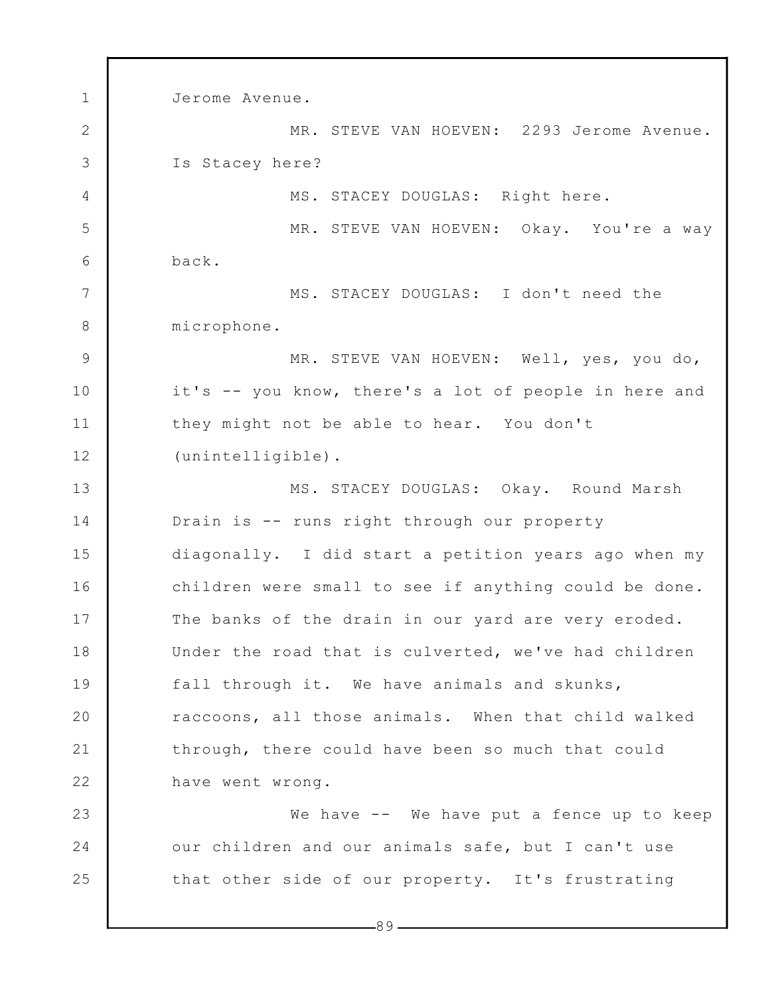1 2 3 4 5 6 7 8 9 10 11 12 13 14 15 16 17 18 19 20 21 22 23 24 25 Jerome Avenue. MR. STEVE VAN HOEVEN: 2293 Jerome Avenue. Is Stacey here? MS. STACEY DOUGLAS: Right here. MR. STEVE VAN HOEVEN: Okay. You're a way back. MS. STACEY DOUGLAS: I don't need the microphone. MR. STEVE VAN HOEVEN: Well, yes, you do, it's -- you know, there's a lot of people in here and they might not be able to hear. You don't (unintelligible). MS. STACEY DOUGLAS: Okay. Round Marsh Drain is -- runs right through our property diagonally. I did start a petition years ago when my children were small to see if anything could be done. The banks of the drain in our yard are very eroded. Under the road that is culverted, we've had children fall through it. We have animals and skunks, raccoons, all those animals. When that child walked through, there could have been so much that could have went wrong. We have -- We have put a fence up to keep our children and our animals safe, but I can't use that other side of our property. It's frustrating

-89 -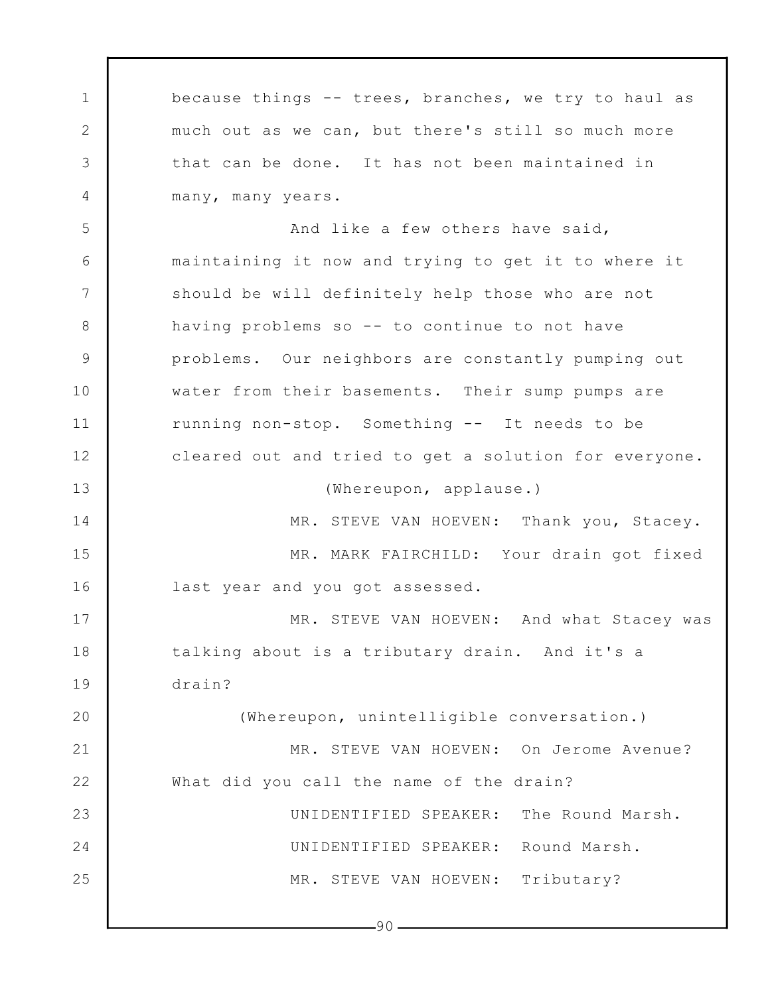1 2 3 4 5 6 7 8 9 10 11 12 13 14 15 16 17 18 19 20 21 22 23 24 25 because things -- trees, branches, we try to haul as much out as we can, but there's still so much more that can be done. It has not been maintained in many, many years. And like a few others have said, maintaining it now and trying to get it to where it should be will definitely help those who are not having problems so -- to continue to not have problems. Our neighbors are constantly pumping out water from their basements. Their sump pumps are running non-stop. Something -- It needs to be cleared out and tried to get a solution for everyone. (Whereupon, applause.) MR. STEVE VAN HOEVEN: Thank you, Stacey. MR. MARK FAIRCHILD: Your drain got fixed last year and you got assessed. MR. STEVE VAN HOEVEN: And what Stacey was talking about is a tributary drain. And it's a drain? (Whereupon, unintelligible conversation.) MR. STEVE VAN HOEVEN: On Jerome Avenue? What did you call the name of the drain? UNIDENTIFIED SPEAKER: The Round Marsh. UNIDENTIFIED SPEAKER: Round Marsh. MR. STEVE VAN HOEVEN: Tributary?

 $-90-$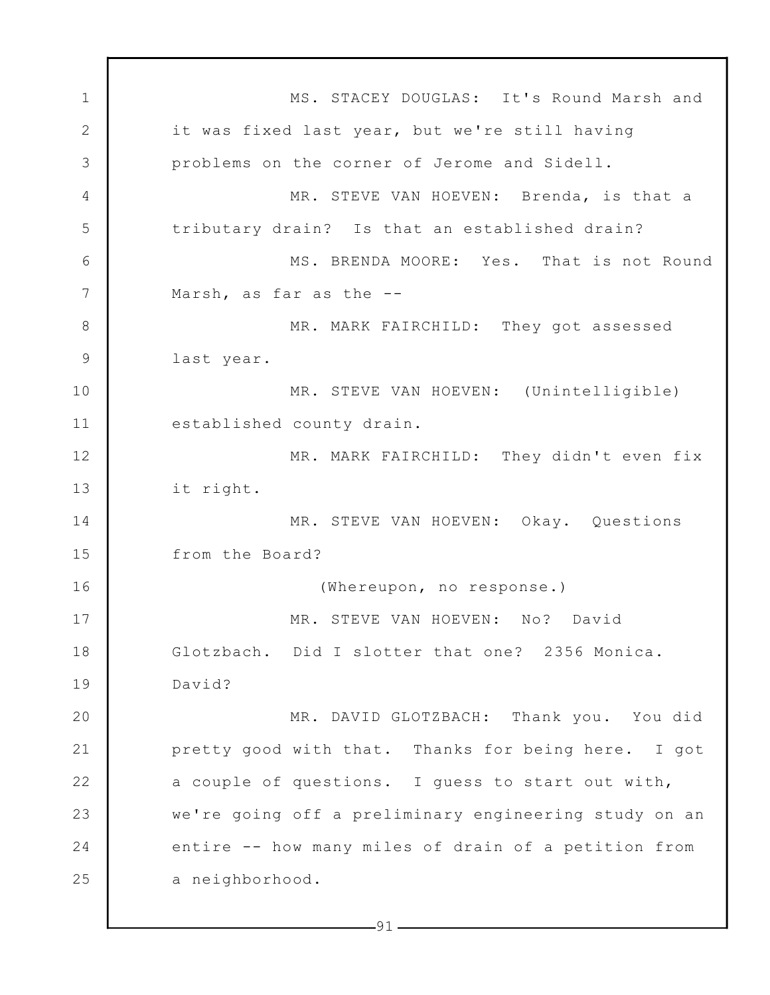1 2 3 4 5 6 7 8 9 10 11 12 13 14 15 16 17 18 19 20 21 22 23 24 25 MS. STACEY DOUGLAS: It's Round Marsh and it was fixed last year, but we're still having problems on the corner of Jerome and Sidell. MR. STEVE VAN HOEVEN: Brenda, is that a tributary drain? Is that an established drain? MS. BRENDA MOORE: Yes. That is not Round Marsh, as far as the -- MR. MARK FAIRCHILD: They got assessed last year. MR. STEVE VAN HOEVEN: (Unintelligible) established county drain. MR. MARK FAIRCHILD: They didn't even fix it right. MR. STEVE VAN HOEVEN: Okay. Questions from the Board? (Whereupon, no response.) MR. STEVE VAN HOEVEN: No? David Glotzbach. Did I slotter that one? 2356 Monica. David? MR. DAVID GLOTZBACH: Thank you. You did pretty good with that. Thanks for being here. I got a couple of questions. I guess to start out with, we're going off a preliminary engineering study on an entire -- how many miles of drain of a petition from a neighborhood.

 $-91-$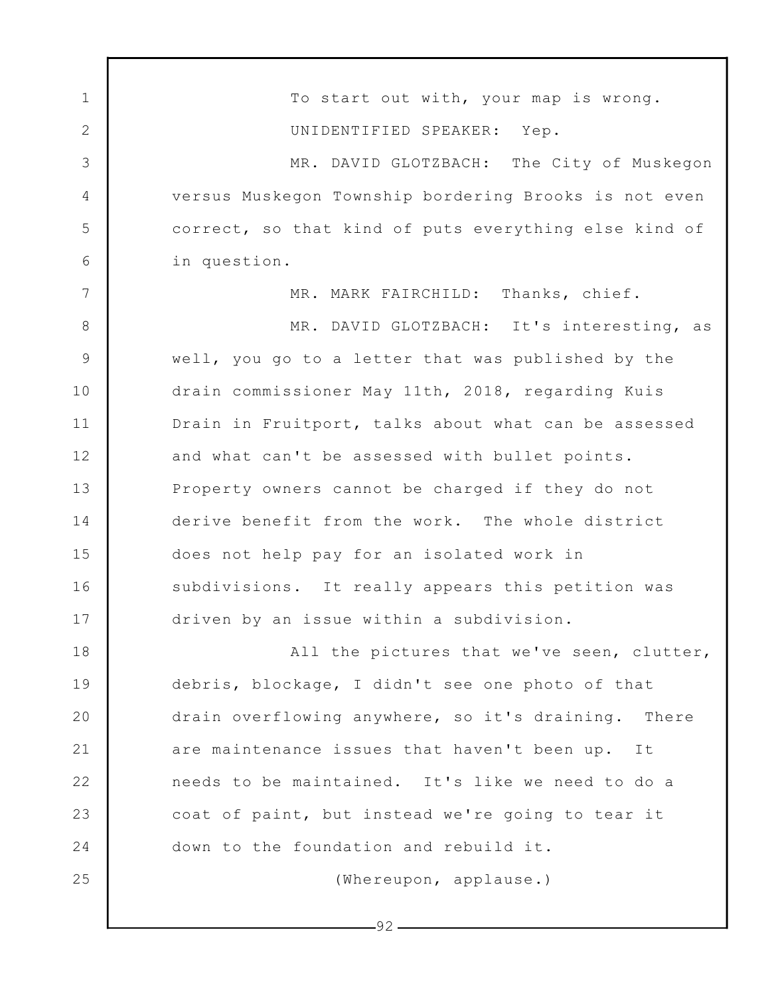1 2 3 4 5 6 7 8 9 10 11 12 13 14 15 16 17 18 19 20 21 22 23 24 25 To start out with, your map is wrong. UNIDENTIFIED SPEAKER: Yep. MR. DAVID GLOTZBACH: The City of Muskegon versus Muskegon Township bordering Brooks is not even correct, so that kind of puts everything else kind of in question. MR. MARK FAIRCHILD: Thanks, chief. MR. DAVID GLOTZBACH: It's interesting, as well, you go to a letter that was published by the drain commissioner May 11th, 2018, regarding Kuis Drain in Fruitport, talks about what can be assessed and what can't be assessed with bullet points. Property owners cannot be charged if they do not derive benefit from the work. The whole district does not help pay for an isolated work in subdivisions. It really appears this petition was driven by an issue within a subdivision. All the pictures that we've seen, clutter, debris, blockage, I didn't see one photo of that drain overflowing anywhere, so it's draining. There are maintenance issues that haven't been up. It needs to be maintained. It's like we need to do a coat of paint, but instead we're going to tear it down to the foundation and rebuild it. (Whereupon, applause.)

-92 -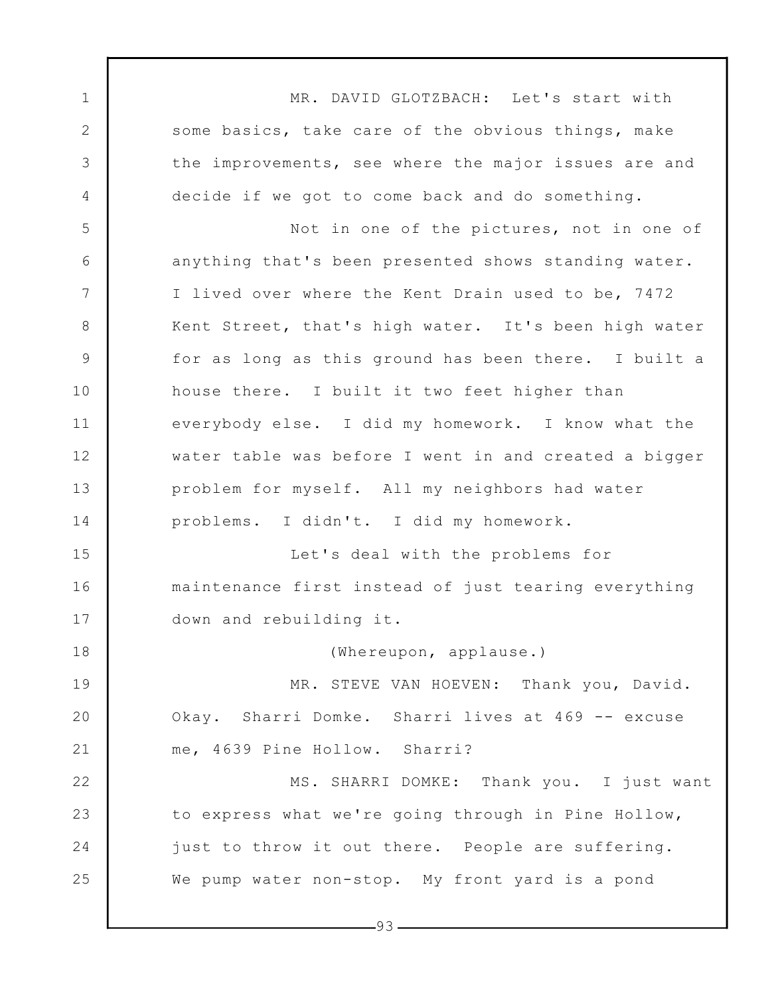1 2 3 4 5 6 7 8 9 10 11 12 13 14 15 16 17 18 19 20 21 22 23 24 25 MR. DAVID GLOTZBACH: Let's start with some basics, take care of the obvious things, make the improvements, see where the major issues are and decide if we got to come back and do something. Not in one of the pictures, not in one of anything that's been presented shows standing water. I lived over where the Kent Drain used to be, 7472 Kent Street, that's high water. It's been high water for as long as this ground has been there. I built a house there. I built it two feet higher than everybody else. I did my homework. I know what the water table was before I went in and created a bigger problem for myself. All my neighbors had water problems. I didn't. I did my homework. Let's deal with the problems for maintenance first instead of just tearing everything down and rebuilding it. (Whereupon, applause.) MR. STEVE VAN HOEVEN: Thank you, David. Okay. Sharri Domke. Sharri lives at 469 -- excuse me, 4639 Pine Hollow. Sharri? MS. SHARRI DOMKE: Thank you. I just want to express what we're going through in Pine Hollow, just to throw it out there. People are suffering. We pump water non-stop. My front yard is a pond

 $-93-$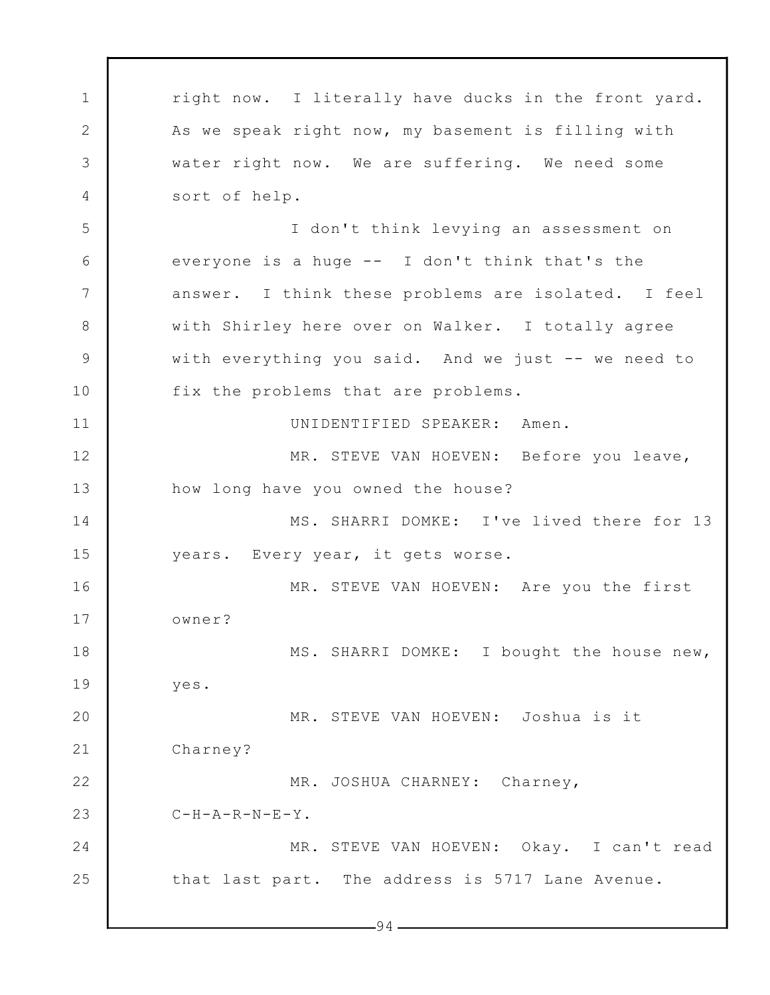1 2 3 4 5 6 7 8 9 10 11 12 13 14 15 16 17 18 19 20 21 22 23 24 25  $-94$ right now. I literally have ducks in the front yard. As we speak right now, my basement is filling with water right now. We are suffering. We need some sort of help. I don't think levying an assessment on everyone is a huge -- I don't think that's the answer. I think these problems are isolated. I feel with Shirley here over on Walker. I totally agree with everything you said. And we just -- we need to fix the problems that are problems. UNIDENTIFIED SPEAKER: Amen. MR. STEVE VAN HOEVEN: Before you leave, how long have you owned the house? MS. SHARRI DOMKE: I've lived there for 13 years. Every year, it gets worse. MR. STEVE VAN HOEVEN: Are you the first owner? MS. SHARRI DOMKE: I bought the house new, yes. MR. STEVE VAN HOEVEN: Joshua is it Charney? MR. JOSHUA CHARNEY: Charney,  $C-H-A-R-N-E-Y$ . MR. STEVE VAN HOEVEN: Okay. I can't read that last part. The address is 5717 Lane Avenue.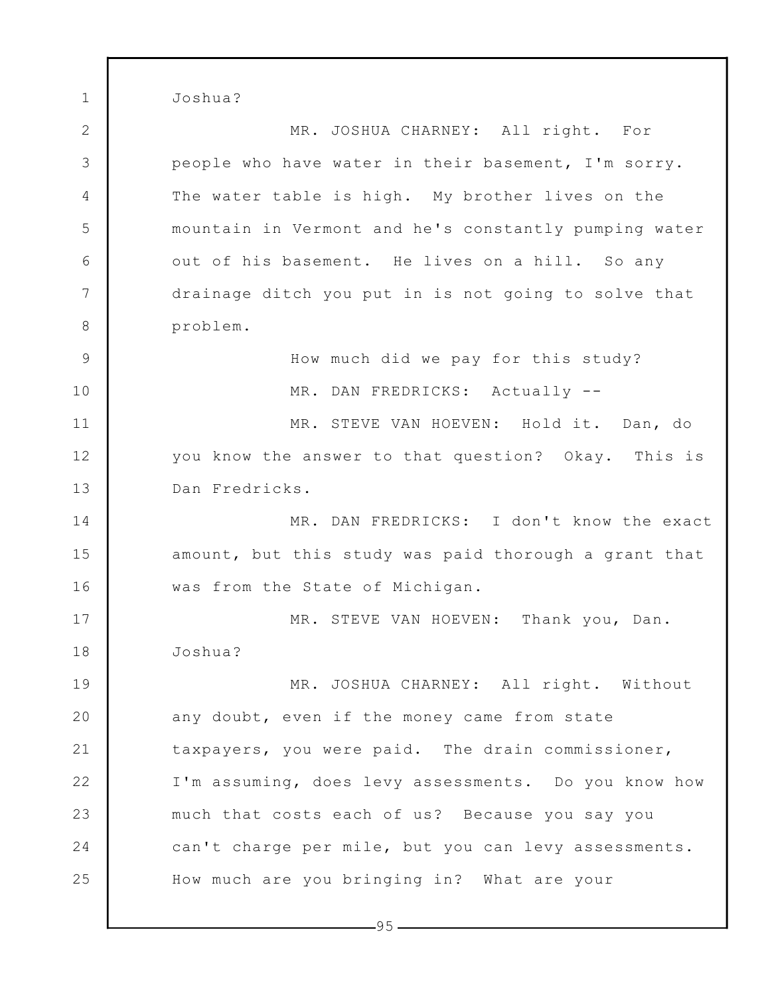Joshua?

1

2 3 4 5 6 7 8 9 10 11 12 13 14 15 16 17 18 19 20 21 22 23 24 25 MR. JOSHUA CHARNEY: All right. For people who have water in their basement, I'm sorry. The water table is high. My brother lives on the mountain in Vermont and he's constantly pumping water out of his basement. He lives on a hill. So any drainage ditch you put in is not going to solve that problem. How much did we pay for this study? MR. DAN FREDRICKS: Actually --MR. STEVE VAN HOEVEN: Hold it. Dan, do you know the answer to that question? Okay. This is Dan Fredricks. MR. DAN FREDRICKS: I don't know the exact amount, but this study was paid thorough a grant that was from the State of Michigan. MR. STEVE VAN HOEVEN: Thank you, Dan. Joshua? MR. JOSHUA CHARNEY: All right. Without any doubt, even if the money came from state taxpayers, you were paid. The drain commissioner, I'm assuming, does levy assessments. Do you know how much that costs each of us? Because you say you can't charge per mile, but you can levy assessments. How much are you bringing in? What are your

 $-95-$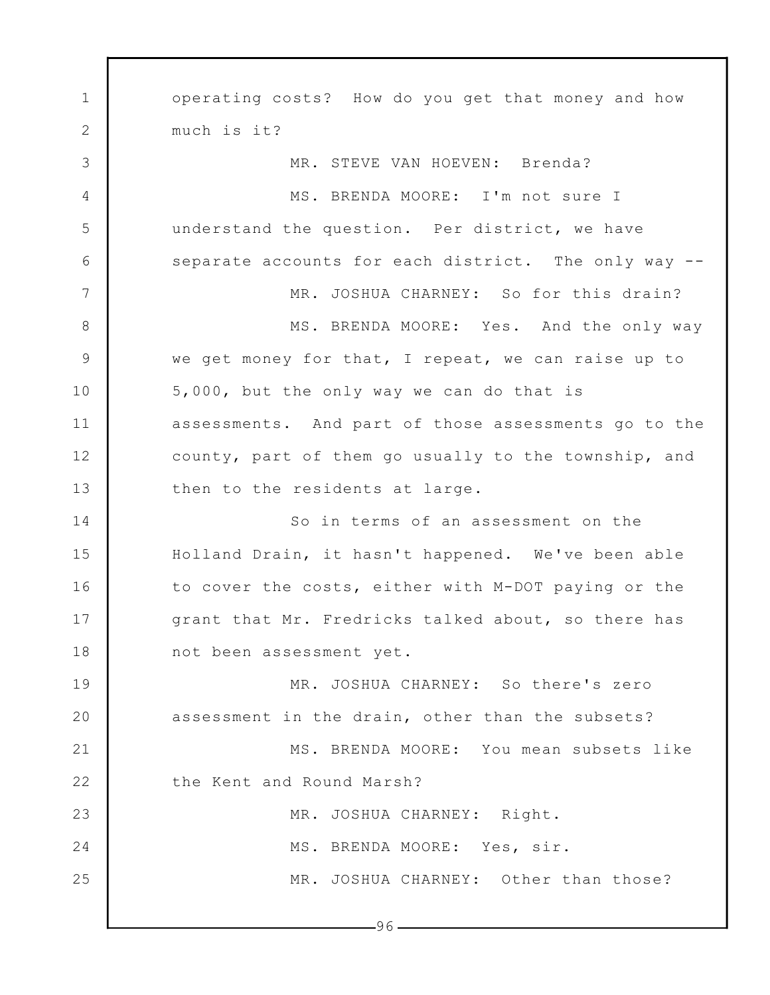1 2 3 4 5 6 7 8 9 10 11 12 13 14 15 16 17 18 19 20 21 22 23 24 25  $-96$ operating costs? How do you get that money and how much is it? MR. STEVE VAN HOEVEN: Brenda? MS. BRENDA MOORE: I'm not sure I understand the question. Per district, we have separate accounts for each district. The only way -- MR. JOSHUA CHARNEY: So for this drain? MS. BRENDA MOORE: Yes. And the only way we get money for that, I repeat, we can raise up to 5,000, but the only way we can do that is assessments. And part of those assessments go to the county, part of them go usually to the township, and then to the residents at large. So in terms of an assessment on the Holland Drain, it hasn't happened. We've been able to cover the costs, either with M-DOT paying or the grant that Mr. Fredricks talked about, so there has not been assessment yet. MR. JOSHUA CHARNEY: So there's zero assessment in the drain, other than the subsets? MS. BRENDA MOORE: You mean subsets like the Kent and Round Marsh? MR. JOSHUA CHARNEY: Right. MS. BRENDA MOORE: Yes, sir. MR. JOSHUA CHARNEY: Other than those?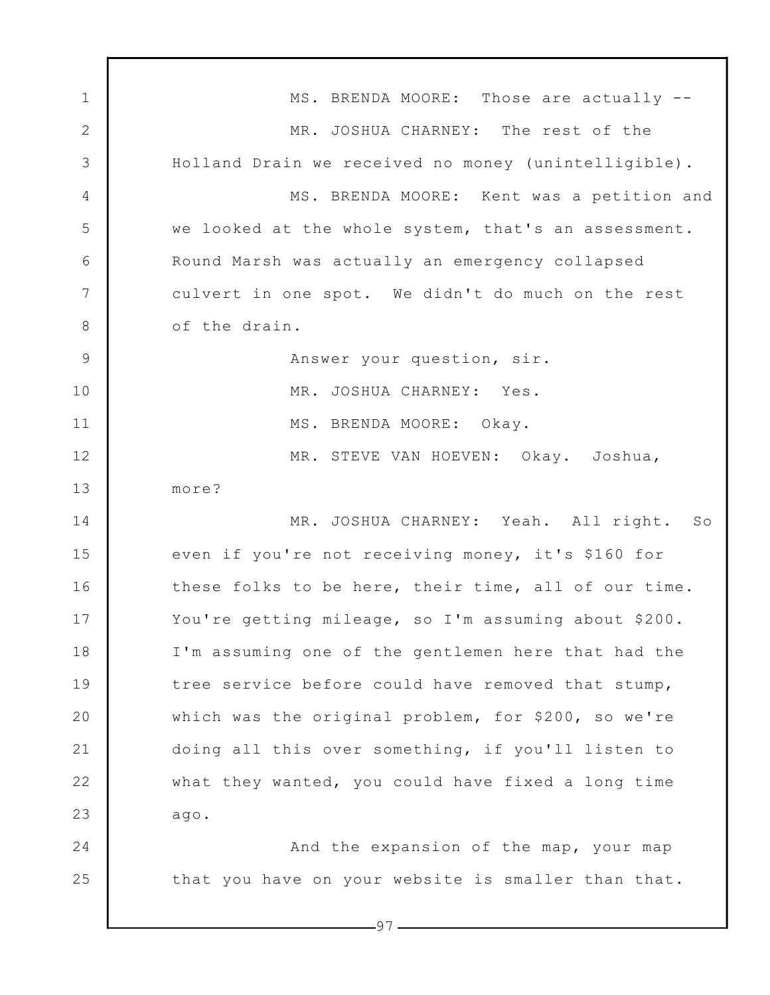1 2 3 4 5 6 7 8 9 10 11 12 13 14 15 16 17 18 19 20 21 22 23 24 25  $-97-$ MS. BRENDA MOORE: Those are actually -- MR. JOSHUA CHARNEY: The rest of the Holland Drain we received no money (unintelligible). MS. BRENDA MOORE: Kent was a petition and we looked at the whole system, that's an assessment. Round Marsh was actually an emergency collapsed culvert in one spot. We didn't do much on the rest of the drain. Answer your question, sir. MR. JOSHUA CHARNEY: Yes. MS. BRENDA MOORE: Okay. MR. STEVE VAN HOEVEN: Okay. Joshua, more? MR. JOSHUA CHARNEY: Yeah. All right. So even if you're not receiving money, it's \$160 for these folks to be here, their time, all of our time. You're getting mileage, so I'm assuming about \$200. I'm assuming one of the gentlemen here that had the tree service before could have removed that stump, which was the original problem, for \$200, so we're doing all this over something, if you'll listen to what they wanted, you could have fixed a long time ago. And the expansion of the map, your map that you have on your website is smaller than that.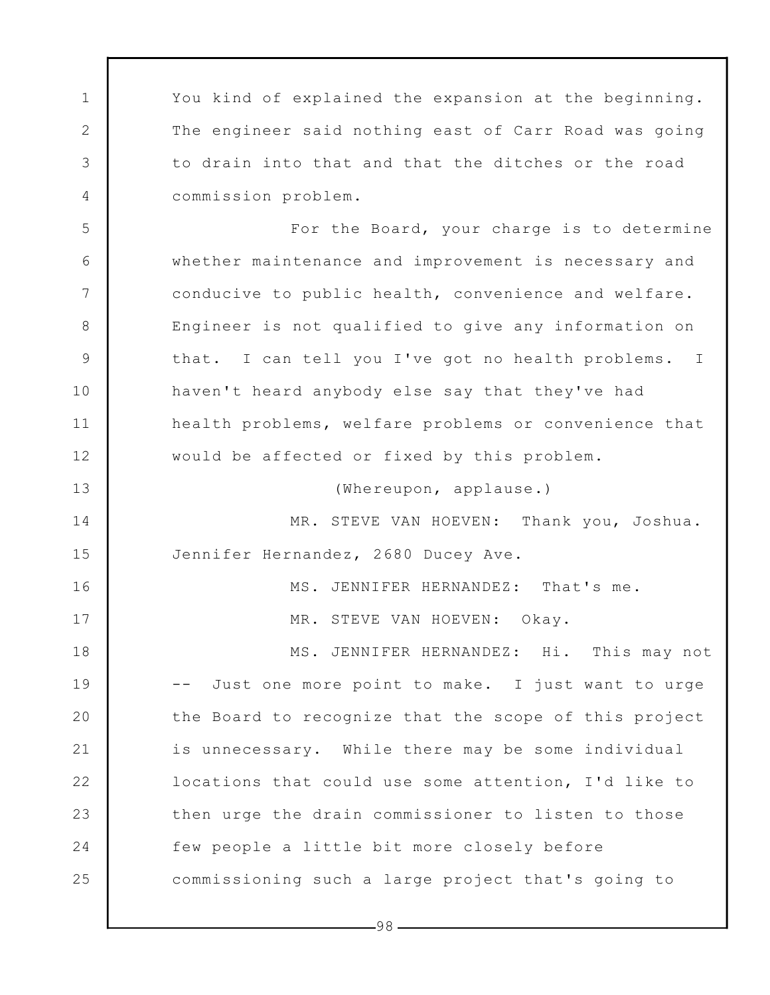You kind of explained the expansion at the beginning. The engineer said nothing east of Carr Road was going to drain into that and that the ditches or the road commission problem.

1

2

3

4

5

6

7

8

9

10

11

12

13

14

15

16

17

For the Board, your charge is to determine whether maintenance and improvement is necessary and conducive to public health, convenience and welfare. Engineer is not qualified to give any information on that. I can tell you I've got no health problems. I haven't heard anybody else say that they've had health problems, welfare problems or convenience that would be affected or fixed by this problem.

(Whereupon, applause.)

MR. STEVE VAN HOEVEN: Thank you, Joshua. Jennifer Hernandez, 2680 Ducey Ave.

MS. JENNIFER HERNANDEZ: That's me.

MR. STEVE VAN HOEVEN: Okay.

18 19 20 21 22 23 24 25 MS. JENNIFER HERNANDEZ: Hi. This may not -- Just one more point to make. I just want to urge the Board to recognize that the scope of this project is unnecessary. While there may be some individual locations that could use some attention, I'd like to then urge the drain commissioner to listen to those few people a little bit more closely before commissioning such a large project that's going to

-98 -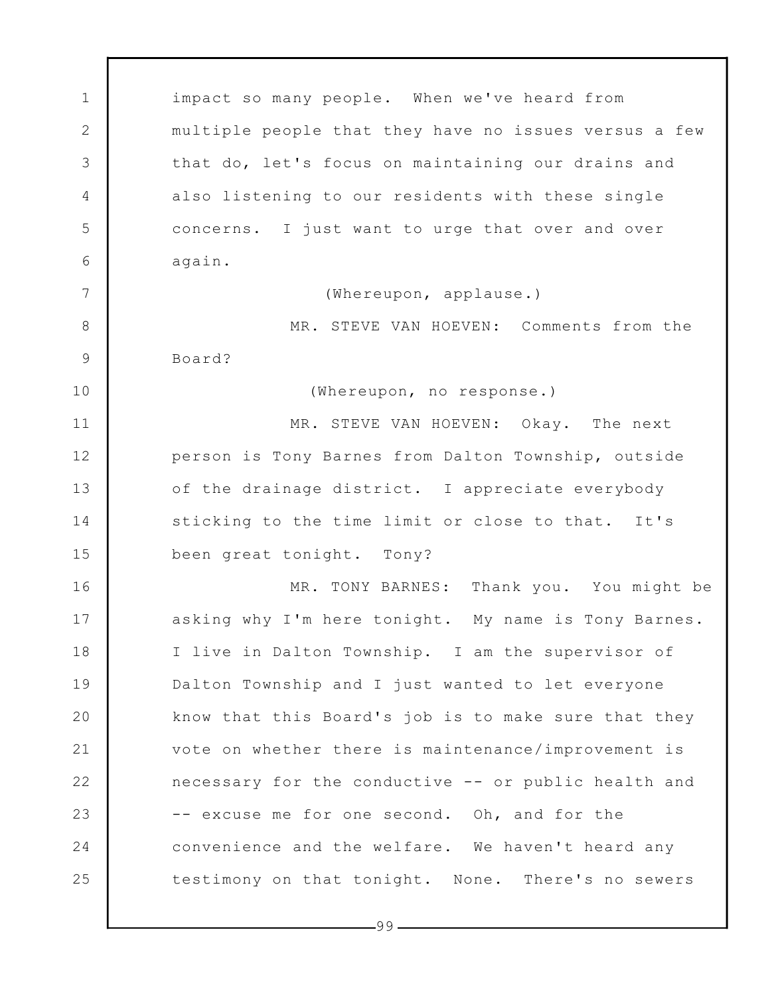1 2 3 4 5 6 7 8 9 10 11 12 13 14 15 16 17 18 19 20 21 22 23 24 25 impact so many people. When we've heard from multiple people that they have no issues versus a few that do, let's focus on maintaining our drains and also listening to our residents with these single concerns. I just want to urge that over and over again. (Whereupon, applause.) MR. STEVE VAN HOEVEN: Comments from the Board? (Whereupon, no response.) MR. STEVE VAN HOEVEN: Okay. The next person is Tony Barnes from Dalton Township, outside of the drainage district. I appreciate everybody sticking to the time limit or close to that. It's been great tonight. Tony? MR. TONY BARNES: Thank you. You might be asking why I'm here tonight. My name is Tony Barnes. I live in Dalton Township. I am the supervisor of Dalton Township and I just wanted to let everyone know that this Board's job is to make sure that they vote on whether there is maintenance/improvement is necessary for the conductive -- or public health and -- excuse me for one second. Oh, and for the convenience and the welfare. We haven't heard any testimony on that tonight. None. There's no sewers

 $-99-$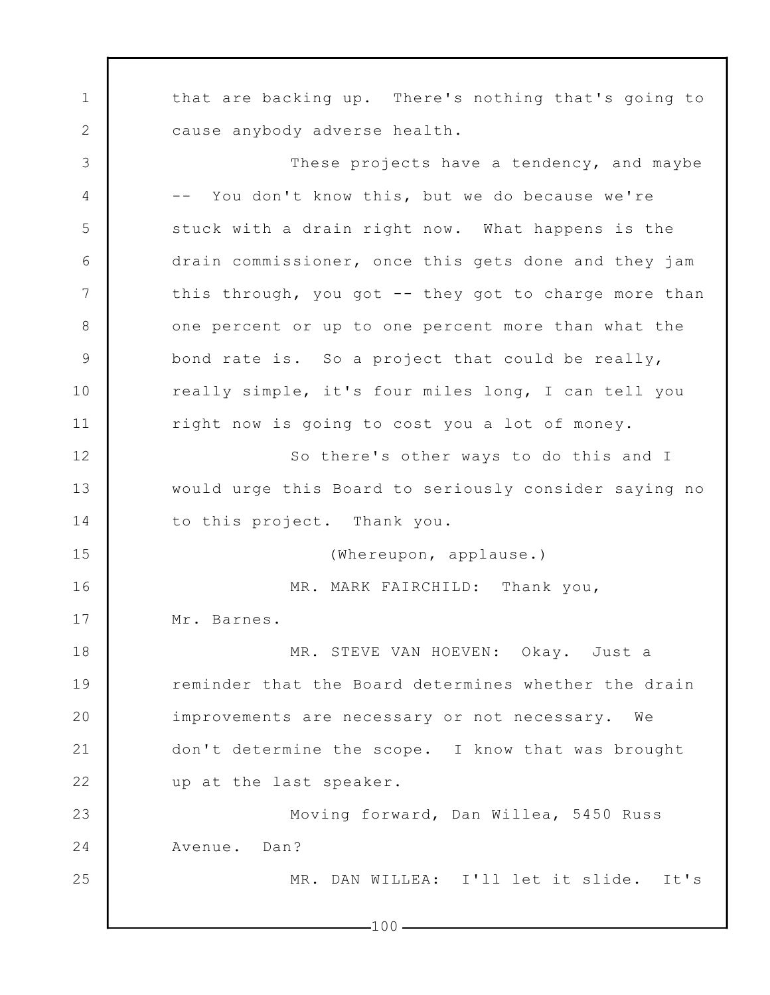1 2 3 4 5 6 7 8 9 10 11 12 13 14 15 16 17 18 19 20 21 22 23 24 25 that are backing up. There's nothing that's going to cause anybody adverse health. These projects have a tendency, and maybe -- You don't know this, but we do because we're stuck with a drain right now. What happens is the drain commissioner, once this gets done and they jam this through, you got -- they got to charge more than one percent or up to one percent more than what the bond rate is. So a project that could be really, really simple, it's four miles long, I can tell you right now is going to cost you a lot of money. So there's other ways to do this and I would urge this Board to seriously consider saying no to this project. Thank you. (Whereupon, applause.) MR. MARK FAIRCHILD: Thank you, Mr. Barnes. MR. STEVE VAN HOEVEN: Okay. Just a reminder that the Board determines whether the drain improvements are necessary or not necessary. We don't determine the scope. I know that was brought up at the last speaker. Moving forward, Dan Willea, 5450 Russ Avenue. Dan? MR. DAN WILLEA: I'll let it slide. It's

 $-100-$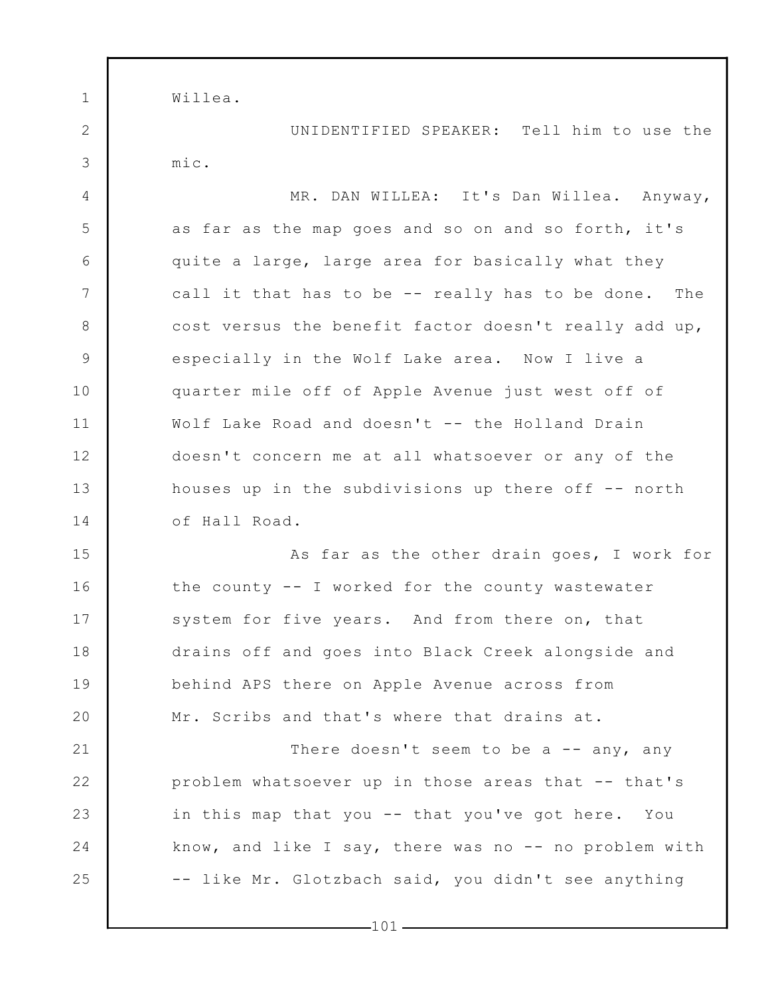Willea.

1

2

3

4

5

6

7

8

9

10

11

12

13

14

15

16

17

18

19

20

21

22

23

24

25

UNIDENTIFIED SPEAKER: Tell him to use the mic.

MR. DAN WILLEA: It's Dan Willea. Anyway, as far as the map goes and so on and so forth, it's quite a large, large area for basically what they call it that has to be -- really has to be done. The cost versus the benefit factor doesn't really add up, especially in the Wolf Lake area. Now I live a quarter mile off of Apple Avenue just west off of Wolf Lake Road and doesn't -- the Holland Drain doesn't concern me at all whatsoever or any of the houses up in the subdivisions up there off  $-$ - north of Hall Road.

As far as the other drain goes, I work for the county -- I worked for the county wastewater system for five years. And from there on, that drains off and goes into Black Creek alongside and behind APS there on Apple Avenue across from Mr. Scribs and that's where that drains at.

There doesn't seem to be a  $-$  any, any problem whatsoever up in those areas that -- that's in this map that you -- that you've got here. You know, and like I say, there was no  $--$  no problem with -- like Mr. Glotzbach said, you didn't see anything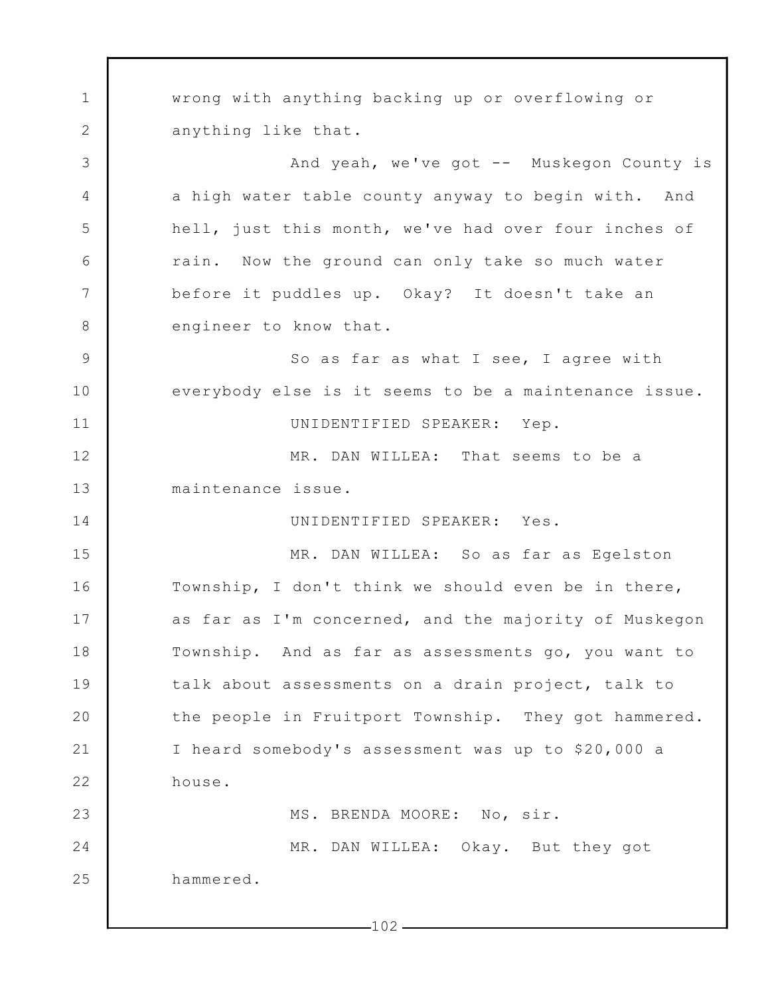1 2 3 4 5 6 7 8 9 10 11 12 13 14 15 16 17 18 19 20 21 22 23 24 25 wrong with anything backing up or overflowing or anything like that. And yeah, we've got -- Muskegon County is a high water table county anyway to begin with. And hell, just this month, we've had over four inches of rain. Now the ground can only take so much water before it puddles up. Okay? It doesn't take an engineer to know that. So as far as what I see, I agree with everybody else is it seems to be a maintenance issue. UNIDENTIFIED SPEAKER: Yep. MR. DAN WILLEA: That seems to be a maintenance issue. UNIDENTIFIED SPEAKER: Yes. MR. DAN WILLEA: So as far as Egelston Township, I don't think we should even be in there, as far as I'm concerned, and the majority of Muskegon Township. And as far as assessments go, you want to talk about assessments on a drain project, talk to the people in Fruitport Township. They got hammered. I heard somebody's assessment was up to \$20,000 a house. MS. BRENDA MOORE: No, sir. MR. DAN WILLEA: Okay. But they got hammered.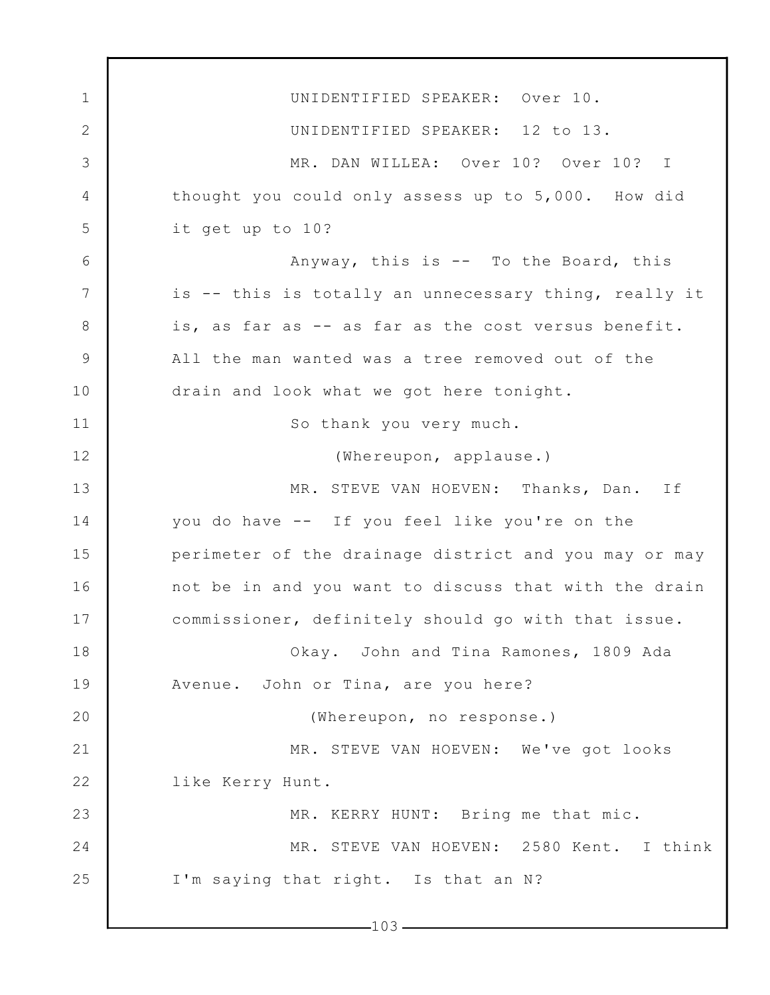1 2 3 4 5 6 7 8 9 10 11 12 13 14 15 16 17 18 19 20 21 22 23 24 25  $-103-$ UNIDENTIFIED SPEAKER: Over 10. UNIDENTIFIED SPEAKER: 12 to 13. MR. DAN WILLEA: Over 10? Over 10? I thought you could only assess up to 5,000. How did it get up to 10? Anyway, this is -- To the Board, this is -- this is totally an unnecessary thing, really it is, as far as -- as far as the cost versus benefit. All the man wanted was a tree removed out of the drain and look what we got here tonight. So thank you very much. (Whereupon, applause.) MR. STEVE VAN HOEVEN: Thanks, Dan. If you do have -- If you feel like you're on the perimeter of the drainage district and you may or may not be in and you want to discuss that with the drain commissioner, definitely should go with that issue. Okay. John and Tina Ramones, 1809 Ada Avenue. John or Tina, are you here? (Whereupon, no response.) MR. STEVE VAN HOEVEN: We've got looks like Kerry Hunt. MR. KERRY HUNT: Bring me that mic. MR. STEVE VAN HOEVEN: 2580 Kent. I think I'm saying that right. Is that an N?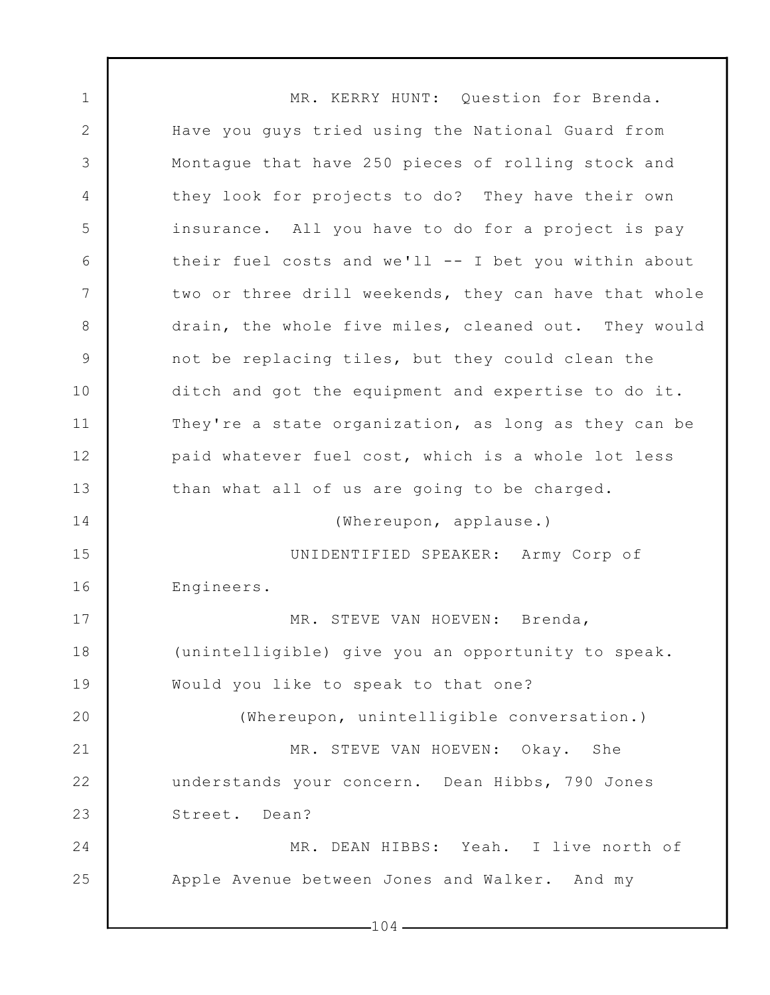1 2 3 4 5 6 7 8 9 10 11 12 13 14 15 16 17 18 19 20 21 22 23 24 25  $-104-$ MR. KERRY HUNT: Question for Brenda. Have you guys tried using the National Guard from Montague that have 250 pieces of rolling stock and they look for projects to do? They have their own insurance. All you have to do for a project is pay their fuel costs and we'll -- I bet you within about two or three drill weekends, they can have that whole drain, the whole five miles, cleaned out. They would not be replacing tiles, but they could clean the ditch and got the equipment and expertise to do it. They're a state organization, as long as they can be paid whatever fuel cost, which is a whole lot less than what all of us are going to be charged. (Whereupon, applause.) UNIDENTIFIED SPEAKER: Army Corp of Engineers. MR. STEVE VAN HOEVEN: Brenda, (unintelligible) give you an opportunity to speak. Would you like to speak to that one? (Whereupon, unintelligible conversation.) MR. STEVE VAN HOEVEN: Okay. She understands your concern. Dean Hibbs, 790 Jones Street. Dean? MR. DEAN HIBBS: Yeah. I live north of Apple Avenue between Jones and Walker. And my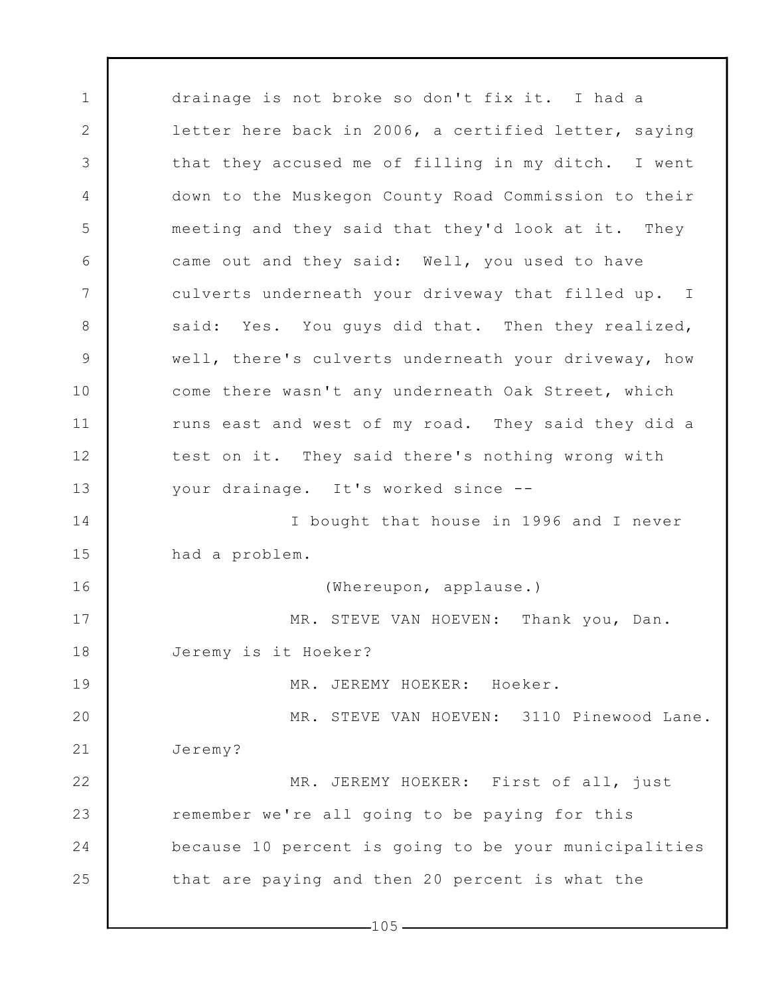1 2 3 4 5 6 7 8 9 10 11 12 13 14 15 16 17 18 19 20 21 22 23 24 25 drainage is not broke so don't fix it. I had a letter here back in 2006, a certified letter, saying that they accused me of filling in my ditch. I went down to the Muskegon County Road Commission to their meeting and they said that they'd look at it. They came out and they said: Well, you used to have culverts underneath your driveway that filled up. I said: Yes. You guys did that. Then they realized, well, there's culverts underneath your driveway, how come there wasn't any underneath Oak Street, which runs east and west of my road. They said they did a test on it. They said there's nothing wrong with your drainage. It's worked since -- I bought that house in 1996 and I never had a problem. (Whereupon, applause.) MR. STEVE VAN HOEVEN: Thank you, Dan. Jeremy is it Hoeker? MR. JEREMY HOEKER: Hoeker. MR. STEVE VAN HOEVEN: 3110 Pinewood Lane. Jeremy? MR. JEREMY HOEKER: First of all, just remember we're all going to be paying for this because 10 percent is going to be your municipalities that are paying and then 20 percent is what the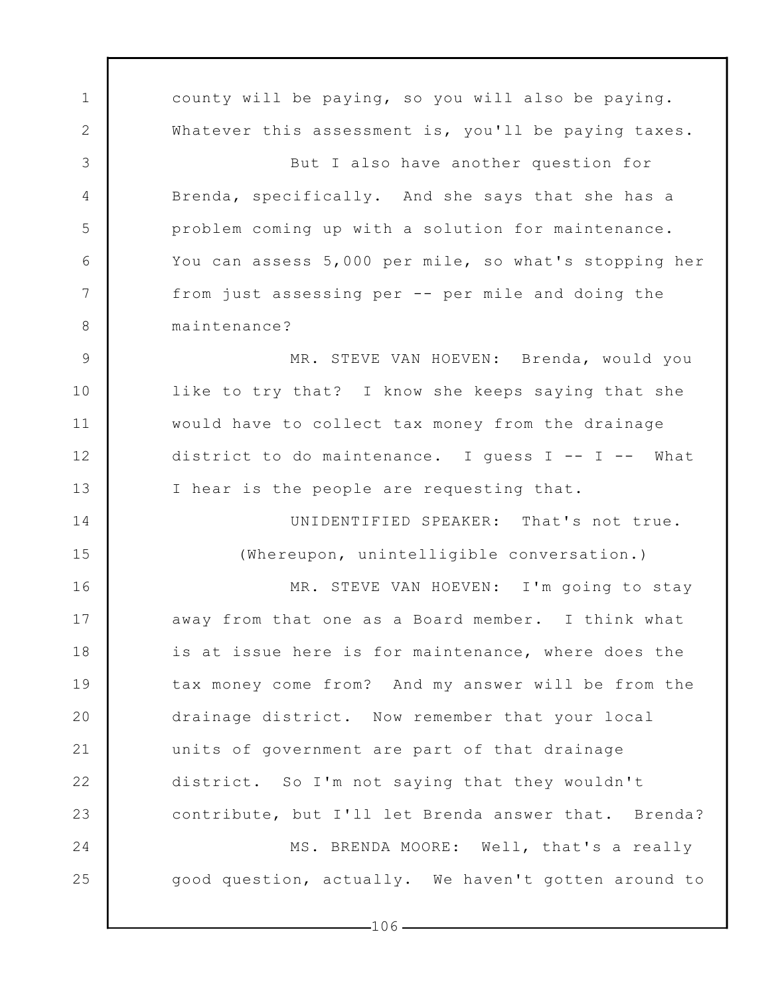1 2 3 4 5 6 7 8 9 10 11 12 13 14 15 16 17 18 19 20 21 22 23 24 25 county will be paying, so you will also be paying. Whatever this assessment is, you'll be paying taxes. But I also have another question for Brenda, specifically. And she says that she has a problem coming up with a solution for maintenance. You can assess 5,000 per mile, so what's stopping her from just assessing per -- per mile and doing the maintenance? MR. STEVE VAN HOEVEN: Brenda, would you like to try that? I know she keeps saying that she would have to collect tax money from the drainage district to do maintenance. I guess I -- I -- What I hear is the people are requesting that. UNIDENTIFIED SPEAKER: That's not true. (Whereupon, unintelligible conversation.) MR. STEVE VAN HOEVEN: I'm going to stay away from that one as a Board member. I think what is at issue here is for maintenance, where does the tax money come from? And my answer will be from the drainage district. Now remember that your local units of government are part of that drainage district. So I'm not saying that they wouldn't contribute, but I'll let Brenda answer that. Brenda? MS. BRENDA MOORE: Well, that's a really good question, actually. We haven't gotten around to

 $-106-$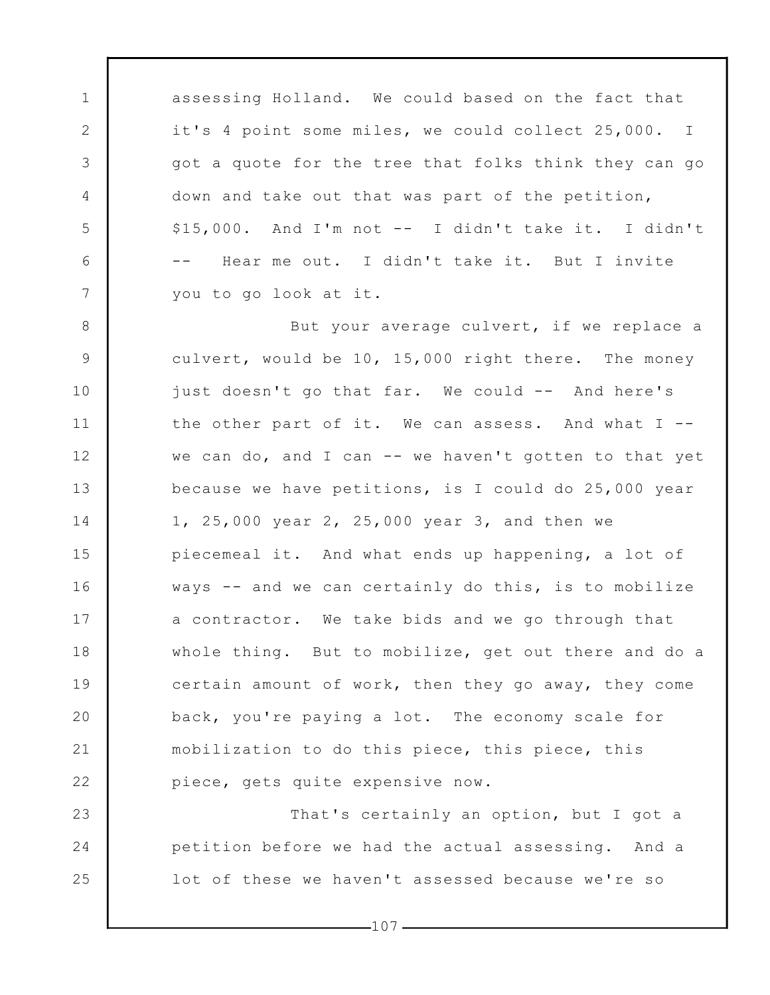assessing Holland. We could based on the fact that it's 4 point some miles, we could collect 25,000. I got a quote for the tree that folks think they can go down and take out that was part of the petition, \$15,000. And I'm not -- I didn't take it. I didn't -- Hear me out. I didn't take it. But I invite you to go look at it.

1

2

3

4

5

6

7

23

24

25

8 9 10 11 12 13 14 15 16 17 18 19 20 21 22 But your average culvert, if we replace a culvert, would be 10, 15,000 right there. The money just doesn't go that far. We could -- And here's the other part of it. We can assess. And what I - we can do, and I can -- we haven't gotten to that yet because we have petitions, is I could do 25,000 year 1, 25,000 year 2, 25,000 year 3, and then we piecemeal it. And what ends up happening, a lot of ways -- and we can certainly do this, is to mobilize a contractor. We take bids and we go through that whole thing. But to mobilize, get out there and do a certain amount of work, then they go away, they come back, you're paying a lot. The economy scale for mobilization to do this piece, this piece, this piece, gets quite expensive now.

That's certainly an option, but I got a petition before we had the actual assessing. And a lot of these we haven't assessed because we're so

 $-107-$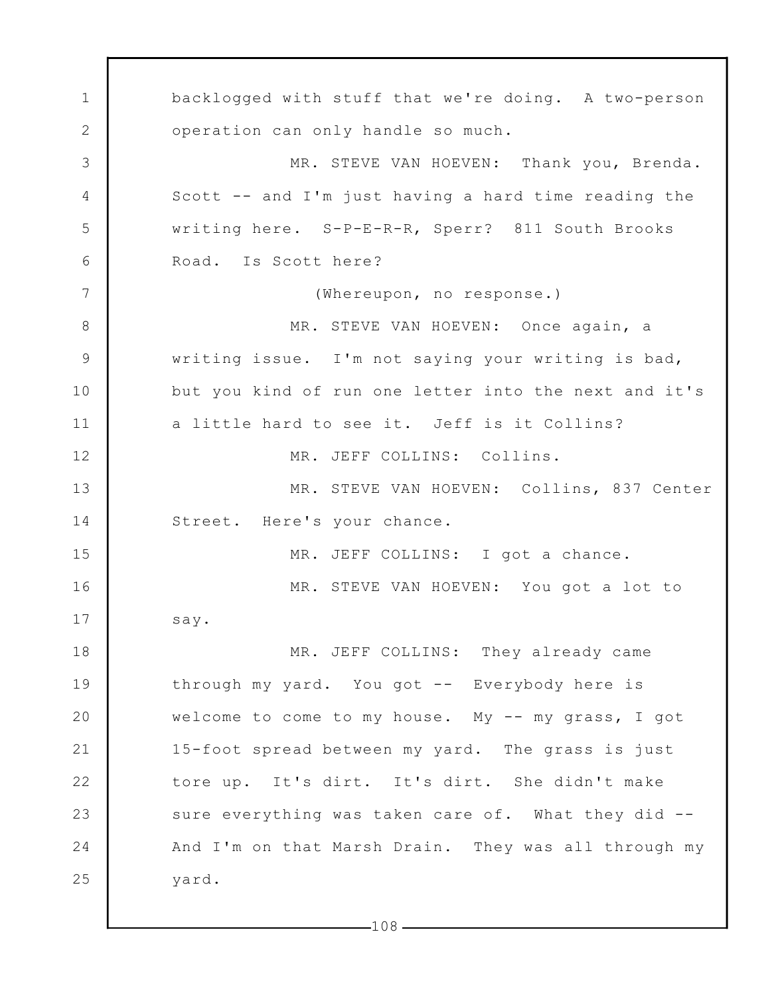1 2 3 4 5 6 7 8 9 10 11 12 13 14 15 16 17 18 19 20 21 22 23 24 25 backlogged with stuff that we're doing. A two-person operation can only handle so much. MR. STEVE VAN HOEVEN: Thank you, Brenda. Scott -- and I'm just having a hard time reading the writing here. S-P-E-R-R, Sperr? 811 South Brooks Road. Is Scott here? (Whereupon, no response.) MR. STEVE VAN HOEVEN: Once again, a writing issue. I'm not saying your writing is bad, but you kind of run one letter into the next and it's a little hard to see it. Jeff is it Collins? MR. JEFF COLLINS: Collins. MR. STEVE VAN HOEVEN: Collins, 837 Center Street. Here's your chance. MR. JEFF COLLINS: I got a chance. MR. STEVE VAN HOEVEN: You got a lot to say. MR. JEFF COLLINS: They already came through my yard. You got -- Everybody here is welcome to come to my house. My -- my grass, I got 15-foot spread between my yard. The grass is just tore up. It's dirt. It's dirt. She didn't make sure everything was taken care of. What they did --And I'm on that Marsh Drain. They was all through my yard.

 $-108-$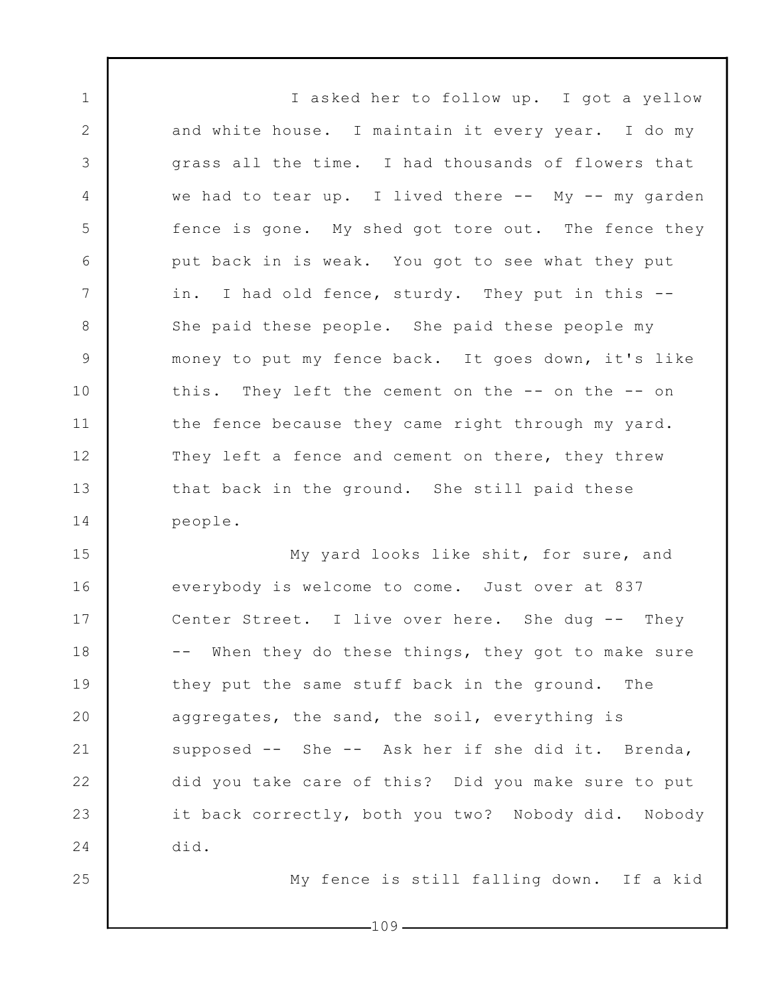I asked her to follow up. I got a yellow and white house. I maintain it every year. I do my grass all the time. I had thousands of flowers that we had to tear up. I lived there  $--$  My  $--$  my garden fence is gone. My shed got tore out. The fence they put back in is weak. You got to see what they put in. I had old fence, sturdy. They put in this -- She paid these people. She paid these people my money to put my fence back. It goes down, it's like this. They left the cement on the -- on the -- on the fence because they came right through my yard. They left a fence and cement on there, they threw that back in the ground. She still paid these people.

1

2

3

4

5

6

7

8

9

10

11

12

13

14

25

15 16 17 18 19 20 21 22 23 24 My yard looks like shit, for sure, and everybody is welcome to come. Just over at 837 Center Street. I live over here. She dug -- They -- When they do these things, they got to make sure they put the same stuff back in the ground. The aggregates, the sand, the soil, everything is supposed -- She -- Ask her if she did it. Brenda, did you take care of this? Did you make sure to put it back correctly, both you two? Nobody did. Nobody did.

My fence is still falling down. If a kid

 $-109-$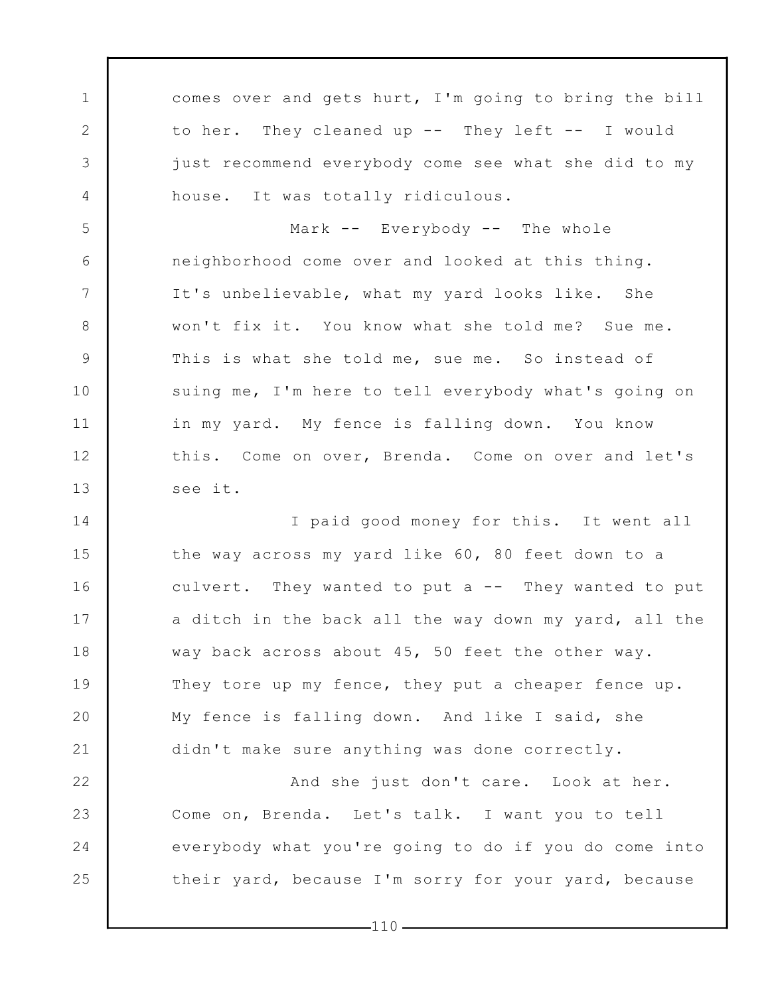comes over and gets hurt, I'm going to bring the bill to her. They cleaned up -- They left -- I would just recommend everybody come see what she did to my house. It was totally ridiculous.

1

2

3

4

5

6

7

8

9

10

11

12

13

14

15

16

17

18

20

21

Mark -- Everybody -- The whole neighborhood come over and looked at this thing. It's unbelievable, what my yard looks like. She won't fix it. You know what she told me? Sue me. This is what she told me, sue me. So instead of suing me, I'm here to tell everybody what's going on in my yard. My fence is falling down. You know this. Come on over, Brenda. Come on over and let's see it.

19 I paid good money for this. It went all the way across my yard like 60, 80 feet down to a culvert. They wanted to put a -- They wanted to put a ditch in the back all the way down my yard, all the way back across about 45, 50 feet the other way. They tore up my fence, they put a cheaper fence up. My fence is falling down. And like I said, she didn't make sure anything was done correctly.

22 23 24 25 And she just don't care. Look at her. Come on, Brenda. Let's talk. I want you to tell everybody what you're going to do if you do come into their yard, because I'm sorry for your yard, because

 $-110-$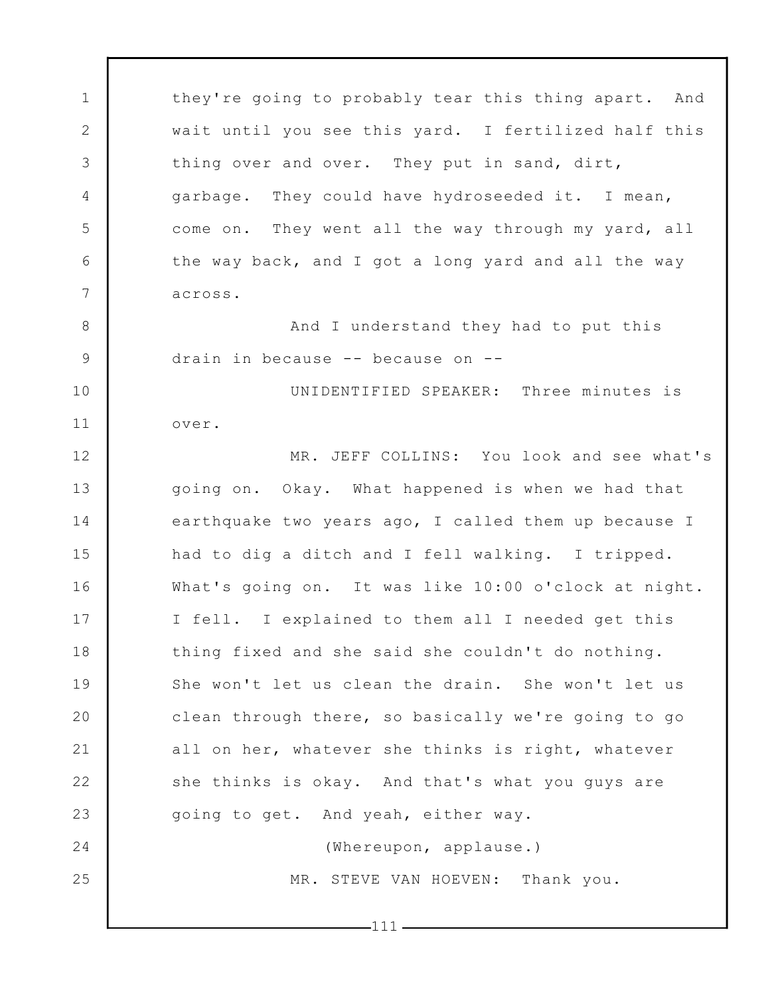1 2 3 4 5 6 7 8 9 10 11 12 13 14 15 16 17 18 19 20 21 22 23 24 25 they're going to probably tear this thing apart. And wait until you see this yard. I fertilized half this thing over and over. They put in sand, dirt, garbage. They could have hydroseeded it. I mean, come on. They went all the way through my yard, all the way back, and I got a long yard and all the way across. And I understand they had to put this drain in because -- because on -- UNIDENTIFIED SPEAKER: Three minutes is over. MR. JEFF COLLINS: You look and see what's going on. Okay. What happened is when we had that earthquake two years ago, I called them up because I had to dig a ditch and I fell walking. I tripped. What's going on. It was like 10:00 o'clock at night. I fell. I explained to them all I needed get this thing fixed and she said she couldn't do nothing. She won't let us clean the drain. She won't let us clean through there, so basically we're going to go all on her, whatever she thinks is right, whatever she thinks is okay. And that's what you guys are going to get. And yeah, either way. (Whereupon, applause.) MR. STEVE VAN HOEVEN: Thank you.

 $-111-$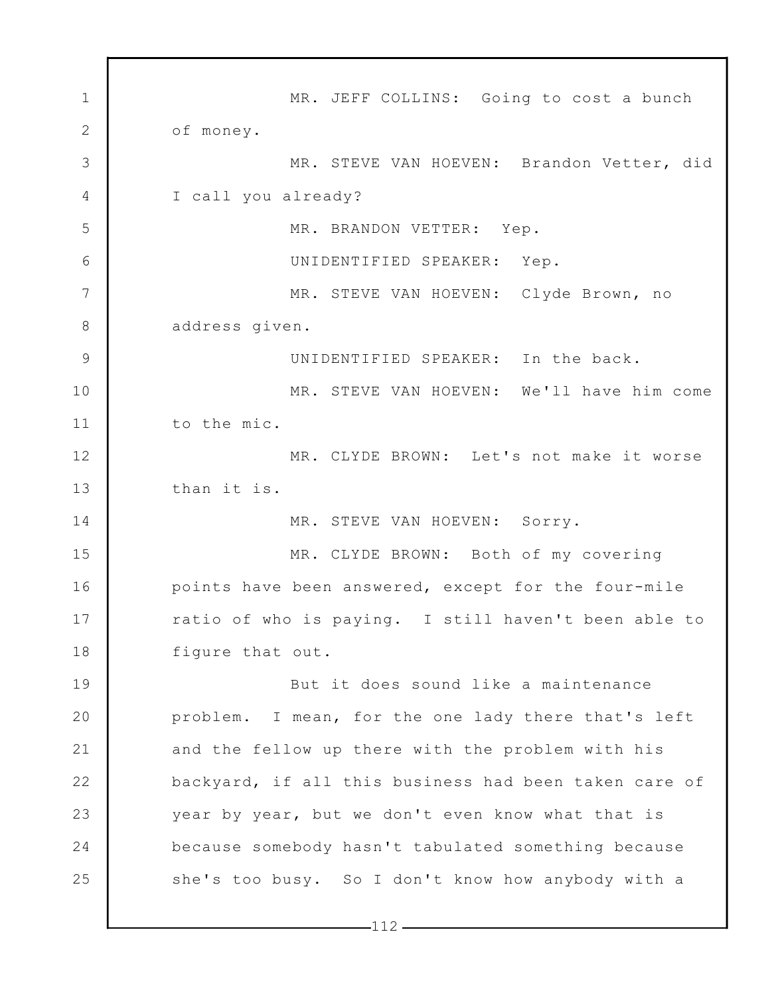1 2 3 4 5 6 7 8 9 10 11 12 13 14 15 16 17 18 19 20 21 22 23 24 25 MR. JEFF COLLINS: Going to cost a bunch of money. MR. STEVE VAN HOEVEN: Brandon Vetter, did I call you already? MR. BRANDON VETTER: Yep. UNIDENTIFIED SPEAKER: Yep. MR. STEVE VAN HOEVEN: Clyde Brown, no address given. UNIDENTIFIED SPEAKER: In the back. MR. STEVE VAN HOEVEN: We'll have him come to the mic. MR. CLYDE BROWN: Let's not make it worse than it is. MR. STEVE VAN HOEVEN: Sorry. MR. CLYDE BROWN: Both of my covering points have been answered, except for the four-mile ratio of who is paying. I still haven't been able to figure that out. But it does sound like a maintenance problem. I mean, for the one lady there that's left and the fellow up there with the problem with his backyard, if all this business had been taken care of year by year, but we don't even know what that is because somebody hasn't tabulated something because she's too busy. So I don't know how anybody with a

 $-112-$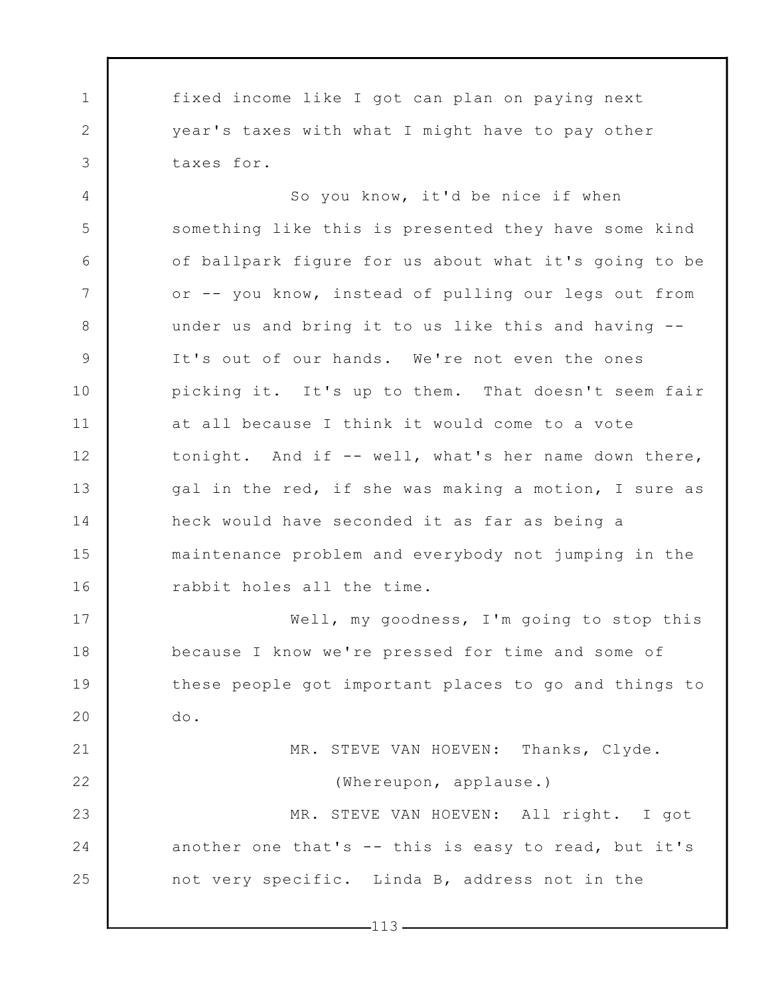1 2 3 fixed income like I got can plan on paying next year's taxes with what I might have to pay other taxes for.

4 5 6 7 8 9 10 11 12 13 14 15 16 So you know, it'd be nice if when something like this is presented they have some kind of ballpark figure for us about what it's going to be or -- you know, instead of pulling our legs out from under us and bring it to us like this and having -- It's out of our hands. We're not even the ones picking it. It's up to them. That doesn't seem fair at all because I think it would come to a vote tonight. And if -- well, what's her name down there, gal in the red, if she was making a motion, I sure as heck would have seconded it as far as being a maintenance problem and everybody not jumping in the rabbit holes all the time.

Well, my goodness, I'm going to stop this because I know we're pressed for time and some of these people got important places to go and things to do.

17

18

19

20

21 22 23 24 25 MR. STEVE VAN HOEVEN: Thanks, Clyde. (Whereupon, applause.) MR. STEVE VAN HOEVEN: All right. I got another one that's -- this is easy to read, but it's not very specific. Linda B, address not in the

 $-113-$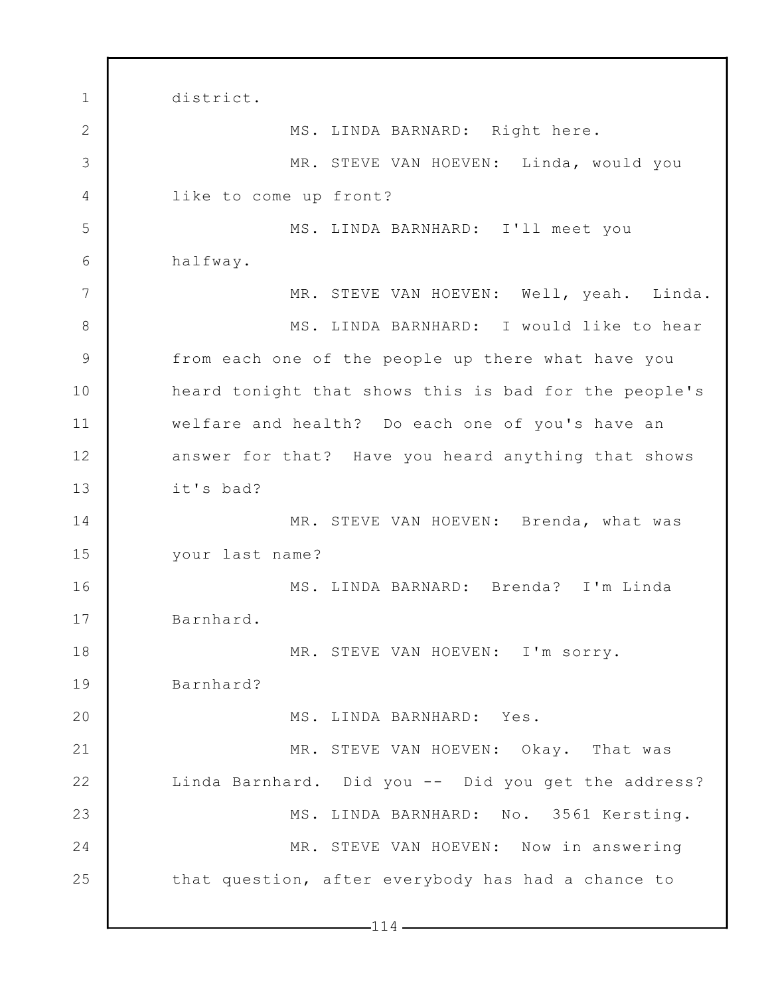1 2 3 4 5 6 7 8 9 10 11 12 13 14 15 16 17 18 19 20 21 22 23 24 25  $-114$ district. MS. LINDA BARNARD: Right here. MR. STEVE VAN HOEVEN: Linda, would you like to come up front? MS. LINDA BARNHARD: I'll meet you halfway. MR. STEVE VAN HOEVEN: Well, yeah. Linda. MS. LINDA BARNHARD: I would like to hear from each one of the people up there what have you heard tonight that shows this is bad for the people's welfare and health? Do each one of you's have an answer for that? Have you heard anything that shows it's bad? MR. STEVE VAN HOEVEN: Brenda, what was your last name? MS. LINDA BARNARD: Brenda? I'm Linda Barnhard. MR. STEVE VAN HOEVEN: I'm sorry. Barnhard? MS. LINDA BARNHARD: Yes. MR. STEVE VAN HOEVEN: Okay. That was Linda Barnhard. Did you -- Did you get the address? MS. LINDA BARNHARD: No. 3561 Kersting. MR. STEVE VAN HOEVEN: Now in answering that question, after everybody has had a chance to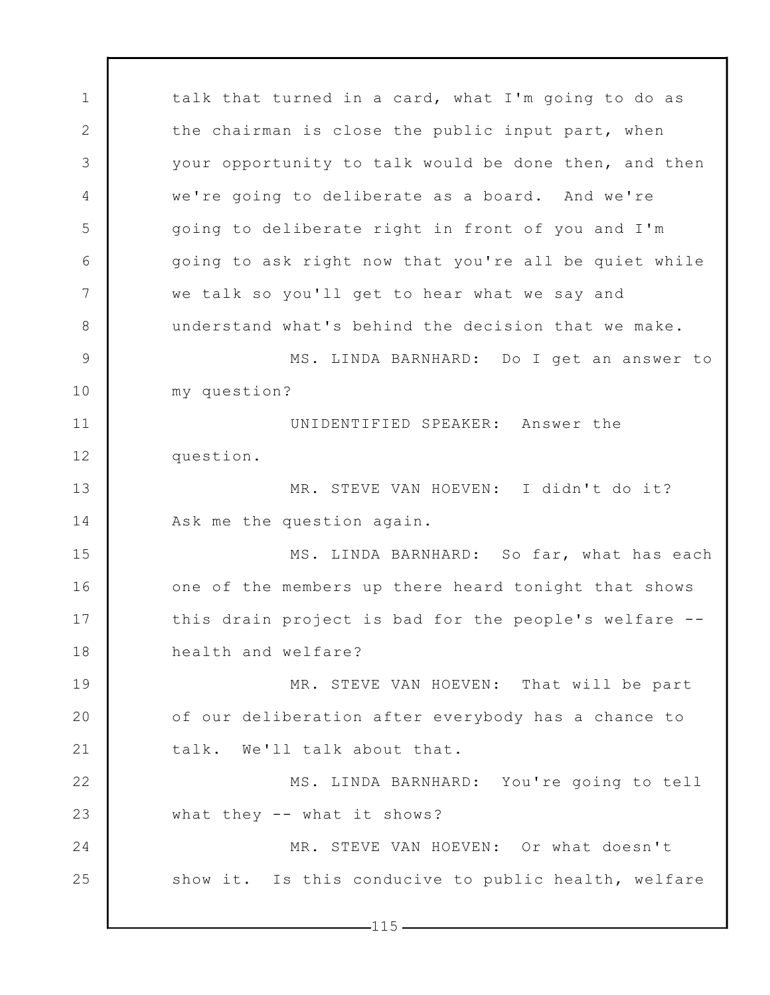1 2 3 4 5 6 7 8 9 10 11 12 13 14 15 16 17 18 19 20 21 22 23 24 25 talk that turned in a card, what I'm going to do as the chairman is close the public input part, when your opportunity to talk would be done then, and then we're going to deliberate as a board. And we're going to deliberate right in front of you and I'm going to ask right now that you're all be quiet while we talk so you'll get to hear what we say and understand what's behind the decision that we make. MS. LINDA BARNHARD: Do I get an answer to my question? UNIDENTIFIED SPEAKER: Answer the question. MR. STEVE VAN HOEVEN: I didn't do it? Ask me the question again. MS. LINDA BARNHARD: So far, what has each one of the members up there heard tonight that shows this drain project is bad for the people's welfare - health and welfare? MR. STEVE VAN HOEVEN: That will be part of our deliberation after everybody has a chance to talk. We'll talk about that. MS. LINDA BARNHARD: You're going to tell what they -- what it shows? MR. STEVE VAN HOEVEN: Or what doesn't show it. Is this conducive to public health, welfare

 $-115-$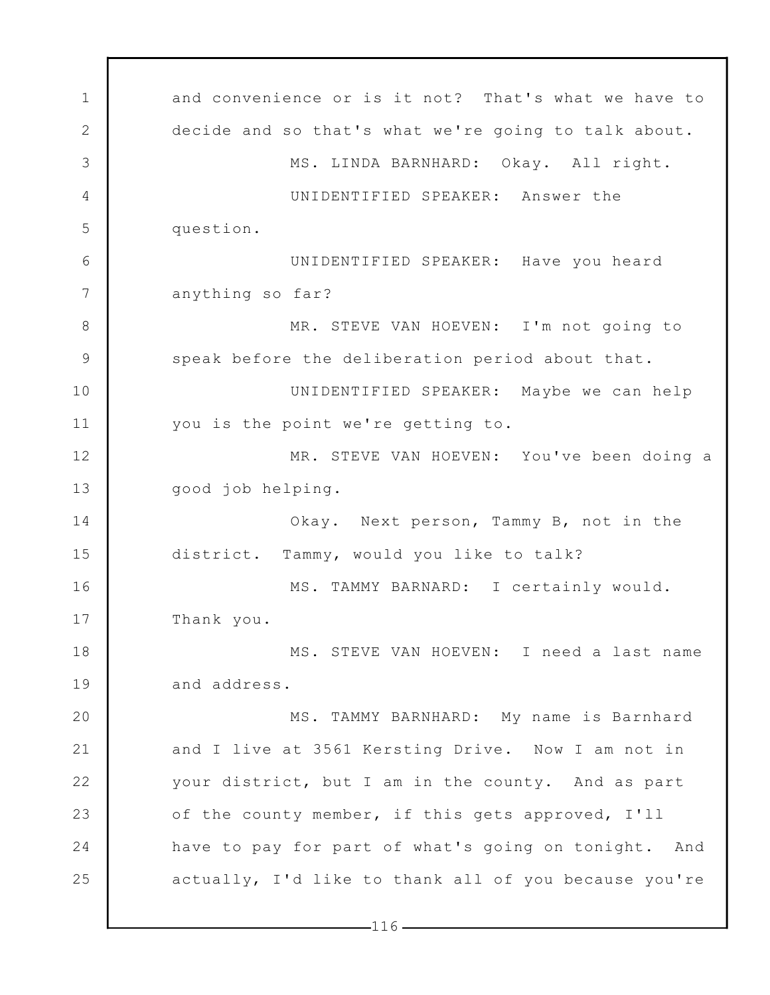1 2 3 4 5 6 7 8 9 10 11 12 13 14 15 16 17 18 19 20 21 22 23 24 25 and convenience or is it not? That's what we have to decide and so that's what we're going to talk about. MS. LINDA BARNHARD: Okay. All right. UNIDENTIFIED SPEAKER: Answer the question. UNIDENTIFIED SPEAKER: Have you heard anything so far? MR. STEVE VAN HOEVEN: I'm not going to speak before the deliberation period about that. UNIDENTIFIED SPEAKER: Maybe we can help you is the point we're getting to. MR. STEVE VAN HOEVEN: You've been doing a good job helping. Okay. Next person, Tammy B, not in the district. Tammy, would you like to talk? MS. TAMMY BARNARD: I certainly would. Thank you. MS. STEVE VAN HOEVEN: I need a last name and address. MS. TAMMY BARNHARD: My name is Barnhard and I live at 3561 Kersting Drive. Now I am not in your district, but I am in the county. And as part of the county member, if this gets approved, I'll have to pay for part of what's going on tonight. And actually, I'd like to thank all of you because you're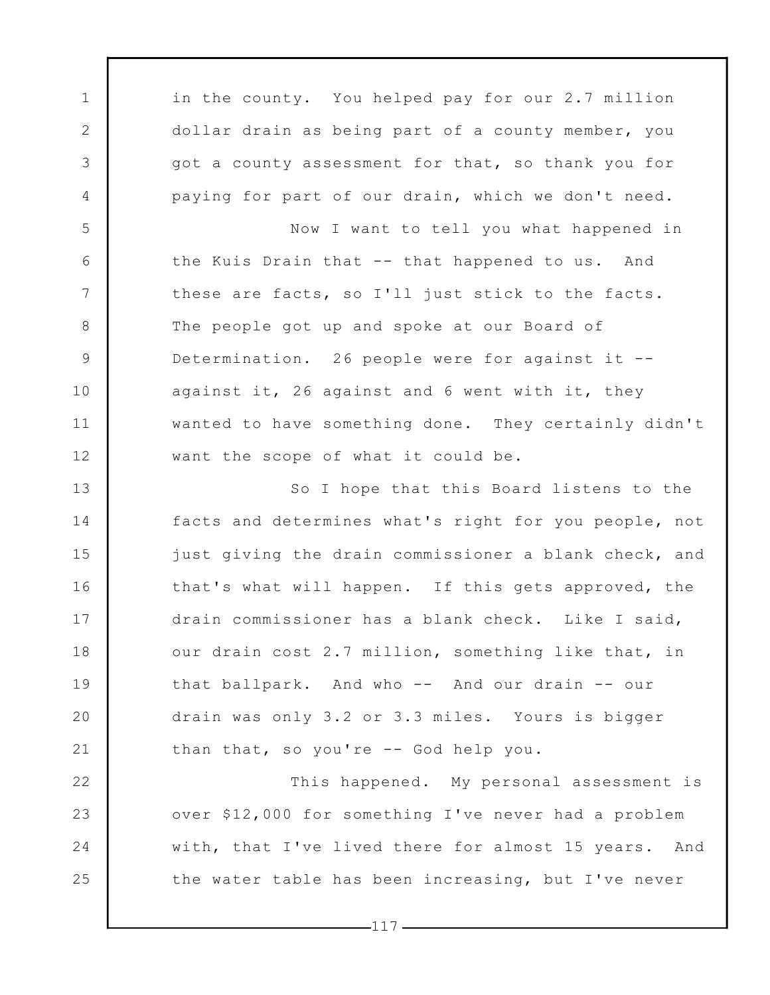in the county. You helped pay for our 2.7 million dollar drain as being part of a county member, you got a county assessment for that, so thank you for paying for part of our drain, which we don't need.

1

2

3

4

5

6

7

8

9

10

11

12

22

24

25

Now I want to tell you what happened in the Kuis Drain that -- that happened to us. And these are facts, so I'll just stick to the facts. The people got up and spoke at our Board of Determination. 26 people were for against it - against it, 26 against and 6 went with it, they wanted to have something done. They certainly didn't want the scope of what it could be.

13 14 15 16 17 18 19 20 21 So I hope that this Board listens to the facts and determines what's right for you people, not just giving the drain commissioner a blank check, and that's what will happen. If this gets approved, the drain commissioner has a blank check. Like I said, our drain cost 2.7 million, something like that, in that ballpark. And who -- And our drain -- our drain was only 3.2 or 3.3 miles. Yours is bigger than that, so you're -- God help you.

23 This happened. My personal assessment is over \$12,000 for something I've never had a problem with, that I've lived there for almost 15 years. And the water table has been increasing, but I've never

 $-117-$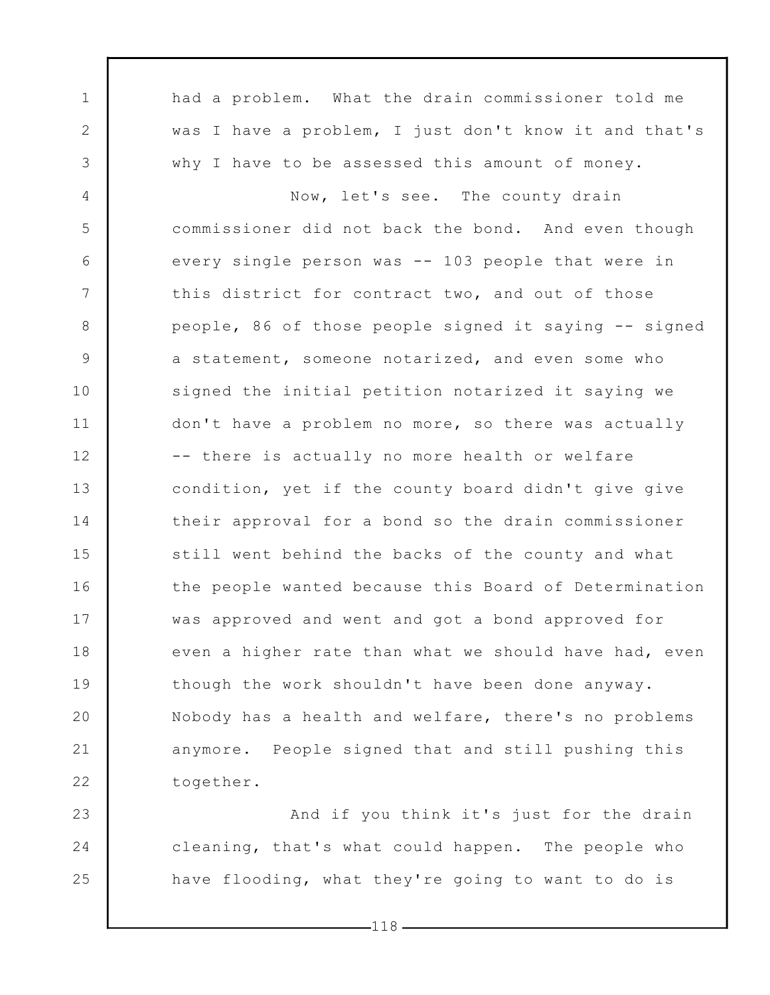1 2 3 4 5 6 7 8 9 10 11 12 13 14 15 16 17 18 19 20 21 22 23 had a problem. What the drain commissioner told me was I have a problem, I just don't know it and that's why I have to be assessed this amount of money. Now, let's see. The county drain commissioner did not back the bond. And even though every single person was -- 103 people that were in this district for contract two, and out of those people, 86 of those people signed it saying -- signed a statement, someone notarized, and even some who signed the initial petition notarized it saying we don't have a problem no more, so there was actually -- there is actually no more health or welfare condition, yet if the county board didn't give give their approval for a bond so the drain commissioner still went behind the backs of the county and what the people wanted because this Board of Determination was approved and went and got a bond approved for even a higher rate than what we should have had, even though the work shouldn't have been done anyway. Nobody has a health and welfare, there's no problems anymore. People signed that and still pushing this together. And if you think it's just for the drain

24 25 cleaning, that's what could happen. The people who have flooding, what they're going to want to do is

 $-118-$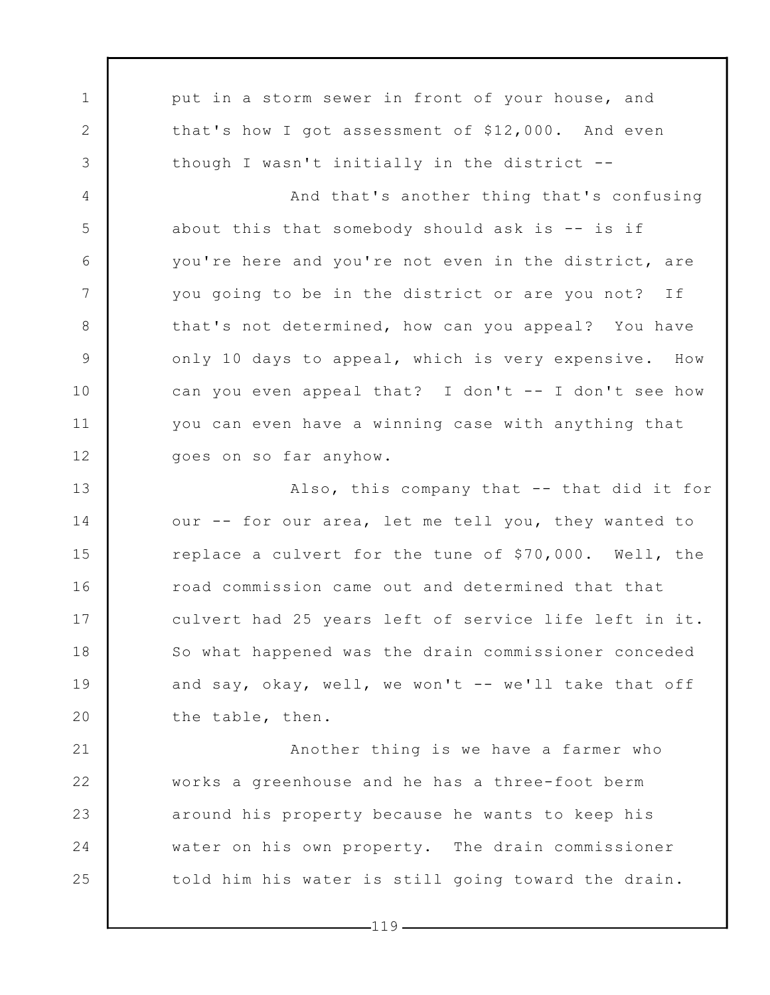1 2 3 4 5 6 7 8 9 10 11 12 13 14 15 16 17 18 19 20 21 22 23 24 25 put in a storm sewer in front of your house, and that's how I got assessment of \$12,000. And even though I wasn't initially in the district -- And that's another thing that's confusing about this that somebody should ask is  $-$  is if you're here and you're not even in the district, are you going to be in the district or are you not? If that's not determined, how can you appeal? You have only 10 days to appeal, which is very expensive. How can you even appeal that? I don't -- I don't see how you can even have a winning case with anything that goes on so far anyhow. Also, this company that -- that did it for our -- for our area, let me tell you, they wanted to replace a culvert for the tune of \$70,000. Well, the road commission came out and determined that that culvert had 25 years left of service life left in it. So what happened was the drain commissioner conceded and say, okay, well, we won't -- we'll take that off the table, then. Another thing is we have a farmer who works a greenhouse and he has a three-foot berm around his property because he wants to keep his water on his own property. The drain commissioner told him his water is still going toward the drain.

 $-119-$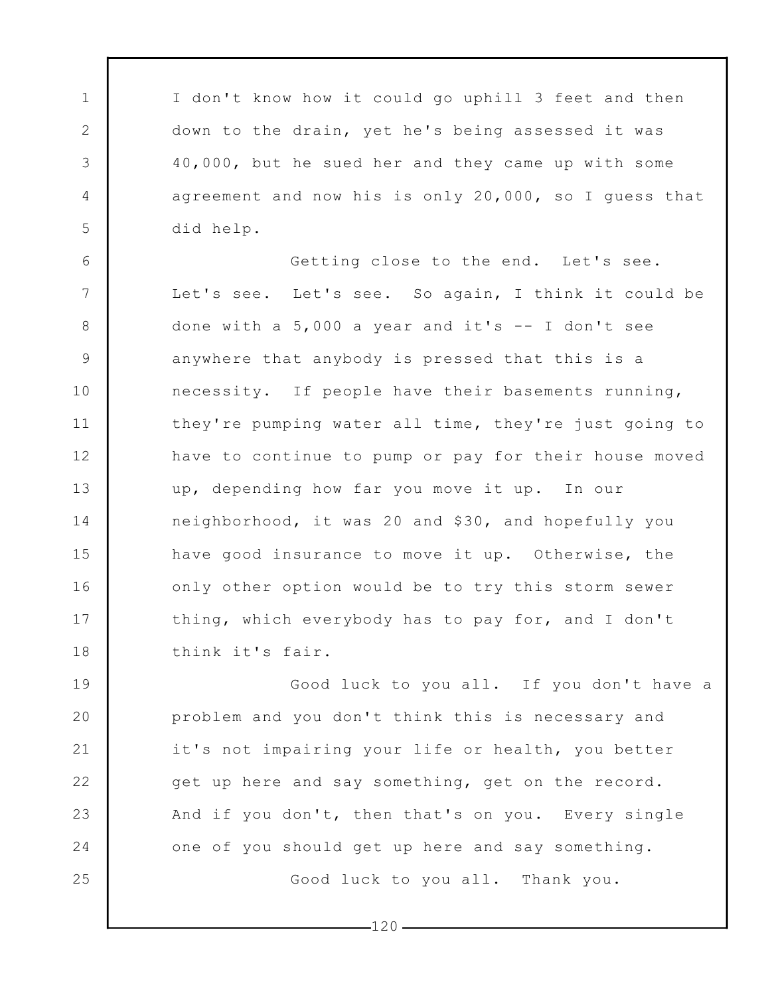I don't know how it could go uphill 3 feet and then down to the drain, yet he's being assessed it was 40,000, but he sued her and they came up with some agreement and now his is only 20,000, so I guess that did help.

1

2

3

4

5

6 7 8 9 10 11 12 13 14 15 16 17 18 Getting close to the end. Let's see. Let's see. Let's see. So again, I think it could be done with a  $5,000$  a year and it's  $--$  I don't see anywhere that anybody is pressed that this is a necessity. If people have their basements running, they're pumping water all time, they're just going to have to continue to pump or pay for their house moved up, depending how far you move it up. In our neighborhood, it was 20 and \$30, and hopefully you have good insurance to move it up. Otherwise, the only other option would be to try this storm sewer thing, which everybody has to pay for, and I don't think it's fair.

19 20 21 22 23 24 25 Good luck to you all. If you don't have a problem and you don't think this is necessary and it's not impairing your life or health, you better get up here and say something, get on the record. And if you don't, then that's on you. Every single one of you should get up here and say something. Good luck to you all. Thank you.

 $-120$  –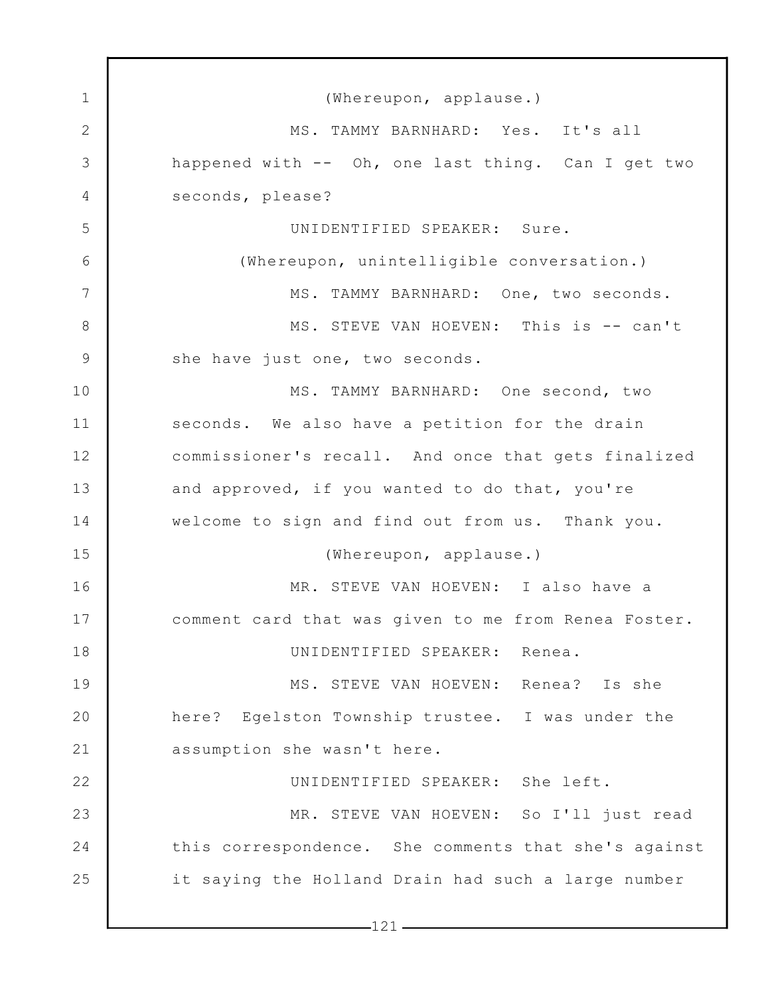| $\mathbf{1}$    | (Whereupon, applause.)                               |
|-----------------|------------------------------------------------------|
| 2               | MS. TAMMY BARNHARD: Yes. It's all                    |
| 3               | happened with -- Oh, one last thing. Can I get two   |
| $\overline{4}$  | seconds, please?                                     |
| 5               | UNIDENTIFIED SPEAKER: Sure.                          |
| 6               | (Whereupon, unintelligible conversation.)            |
| $7\phantom{.0}$ | MS. TAMMY BARNHARD: One, two seconds.                |
| $8\,$           | MS. STEVE VAN HOEVEN: This is -- can't               |
| $\mathsf 9$     | she have just one, two seconds.                      |
| 10              | MS. TAMMY BARNHARD: One second, two                  |
| 11              | seconds. We also have a petition for the drain       |
| 12              | commissioner's recall. And once that gets finalized  |
| 13              | and approved, if you wanted to do that, you're       |
| 14              | welcome to sign and find out from us. Thank you.     |
| 15              | (Whereupon, applause.)                               |
| 16              | MR. STEVE VAN HOEVEN: I also have a                  |
| 17              | comment card that was given to me from Renea Foster. |
| 18              | UNIDENTIFIED SPEAKER: Renea.                         |
| 19              | MS. STEVE VAN HOEVEN: Renea? Is she                  |
| 20              | here? Egelston Township trustee. I was under the     |
| 21              | assumption she wasn't here.                          |
| 22              | UNIDENTIFIED SPEAKER: She left.                      |
| 23              | MR. STEVE VAN HOEVEN: So I'll just read              |
| 24              | this correspondence. She comments that she's against |
| 25              | it saying the Holland Drain had such a large number  |
|                 | $-121$                                               |
|                 |                                                      |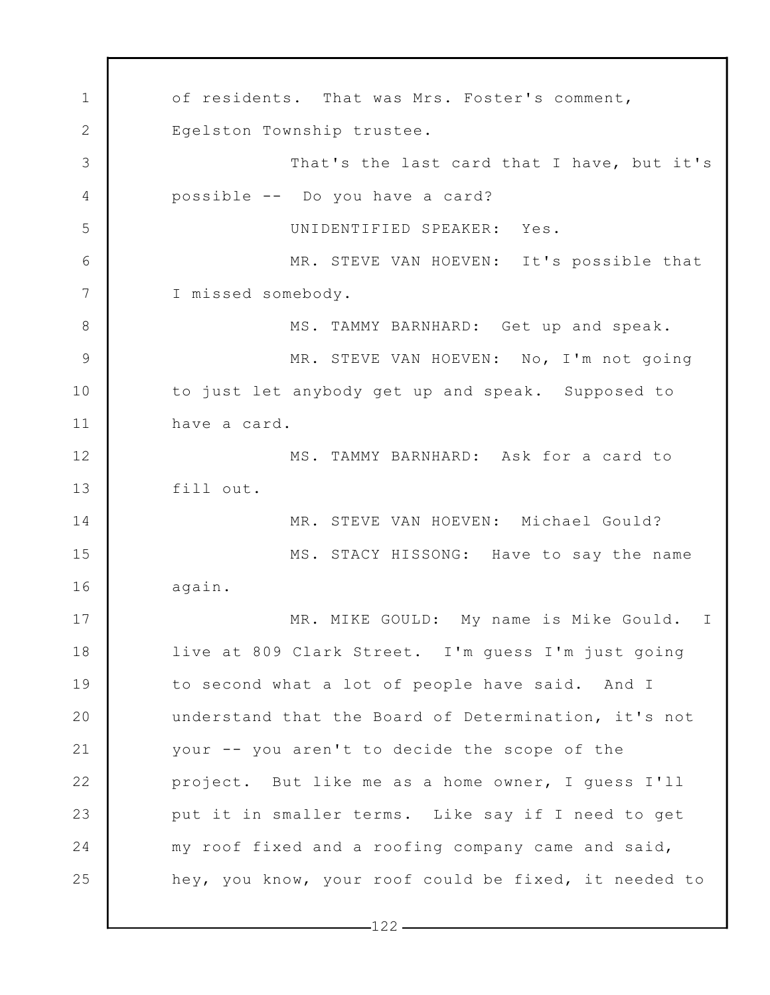1 2 3 4 5 6 7 8 9 10 11 12 13 14 15 16 17 18 19 20 21 22 23 24 25 of residents. That was Mrs. Foster's comment, Egelston Township trustee. That's the last card that I have, but it's possible -- Do you have a card? UNIDENTIFIED SPEAKER: Yes. MR. STEVE VAN HOEVEN: It's possible that I missed somebody. MS. TAMMY BARNHARD: Get up and speak. MR. STEVE VAN HOEVEN: No, I'm not going to just let anybody get up and speak. Supposed to have a card. MS. TAMMY BARNHARD: Ask for a card to fill out. MR. STEVE VAN HOEVEN: Michael Gould? MS. STACY HISSONG: Have to say the name again. MR. MIKE GOULD: My name is Mike Gould. I live at 809 Clark Street. I'm guess I'm just going to second what a lot of people have said. And I understand that the Board of Determination, it's not your -- you aren't to decide the scope of the project. But like me as a home owner, I guess I'll put it in smaller terms. Like say if I need to get my roof fixed and a roofing company came and said, hey, you know, your roof could be fixed, it needed to

 $-122-$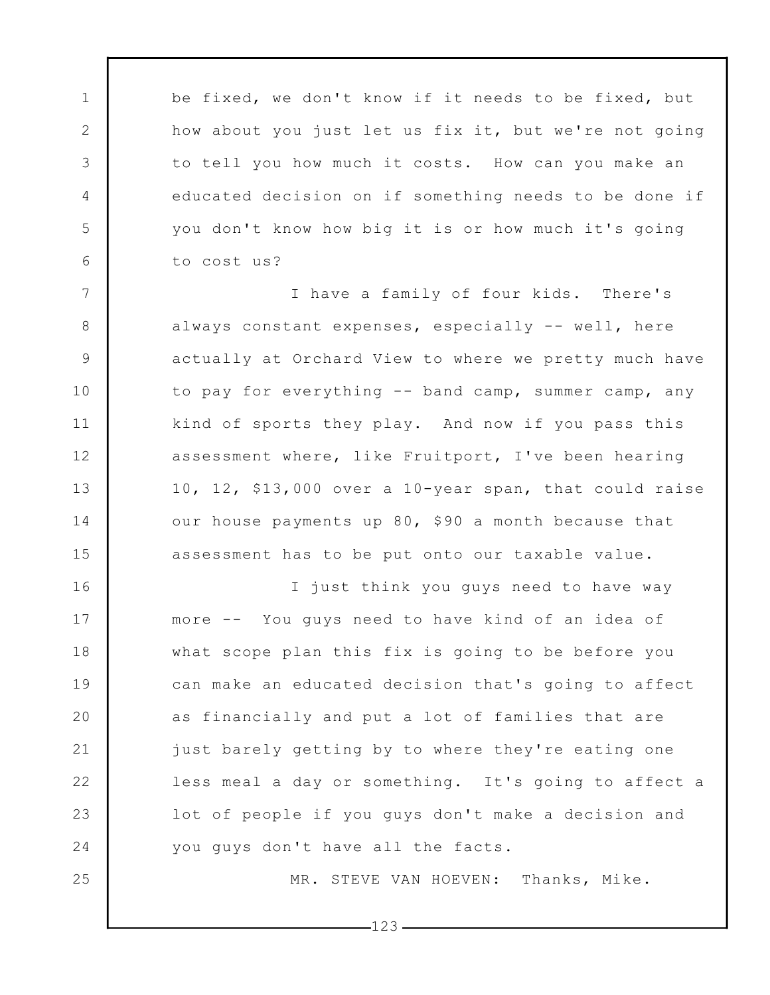be fixed, we don't know if it needs to be fixed, but how about you just let us fix it, but we're not going to tell you how much it costs. How can you make an educated decision on if something needs to be done if you don't know how big it is or how much it's going to cost us?

1

2

3

4

5

6

7

8

9

10

11

12

13

14

15

25

I have a family of four kids. There's always constant expenses, especially -- well, here actually at Orchard View to where we pretty much have to pay for everything -- band camp, summer camp, any kind of sports they play. And now if you pass this assessment where, like Fruitport, I've been hearing 10, 12, \$13,000 over a 10-year span, that could raise our house payments up 80, \$90 a month because that assessment has to be put onto our taxable value.

16 17 18 19 20 21 22 23 24 I just think you guys need to have way more -- You guys need to have kind of an idea of what scope plan this fix is going to be before you can make an educated decision that's going to affect as financially and put a lot of families that are just barely getting by to where they're eating one less meal a day or something. It's going to affect a lot of people if you guys don't make a decision and you guys don't have all the facts.

MR. STEVE VAN HOEVEN: Thanks, Mike.

 $-123-$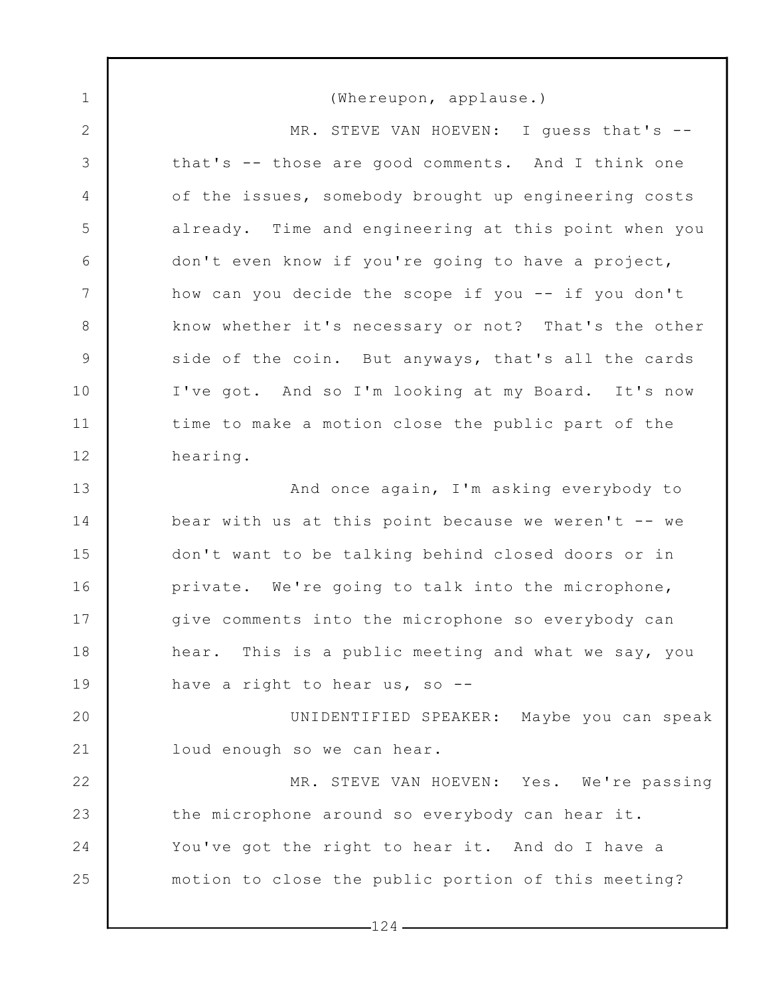1 2 3 4 5 6 7 8 9 10 11 12 13 14 15 16 17 18 19 20 21 22 23 24 25 (Whereupon, applause.) MR. STEVE VAN HOEVEN: I guess that's -that's -- those are good comments. And I think one of the issues, somebody brought up engineering costs already. Time and engineering at this point when you don't even know if you're going to have a project, how can you decide the scope if you -- if you don't know whether it's necessary or not? That's the other side of the coin. But anyways, that's all the cards I've got. And so I'm looking at my Board. It's now time to make a motion close the public part of the hearing. And once again, I'm asking everybody to bear with us at this point because we weren't -- we don't want to be talking behind closed doors or in private. We're going to talk into the microphone, give comments into the microphone so everybody can hear. This is a public meeting and what we say, you have a right to hear us, so --UNIDENTIFIED SPEAKER: Maybe you can speak loud enough so we can hear. MR. STEVE VAN HOEVEN: Yes. We're passing the microphone around so everybody can hear it. You've got the right to hear it. And do I have a motion to close the public portion of this meeting?

 $-124$  -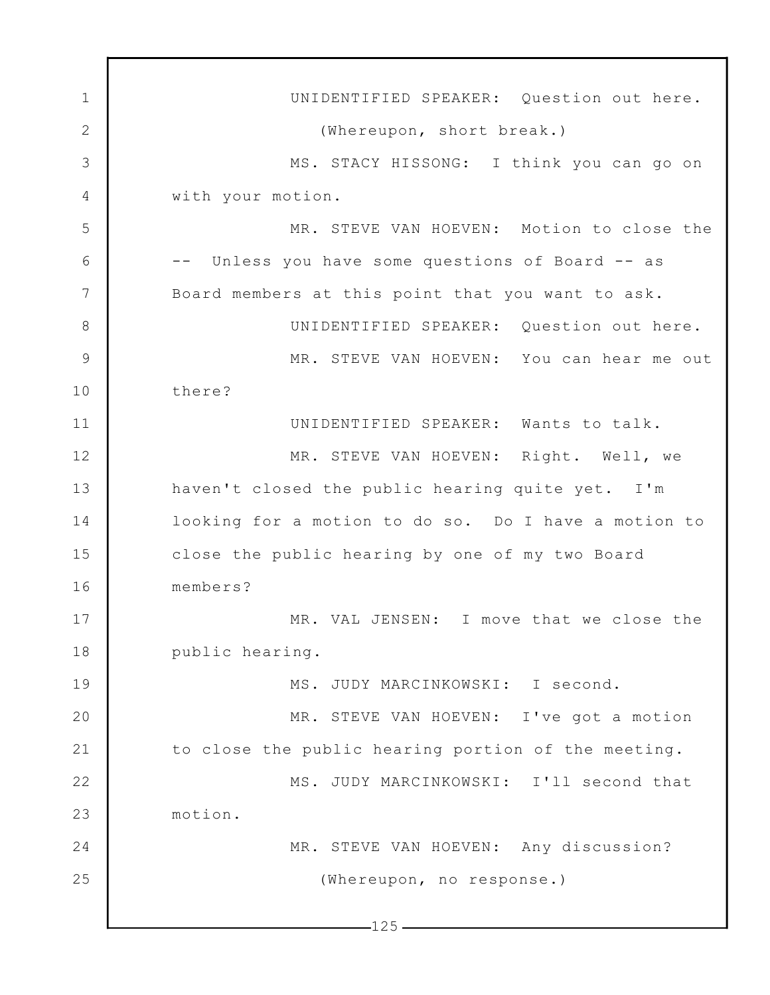1 2 3 4 5 6 7 8 9 10 11 12 13 14 15 16 17 18 19 20 21 22 23 24 25  $-125-$ UNIDENTIFIED SPEAKER: Question out here. (Whereupon, short break.) MS. STACY HISSONG: I think you can go on with your motion. MR. STEVE VAN HOEVEN: Motion to close the -- Unless you have some questions of Board -- as Board members at this point that you want to ask. UNIDENTIFIED SPEAKER: Question out here. MR. STEVE VAN HOEVEN: You can hear me out there? UNIDENTIFIED SPEAKER: Wants to talk. MR. STEVE VAN HOEVEN: Right. Well, we haven't closed the public hearing quite yet. I'm looking for a motion to do so. Do I have a motion to close the public hearing by one of my two Board members? MR. VAL JENSEN: I move that we close the public hearing. MS. JUDY MARCINKOWSKI: I second. MR. STEVE VAN HOEVEN: I've got a motion to close the public hearing portion of the meeting. MS. JUDY MARCINKOWSKI: I'll second that motion. MR. STEVE VAN HOEVEN: Any discussion? (Whereupon, no response.)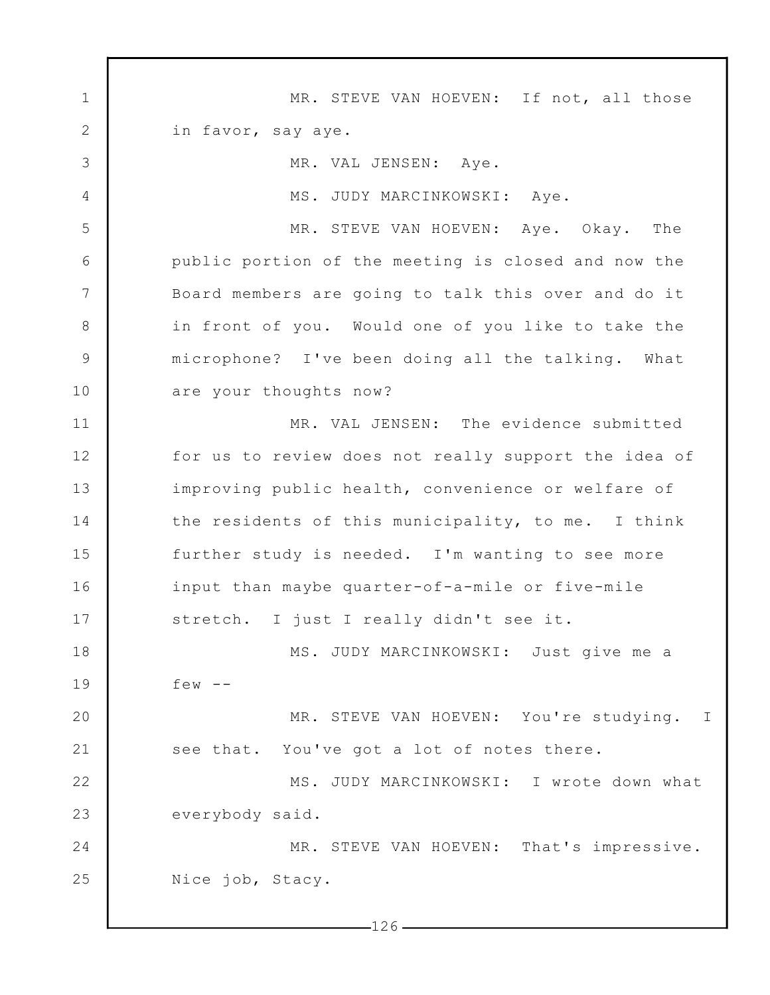1 2 3 4 5 6 7 8 9 10 11 12 13 14 15 16 17 18 19 20 21 22 23 24 25 MR. STEVE VAN HOEVEN: If not, all those in favor, say aye. MR. VAL JENSEN: Aye. MS. JUDY MARCINKOWSKI: Aye. MR. STEVE VAN HOEVEN: Aye. Okay. The public portion of the meeting is closed and now the Board members are going to talk this over and do it in front of you. Would one of you like to take the microphone? I've been doing all the talking. What are your thoughts now? MR. VAL JENSEN: The evidence submitted for us to review does not really support the idea of improving public health, convenience or welfare of the residents of this municipality, to me. I think further study is needed. I'm wanting to see more input than maybe quarter-of-a-mile or five-mile stretch. I just I really didn't see it. MS. JUDY MARCINKOWSKI: Just give me a few  $--$ MR. STEVE VAN HOEVEN: You're studying. I see that. You've got a lot of notes there. MS. JUDY MARCINKOWSKI: I wrote down what everybody said. MR. STEVE VAN HOEVEN: That's impressive. Nice job, Stacy.

 $-126-$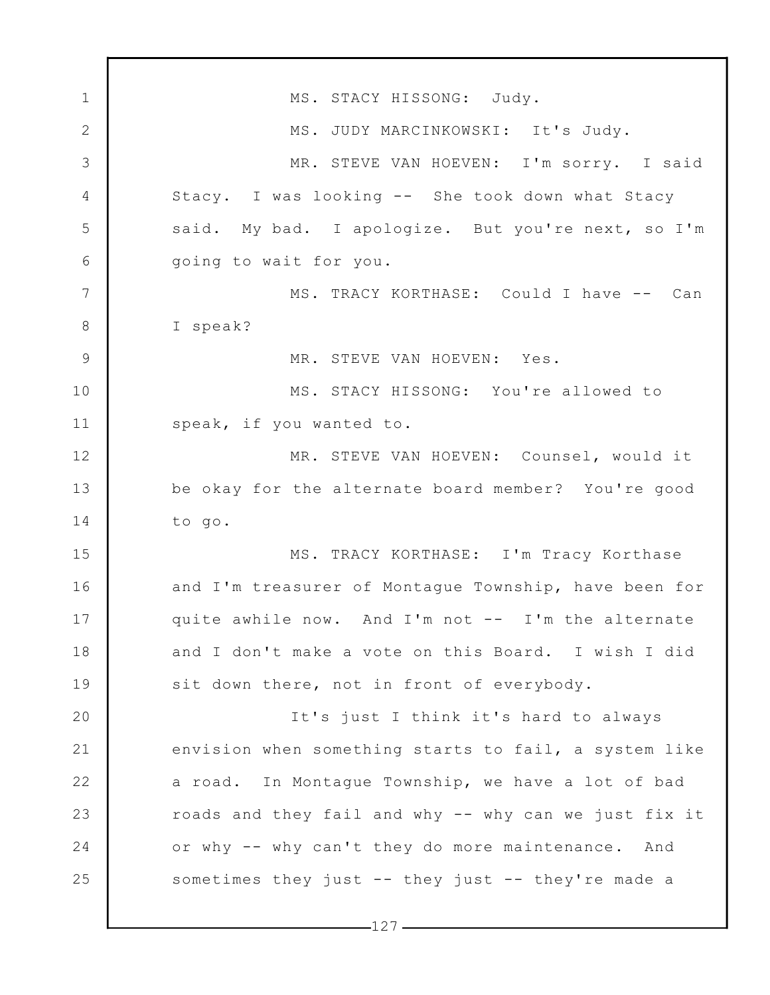1 2 3 4 5 6 7 8 9 10 11 12 13 14 15 16 17 18 19 20 21 22 23 24 25 MS. STACY HISSONG: Judy. MS. JUDY MARCINKOWSKI: It's Judy. MR. STEVE VAN HOEVEN: I'm sorry. I said Stacy. I was looking -- She took down what Stacy said. My bad. I apologize. But you're next, so I'm going to wait for you. MS. TRACY KORTHASE: Could I have -- Can I speak? MR. STEVE VAN HOEVEN: Yes. MS. STACY HISSONG: You're allowed to speak, if you wanted to. MR. STEVE VAN HOEVEN: Counsel, would it be okay for the alternate board member? You're good to go. MS. TRACY KORTHASE: I'm Tracy Korthase and I'm treasurer of Montague Township, have been for quite awhile now. And I'm not -- I'm the alternate and I don't make a vote on this Board. I wish I did sit down there, not in front of everybody. It's just I think it's hard to always envision when something starts to fail, a system like a road. In Montague Township, we have a lot of bad roads and they fail and why -- why can we just fix it or why -- why can't they do more maintenance. And sometimes they just -- they just -- they're made a

 $-127-$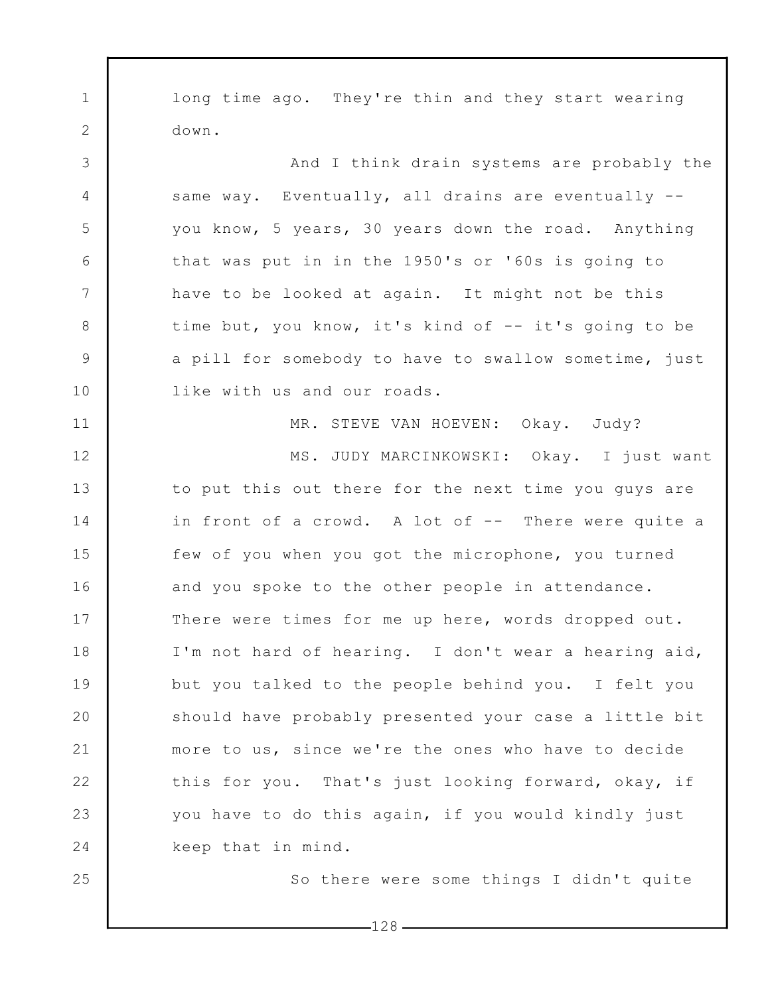1 2 3 4 5 6 7 8 9 10 11 12 13 14 15 16 17 18 19 20 21 22 23 24 25 long time ago. They're thin and they start wearing down. And I think drain systems are probably the same way. Eventually, all drains are eventually -you know, 5 years, 30 years down the road. Anything that was put in in the 1950's or '60s is going to have to be looked at again. It might not be this time but, you know, it's kind of -- it's going to be a pill for somebody to have to swallow sometime, just like with us and our roads. MR. STEVE VAN HOEVEN: Okay. Judy? MS. JUDY MARCINKOWSKI: Okay. I just want to put this out there for the next time you guys are in front of a crowd. A lot of -- There were quite a few of you when you got the microphone, you turned and you spoke to the other people in attendance. There were times for me up here, words dropped out. I'm not hard of hearing. I don't wear a hearing aid, but you talked to the people behind you. I felt you should have probably presented your case a little bit more to us, since we're the ones who have to decide this for you. That's just looking forward, okay, if you have to do this again, if you would kindly just keep that in mind. So there were some things I didn't quite

 $-128$  –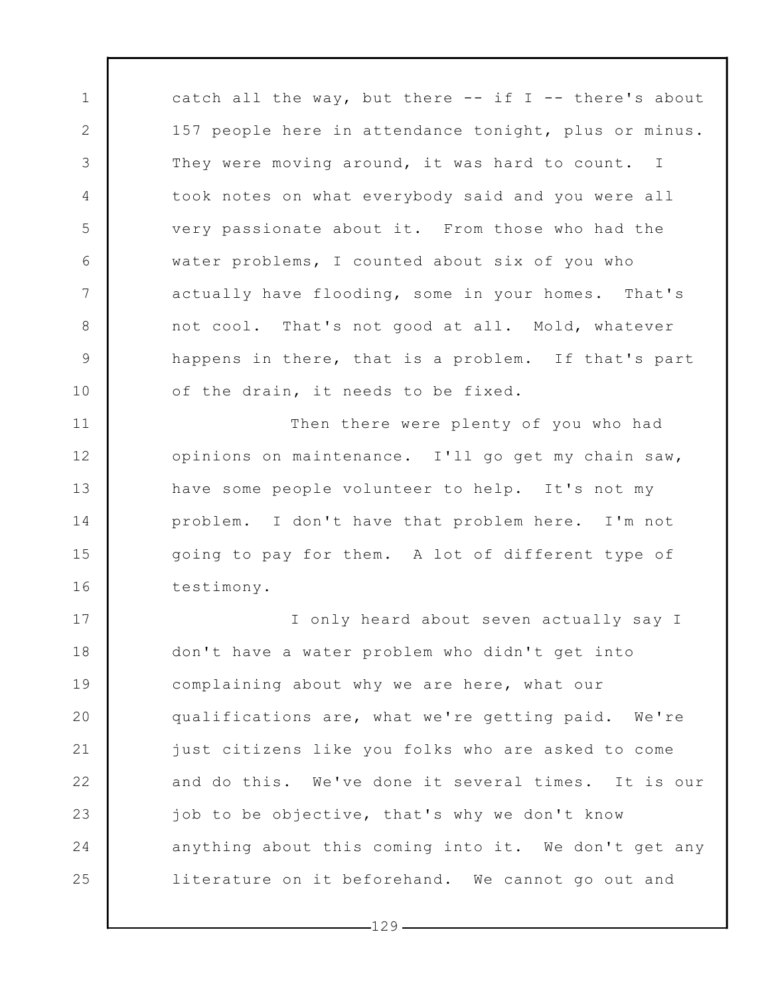catch all the way, but there  $--$  if I  $--$  there's about 157 people here in attendance tonight, plus or minus. They were moving around, it was hard to count. I took notes on what everybody said and you were all very passionate about it. From those who had the water problems, I counted about six of you who actually have flooding, some in your homes. That's not cool. That's not good at all. Mold, whatever happens in there, that is a problem. If that's part of the drain, it needs to be fixed.

1

2

3

4

5

6

7

8

9

10

11

12

13

14

15

16

Then there were plenty of you who had opinions on maintenance. I'll go get my chain saw, have some people volunteer to help. It's not my problem. I don't have that problem here. I'm not going to pay for them. A lot of different type of testimony.

17 18 19 20 21 22 23 24 25 I only heard about seven actually say I don't have a water problem who didn't get into complaining about why we are here, what our qualifications are, what we're getting paid. We're just citizens like you folks who are asked to come and do this. We've done it several times. It is our job to be objective, that's why we don't know anything about this coming into it. We don't get any literature on it beforehand. We cannot go out and

 $-129-$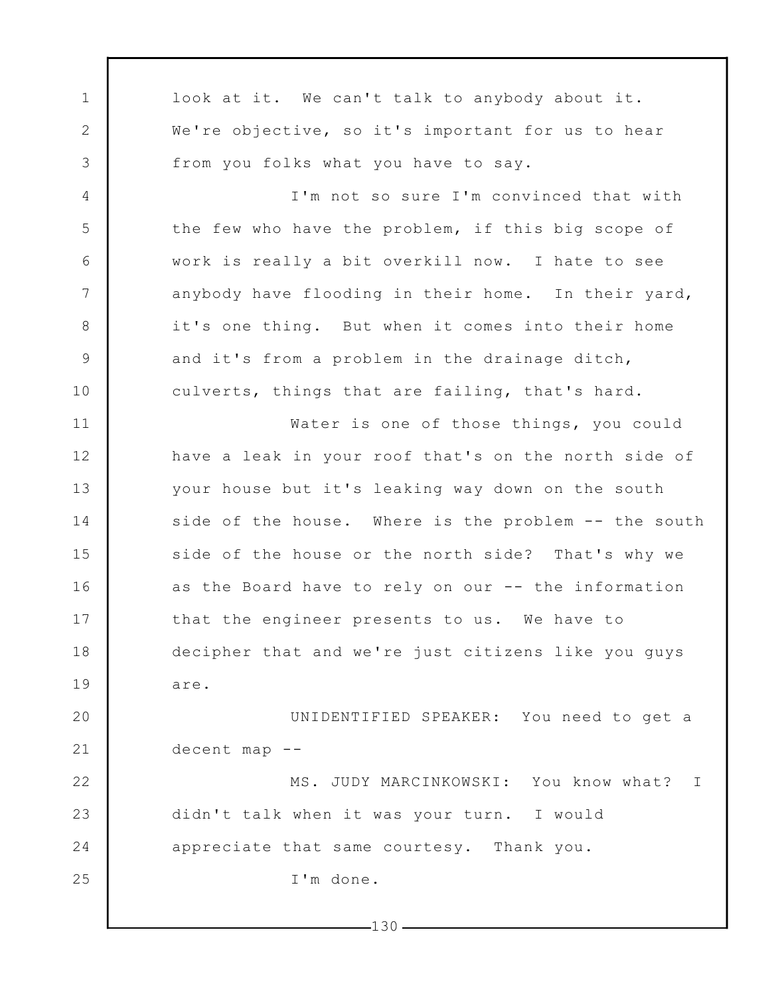1 2 3 4 5 6 7 8 9 10 11 12 13 14 15 16 17 18 19 20 21 22 23 24 25  $-130$ look at it. We can't talk to anybody about it. We're objective, so it's important for us to hear from you folks what you have to say. I'm not so sure I'm convinced that with the few who have the problem, if this big scope of work is really a bit overkill now. I hate to see anybody have flooding in their home. In their yard, it's one thing. But when it comes into their home and it's from a problem in the drainage ditch, culverts, things that are failing, that's hard. Water is one of those things, you could have a leak in your roof that's on the north side of your house but it's leaking way down on the south side of the house. Where is the problem -- the south side of the house or the north side? That's why we as the Board have to rely on our -- the information that the engineer presents to us. We have to decipher that and we're just citizens like you guys are. UNIDENTIFIED SPEAKER: You need to get a decent map -- MS. JUDY MARCINKOWSKI: You know what? I didn't talk when it was your turn. I would appreciate that same courtesy. Thank you. I'm done.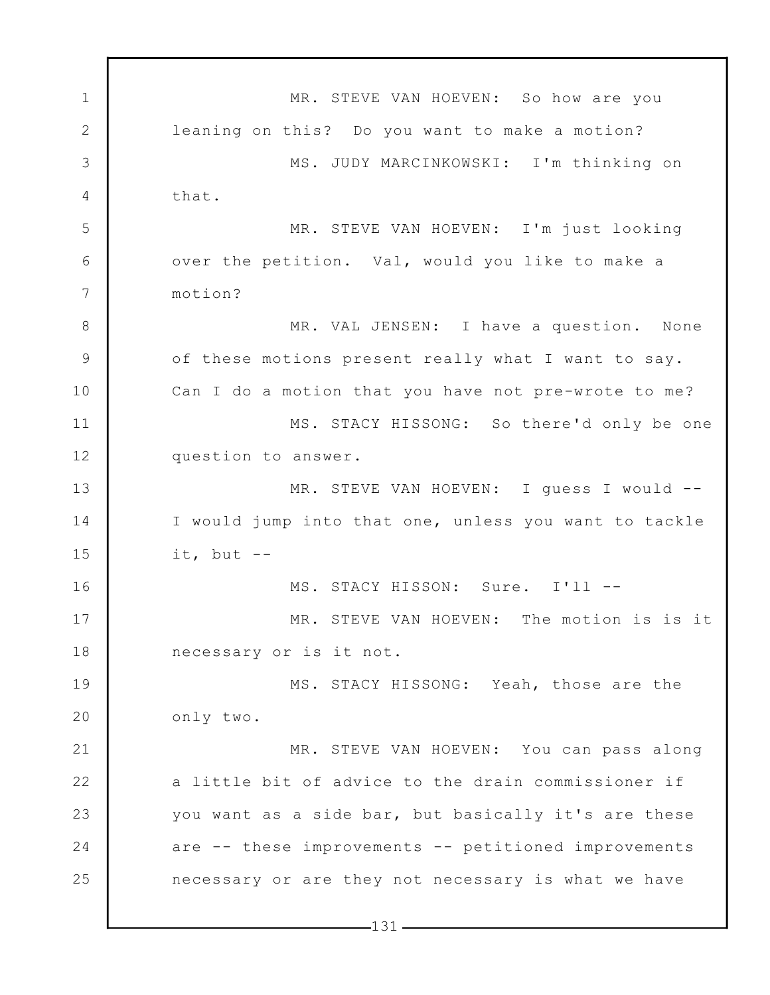1 2 3 4 5 6 7 8 9 10 11 12 13 14 15 16 17 18 19 20 21 22 23 24 25 MR. STEVE VAN HOEVEN: So how are you leaning on this? Do you want to make a motion? MS. JUDY MARCINKOWSKI: I'm thinking on that. MR. STEVE VAN HOEVEN: I'm just looking over the petition. Val, would you like to make a motion? MR. VAL JENSEN: I have a question. None of these motions present really what I want to say. Can I do a motion that you have not pre-wrote to me? MS. STACY HISSONG: So there'd only be one question to answer. MR. STEVE VAN HOEVEN: I guess I would -- I would jump into that one, unless you want to tackle it, but  $--$ MS. STACY HISSON: Sure. I'll -- MR. STEVE VAN HOEVEN: The motion is is it necessary or is it not. MS. STACY HISSONG: Yeah, those are the only two. MR. STEVE VAN HOEVEN: You can pass along a little bit of advice to the drain commissioner if you want as a side bar, but basically it's are these are -- these improvements -- petitioned improvements necessary or are they not necessary is what we have

 $-131-$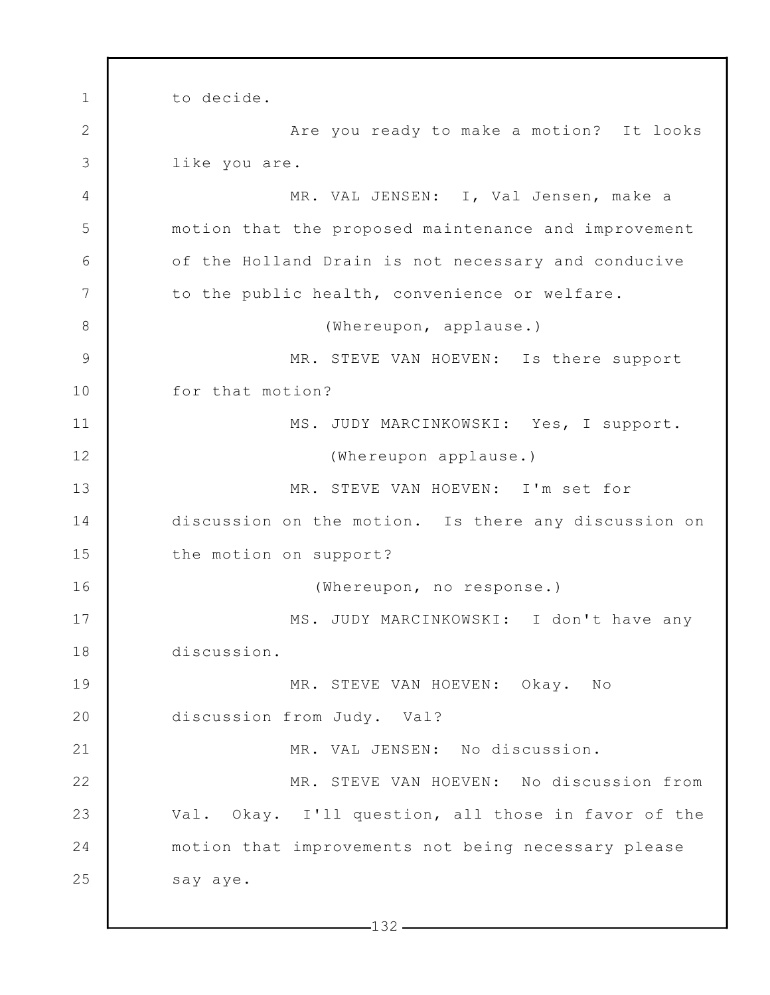1 2 3 4 5 6 7 8 9 10 11 12 13 14 15 16 17 18 19 20 21 22 23 24 25 to decide. Are you ready to make a motion? It looks like you are. MR. VAL JENSEN: I, Val Jensen, make a motion that the proposed maintenance and improvement of the Holland Drain is not necessary and conducive to the public health, convenience or welfare. (Whereupon, applause.) MR. STEVE VAN HOEVEN: Is there support for that motion? MS. JUDY MARCINKOWSKI: Yes, I support. (Whereupon applause.) MR. STEVE VAN HOEVEN: I'm set for discussion on the motion. Is there any discussion on the motion on support? (Whereupon, no response.) MS. JUDY MARCINKOWSKI: I don't have any discussion. MR. STEVE VAN HOEVEN: Okay. No discussion from Judy. Val? MR. VAL JENSEN: No discussion. MR. STEVE VAN HOEVEN: No discussion from Val. Okay. I'll question, all those in favor of the motion that improvements not being necessary please say aye.

 $-132-$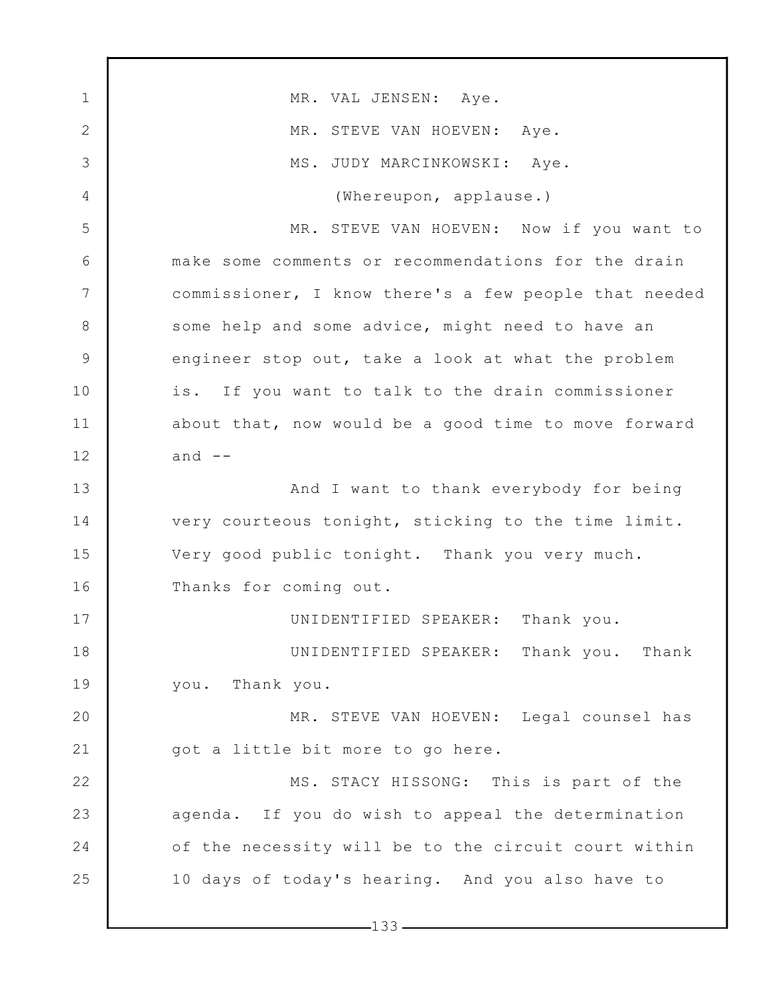1 2 3 4 5 6 7 8 9 10 11 12 13 14 15 16 17 18 19 20 21 22 23 24 25 MR. VAL JENSEN: Aye. MR. STEVE VAN HOEVEN: Aye. MS. JUDY MARCINKOWSKI: Aye. (Whereupon, applause.) MR. STEVE VAN HOEVEN: Now if you want to make some comments or recommendations for the drain commissioner, I know there's a few people that needed some help and some advice, might need to have an engineer stop out, take a look at what the problem is. If you want to talk to the drain commissioner about that, now would be a good time to move forward and  $--$ And I want to thank everybody for being very courteous tonight, sticking to the time limit. Very good public tonight. Thank you very much. Thanks for coming out. UNIDENTIFIED SPEAKER: Thank you. UNIDENTIFIED SPEAKER: Thank you. Thank you. Thank you. MR. STEVE VAN HOEVEN: Legal counsel has got a little bit more to go here. MS. STACY HISSONG: This is part of the agenda. If you do wish to appeal the determination of the necessity will be to the circuit court within 10 days of today's hearing. And you also have to

 $-133-$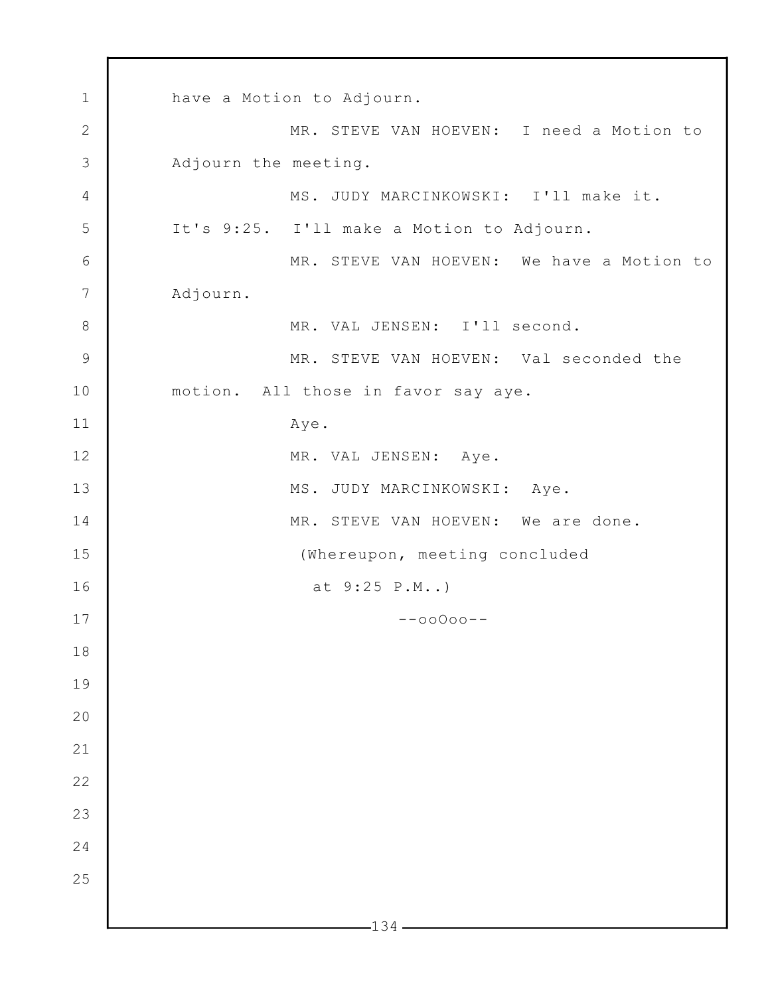1 2 3 4 5 6 7 8 9 10 11 12 13 14 15 16 17 18 19 20 21 22 23 24 25  $-134$  have a Motion to Adjourn. MR. STEVE VAN HOEVEN: I need a Motion to Adjourn the meeting. MS. JUDY MARCINKOWSKI: I'll make it. It's 9:25. I'll make a Motion to Adjourn. MR. STEVE VAN HOEVEN: We have a Motion to Adjourn. MR. VAL JENSEN: I'll second. MR. STEVE VAN HOEVEN: Val seconded the motion. All those in favor say aye. Aye. MR. VAL JENSEN: Aye. MS. JUDY MARCINKOWSKI: Aye. MR. STEVE VAN HOEVEN: We are done. (Whereupon, meeting concluded at 9:25 P.M..) --ooOoo--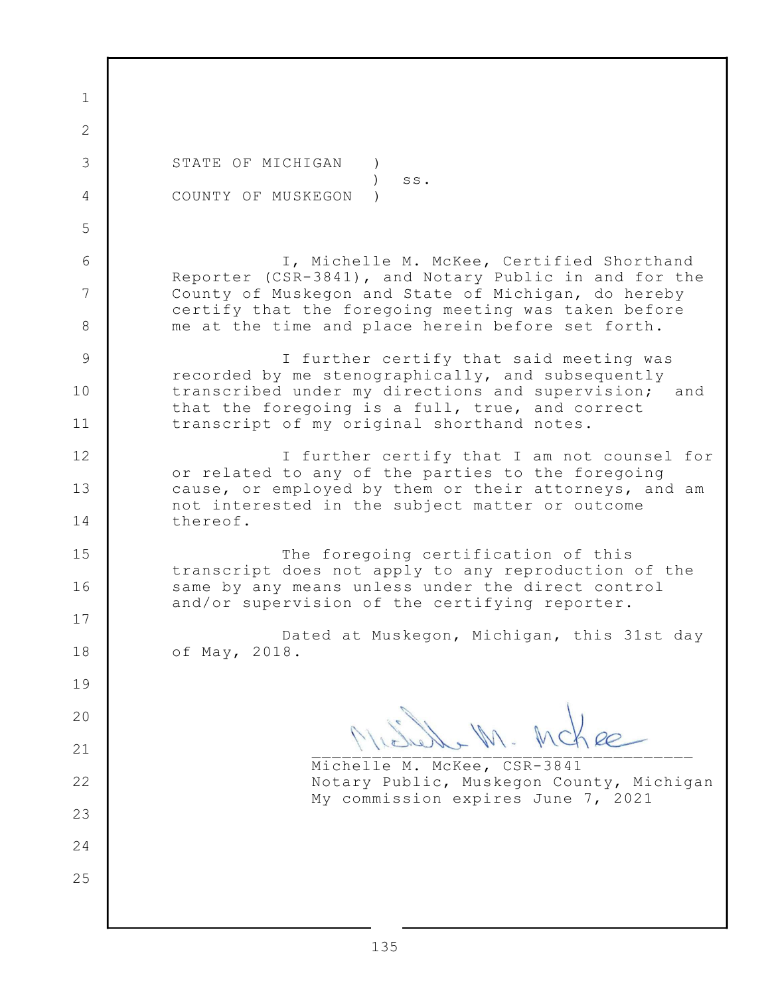1 2 3 4 5 6 7 8 9 10 11 12 13 14 15 16 17 18 19 20 21 22 23 24 25 STATE OF MICHIGAN )  $\qquad \qquad$  ss. COUNTY OF MUSKEGON ) I, Michelle M. McKee, Certified Shorthand Reporter (CSR-3841), and Notary Public in and for the County of Muskegon and State of Michigan, do hereby certify that the foregoing meeting was taken before me at the time and place herein before set forth. I further certify that said meeting was recorded by me stenographically, and subsequently transcribed under my directions and supervision; and that the foregoing is a full, true, and correct transcript of my original shorthand notes. I further certify that I am not counsel for or related to any of the parties to the foregoing cause, or employed by them or their attorneys, and am not interested in the subject matter or outcome thereof. The foregoing certification of this transcript does not apply to any reproduction of the same by any means unless under the direct control and/or supervision of the certifying reporter. Dated at Muskegon, Michigan, this 31st day of May, 2018. Illeaune III. Profie Michelle M. McKee, CSR-3841 Notary Public, Muskegon County, Michigan My commission expires June 7, 2021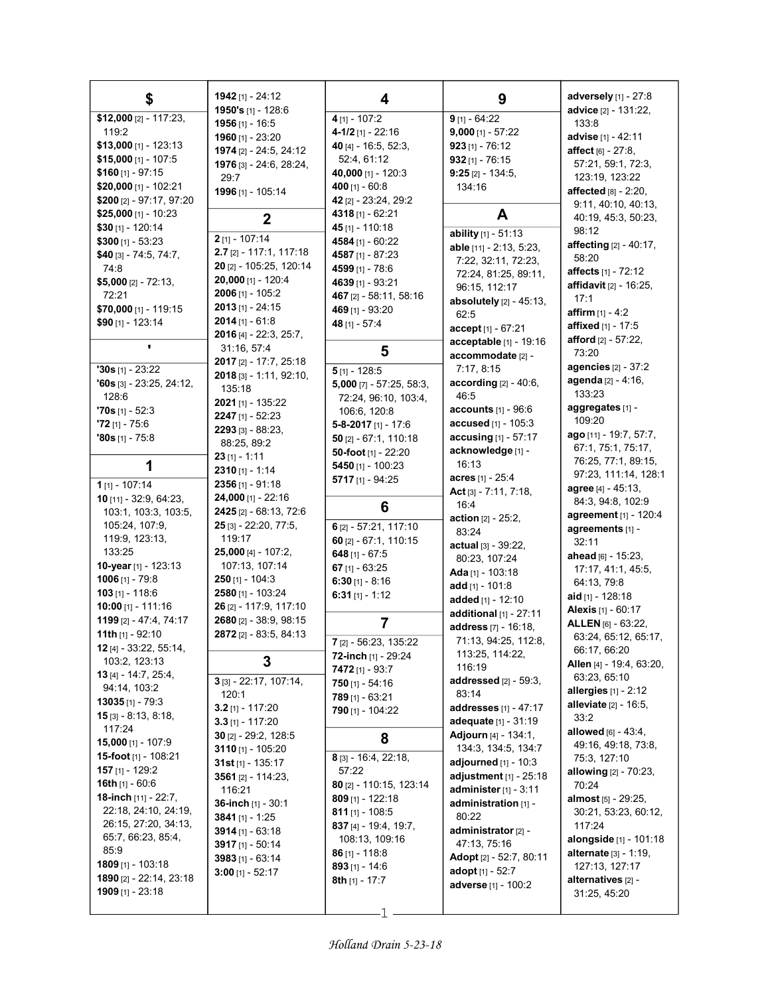| \$                                    | 1942 [1] - 24:12                        | 4                         | 9                                                           | adversely $[1]$ - 27:8                         |
|---------------------------------------|-----------------------------------------|---------------------------|-------------------------------------------------------------|------------------------------------------------|
| \$12,000 [2] - 117:23,                | 1950's [1] - 128:6                      | $4$ [1] - 107:2           | 9 [1] - 64:22                                               | advice [2] - 131:22.                           |
| 119:2                                 | 1956 $[1]$ - 16:5                       | $4 - 1/2$ [1] - 22:16     | $9,000$ [1] - 57:22                                         | 133:8                                          |
| $$13,000$ [1] - 123:13                | 1960 [1] - 23:20                        | 40 [4] - 16:5, 52:3,      | $923$ [1] - 76:12                                           | advise [1] - 42:11                             |
| $$15,000$ [1] - 107:5                 | 1974 [2] - 24:5, 24:12                  | 52:4, 61:12               | $932$ [1] - 76:15                                           | <b>affect</b> $[6] - 27:8$ ,                   |
| $$160$ [1] - 97:15                    | 1976 [3] - 24:6, 28:24,                 | 40,000 [1] - 120:3        | $9:25$ [2] - 134:5,                                         | 57:21, 59:1, 72:3,                             |
| \$20,000 [1] - 102:21                 | 29:7                                    | 400 $[1] - 60.8$          | 134:16                                                      | 123:19, 123:22                                 |
| \$200 [2] - 97:17, 97:20              | 1996 [1] - 105:14                       | 42 [2] - 23:24, 29:2      |                                                             | affected $[8] - 2:20$ ,                        |
| $$25,000$ [1] - 10:23                 |                                         | 4318 [1] - 62:21          | A                                                           | 9:11, 40:10, 40:13,                            |
| \$30 [1] - 120:14                     | $\mathbf{2}$                            | 45 [1] - 110:18           |                                                             | 40:19, 45:3, 50:23,<br>98:12                   |
| $$300$ [1] - 53:23                    | $2$ [1] - 107:14                        | 4584 [1] - 60:22          | ability $[1] - 51:13$                                       | affecting [2] - 40:17,                         |
| \$40 [3] - 74:5, 74:7,                | $2.7$ [2] - 117:1, 117:18               | 4587 [1] - 87:23          | able [11] - 2:13, 5:23,                                     | 58:20                                          |
| 74:8                                  | 20 [2] - 105:25, 120:14                 | 4599 [1] - 78:6           | 7:22, 32:11, 72:23,                                         | affects [1] - 72:12                            |
| $$5,000$ [2] - 72:13,                 | 20,000 [1] - 120:4                      | 4639 [1] - 93:21          | 72:24, 81:25, 89:11,<br>96:15, 112:17                       | affidavit [2] - 16:25,                         |
| 72:21                                 | $2006$ [1] - 105:2                      | 467 [2] - 58:11, 58:16    | absolutely $[2] - 45:13$ ,                                  | 17:1                                           |
| $$70,000$ [1] - 119:15                | $2013$ [1] - 24:15                      | 469 [1] - 93:20           | 62:5                                                        | <b>affirm</b> $[1] - 4:2$                      |
| \$90 [1] - 123:14                     | $2014$ [1] - 61:8                       | 48 [1] - 57:4             | accept [1] - 67:21                                          | <b>affixed</b> [1] - 17:5                      |
|                                       | 2016 [4] - 22:3, 25:7,                  |                           | acceptable [1] - 19:16                                      | <b>afford</b> $[2] - 57:22$ ,                  |
| ٠                                     | 31:16, 57:4                             | 5                         | accommodate [2] -                                           | 73:20                                          |
| $30s$ [1] - 23:22                     | 2017 [2] - 17:7, 25:18                  | $5$ [1] - 128:5           | 7:17, 8:15                                                  | agencies $[2] - 37:2$                          |
| $'60s$ [3] - 23:25, 24:12,            | 2018 [3] - 1:11, 92:10,                 | 5,000 $[7] - 57:25, 58:3$ | according [2] - 40:6,                                       | agenda [2] - 4:16,                             |
| 128:6                                 | 135:18                                  | 72:24, 96:10, 103:4,      | 46:5                                                        | 133:23                                         |
| $70s$ [1] - 52:3                      | 2021 [1] - 135:22<br>$2247$ [1] - 52:23 | 106:6, 120:8              | <b>accounts</b> [1] - 96:6                                  | aggregates [1] -                               |
| $72$ [1] - 75:6                       | 2293 [3] - 88:23,                       | $5 - 8 - 2017$ [1] - 17:6 | accused [1] - 105:3                                         | 109:20                                         |
| $"80s$ [1] - 75:8                     | 88:25, 89:2                             | $50$ [2] - 67:1, 110:18   | accusing $[1] - 57:17$                                      | ago [11] - 19:7, 57:7,                         |
|                                       | $23$ [1] - 1:11                         | 50-foot [1] - 22:20       | acknowledge [1] -                                           | 67:1, 75:1, 75:17,                             |
| 1                                     | $2310$ [1] - 1:14                       | 5450 $[1] - 100:23$       | 16:13                                                       | 76:25, 77:1, 89:15,                            |
| 1 $[1] - 107:14$                      | $2356$ [1] - 91:18                      | $5717$ [1] - 94:25        | acres $[1] - 25:4$                                          | 97:23, 111:14, 128:1                           |
| <b>10</b> $[11]$ - 32:9, 64:23,       | 24,000 [1] - 22:16                      |                           | Act $[3] - 7:11, 7:18,$                                     | <b>agree</b> [4] - 45:13,<br>84:3, 94:8, 102:9 |
| 103:1, 103:3, 103:5,                  | <b>2425</b> [2] - 68:13, 72:6           | 6                         | 16:4                                                        | agreement [1] - 120:4                          |
| 105:24, 107:9,                        | 25 [3] - 22:20, 77:5,                   | 6 [2] - 57:21, 117:10     | <b>action</b> $[2] - 25:2$ ,<br>83:24                       | agreements [1] -                               |
| 119.9, 123.13,                        | 119:17                                  | 60 [2] - 67:1, 110:15     | actual [3] - 39:22,                                         | 32:11                                          |
| 133:25                                | 25,000 [4] - 107:2,                     | 648 $[1] - 67:5$          | 80:23, 107:24                                               | ahead [6] - 15:23,                             |
| 10-year [1] - 123:13                  | 107:13, 107:14                          | 67 $[1] - 63:25$          | Ada [1] - 103:18                                            | 17:17, 41:1, 45:5,                             |
| $1006$ [1] - 79:8                     | $250$ [1] - 104:3                       | 6:30 $[1] - 8:16$         | add $[1] - 101.8$                                           | 64:13, 79:8                                    |
| $103$ [1] - 118:6                     | 2580 [1] - 103:24                       | $6:31$ [1] - 1:12         | added [1] - 12:10                                           | aid [1] - 128:18                               |
| <b>10:00</b> [1] - 111:16             | 26 [2] - 117:9, 117:10                  |                           | additional [1] - 27:11                                      | <b>Alexis</b> [1] - 60:17                      |
| 1199 [2] - 47:4, 74:17                | 2680 [2] - 38:9, 98:15                  | $\overline{\mathbf{r}}$   | address [7] - 16:18,                                        | ALLEN [6] - 63:22,                             |
| 11th $[1]$ - 92:10                    | 2872 [2] - 83:5, 84:13                  | 7 [2] - 56:23, 135:22     | 71:13, 94:25, 112:8,                                        | 63:24, 65:12, 65:17,                           |
| 12 [4] - 33:22, 55:14,                | 3                                       | 72-inch [1] - 29:24       | 113:25, 114:22,                                             | 66:17, 66:20                                   |
| 103:2, 123:13<br>13 [4] - 14:7, 25:4, |                                         | $7472$ [1] - 93:7         | 116:19                                                      | <b>Allen</b> $[4]$ - 19.4, 63:20,              |
| 94:14, 103:2                          | $3$ <sub>[3]</sub> - 22:17, 107:14,     | $750$ [1] - 54:16         | addressed [2] - 59:3,                                       | 63:23, 65:10                                   |
| <b>13035</b> [1] - 79:3               | 120:1                                   | $789$ [1] - 63:21         | 83:14                                                       | allergies $[1]$ - 2:12                         |
| <b>15</b> [3] $- 8.13, 8.18,$         | $3.2$ [1] - 117:20                      | 790 [1] - 104:22          | addresses [1] - 47:17                                       | <b>alleviate</b> $[2] - 16.5$ ,<br>33:2        |
| 117:24                                | $3.3$ [1] - 117:20                      |                           | adequate [1] - 31:19                                        | allowed [6] - 43:4,                            |
| 15,000 [1] - 107:9                    | <b>30</b> $[2]$ - 29:2, 128:5           | 8                         | <b>Adjourn</b> $[4] - 134:1$ ,                              | 49:16, 49:18, 73:8,                            |
| <b>15-foot</b> [1] - 108:21           | 3110 $[1]$ - 105:20                     | $8$ [3] - 16:4, 22:18,    | 134:3, 134:5, 134:7                                         | 75:3, 127:10                                   |
| <b>157</b> [1] - 129:2                | 31st $[1]$ - 135:17                     | 57:22                     | <b>adjourned</b> $[1] - 10:3$<br>adjustment $[1]$ - $25:18$ | allowing $[2] - 70:23$ ,                       |
| 16th [1] - 60:6                       | 3561 [2] - 114:23,<br>116:21            | 80 [2] - 110:15, 123:14   | administer [1] - 3:11                                       | 70:24                                          |
| 18-inch [11] - 22:7,                  | 36-inch $[1] - 30.1$                    | $809$ [1] - 122:18        | administration [1] -                                        | almost [5] - 29:25,                            |
| 22:18, 24:10, 24:19,                  | 3841 [1] - 1:25                         | <b>811</b> [1] - 108:5    | 80:22                                                       | 30:21, 53:23, 60:12,                           |
| 26:15, 27:20, 34:13,                  | 3914 $[1]$ - 63:18                      | 837 (4) - 19:4, 19:7,     | administrator [2] -                                         | 117:24                                         |
| 65:7, 66:23, 85:4,                    | 3917 $[1] - 50:14$                      | 108:13, 109:16            | 47:13, 75:16                                                | alongside [1] - 101:18                         |
| 85:9                                  | 3983 $[1] - 63:14$                      | $86$ [1] - 118:8          | Adopt [2] - 52:7, 80:11                                     | <b>alternate</b> [3] - 1:19,                   |
| 1809 [1] - 103:18                     | 3:00 [1] - 52:17                        | $893$ [1] - 14:6          | adopt $[1] - 52:7$                                          | 127:13, 127:17                                 |
| 1890 [2] - 22:14, 23:18               |                                         | <b>8th</b> $[1]$ - 17:7   | adverse [1] - 100:2                                         | alternatives [2] -                             |
| $1909$ [1] - 23:18                    |                                         |                           |                                                             | 31:25, 45:20                                   |
|                                       |                                         |                           |                                                             |                                                |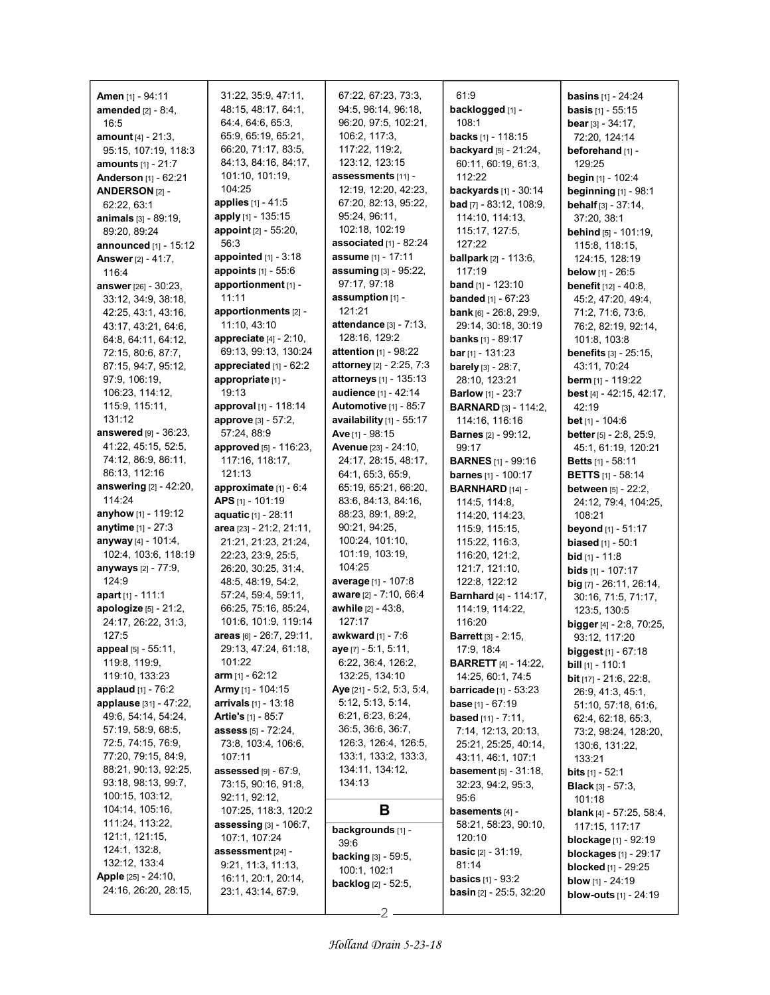| Amen [1] - 94:11               | 31:22, 35:9, 47:11,              | 67:22, 67:23, 73:3,            | 61:9                             | <b>basins</b> $[1] - 24:24$          |
|--------------------------------|----------------------------------|--------------------------------|----------------------------------|--------------------------------------|
| <b>amended</b> $[2] - 8:4$ ,   | 48:15, 48:17, 64:1,              | 94:5, 96:14, 96:18,            | backlogged [1] -                 | <b>basis</b> $[1] - 55:15$           |
| 16:5                           | 64:4, 64:6, 65:3,                | 96:20, 97:5, 102:21,           | 108:1                            | <b>bear</b> $[3] - 34:17$ ,          |
| <b>amount</b> $[4] - 21:3$ ,   | 65.9, 65.19, 65:21,              | 106:2, 117:3,                  | <b>backs</b> $[1]$ - 118:15      | 72:20, 124:14                        |
| 95:15, 107:19, 118:3           | 66:20, 71:17, 83:5,              | 117:22, 119:2,                 | <b>backyard</b> [5] - 21:24,     | beforehand [1] -                     |
| amounts [1] - 21:7             | 84:13, 84:16, 84:17,             | 123:12, 123:15                 | 60:11, 60:19, 61:3,              | 129:25                               |
| Anderson [1] - 62:21           | 101:10, 101:19,                  | assessments [11] -             | 112:22                           | <b>begin</b> $[1]$ - 102:4           |
| ANDERSON <sub>[2]</sub> -      | 104:25                           | 12:19, 12:20, 42:23,           | <b>backyards</b> [1] - 30:14     | beginning [1] - 98:1                 |
| 62:22, 63:1                    | <b>applies</b> $[1] - 41.5$      | 67:20, 82:13, 95:22,           | <b>bad</b> $[7]$ - 83:12, 108:9, | <b>behalf</b> $[3] - 37:14$ ,        |
| <b>animals</b> [3] - 89:19,    | apply [1] - 135:15               | 95:24, 96:11,                  | 114:10, 114:13,                  | 37:20, 38:1                          |
| 89:20, 89:24                   | <b>appoint</b> $[2] - 55:20$ ,   | 102:18, 102:19                 | 115:17, 127:5,                   | <b>behind</b> $[5] - 101:19$ ,       |
| <b>announced</b> [1] - $15:12$ | 56:3                             | associated [1] - 82:24         | 127:22                           | 115:8, 118:15,                       |
| <b>Answer</b> [2] - 41:7,      | <b>appointed</b> $[1] - 3:18$    | assume [1] - 17:11             | <b>ballpark</b> [2] - 113:6,     | 124:15, 128:19                       |
| 1164                           | appoints [1] - 55:6              | assuming [3] - 95:22,          | 117:19                           | below [1] - 26:5                     |
| answer [26] - 30:23,           | apportionment [1] -              | 97:17, 97:18                   | <b>band</b> [1] - 123:10         | <b>benefit</b> [12] - 40:8,          |
| 33:12, 34:9, 38:18,            | 11:11                            | assumption [1] -               | <b>banded</b> [1] - 67:23        | 45:2, 47:20, 49:4,                   |
| 42:25, 43:1, 43:16,            | apportionments [2] -             | 121:21                         | <b>bank</b> [6] - 26:8, 29:9,    | 71:2, 71:6, 73:6,                    |
| 43:17, 43:21, 64:6,            | 11:10, 43:10                     | <b>attendance</b> [3] - 7:13,  | 29:14, 30:18, 30:19              | 76:2, 82:19, 92:14,                  |
| 64:8, 64:11, 64:12,            | <b>appreciate</b> $[4] - 2:10$ , | 128:16, 129:2                  | <b>banks</b> [1] - 89:17         | 101:8, 103:8                         |
| 72:15, 80:6, 87:7,             | 69:13, 99:13, 130:24             | <b>attention</b> $[1]$ - 98:22 | $bar$ [1] - 131:23               | <b>benefits</b> $[3] - 25:15$ ,      |
| 87:15, 94:7, 95:12,            | appreciated $[1]$ - $62:2$       | attorney [2] - 2:25, 7:3       | barely [3] - 28:7,               | 43:11, 70:24                         |
| 97.9, 106.19,                  | appropriate [1] -                | <b>attorneys</b> [1] - 135:13  |                                  | <b>berm</b> $[1]$ - 119:22           |
| 106:23, 114:12,                | 19:13                            | audience [1] - 42:14           | 28:10, 123:21                    |                                      |
|                                |                                  |                                | <b>Barlow</b> [1] - 23:7         | <b>best</b> [4] - 42:15, 42:17,      |
| 115.9, 115.11,                 | approval $[1]$ - 118:14          | <b>Automotive [1] - 85:7</b>   | <b>BARNARD</b> [3] - 114:2,      | 42:19                                |
| 131:12                         | approve [3] - 57:2,              | availability $[1]$ - 55:17     | 114:16, 116:16                   | <b>bet</b> $[1]$ - 104:6             |
| <b>answered</b> [9] - 36:23,   | 57:24, 88.9                      | Ave [1] - 98:15                | <b>Barnes</b> [2] - 99:12,       | <b>better</b> $[5] - 2.8$ , $25.9$ , |
| 41:22, 45:15, 52:5,            | approved [5] - 116:23,           | <b>Avenue</b> [23] - 24:10,    | 99:17                            | 45:1, 61:19, 120:21                  |
| 74:12, 86:9, 86:11,            | 117:16, 118:17,                  | 24:17, 28:15, 48:17,           | <b>BARNES</b> [1] - 99:16        | <b>Betts</b> $[1]$ - 58:11           |
| 86:13, 112:16                  | 121:13                           | 64:1, 65:3, 65:9,              | <b>barnes</b> [1] - 100:17       | <b>BETTS</b> [1] - 58:14             |
| <b>answering</b> [2] - 42:20,  | approximate [1] - 6:4            | 65:19, 65:21, 66:20,           | BARNHARD [14] -                  | <b>between</b> $[5] - 22:2$          |
| 114:24                         | APS [1] - 101:19                 | 83:6, 84:13, 84:16,            | 114:5, 114:8,                    | 24:12, 79:4, 104:25,                 |
| <b>anyhow</b> [1] - 119:12     | aquatic [1] - 28:11              | 88:23, 89:1, 89:2,             | 114:20, 114:23,                  | 108:21                               |
| anytime [1] - 27:3             | area [23] - 21:2, 21:11,         | 90:21, 94:25,                  | 115:9, 115:15,                   | <b>beyond</b> [1] - 51:17            |
| anyway [4] - 101:4,            | 21:21, 21:23, 21:24,             | 100:24, 101:10,                | 115:22, 116:3,                   | <b>biased</b> $[1] - 50:1$           |
| 102:4, 103:6, 118:19           | 22:23, 23.9, 25.5,               | 101:19, 103:19,                | 116.20, 121:2,                   | <b>bid</b> $[1] - 11:8$              |
| anyways [2] - 77:9,            | 26:20, 30:25, 31:4,              | 104:25                         | 121.7, 121.10,                   | <b>bids</b> $[1]$ - 107:17           |
| 124:9                          | 48:5, 48:19, 54:2,               | <b>average</b> [1] - 107:8     | 122:8, 122:12                    | $big$ [7] - 26:11, 26:14,            |
| apart [1] - 111:1              | 57:24, 59:4, 59:11,              | aware [2] - 7:10, 66:4         | <b>Barnhard</b> [4] - 114:17,    | 30:16, 71:5, 71:17,                  |
| apologize [5] - 21:2,          | 66:25, 75:16, 85:24,             | <b>awhile</b> [2] - 43:8,      | 114:19, 114:22,                  | 123:5, 130:5                         |
| 24:17, 26:22, 31:3,            | 101:6, 101:9, 119:14             | 127:17                         | 116:20                           | <b>bigger</b> [4] - 2:8, 70:25,      |
| 127:5                          | areas [6] - 26:7, 29:11,         | <b>awkward</b> [1] - 7:6       | <b>Barrett</b> [3] - 2:15,       | 93:12, 117:20                        |
| appeal [5] - 55:11,            | 29:13, 47:24, 61:18,             | <b>aye</b> [7] $-5.1, 5.11,$   | 17:9, 18:4                       | <b>biggest</b> $[1] - 67:18$         |
| 119.8, 119.9,                  | 101:22                           | 6:22, 36:4, 126:2,             | <b>BARRETT</b> $[4] - 14:22$     | <b>bill</b> $[1]$ - 110:1            |
| 119:10, 133:23                 | <b>arm</b> $[1] - 62:12$         | 132.25, 134:10                 | 14:25, 60:1, 74:5                | <b>bit</b> $[17] - 21.6$ , 22:8,     |
| <b>applaud</b> [1] - 76:2      | <b>Army</b> [1] - 104:15         | Aye [21] - 5:2, 5:3, 5:4,      | <b>barricade</b> [1] - 53:23     | 26.9, 41.3, 45.1,                    |
| applause [31] - 47:22,         | <b>arrivals</b> $[1]$ - 13:18    | 5:12, 5:13, 5:14,              | <b>base</b> [1] - 67:19          | 51:10, 57:18, 61:6,                  |
| 49:6, 54:14, 54:24,            | Artie's [1] - 85:7               | 6:21, 6:23, 6:24,              | <b>based</b> [11] - 7:11,        | 62:4, 62:18, 65:3,                   |
| 57:19, 58:9, 68:5,             | assess [5] - 72:24,              | 36:5, 36:6, 36:7,              | 7:14, 12:13, 20:13,              | 73:2, 98:24, 128:20,                 |
| 72.5, 74.15, 76.9,             | 73:8, 103:4, 106:6,              | 126:3, 126:4, 126:5,           | 25:21, 25:25, 40:14,             | 130:6, 131:22,                       |
| 77:20, 79:15, 84:9,            | 107:11                           | 133:1, 133:2, 133:3,           | 43:11, 46:1, 107:1               | 133:21                               |
| 88:21, 90:13, 92:25,           | assessed $[9] - 67.9$ ,          | 134:11, 134:12,                | basement [5] - 31:18,            | <b>bits</b> $[1] - 52:1$             |
| 93:18, 98:13, 99:7,            | 73:15, 90:16, 91:8,              | 134:13                         | 32:23, 94:2, 95:3,               | <b>Black</b> [3] $-57:3$ ,           |
| 100:15, 103:12,                | 92:11, 92:12,                    |                                | 95.6                             | 101:18                               |
| 104:14, 105:16,                | 107:25, 118:3, 120:2             | B                              | basements [4] -                  | <b>blank</b> [4] - 57:25, 58:4,      |
| 111:24, 113:22,                | <b>assessing</b> $[3] - 106:7$ , |                                | 58:21, 58:23, 90:10,             | 117:15, 117:17                       |
| 121:1, 121:15,                 | 107:1, 107:24                    | backgrounds [1] -              | 120:10                           |                                      |
| 124:1, 132:8,                  | assessment [24] -                | 39:6                           | <b>basic</b> $[2] - 31:19$ ,     | <b>blockage</b> $[1]$ - 92:19        |
| 132:12, 133:4                  | 9.21, 11.3, 11.13,               | <b>backing</b> $[3] - 59.5$ ,  | 81:14                            | <b>blockages</b> [1] - 29:17         |
| <b>Apple</b> [25] - 24:10,     | 16:11, 20:1, 20:14,              | 100:1, 102:1                   | <b>basics</b> $[1] - 93.2$       | <b>blocked</b> [1] - 29:25           |
| 24:16, 26:20, 28:15,           | 23:1, 43:14, 67:9,               | backlog [2] - 52:5,            |                                  | <b>blow</b> $[1]$ - 24:19            |
|                                |                                  |                                | <b>basin</b> $[2] - 25:5, 32:20$ | <b>blow-outs</b> $[1] - 24:19$       |

 $-2 -$ 

 $\mathbf{I}$ 

I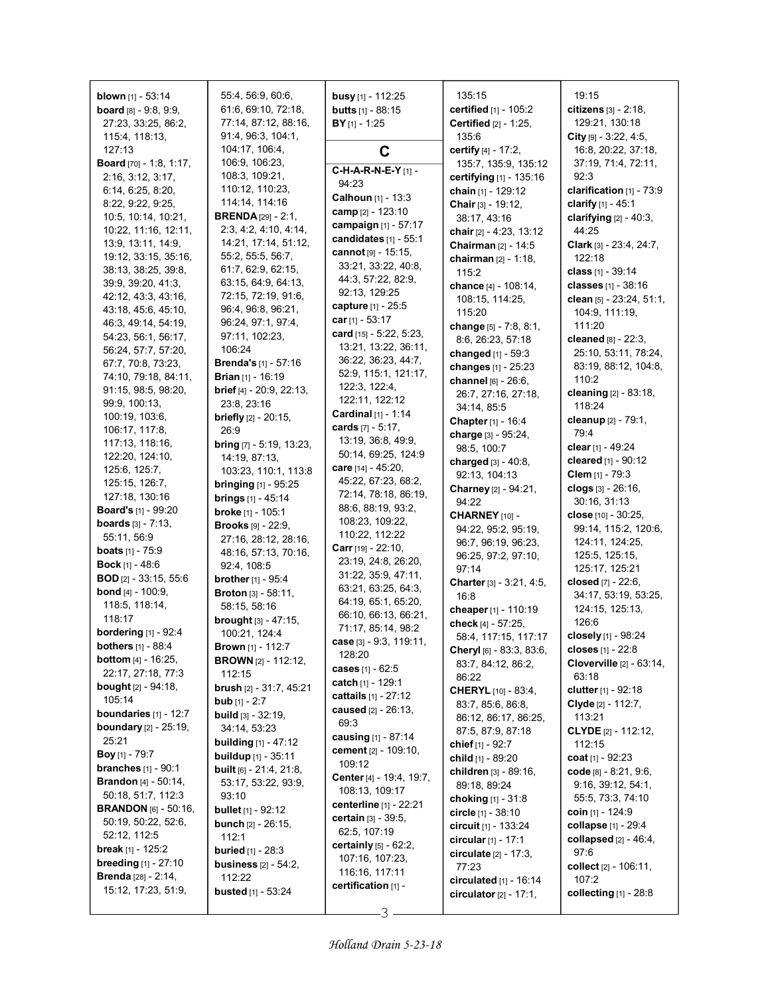| <b>blown</b> [1] - 53:14        | 55:4, 56:9, 60:6,               | <b>busy</b> [1] - 112:25        | 135:15                             | 19:15                      |
|---------------------------------|---------------------------------|---------------------------------|------------------------------------|----------------------------|
| <b>board</b> $[8] - 9.8, 9.9,$  | 61:6, 69:10, 72:18,             | <b>butts</b> $[1] - 88:15$      | certified [1] - 105:2              | citizens [3] - 2:18,       |
| 27:23, 33:25, 86:2,             | 77:14, 87:12, 88:16,            | $BY$ <sub>[1]</sub> - 1:25      | Certified [2] - 1:25,              | 129:21, 130:18             |
| 115:4, 118:13,                  | 91:4, 96:3, 104:1,              |                                 | 135:6                              | City $[9] - 3.22, 4.5,$    |
| 127:13                          | 104:17, 106:4,                  | C                               | <b>certify</b> $[4] - 17:2$ ,      | 16:8, 20:22, 37:18,        |
| <b>Board</b> [70] - 1:8, 1:17,  | 106:9, 106:23,                  |                                 | 135:7, 135:9, 135:12               | 37:19, 71:4, 72:11,        |
| 2:16, 3:12, 3:17,               | 108:3, 109:21,                  | C-H-A-R-N-E-Y[1] -              | certifying [1] - 135:16            | 92:3                       |
| 6:14, 6:25, 8:20,               | 110:12, 110:23,                 | 94:23                           | chain [1] - 129:12                 | clarification [1] - 73:9   |
| 8:22, 9:22, 9:25,               | 114:14, 114:16                  | <b>Calhoun</b> $[1]$ - 13:3     | Chair [3] - 19:12,                 | clarify [1] - 45:1         |
| 10:5, 10:14, 10:21,             | <b>BRENDA</b> $[29] - 2:1$ ,    | camp [2] - 123:10               | 38:17, 43:16                       | clarifying $[2] - 40:3$ ,  |
| 10:22, 11:16, 12:11,            | 2.3, 4.2, 4.10, 4.14,           | campaign [1] - 57:17            | chair $[2] - 4:23, 13:12$          | 44:25                      |
| 13.9, 13.11, 14.9,              | 14:21, 17:14, 51:12,            | candidates $[1]$ - 55:1         | <b>Chairman</b> $[2] - 14:5$       | Clark [3] - 23:4, 24:7,    |
| 19:12, 33:15, 35:16,            | 55:2, 55:5, 56:7,               | cannot [9] - 15:15,             | chairman $[2] - 1:18$ ,            | 122:18                     |
| 38:13, 38:25, 39:8,             | 61:7, 62:9, 62:15,              | 33:21, 33:22, 40:8,             |                                    |                            |
| 39.9, 39.20, 41.3,              | 63:15, 64:9, 64:13,             | 44: 3, 57: 22, 82: 9,           | 115:2                              | <b>class</b> [1] - 39:14   |
| 42:12, 43:3, 43:16,             | 72:15, 72:19, 91:6,             | 92:13, 129:25                   | chance [4] - 108:14,               | classes [1] - 38:16        |
| 43:18, 45:6, 45:10,             | 96.4, 96.8, 96.21,              | capture [1] - 25:5              | 108:15, 114:25,                    | clean [5] - 23:24, 51:1,   |
|                                 | 96:24, 97:1, 97:4,              | car [1] - 53:17                 | 115:20                             | 104:9, 111:19,             |
| 46 3, 49 14, 54 19,             |                                 | card [15] - 5:22, 5:23,         | change [5] - 7:8, 8:1,             | 111:20                     |
| 54:23, 56:1, 56:17,             | 97:11, 102:23,                  | 13:21, 13:22, 36:11,            | 8:6, 26:23, 57:18                  | cleaned $[8] - 22:3$ ,     |
| 56:24, 57:7, 57:20,             | 106:24                          | 36:22, 36:23, 44:7,             | changed [1] - 59:3                 | 25:10, 53:11, 78:24,       |
| 67:7, 70:8, 73:23,              | <b>Brenda's</b> [1] - 57:16     | 52:9, 115:1, 121:17,            | changes [1] - 25:23                | 83:19, 88:12, 104:8,       |
| 74:10, 79:18, 84:11,            | <b>Brian</b> $[1]$ - 16:19      |                                 | channel [6] - 26:6.                | 110:2                      |
| 91:15, 98:5, 98:20,             | brief [4] - 20:9, 22:13,        | 122:3, 122:4,                   | 26:7, 27:16, 27:18,                | cleaning [2] - 83:18,      |
| 99:9, 100:13,                   | 23:8, 23:16                     | 122.11, 122.12                  | 34:14, 85:5                        | 118:24                     |
| 100:19, 103:6,                  | <b>briefly</b> $[2] - 20:15$ ,  | <b>Cardinal</b> $[1]$ - 1:14    | Chapter [1] - 16:4                 | cleanup [2] - 79:1,        |
| 106:17, 117:8,                  | 26:9                            | cards $[7] - 5:17$ ,            | charge [3] - 95:24,                | 79:4                       |
| 117:13, 118:16,                 | <b>bring</b> [7] - 5:19, 13:23, | 13:19, 36:8, 49:9,              | 98:5, 100:7                        | clear [1] - 49:24          |
| 122:20, 124:10,                 | 14:19, 87:13,                   | 50:14, 69:25, 124:9             | charged $[3] - 40.8$ ,             | cleared [1] - 90:12        |
| 125.6, 125.7,                   | 103:23, 110:1, 113:8            | care [14] - 45:20,              | 92:13, 104:13                      | <b>Clem</b> $[1]$ - 79:3   |
| 125:15, 126:7,                  | <b>bringing</b> $[1]$ - 95:25   | 45:22, 67:23, 68:2,             | Charney [2] - 94:21,               | clogs [3] - 26:16,         |
| 127:18, 130:16                  | <b>brings</b> $[1] - 45:14$     | 72:14, 78:18, 86:19,            | 94:22                              | 30:16, 31:13               |
| <b>Board's</b> [1] - 99:20      | broke [1] - 105:1               | 88.6, 88.19, 93.2,              | CHARNEY [10] -                     | close [10] - 30:25,        |
| <b>boards</b> $[3] - 7.13$ ,    | <b>Brooks</b> [9] - 22:9,       | 108:23, 109:22,                 |                                    | 99:14, 115:2, 120:6,       |
| 55:11, 56:9                     | 27:16, 28:12, 28:16,            | 110:22, 112:22                  | 94:22, 95:2, 95:19,                | 124:11, 124:25,            |
| <b>boats</b> $[1] - 75.9$       | 48:16, 57:13, 70:16,            | <b>Carr</b> [19] - 22:10,       | 96:7, 96:19, 96:23,                | 125:5, 125:15,             |
| <b>Bock</b> $[1] - 48:6$        | 92:4, 108:5                     | 23:19, 24:8, 26:20,             | 96:25, 97:2, 97:10,                |                            |
| <b>BOD</b> [2] - 33:15, 55:6    | <b>brother</b> [1] - 95:4       | 31:22, 35:9, 47:11,             | 97:14                              | 125:17, 125:21             |
| <b>bond</b> $[4] - 100.9$ .     | <b>Broton</b> $[3] - 58:11$ ,   | 63:21, 63:25, 64:3,             | <b>Charter</b> [3] - $3:21, 4:5$ , | closed [7] - 22:6,         |
| 118:5, 118:14,                  | 58:15, 58:16                    | 64:19, 65:1, 65:20,             | 16:8                               | 34:17, 53:19, 53:25,       |
| 118:17                          | brought [3] - 47:15,            | 66:10, 66:13, 66:21,            | cheaper <sub>[1]</sub> - 110:19    | 124:15, 125:13,            |
| <b>bordering</b> [1] - 92:4     |                                 | 71:17, 85:14, 98:2              | check [4] - 57:25,                 | 126:6                      |
|                                 | 100:21, 124:4                   | case [3] - 9:3, 119:11,         | 58:4, 117:15, 117:17               | closely [1] - 98:24        |
| <b>bothers</b> [1] - 88:4       | <b>Brown</b> [1] - 112:7        | 128:20                          | <b>Cheryl</b> [6] - 83.3, 83.6,    | closes [1] - 22:8          |
| <b>bottom</b> $[4] - 16:25$ ,   | <b>BROWN</b> [2] - 112:12,      | cases [1] - 62:5                | 83:7, 84:12, 86:2,                 | Cloverville [2] - 63:14,   |
| 22:17, 27:18, 77:3              | 112:15                          | catch $[1]$ - 129:1             | 86:22                              | 63:18                      |
| <b>bought</b> $[2] - 94:18$ ,   | brush [2] - 31:7, 45:21         | cattails [1] - 27:12            | <b>CHERYL</b> [10] - 83:4,         | clutter $[1] - 92:18$      |
| 105:14                          | <b>bub</b> $[1] - 2:7$          | caused [2] - 26:13,             | 83:7, 85:6, 86:8,                  | Clyde [2] - 112:7,         |
| boundaries $[1] - 12:7$         | <b>build</b> $[3] - 32:19$ ,    | 69.3                            | 86:12, 86:17, 86:25,               | 113:21                     |
| <b>boundary</b> $[2] - 25:19$ , | 34:14, 53:23                    |                                 | 87:5, 87:9, 87:18                  | <b>CLYDE</b> [2] - 112:12, |
| 25:21                           | <b>building</b> $[1] - 47:12$   | causing [1] - 87:14             | chief [1] - 92:7                   | 112:15                     |
| <b>Boy</b> [1] - 79:7           | <b>buildup</b> $[1] - 35:11$    | <b>cement</b> [2] - 109:10,     | child [1] - 89:20                  | coat $[1] - 92:23$         |
| <b>branches</b> $[1] - 90:1$    | built [6] - 21:4, 21:8,         | 109:12                          | children [3] - 89:16,              | code $[8] - 8.21, 9.6,$    |
| <b>Brandon</b> $[4] - 50:14$ ,  | 53:17, 53:22, 93:9,             | Center [4] - 19:4, 19:7,        | 89:18, 89:24                       | 9:16, 39:12, 54:1,         |
| 50:18, 51:7, 112:3              | 93:10                           | 108:13, 109:17                  | choking $[1] - 31.8$               | 55:5, 73:3, 74:10          |
| <b>BRANDON</b> [6] - 50:16,     | <b>bullet</b> $[1]$ - 92:12     | centerline [1] - 22:21          | circle $[1] - 38:10$               | coin $[1]$ - 124:9         |
| 50:19, 50:22, 52:6,             | <b>bunch</b> $[2] - 26:15$ ,    | certain [3] - 39:5,             | circuit $[1]$ - 133:24             | collapse [1] - 29:4        |
| 52:12, 112:5                    | 112:1                           | 62:5, 107:19                    |                                    | collapsed $[2] - 46.4$ ,   |
| break [1] - 125:2               | <b>buried</b> $[1] - 28:3$      | <b>certainly</b> $[5] - 62:2$ , | circular $[1] - 17:1$              | 97:6                       |
| <b>breeding</b> $[1]$ - 27:10   | <b>business</b> [2] - 54:2,     | 107:16, 107:23,                 | circulate $[2] - 17.3$ ,           |                            |
| <b>Brenda</b> [28] - 2:14,      | 112:22                          | 116:16, 117:11                  | 77:23                              | collect [2] - 106:11,      |
| 15:12, 17:23, 51:9,             |                                 | certification [1] -             | circulated [1] - 16:14             | 107:2                      |
|                                 | busted [1] - 53:24              |                                 | circulator $[2] - 17:1$ ,          | collecting [1] - 28:8      |

3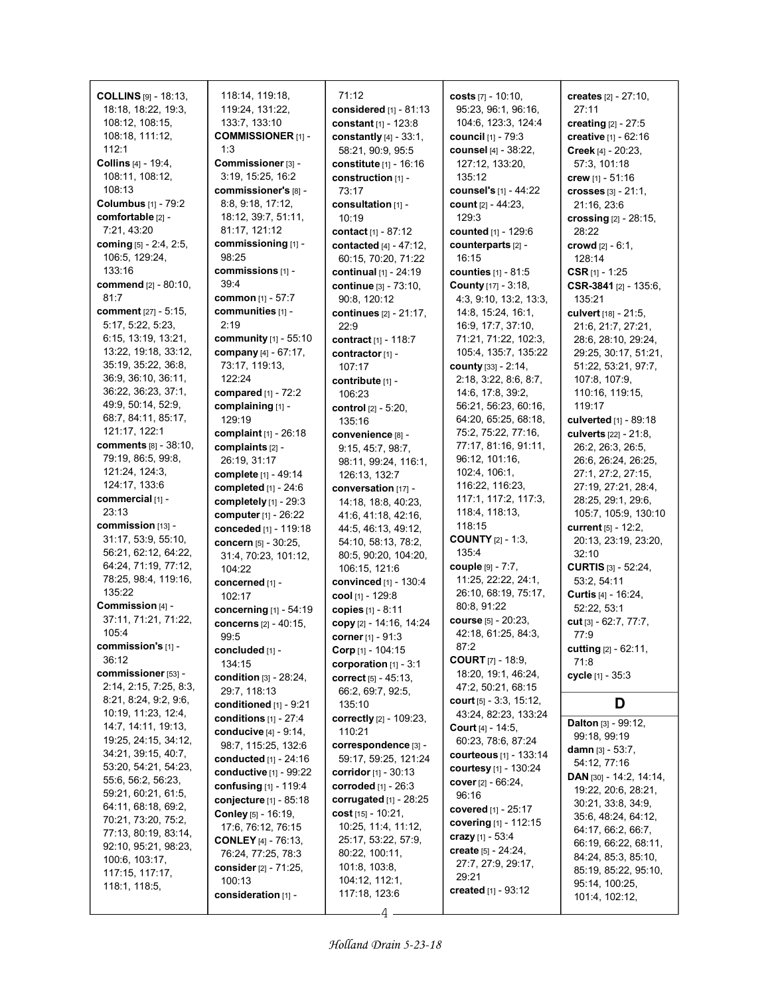| <b>COLLINS</b> $[9] - 18:13$ | 118:14, 119:18,               | 71:12                             | costs [7] - 10:10,            | creates [2] - 27:10.              |
|------------------------------|-------------------------------|-----------------------------------|-------------------------------|-----------------------------------|
| 18:18, 18:22, 19:3,          | 119:24, 131:22,               | considered $[1] - 81:13$          | 95:23, 96:1, 96:16,           | 27:11                             |
| 108:12, 108:15,              | 133:7, 133:10                 | constant [1] - 123:8              | 104.6, 123.3, 124.4           | creating [2] - 27:5               |
|                              |                               |                                   | council [1] - 79:3            |                                   |
| 108:18, 111:12,              | <b>COMMISSIONER [1] -</b>     | constantly $[4] - 33:1$ ,         |                               | creative [1] - 62:16              |
| 112:1                        | 1:3                           | 58:21, 90:9, 95:5                 | counsel [4] - 38:22,          | Creek [4] - 20:23.                |
| Collins [4] - 19:4,          | Commissioner [3] -            | constitute [1] - 16:16            | 127:12, 133:20,               | 57:3, 101:18                      |
| 108:11, 108:12,              | 3:19, 15:25, 16:2             | construction [1] -                | 135:12                        | crew $[1] - 51:16$                |
| 108:13                       | commissioner's [8] -          | 73:17                             | <b>counsel's</b> [1] - 44:22  | crosses $[3] - 21:1$ ,            |
| <b>Columbus</b> [1] - 79:2   | 8:8, 9:18, 17:12,             | consultation [1] -                | count [2] - 44:23,            | 21:16, 23:6                       |
| comfortable [2] -            | 18:12, 39:7, 51:11,           | 10:19                             | 129:3                         | crossing [2] - 28:15,             |
| 7:21, 43:20                  | 81:17, 121:12                 | contact [1] - 87:12               | counted [1] - 129:6           | 28:22                             |
| coming [5] - 2:4, 2:5,       | commissioning [1] -           | contacted [4] - 47:12,            | counterparts [2] -            | crowd $[2] - 6:1$ ,               |
| 106.5, 129.24,               | 98:25                         | 60:15, 70:20, 71:22               | 16:15                         | 128:14                            |
| 133:16                       | commissions [1] -             | continual $[1] - 24:19$           | counties [1] - 81:5           | CSR $[1]$ - 1:25                  |
| <b>commend</b> [2] - 80:10,  | 39.4                          | continue [3] - 73:10,             | County [17] - 3:18,           | CSR-3841 [2] - 135:6,             |
| 81:7                         | common [1] - 57:7             | 90:8, 120:12                      | 4:3, 9:10, 13:2, 13:3,        | 135:21                            |
| comment [27] - 5:15,         | communities [1] -             |                                   | 14:8, 15:24, 16:1,            |                                   |
| 5:17, 5:22, 5:23,            | 2:19                          | continues [2] - 21:17,            |                               | culvert [18] - 21:5,              |
|                              |                               | 22:9                              | 16.9, 17:7, 37:10,            | 21:6, 21:7, 27:21,                |
| 6:15, 13:19, 13:21,          | community [1] - 55:10         | contract [1] - 118:7              | 71:21, 71:22, 102:3,          | 28:6, 28:10, 29:24,               |
| 13:22, 19:18, 33:12,         | company [4] - 67:17,          | contractor [1] -                  | 105.4, 135.7, 135.22          | 29:25, 30:17, 51:21,              |
| 35:19, 35:22, 36:8,          | 73:17, 119:13,                | 107:17                            | <b>county</b> $[33] - 2:14$ , | 51:22, 53:21, 97:7,               |
| 36.9, 36.10, 36.11,          | 122:24                        | contribute [1] -                  | 2:18, 3:22, 8:6, 8:7,         | 107:8, 107:9,                     |
| 36.22, 36:23, 37:1,          | compared [1] - 72:2           | 106:23                            | 14:6, 17:8, 39:2,             | 110:16, 119:15,                   |
| 49.9, 50.14, 52.9,           | complaining [1] -             | control [2] - 5:20,               | 56:21, 56:23, 60.16,          | 119:17                            |
| 68:7, 84:11, 85:17,          | 129:19                        | 135:16                            | 64:20, 65:25, 68:18,          | culverted [1] - 89:18             |
| 121:17, 122:1                | complaint $[1] - 26:18$       | convenience [8] -                 | 75:2, 75:22, 77:16,           | culverts [22] - 21:8,             |
| <b>comments</b> [8] - 38:10, | complaints [2] -              | 9:15, 45:7, 98:7,                 | 77:17, 81:16, 91:11,          | 26:2, 26:3, 26:5,                 |
| 79:19, 86:5, 99:8,           | 26:19, 31:17                  | 98:11, 99:24, 116:1,              | 96:12, 101:16,                | 26:6, 26:24, 26:25,               |
| 121.24, 124.3,               | complete [1] - 49:14          | 126:13, 132:7                     | 102:4, 106:1,                 | 27:1, 27:2, 27:15,                |
| 124:17, 133:6                | completed [1] - 24:6          | conversation [17] -               | 116:22, 116:23,               | 27:19, 27:21, 28:4,               |
| commercial [1] -             |                               |                                   | 117:1, 117:2, 117:3,          | 28:25, 29:1, 29:6,                |
| 23:13                        | completely [1] - 29:3         | 14:18, 18:8, 40:23,               | 118.4, 118.13,                | 105:7, 105:9, 130:10              |
| commission [13] -            | computer [1] - 26:22          | 41.6, 41.18, 42.16,               | 118:15                        |                                   |
|                              | conceded [1] - 119:18         | 44:5, 46:13, 49:12,               |                               | current [5] - 12:2,               |
| 31:17, 53:9, 55:10,          | concern [5] - 30:25,          | 54:10, 58:13, 78:2,               | <b>COUNTY</b> $[2] - 1:3$ ,   | 20:13, 23:19, 23:20,              |
| 56:21, 62:12, 64:22,         | 31:4, 70:23, 101:12,          | 80:5, 90:20, 104:20,              | 135:4                         | 32:10                             |
| 64:24, 71:19, 77:12,         | 104:22                        | 106:15, 121:6                     | couple [9] - 7:7,             | <b>CURTIS</b> $[3] - 52:24$       |
| 78:25, 98:4, 119:16,         | concerned [1] -               | convinced [1] - 130:4             | 11:25, 22:22, 24:1,           | 53:2, 54:11                       |
| 135:22                       | 102:17                        | cool [1] - 129:8                  | 26:10, 68:19, 75:17,          | Curtis [4] - 16:24,               |
| Commission [4] -             | concerning [1] - 54:19        | copies [1] - 8:11                 | 80:8, 91:22                   | 52:22, 53:1                       |
| 37:11, 71:21, 71:22,         | concerns [2] - 40:15,         | copy [2] - 14:16, 14:24           | course [5] - 20:23,           | cut [3] - 62:7, 77:7,             |
| 105.4                        | 99:5                          | corner [1] - 91:3                 | 42:18, 61:25, 84:3,           | 77:9                              |
| commission's [1] -           | concluded [1] -               | <b>Corp</b> [1] - 104:15          | 87:2                          | cutting [2] - 62:11,              |
| 36:12                        | 134:15                        | corporation [1] - 3:1             | <b>COURT</b> $[7] - 18.9$ ,   | 71:8                              |
| commissioner [53] -          | condition [3] - 28:24,        | correct [5] - 45:13.              | 18:20, 19:1, 46:24,           | cycle [1] - 35:3                  |
| 2:14, 2:15, 7:25, 8:3,       | 29:7, 118:13                  | 66:2, 69:7, 92:5,                 | 47:2, 50:21, 68:15            |                                   |
| 8:21, 8:24, 9:2, 9:6,        | conditioned $[1]$ - $9:21$    | 135:10                            | court $[5] - 3.3, 15.12,$     | D                                 |
| 10:19, 11:23, 12:4,          | conditions $[1] - 27:4$       |                                   | 43:24, 82:23, 133:24          |                                   |
| 14:7, 14:11, 19:13,          |                               | correctly [2] - 109:23,<br>110:21 | <b>Court</b> [4] - 14:5,      | Dalton [3] - 99:12,               |
| 19:25, 24:15, 34:12,         | conducive [4] - 9:14,         |                                   | 60:23, 78:6, 87:24            | 99:18, 99:19                      |
| 34:21, 39:15, 40:7,          | 98:7, 115:25, 132:6           | correspondence [3] -              | courteous [1] - 133:14        | <b>damn</b> $[3] - 53:7$ ,        |
| 53:20, 54:21, 54:23,         | conducted [1] - 24:16         | 59:17, 59:25, 121:24              | courtesy [1] - 130:24         | 54:12, 77:16                      |
| 55:6, 56:2, 56:23,           | conductive [1] - 99:22        | corridor $[1] - 30:13$            |                               | <b>DAN</b> $[30] - 14.2$ , 14:14, |
| 59:21, 60:21, 61:5,          | confusing $[1]$ - 119:4       | corroded [1] - 26:3               | <b>cover</b> $[2] - 66:24$ ,  | 19:22, 20:6, 28:21,               |
| 64:11, 68:18, 69:2,          | conjecture [1] - 85:18        | corrugated [1] - 28:25            | 96:16                         | 30:21, 33:8, 34:9,                |
| 70:21, 73:20, 75:2,          | <b>Conley</b> $[5] - 16:19$ , | cost $[15] - 10:21$ ,             | covered [1] - 25:17           | 35:6, 48:24, 64:12,               |
|                              | 17:6, 76:12, 76:15            | 10:25, 11:4, 11:12,               | covering [1] - 112:15         | 64:17, 66:2, 66:7,                |
| 77:13, 80:19, 83:14,         | <b>CONLEY</b> [4] - 76:13,    | 25:17, 53:22, 57:9,               | crazy $[1] - 53.4$            | 66:19, 66:22, 68:11,              |
| 92:10, 95:21, 98:23,         | 76:24, 77:25, 78:3            | 80:22, 100:11,                    | create $[5] - 24.24$ ,        | 84:24, 85:3, 85:10,               |
| 100.6, 103:17,               | consider [2] - 71:25,         | 101:8, 103:8,                     | 27:7, 27:9, 29:17,            | 85:19, 85:22, 95:10,              |
| 117:15, 117:17,              | 100:13                        | 104:12, 112:1,                    | 29:21                         | 95:14, 100:25,                    |
| 118:1, 118:5,                | consideration [1] -           | 117:18, 123:6                     | created [1] - 93:12           | 101:4, 102:12,                    |
|                              |                               |                                   |                               |                                   |

4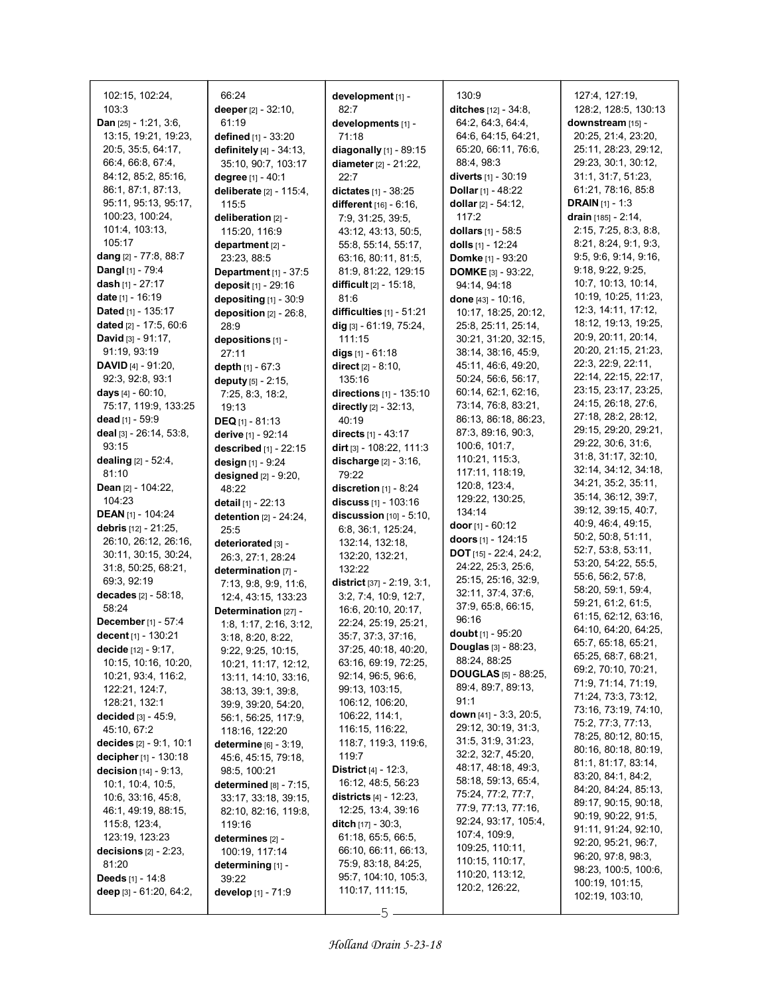| 102:15, 102:24,                                   | 66:24                                               | development [1] -                       | 130:9                                       | 127.4, 127:19,                           |
|---------------------------------------------------|-----------------------------------------------------|-----------------------------------------|---------------------------------------------|------------------------------------------|
| 103:3                                             | deeper [2] - 32:10,                                 | 82:7                                    | ditches [12] - 34:8,                        | 128:2, 128:5, 130:13                     |
| <b>Dan</b> [25] - 1:21, 3:6,                      | 61:19                                               | developments [1] -                      | 64:2, 64:3, 64:4,                           | downstream [15] -                        |
| 13:15, 19:21, 19:23,                              | defined [1] - 33:20                                 | 71:18                                   | 64.6, 64.15, 64.21,                         | 20:25, 21:4, 23:20,                      |
| 20:5, 35:5, 64:17,                                | <b>definitely</b> $[4] - 34:13$ ,                   | diagonally [1] - 89:15                  | 65:20, 66:11, 76:6,                         | 25:11, 28:23, 29:12,                     |
| 66:4, 66:8, 67:4,                                 | 35:10, 90:7, 103:17                                 | diameter [2] - 21:22,                   | 88:4, 98:3                                  | 29:23, 30:1, 30:12,                      |
| 84:12, 85:2, 85:16,                               | degree [1] - 40:1                                   | 22:7                                    | diverts $[1] - 30:19$                       | 31:1, 31:7, 51:23,                       |
| 86.1, 87.1, 87.13,                                | deliberate $[2] - 115:4$ ,                          | dictates $[1] - 38:25$                  | <b>Dollar</b> [1] - 48:22                   | 61:21, 78:16, 85:8                       |
| 95:11, 95:13, 95:17,                              | 115:5                                               | different [16] - 6:16,                  | dollar $[2] - 54:12$ ,                      | <b>DRAIN</b> $[1] - 1:3$                 |
| 100:23, 100:24,                                   | deliberation [2] -                                  | 7:9, 31:25, 39:5,                       | 117:2                                       | drain [185] - 2:14,                      |
| 101:4, 103:13,                                    | 115:20, 116:9                                       | 43:12, 43:13, 50:5,                     | dollars $[1] - 58.5$                        | 2:15, 7:25, 8:3, 8:8,                    |
| 105:17                                            | department [2] -                                    | 55:8, 55:14, 55:17,                     | dolls [1] - 12:24                           | 8:21, 8:24, 9:1, 9:3,                    |
| dang [2] - 77:8, 88:7                             | 23:23, 88:5                                         | 63:16, 80:11, 81:5,                     | Domke [1] - 93:20                           | 9.5, 9.6, 9.14, 9.16,                    |
| Dangl [1] - 79:4                                  | Department [1] - 37:5                               | 81.9, 81.22, 129.15                     | <b>DOMKE</b> $[3] - 93:22$                  | 9:18, 9:22, 9:25,                        |
| dash [1] - 27:17                                  | deposit [1] - 29:16                                 | <b>difficult</b> $[2] - 15:18$          | 94:14, 94:18                                | 10:7, 10:13, 10:14,                      |
| date [1] - 16:19                                  | depositing [1] - 30:9                               | 81.6                                    | done [43] - 10:16,                          | 10:19, 10:25, 11:23,                     |
| Dated [1] - 135:17                                | deposition $[2] - 26:8$ ,                           | difficulties [1] - 51:21                | 10:17, 18:25, 20:12,                        | 12:3, 14:11, 17:12,                      |
| dated [2] - 17:5, 60:6                            | 28:9                                                | dig $[3] - 61:19, 75:24,$               | 25:8, 25:11, 25:14,                         | 18:12, 19:13, 19:25,                     |
| <b>David</b> $[3] - 91:17$ ,                      | depositions [1] -                                   | 111:15                                  | 30:21, 31:20, 32:15,                        | 20:9, 20:11, 20:14,                      |
| 91:19, 93:19                                      | 27:11                                               | digs $[1] - 61:18$                      | 38:14, 38:16, 45:9,                         | 20:20, 21:15, 21:23,                     |
| <b>DAVID</b> [4] - 91:20,                         | depth [1] - 67:3                                    | direct $[2] - 8:10$ ,                   | 45:11, 46:6, 49:20,                         | 22.3, 22.9, 22.11,                       |
| 92:3, 92:8, 93:1                                  | deputy $[5] - 2:15$ ,                               | 135:16                                  | 50:24, 56:6, 56:17,                         | 22:14, 22:15, 22:17,                     |
| days [4] - 60:10,                                 | 7:25, 8:3, 18:2,                                    | directions [1] - 135:10                 | 60:14, 62:1, 62:16,                         | 23:15, 23:17, 23:25,                     |
| 75:17, 119:9, 133:25                              | 19:13                                               | directly $[2] - 32:13$ ,                | 73:14, 76:8, 83:21,                         | 24:15, 26:18, 27:6,                      |
| dead [1] - 59:9                                   | <b>DEQ</b> $[1] - 81:13$                            | 40:19                                   | 86:13, 86:18, 86:23,                        | 27:18, 28:2, 28:12,                      |
| deal [3] - 26:14, 53:8,                           | derive [1] - 92:14                                  | directs [1] - 43:17                     | 87:3, 89:16, 90:3,                          | 29:15, 29:20, 29:21,                     |
| 93:15                                             | described [1] - 22:15                               | dirt $[3] - 108.22, 111.3$              | 100.6, 101.7,                               | 29:22, 30:6, 31:6,                       |
| dealing [2] - 52:4,                               | design [1] - 9:24                                   | discharge [2] - 3:16,                   | 110:21, 115:3,                              | 31:8, 31:17, 32:10,                      |
| 81:10                                             | designed $[2] - 9:20$ ,                             | 79:22                                   | 117:11, 118:19,                             | 32:14, 34:12, 34:18,                     |
| Dean [2] - 104:22,                                | 48:22                                               | discretion $[1]$ - 8:24                 | 120.8, 123.4,                               | 34:21, 35:2, 35:11,                      |
| 104:23                                            | detail [1] - 22:13                                  | discuss [1] - 103:16                    | 129:22, 130:25,                             | 35:14, 36:12, 39:7,                      |
| <b>DEAN</b> [1] - 104:24                          | detention [2] - 24:24,                              | discussion $[10] - 5:10$ ,              | 134:14                                      | 39:12, 39:15, 40:7,                      |
| debris [12] - 21:25,                              | 25:5                                                | 6:8, 36:1, 125:24,                      | door $[1]$ - 60:12                          | 40.9, 46.4, 49.15,                       |
| 26:10, 26:12, 26:16,                              | deteriorated [3] -                                  | 132:14, 132:18,                         | doors $[1]$ - 124:15                        | 50:2, 50:8, 51:11,<br>52:7, 53:8, 53:11, |
| 30:11, 30:15, 30:24,                              | 26:3, 27:1, 28:24                                   | 132:20, 132:21,                         | <b>DOT</b> $[15] - 22:4$ , 24:2,            | 53:20, 54:22, 55:5,                      |
| 31:8, 50:25, 68:21,                               | determination [7] -                                 | 132:22                                  | 24:22, 25:3, 25:6,                          | 55:6, 56:2, 57:8,                        |
| 69:3, 92:19                                       | 7:13, 9:8, 9:9, 11:6,                               | <b>district</b> $[37] - 2:19, 3:1,$     | 25:15, 25:16, 32:9,                         | 58:20, 59:1, 59:4,                       |
| decades [2] - 58:18,                              | 12:4, 43:15, 133:23                                 | 3:2, 7:4, 10:9, 12:7,                   | 32:11, 37:4, 37:6,                          | 59:21, 61:2, 61:5,                       |
| 58:24                                             | Determination [27] -                                | 16:6, 20:10, 20:17,                     | 37:9, 65:8, 66:15,                          | 61:15, 62:12, 63:16,                     |
| December [1] - 57:4                               | 1:8, 1:17, 2:16, 3:12,                              | 22:24, 25:19, 25:21,                    | 96:16                                       | 64:10, 64:20, 64:25,                     |
| decent [1] - 130:21                               | 3:18, 8:20, 8:22,                                   | 35:7, 37:3, 37:16,                      | $doubt$ [1] - $95:20$                       | 65:7, 65:18, 65:21,                      |
| decide [12] - 9:17,                               | 9:22, 9:25, 10:15,                                  | 37:25, 40:18, 40:20,                    | <b>Douglas</b> [3] - 88:23,                 | 65:25, 68:7, 68:21,                      |
| 10:15, 10:16, 10:20,                              | 10:21, 11:17, 12:12,                                | 63:16, 69:19, 72:25,                    | 88.24, 88.25<br><b>DOUGLAS</b> [5] - 88:25, | 69:2, 70:10, 70:21,                      |
| 10:21, 93:4, 116:2,                               | 13:11, 14:10, 33:16,                                | 92:14, 96:5, 96:6,                      | 89:4, 89:7, 89:13,                          | 71:9, 71:14, 71:19,                      |
| 122:21, 124:7,                                    | 38:13, 39:1, 39:8,                                  | 99:13, 103:15,                          | 91:1                                        | 71:24, 73:3, 73:12,                      |
| 128:21, 132:1                                     | 39:9, 39:20, 54:20,                                 | 106:12, 106:20,                         | down [41] - 3:3, 20:5,                      | 73:16, 73:19, 74:10,                     |
| decided $[3] - 45.9$ ,                            | 56:1, 56:25, 117:9,                                 | 106:22, 114:1,                          | 29:12, 30:19, 31:3,                         | 75:2, 77:3, 77:13,                       |
| 45:10, 67:2                                       | 118:16, 122:20                                      | 116:15, 116:22,<br>118:7, 119:3, 119:6, | 31.5, 31.9, 31.23,                          | 78:25, 80:12, 80:15,                     |
| decides $[2] - 9:1, 10:1$                         | <b>determine</b> [6] - 3:19,                        | 119:7                                   | 32:2, 32:7, 45:20,                          | 80:16, 80:18, 80:19,                     |
| decipher [1] - 130:18<br>decision $[14] - 9.13$ , | 45.6, 45.15, 79.18,                                 | <b>District</b> $[4] - 12.3$ ,          | 48:17, 48:18, 49:3,                         | 81:1, 81:17, 83:14,                      |
| 10.1, 10.4, 10.5,                                 | 98.5, 100:21                                        | 16:12, 48:5, 56:23                      | 58:18, 59:13, 65:4,                         | 83:20, 84:1, 84:2,                       |
| 10.6, 33.16, 45.8,                                | determined $[8]$ - $7:15$ ,<br>33:17, 33:18, 39:15, | <b>districts</b> $[4] - 12:23$ ,        | 75:24, 77:2, 77:7,                          | 84:20, 84:24, 85:13,                     |
| 46:1, 49:19, 88:15,                               | 82:10, 82:16, 119:8,                                | 12:25, 13:4, 39:16                      | 77:9, 77:13, 77:16,                         | 89:17, 90:15, 90:18,                     |
| 115.8, 123.4,                                     | 119:16                                              | <b>ditch</b> $[17] - 30:3$ ,            | 92:24, 93:17, 105:4,                        | 90:19, 90:22, 91:5,                      |
| 123:19, 123:23                                    | determines [2] -                                    | 61:18, 65:5, 66:5,                      | 107:4, 109:9,                               | 91:11, 91:24, 92:10,                     |
| decisions $[2] - 2:23$ ,                          | 100:19, 117:14                                      | 66:10, 66:11, 66:13,                    | 109:25, 110:11,                             | 92:20, 95:21, 96:7,                      |
| 81:20                                             | determining [1] -                                   | 75:9, 83:18, 84:25,                     | 110:15, 110:17,                             | 96:20, 97:8, 98:3,                       |
| <b>Deeds</b> $[1] - 14.8$                         | 39:22                                               | 95:7, 104:10, 105:3,                    | 110:20, 113:12,                             | 98:23, 100:5, 100:6,                     |
| deep $[3] - 61:20, 64:2,$                         | <b>develop</b> [1] - 71:9                           | 110:17, 111:15,                         | 120:2, 126:22,                              | 100:19, 101:15,                          |
|                                                   |                                                     |                                         |                                             | 102:19, 103:10,                          |

5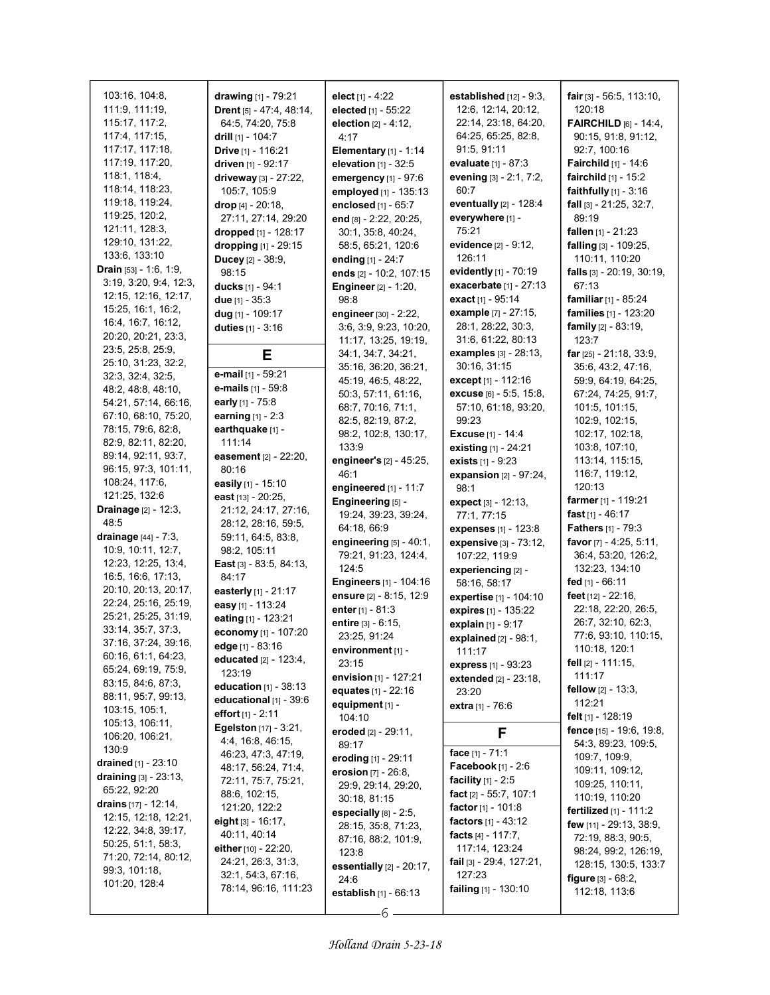| 103:16, 104:8,                             | drawing [1] - 79:21      | elect $[1] - 4:22$            | established $[12]$ - $9:3$ ,       | fair $[3] - 56.5, 113.10,$                      |
|--------------------------------------------|--------------------------|-------------------------------|------------------------------------|-------------------------------------------------|
| 111:9, 111:19,                             | Drent [5] - 47:4, 48:14, | elected [1] - 55:22           | 12:6, 12:14, 20:12,                | 120:18                                          |
| 115:17, 117:2,                             | 64:5, 74:20, 75:8        | election $[2] - 4:12$ ,       | 22:14, 23:18, 64:20,               | <b>FAIRCHILD</b> $[6] - 14:4$ ,                 |
| 117:4, 117:15,                             | drill [1] - 104:7        | 4:17                          | 64:25, 65:25, 82:8,                | 90:15, 91:8, 91:12,                             |
| 117:17, 117:18,                            | Drive [1] - 116:21       | Elementary $[1] - 1:14$       | 91:5, 91:11                        | 92:7, 100:16                                    |
| 117:19, 117:20,                            |                          |                               | evaluate [1] - 87:3                |                                                 |
|                                            | driven [1] - 92:17       | elevation $[1]$ - 32:5        |                                    | Fairchild [1] - 14:6                            |
| 118:1, 118:4,                              | driveway [3] - 27:22,    | emergency [1] - 97:6          | evening [3] - 2:1, 7:2,            | fairchild $[1] - 15:2$                          |
| 118:14, 118:23,                            | 105:7, 105:9             | employed [1] - 135:13         | 60:7                               | faithfully $[1]$ - $3:16$                       |
| 119:18, 119:24,                            | drop [4] - 20:18,        | enclosed [1] - 65:7           | eventually $[2] - 128.4$           | fall $[3] - 21:25$ , 32:7,                      |
| 119:25, 120:2,                             | 27:11, 27:14, 29:20      | end [8] - 2:22, 20:25,        | everywhere [1] -                   | 89:19                                           |
| 121:11, 128:3,                             | dropped [1] - 128:17     | 30:1, 35:8, 40:24,            | 75:21                              | fallen $[1] - 21:23$                            |
| 129:10, 131:22,                            | dropping [1] - 29:15     | 58:5, 65:21, 120:6            | evidence [2] - 9:12,               | falling [3] - 109:25,                           |
| 133.6, 133.10                              |                          |                               | 126:11                             | 110:11, 110:20                                  |
| <b>Drain</b> $[53] - 1.6, 1.9$             | Ducey [2] - 38:9,        | ending [1] - 24:7             |                                    |                                                 |
|                                            | 98:15                    | ends [2] - 10:2, 107:15       | evidently $[1]$ - 70:19            | falls [3] - 20:19, 30:19,                       |
| 3.19, 3.20, 9.4, 12.3,                     | <b>ducks</b> [1] - 94:1  | <b>Engineer</b> [2] - 1:20,   | exacerbate [1] - 27:13             | 67:13                                           |
| 12:15, 12:16, 12:17,                       | due $[1] - 35:3$         | 98:8                          | exact [1] - 95:14                  | familiar [1] - 85:24                            |
| 15:25, 16:1, 16:2,                         | dug $[1] - 109:17$       | engineer [30] - 2:22,         | <b>example</b> [7] - 27:15,        | families [1] - 123:20                           |
| 16:4, 16:7, 16:12,                         | duties [1] - 3:16        | 3:6, 3:9, 9:23, 10:20,        | 28:1, 28:22, 30:3,                 | <b>family</b> $[2] - 83:19$ ,                   |
| 20:20, 20:21, 23:3,                        |                          | 11:17, 13:25, 19:19,          | 31:6, 61:22, 80:13                 | 123:7                                           |
| 23:5, 25:8, 25:9,                          |                          | 34:1, 34:7, 34:21,            | examples [3] - 28:13,              | far $[25] - 21:18$ , 33:9,                      |
| 25:10, 31:23, 32:2,                        | Е                        |                               | 30:16, 31:15                       |                                                 |
| 32:3, 32:4, 32:5,                          | e-mail [1] - 59:21       | 35:16, 36:20, 36:21,          |                                    | 35:6, 43:2, 47:16,                              |
| 48:2, 48:8, 48:10,                         | e-mails [1] - 59:8       | 45:19, 46:5, 48:22,           | except <sub>[1]</sub> - 112:16     | 59:9, 64:19, 64:25,                             |
| 54:21, 57:14, 66:16,                       | early [1] - 75:8         | 50:3, 57:11, 61:16,           | excuse [6] - 5:5, 15:8,            | 67:24, 74:25, 91:7,                             |
|                                            |                          | 68:7, 70:16, 71:1,            | 57:10, 61:18, 93:20,               | 101:5, 101:15,                                  |
| 67:10, 68:10, 75:20,                       | earning $[1] - 2:3$      | 82:5, 82:19, 87:2,            | 99:23                              | 102:9, 102:15,                                  |
| 78:15, 79:6, 82:8,                         | earthquake [1] -         | 98:2, 102:8, 130:17,          | <b>Excuse</b> [1] - 14:4           | 102:17, 102:18,                                 |
| 82:9, 82:11, 82:20,                        | 111:14                   | 133.9                         | existing [1] - 24:21               | 103.8, 107:10,                                  |
| 89:14, 92:11, 93:7,                        | easement [2] - 22:20,    | engineer's [2] - 45:25,       | exists $[1] - 9.23$                | 113:14, 115:15,                                 |
| 96:15, 97:3, 101:11,                       | 80:16                    | 46:1                          | expansion [2] - 97:24,             | 116:7, 119:12,                                  |
| 108:24, 117:6,                             | easily [1] - 15:10       | engineered $[1]$ - 11:7       | 98:1                               | 120:13                                          |
| 121:25, 132:6                              | east [13] - 20:25,       |                               |                                    |                                                 |
|                                            |                          |                               |                                    |                                                 |
|                                            |                          | Engineering [5] -             | <b>expect</b> $[3] - 12:13$ ,      | farmer [1] - 119:21                             |
| <b>Drainage</b> [2] - 12:3,                | 21:12, 24:17, 27:16,     | 19:24, 39:23, 39:24,          | 77:1, 77:15                        | fast $[1] - 46.17$                              |
| 48.5                                       | 28:12, 28:16, 59:5,      | 64:18, 66:9                   | expenses [1] - 123:8               | Fathers [1] - 79:3                              |
| <b>drainage</b> [44] - 7:3,                | 59:11, 64:5, 83:8,       | engineering $[5] - 40:1$ ,    | expensive [3] - 73:12,             | favor [7] - 4:25, 5:11,                         |
| 10:9, 10:11, 12:7,                         | 98.2, 105:11             | 79:21, 91:23, 124:4,          | 107:22, 119:9                      | 36:4, 53:20, 126:2,                             |
| 12:23, 12:25, 13:4,                        | East [3] - 83:5, 84:13,  | 124:5                         |                                    | 132:23, 134:10                                  |
| 16:5, 16:6, 17:13,                         | 84:17                    | <b>Engineers</b> [1] - 104:16 | experiencing [2] -<br>58:16, 58:17 | fed [1] - 66:11                                 |
| 20:10, 20:13, 20:17,                       | easterly $[1] - 21:17$   |                               |                                    |                                                 |
| 22:24, 25:16, 25:19,                       | easy [1] - 113:24        | ensure [2] - 8:15, 12:9       | expertise [1] - 104:10             | feet [12] - 22:16,                              |
| 25:21, 25:25, 31:19,                       | eating $[1] - 123.21$    | enter [1] - 81:3              | expires [1] - 135:22               | 22:18, 22:20, 26:5,                             |
| 33:14, 35:7, 37:3,                         |                          | <b>entire</b> $[3] - 6:15$ ,  | explain [1] - 9:17                 | 26:7, 32:10, 62:3,                              |
| 37:16, 37:24, 39:16,                       | economy [1] - 107:20     | 23:25, 91:24                  | explained $[2] - 98.1$ ,           | 77:6, 93:10, 110:15,                            |
|                                            | edge [1] - 83:16         | environment [1] -             | 111:17                             | 110:18, 120:1                                   |
| 60:16, 61:1, 64:23,                        | educated [2] - 123:4,    | 23:15                         | express [1] - 93:23                | fell [2] - 111:15,                              |
| 65:24, 69:19, 75:9,                        | 123:19                   | envision [1] - 127:21         | extended [2] - 23:18,              | 111:17                                          |
| 83:15, 84:6, 87:3,                         | education [1] - 38:13    | equates [1] - 22:16           | 23:20                              | fellow $[2] - 13:3$ ,                           |
| 88:11, 95:7, 99:13,                        | educational [1] - 39:6   | equipment [1] -               | <b>extra</b> [1] - 76:6            | 112:21                                          |
| 103:15, 105:1,                             | effort $[1] - 2:11$      | 104:10                        |                                    | <b>felt</b> [1] - 128:19                        |
| 105:13, 106:11,                            | Egelston [17] - 3:21,    |                               |                                    |                                                 |
| 106:20, 106:21,                            | 4:4, 16:8, 46:15,        | eroded [2] - 29:11,           | F                                  | fence [15] - 19:6, 19:8,<br>54:3, 89:23, 109:5, |
| 130:9                                      | 46:23, 47:3, 47:19,      | 89:17                         | face [1] - 71:1                    |                                                 |
| <b>drained</b> [1] - 23:10                 | 48:17, 56:24, 71:4,      | eroding [1] - 29:11           | Facebook $[1] - 2.6$               | 109:7, 109:9,                                   |
| draining [3] - 23:13,                      | 72:11, 75:7, 75:21,      | erosion $[7] - 26:8$ ,        | <b>facility</b> $[1] - 2.5$        | 109:11, 109:12,                                 |
| 65:22, 92:20                               |                          | 29:9, 29:14, 29:20,           |                                    | 109:25, 110:11,                                 |
| drains $[17] - 12:14$ ,                    | 88:6, 102:15,            | 30:18, 81:15                  | fact $[2] - 55:7, 107:1$           | 110:19, 110:20                                  |
| 12:15, 12:18, 12:21,                       | 121:20, 122:2            | especially $[8]$ - 2:5,       | <b>factor</b> [1] - 101:8          | <b>fertilized</b> $[1] - 111:2$                 |
| 12:22, 34:8, 39:17,                        | eight [3] - 16:17,       | 28:15, 35:8, 71:23,           | <b>factors</b> $[1] - 43:12$       | <b>few</b> [11] - 29:13, 38:9,                  |
|                                            | 40:11, 40:14             | 87:16, 88:2, 101:9,           | facts [4] - 117:7,                 | 72:19, 88:3, 90:5,                              |
| 50:25, 51:1, 58:3,<br>71:20, 72:14, 80:12, | either $[10] - 22.20$ ,  | 123:8                         | 117:14, 123:24                     | 98:24, 99:2, 126:19,                            |
|                                            | 24:21, 26:3, 31:3,       | essentially $[2] - 20:17$ ,   | <b>fail</b> [3] - 29:4, 127:21,    | 128:15, 130:5, 133:7                            |
| 99:3, 101:18,                              | 32:1, 54:3, 67:16,       | 24:6                          | 127:23                             | <b>figure</b> $[3] - 68.2$ ,                    |
| 101:20, 128:4                              | 78:14, 96:16, 111:23     | establish $[1] - 66:13$       | <b>failing</b> $[1]$ - 130:10      | 112:18, 113:6                                   |

Holland Drain 5-23-18

6

 $\mathbf{I}$ 

 $\overline{\phantom{a}}$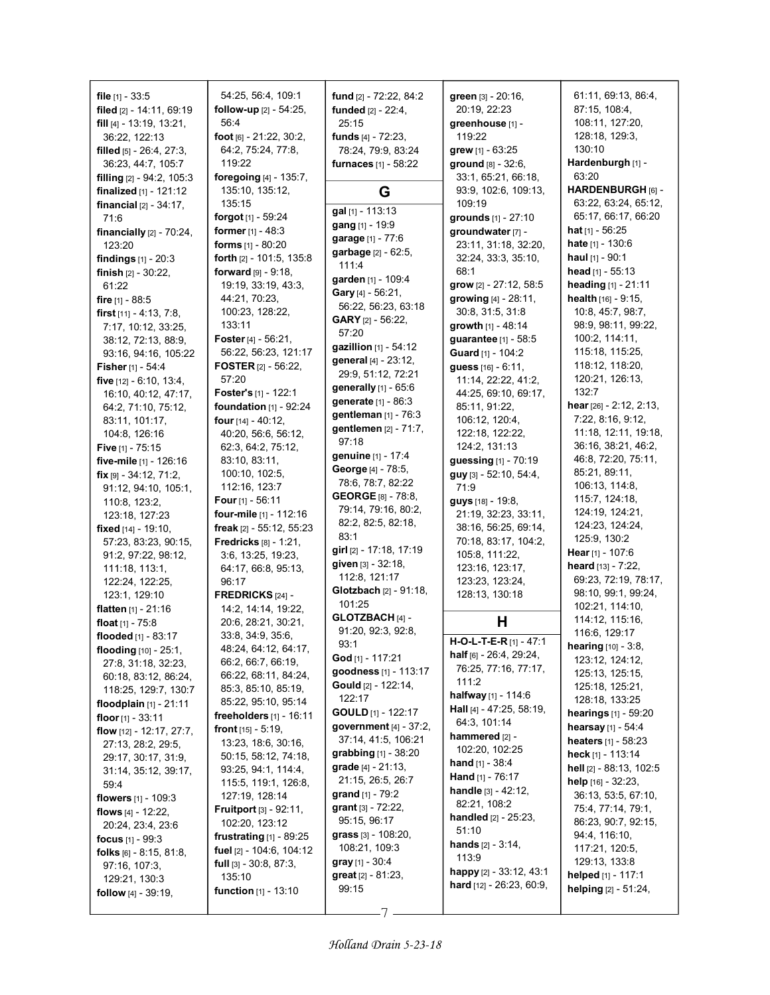file  $[1]$  - 33:5 filed [2] - 14:11, 69:19 fill [4] - 13:19, 13:21, 36:22, 122:13 filled [5] - 26:4, 27:3, 36:23, 44:7, 105:7 filling [2] - 94:2, 105:3 finalized [1] - 121:12 financial [2] - 34:17, 71:6 financially  $[2]$  -  $70:24$ , 123:20 findings [1] - 20:3 finish [2] - 30:22, 61:22 fire [1] - 88:5 first [11] - 4:13, 7:8, 7:17, 10:12, 33:25, 38:12, 72:13, 88:9, 93:16, 94:16, 105:22 Fisher [1] - 54:4 five [12] - 6:10, 13:4, 16:10, 40:12, 47:17, 64:2, 71:10, 75:12, 83:11, 101:17, 104:8, 126:16 **Five** [1] - 75:15 five-mile [1] - 126:16 fix [9] - 34:12, 71:2, 91:12, 94:10, 105:1, 110:8, 123:2, 123:18, 127:23 fixed [14] - 19:10, 57:23, 83:23, 90:15, 91:2, 97:22, 98:12, 111:18, 113:1, 122:24, 122:25, 123:1, 129:10 flatten [1] - 21:16 float  $[1]$  -  $75:8$ flooded [1] - 83:17 flooding [10] - 25:1, 27:8, 31:18, 32:23, 60:18, 83:12, 86:24, 118:25, 129:7, 130:7 floodplain [1] - 21:11 floor  $[1]$  - 33:11 flow [12] - 12:17, 27:7, 27:13, 28:2, 29:5, 29:17, 30:17, 31:9, 31:14, 35:12, 39:17, 59:4 flowers [1] - 109:3 flows [4] - 12:22, 20:24, 23:4, 23:6 focus [1] - 99:3 folks [6] - 8:15, 81:8, 97:16, 107:3, 129:21, 130:3 follow [4] - 39:19,

54:25, 56:4, 109:1 follow-up [2] - 54:25, 56:4 foot [6] - 21:22, 30:2, 64:2, 75:24, 77:8, 119:22 foregoing [4] - 135:7, 135:10, 135:12, 135:15 forgot [1] - 59:24 former [1] - 48:3 forms [1] - 80:20 forth [2] - 101:5, 135:8 forward [9] - 9:18, 19:19, 33:19, 43:3, 44:21, 70:23, 100:23, 128:22, 133:11 Foster [4] - 56:21, 56:22, 56:23, 121:17 FOSTER [2] - 56:22, 57:20 Foster's [1] - 122:1 foundation [1] - 92:24 four [14] - 40:12, 40:20, 56:6, 56:12, 62:3, 64:2, 75:12, 83:10, 83:11, 100:10, 102:5, 112:16, 123:7 Four  $[1]$  - 56:11 four-mile [1] - 112:16 freak [2] - 55:12, 55:23 Fredricks [8] - 1:21, 3:6, 13:25, 19:23, 64:17, 66:8, 95:13, 96:17 FREDRICKS [24] - 14:2, 14:14, 19:22, 20:6, 28:21, 30:21, 33:8, 34:9, 35:6, 48:24, 64:12, 64:17, 66:2, 66:7, 66:19, 66:22, 68:11, 84:24, 85:3, 85:10, 85:19, 85:22, 95:10, 95:14 freeholders  $[1]$  - 16:11 **front**  $[15] - 5:19$ , 13:23, 18:6, 30:16, 50:15, 58:12, 74:18, 93:25, 94:1, 114:4, 115:5, 119:1, 126:8, 127:19, 128:14 **Fruitport** [3] - 92:11, 102:20, 123:12 frustrating [1] - 89:25 fuel [2] - 104:6, 104:12 full [3] - 30:8, 87:3, 135:10 function [1] - 13:10

fund [2] - 72:22, 84:2 funded [2] - 22:4, 25:15 funds [4] - 72:23, 78:24, 79:9, 83:24 furnaces [1] - 58:22 G gal [1] - 113:13 gang [1] - 19:9 garage [1] - 77:6 garbage [2] - 62:5, 111:4 garden [1] - 109:4 Gary [4] - 56:21, 56:22, 56:23, 63:18 GARY [2] - 56:22, 57:20 gazillion [1] - 54:12 general [4] - 23:12, 29:9, 51:12, 72:21 generally [1] - 65:6 generate [1] - 86:3 gentleman [1] - 76:3 gentlemen [2] - 71:7, 97:18 genuine [1] - 17:4 George [4] - 78:5, 78:6, 78:7, 82:22 GEORGE [8] - 78:8, 79:14, 79:16, 80:2, 82:2, 82:5, 82:18, 83:1 girl [2] - 17:18, 17:19 given [3] - 32:18, 112:8, 121:17 Glotzbach [2] - 91:18, 101:25 GLOTZBACH [4] - 91:20, 92:3, 92:8, 93:1 God [1] - 117:21 goodness [1] - 113:17 Gould [2] - 122:14, 122:17 GOULD [1] - 122:17 government [4] - 37:2, 37:14, 41:5, 106:21 grabbing [1] - 38:20 grade [4] - 21:13, 21:15, 26:5, 26:7 grand [1] - 79:2 grant [3] - 72:22, 95:15, 96:17 grass [3] - 108:20, 108:21, 109:3 gray [1] - 30:4 great [2] - 81:23, 99:15

green [3] - 20:16, 20:19, 22:23 greenhouse [1] - 119:22 grew [1] - 63:25 ground [8] - 32:6, 33:1, 65:21, 66:18, 93:9, 102:6, 109:13, 109:19 grounds [1] - 27:10 groundwater [7] - 23:11, 31:18, 32:20, 32:24, 33:3, 35:10, 68:1 grow [2] - 27:12, 58:5 growing [4] - 28:11, 30:8, 31:5, 31:8 growth [1] - 48:14 guarantee [1] - 58:5 Guard [1] - 104:2 guess [16] - 6:11, 11:14, 22:22, 41:2, 44:25, 69:10, 69:17, 85:11, 91:22, 106:12, 120:4, 122:18, 122:22, 124:2, 131:13 guessing [1] - 70:19 guy [3] - 52:10, 54:4, 71:9 guys [18] - 19:8, 21:19, 32:23, 33:11, 38:16, 56:25, 69:14, 70:18, 83:17, 104:2, 105:8, 111:22, 123:16, 123:17, 123:23, 123:24, 128:13, 130:18 H H-O-L-T-E-R [1] - 47:1 half [6] - 26:4, 29:24, 76:25, 77:16, 77:17, 111:2 halfway [1] - 114:6 Hall [4] - 47:25, 58:19, 64:3, 101:14 hammered [2] - 102:20, 102:25 **hand**  $[1]$  - 38:4 Hand [1] - 76:17 handle [3] - 42:12, 82:21, 108:2 handled [2] - 25:23, 51:10 hands [2] - 3:14, 113:9

happy [2] - 33:12, 43:1 hard [12] - 26:23, 60:9,

61:11, 69:13, 86:4, 87:15, 108:4, 108:11, 127:20, 128:18, 129:3, 130:10 Hardenburgh [1] -63:20 HARDENBURGH [6] -63:22, 63:24, 65:12, 65:17, 66:17, 66:20 hat [1] - 56:25 hate [1] - 130:6 haul  $[1]$  - 90:1 head [1] - 55:13 heading [1] - 21:11 health [16] - 9:15, 10:8, 45:7, 98:7, 98:9, 98:11, 99:22, 100:2, 114:11, 115:18, 115:25, 118:12, 118:20, 120:21, 126:13, 132:7 hear [26] - 2:12, 2:13, 7:22, 8:16, 9:12, 11:18, 12:11, 19:18, 36:16, 38:21, 46:2, 46:8, 72:20, 75:11, 85:21, 89:11, 106:13, 114:8, 115:7, 124:18, 124:19, 124:21, 124:23, 124:24, 125:9, 130:2 Hear [1] - 107:6 heard [13] - 7:22, 69:23, 72:19, 78:17, 98:10, 99:1, 99:24, 102:21, 114:10, 114:12, 115:16, 116:6, 129:17 hearing [10] - 3:8, 123:12, 124:12, 125:13, 125:15, 125:18, 125:21, 128:18, 133:25 hearings [1] - 59:20 hearsay [1] - 54:4 heaters [1] - 58:23 heck [1] - 113:14 hell [2] - 88:13, 102:5 help [16] - 32:23, 36:13, 53:5, 67:10, 75:4, 77:14, 79:1, 86:23, 90:7, 92:15, 94:4, 116:10, 117:21, 120:5, 129:13, 133:8 helped [1] - 117:1 helping [2] - 51:24,

-7 -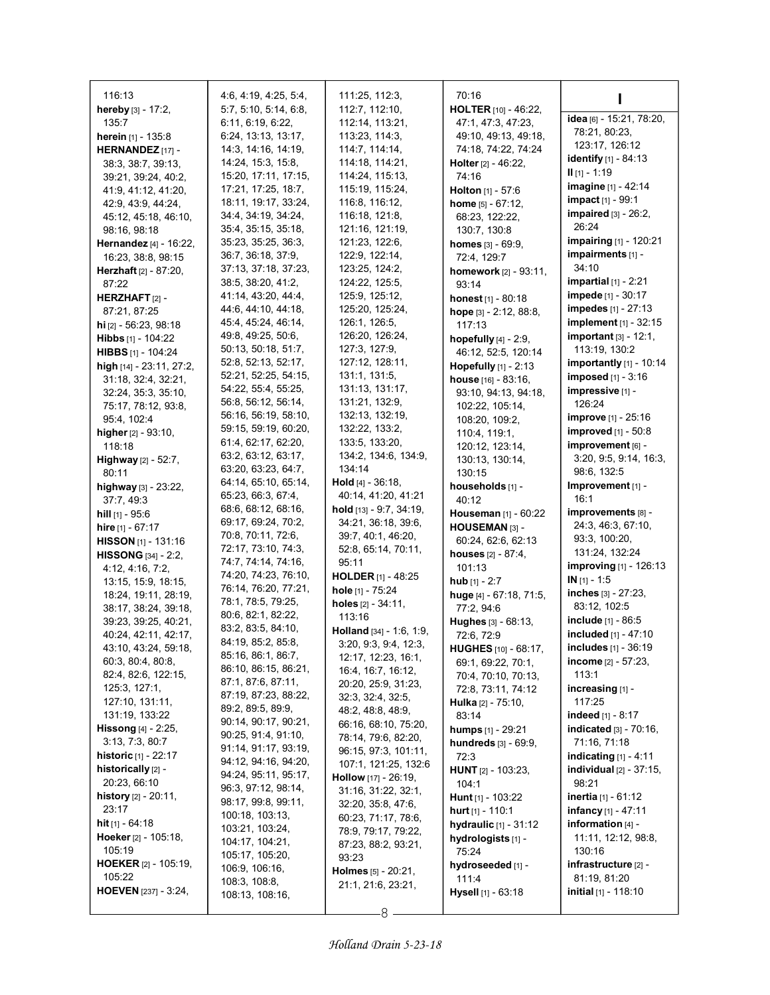| 116:13                         | 4.6, 4.19, 4.25, 5.4,                    | 111:25, 112:3,                         | 70:16                         |                                |
|--------------------------------|------------------------------------------|----------------------------------------|-------------------------------|--------------------------------|
| hereby [3] - 17:2,             | 5:7, 5:10, 5:14, 6:8,                    | 112:7, 112:10,                         | HOLTER [10] - 46:22,          |                                |
| 135.7                          | 6:11, 6:19, 6:22,                        | 112:14, 113:21,                        | 47:1, 47:3, 47:23,            | idea [6] - 15:21, 78:20,       |
| herein [1] - 135:8             | 6:24, 13:13, 13:17,                      | 113:23, 114:3,                         | 49:10, 49:13, 49:18,          | 78:21, 80:23,                  |
| HERNANDEZ [17] -               | 14:3, 14:16, 14:19,                      | 114:7, 114:14,                         | 74:18, 74:22, 74:24           | 123:17, 126:12                 |
| 38:3, 38:7, 39:13,             | 14:24, 15:3, 15:8,                       | 114:18, 114:21,                        | <b>Holter</b> $[2] - 46:22$   | identify [1] - 84:13           |
| 39:21, 39:24, 40:2,            | 15:20, 17:11, 17:15,                     | 114:24, 115:13,                        | 74:16                         | $II$ [1] - 1:19                |
| 41:9, 41:12, 41:20,            | 17:21, 17:25, 18:7,                      | 115:19, 115:24,                        | <b>Holton</b> $[1] - 57:6$    | imagine [1] - 42:14            |
| 42.9, 43.9, 44.24,             | 18:11, 19:17, 33:24,                     | 116:8, 116:12,                         | <b>home</b> $[5] - 67:12$ ,   | <b>impact</b> [1] - 99:1       |
| 45:12, 45:18, 46:10,           | 34:4, 34:19, 34:24,                      | 116:18, 121:8,                         | 68:23, 122:22,                | impaired $[3]$ - 26:2,         |
| 98:16, 98:18                   | 35:4, 35:15, 35:18,                      | 121:16, 121:19,                        | 130:7, 130:8                  | 26:24                          |
| <b>Hernandez</b> [4] - 16:22,  | 35:23, 35:25, 36:3,                      | 121:23, 122:6,                         | <b>homes</b> $[3] - 69:9$ ,   | <b>impairing</b> [1] - 120:21  |
| 16:23, 38:8, 98:15             | 36:7, 36:18, 37:9,                       | 122.9, 122.14,                         | 72:4, 129:7                   | impairments [1] -              |
| Herzhaft [2] - 87:20,          | 37:13, 37:18, 37:23,                     | 123.25, 124.2,                         | homework [2] - 93:11,         | 34:10                          |
| 87:22                          | 38.5, 38.20, 41.2,                       | 124:22, 125:5,                         | 93:14                         | impartial $[1]$ - 2:21         |
| HERZHAFT $[2]$ -               | 41:14, 43:20, 44:4,                      | 125.9, 125.12,                         | honest [1] - 80:18            | <b>impede</b> [1] - 30:17      |
| 87:21, 87:25                   | 44.6, 44.10, 44.18,                      | 125:20, 125:24,                        | hope [3] - 2:12, 88:8,        | impedes [1] - 27:13            |
| <b>hi</b> $[2]$ - 56:23, 98:18 | 45:4, 45:24, 46:14,                      | 126:1, 126:5,                          | 117:13                        | implement [1] - 32:15          |
| <b>Hibbs</b> $[1]$ - 104:22    | 49.8, 49.25, 50.6,                       | 126:20, 126:24,                        | hopefully $[4] - 2.9$ ,       | important $[3]$ - 12:1,        |
| HIBBS [1] - 104:24             | 50:13, 50:18, 51:7,                      | 127:3, 127:9,                          | 46:12, 52:5, 120:14           | 113:19, 130:2                  |
| high [14] - 23:11, 27:2,       | 52:8, 52:13, 52:17,                      | 127:12, 128:11,                        | <b>Hopefully</b> $[1]$ - 2:13 | <b>importantly</b> [1] - 10:14 |
| 31:18, 32:4, 32:21,            | 52:21, 52:25, 54:15,                     | 131:1, 131:5,                          | house [16] - 83:16,           | <b>imposed</b> $[1] - 3:16$    |
| 32:24, 35:3, 35:10,            | 54:22, 55:4, 55:25,                      | 131:13, 131:17,                        | 93:10, 94:13, 94:18,          | impressive [1] -               |
| 75:17, 78:12, 93:8,            | 56:8, 56:12, 56:14,                      | 131:21, 132:9,                         | 102:22, 105:14,               | 126:24                         |
| 95:4, 102:4                    | 56:16, 56:19, 58:10,                     | 132:13, 132:19,                        | 108:20, 109:2,                | <b>improve</b> [1] - 25:16     |
| higher $[2] - 93:10$ ,         | 59:15, 59:19, 60:20,                     | 132:22, 133:2,                         | 110.4, 119:1,                 | <b>improved</b> $[1] - 50.8$   |
| 118:18                         | 61:4, 62:17, 62:20,                      | 133.5, 133.20,                         | 120:12, 123:14,               | improvement [6] -              |
| <b>Highway</b> $[2] - 52:7$ ,  | 63.2, 63.12, 63.17,                      | 134:2, 134:6, 134:9,                   | 130:13, 130:14,               | 3:20, 9:5, 9:14, 16:3,         |
| 80:11                          | 63.20, 63.23, 64:7,                      | 134:14                                 | 130:15                        | 98:6, 132:5                    |
| highway [3] - 23:22,           | 64:14, 65:10, 65:14,                     | <b>Hold</b> $[4]$ - 36:18,             | households [1] -              | Improvement [1] -              |
| 37:7, 49:3                     | 65:23, 66:3, 67:4,                       | 40:14, 41:20, 41:21                    | 40:12                         | 16:1                           |
| <b>hill</b> $[1]$ - 95:6       | 68:6, 68:12, 68:16,                      | hold $[13] - 9.7, 34.19,$              | Houseman [1] - 60:22          | improvements [8] -             |
| <b>hire</b> $[1] - 67:17$      | 69:17, 69:24, 70:2,                      | 34:21, 36:18, 39:6,                    | HOUSEMAN <sub>[3]</sub> -     | 24:3, 46:3, 67:10,             |
| <b>HISSON</b> [1] - 131:16     | 70.8, 70.11, 72:6,                       | 39:7, 40:1, 46:20,                     | 60:24, 62:6, 62:13            | 93:3, 100:20,                  |
| <b>HISSONG</b> $[34] - 2:2$ ,  | 72:17, 73:10, 74:3,                      | 52:8, 65:14, 70:11,                    | <b>houses</b> $[2] - 87:4$ ,  | 131:24, 132:24                 |
| 4:12, 4:16, 7:2,               | 74.7, 74.14, 74.16,                      | 95:11                                  | 101:13                        | improving [1] - 126:13         |
| 13:15, 15:9, 18:15,            | 74:20, 74:23, 76:10,                     | HOLDER [1] - 48:25                     | <b>hub</b> $[1] - 2:7$        | $IN [1] - 1.5$                 |
| 18:24, 19:11, 28:19,           | 76:14, 76:20, 77:21,                     | hole [1] - 75:24                       | huge [4] - 67:18, 71:5,       | inches $[3] - 27:23$ ,         |
| 38:17, 38:24, 39:18,           | 78:1, 78:5, 79:25,                       | holes [2] - 34:11,                     | 77:2, 94:6                    | 83:12, 102:5                   |
| 39:23, 39:25, 40:21,           | 80:6, 82:1, 82:22,<br>83:2, 83:5, 84:10, | 113:16                                 | Hughes [3] - 68:13,           | <b>include</b> $[1] - 86:5$    |
| 40:24, 42:11, 42:17,           | 84:19, 85:2, 85:8,                       | <b>Holland</b> $[34] - 1.6, 1.9$ ,     | 72:6, 72:9                    | included [1] - 47:10           |
| 43:10, 43:24, 59:18,           | 85:16, 86:1, 86:7,                       | 3:20, 9:3, 9:4, 12:3,                  | HUGHES [10] - 68:17,          | includes [1] - 36:19           |
| 60:3, 80:4, 80:8,              | 86:10, 86:15, 86:21,                     | 12:17, 12:23, 16:1,                    | 69:1, 69:22, 70:1,            | income $[2] - 57:23$ ,         |
| 82:4, 82:6, 122:15,            | 87:1, 87:6, 87:11,                       | 16:4, 16:7, 16:12,                     | 70:4, 70:10, 70:13,           | 113:1                          |
| 125:3, 127:1,                  | 87:19, 87:23, 88:22,                     | 20:20, 25:9, 31:23,                    | 72:8, 73:11, 74:12            | increasing [1] -               |
| 127:10, 131:11,                | 89:2, 89:5, 89:9,                        | 32:3, 32:4, 32:5,<br>48:2, 48:8, 48:9, | Hulka [2] - 75:10,            | 117:25                         |
| 131:19, 133:22                 | 90:14, 90:17, 90:21,                     | 66:16, 68:10, 75:20,                   | 83:14                         | indeed $[1] - 8:17$            |
| <b>Hissong</b> $[4] - 2:25$ ,  | 90:25, 91:4, 91:10,                      | 78:14, 79:6, 82:20,                    | humps [1] - 29:21             | indicated [3] - 70:16,         |
| 3:13, 7:3, 80:7                | 91:14, 91:17, 93:19,                     | 96:15, 97:3, 101:11,                   | hundreds [3] - 69:9,          | 71:16, 71:18                   |
| <b>historic</b> $[1] - 22:17$  | 94:12, 94:16, 94:20,                     | 107:1, 121:25, 132:6                   | 72:3                          | indicating $[1] - 4:11$        |
| historically [2] -             | 94:24, 95:11, 95:17,                     | <b>Hollow</b> $[17] - 26:19$ ,         | <b>HUNT</b> [2] - 103:23,     | individual [2] - 37:15,        |
| 20:23, 66:10                   | 96.3, 97.12, 98.14,                      | 31:16, 31:22, 32:1,                    | 104:1                         | 98:21                          |
| <b>history</b> $[2] - 20:11$ , | 98:17, 99:8, 99:11,                      | 32:20, 35:8, 47:6,                     | Hunt $[1]$ - 103:22           | <b>inertia</b> $[1] - 61.12$   |
| 23:17                          | 100:18, 103:13,                          | 60:23, 71:17, 78:6,                    | <b>hurt</b> $[1]$ - 110:1     | <b>infancy</b> $[1] - 47:11$   |
| <b>hit</b> $[1]$ - 64:18       | 103:21, 103:24,                          | 78:9, 79:17, 79:22,                    | hydraulic [1] - 31:12         | information $[4]$ -            |
| Hoeker [2] - 105:18,           | 104:17, 104:21,                          | 87:23, 88:2, 93:21,                    | hydrologists [1] -            | 11:11, 12:12, 98:8,            |
| 105:19                         | 105:17, 105:20,                          | 93:23                                  | 75:24                         | 130:16                         |
| <b>HOEKER</b> [2] - 105:19,    | 106.9, 106.16,                           | <b>Holmes</b> $[5] - 20:21$ ,          | hydroseeded [1] -             | infrastructure [2] -           |
| 105:22                         | 108:3, 108:8,                            | 21:1, 21:6, 23:21,                     | 111:4                         | 81:19, 81:20                   |
| <b>HOEVEN</b> [237] - 3:24,    | 108:13, 108:16,                          |                                        | <b>Hysell</b> [1] - 63:18     | <b>initial</b> $[1]$ - 118:10  |
|                                |                                          |                                        |                               |                                |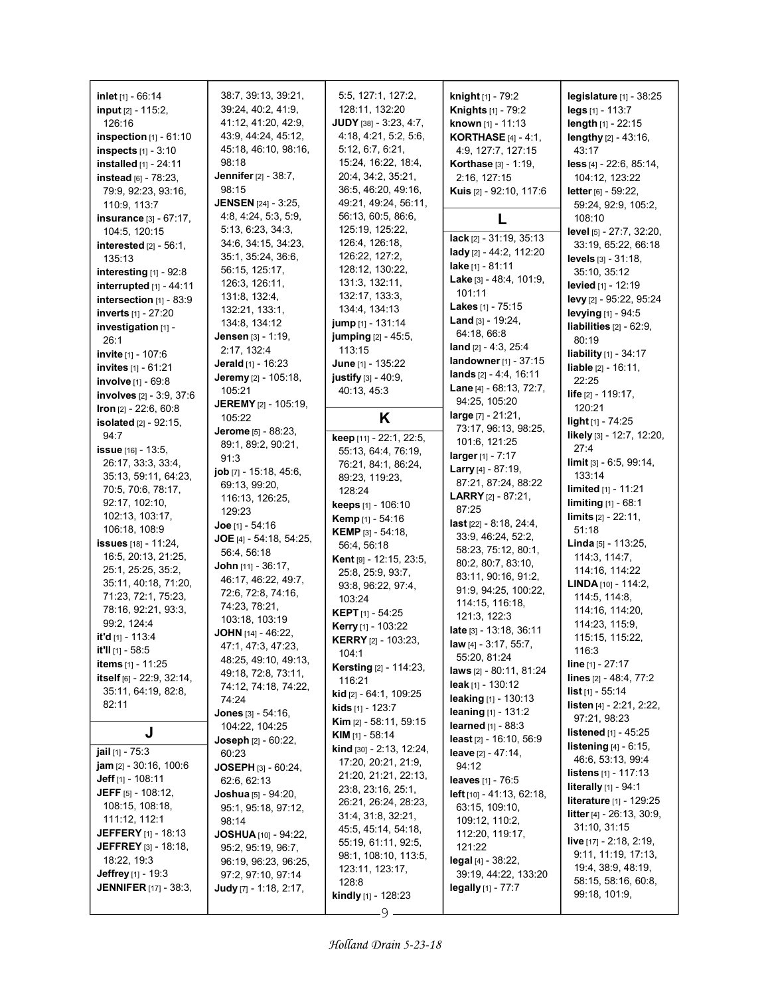| inlet $[1] - 66:14$                                       | 38:7, 39:13, 39:21,                         | 5:5, 127:1, 127:2,                         | <b>knight</b> $[1]$ - 79:2                          | <b>legislature</b> $[1] - 38:25$                 |
|-----------------------------------------------------------|---------------------------------------------|--------------------------------------------|-----------------------------------------------------|--------------------------------------------------|
| input [2] - 115:2,                                        | 39.24, 40.2, 41.9,                          | 128:11, 132:20                             | Knights [1] - 79:2                                  | legs [1] - 113:7                                 |
| 126:16                                                    | 41:12, 41:20, 42:9,                         | JUDY [38] - 3:23, 4:7,                     | known [1] - 11:13                                   | $length_{[1]} - 22:15$                           |
| <b>inspection</b> $[1] - 61:10$                           | 43.9, 44.24, 45.12,                         | 4:18, 4:21, 5:2, 5:6,                      | <b>KORTHASE</b> [4] - 4:1,                          | lengthy [2] - 43:16,                             |
| inspects [1] - 3:10                                       | 45:18, 46:10, 98:16,                        | 5:12, 6:7, 6:21,                           | 4:9, 127:7, 127:15                                  | 43:17                                            |
| installed [1] - 24:11                                     | 98:18<br>Jennifer [2] - 38:7,               | 15:24, 16:22, 18:4,                        | Korthase [3] - 1:19,                                | less [4] - 22:6, 85:14,                          |
| instead [6] - 78:23,                                      | 98:15                                       | 20:4, 34:2, 35:21,<br>36.5, 46.20, 49:16,  | 2:16, 127:15                                        | 104:12, 123:22                                   |
| 79.9, 92.23, 93.16,<br>110:9, 113:7                       | <b>JENSEN</b> [24] - 3:25,                  | 49:21, 49:24, 56:11,                       | Kuis [2] - 92:10, 117:6                             | letter $[6] - 59:22$ ,<br>59:24, 92:9, 105:2,    |
| insurance [3] - 67:17,                                    | 4.8, 4.24, 5.3, 5.9,                        | 56:13, 60:5, 86:6,                         | L                                                   | 108:10                                           |
| 104:5, 120:15                                             | 5:13, 6:23, 34:3,                           | 125:19, 125:22,                            |                                                     | level [5] - 27:7, 32:20,                         |
| interested $[2] - 56:1$ ,                                 | 34:6, 34:15, 34:23,                         | 126.4, 126.18,                             | lack [2] - 31:19, 35:13                             | 33:19, 65:22, 66:18                              |
| 135:13                                                    | 35:1, 35:24, 36:6,                          | 126:22, 127:2,                             | lady [2] - 44:2, 112:20                             | levels [3] - 31:18,                              |
| interesting $[1]$ - 92:8                                  | 56:15, 125:17,                              | 128:12, 130:22,                            | lake [1] - 81:11                                    | 35:10, 35:12                                     |
| interrupted [1] - 44:11                                   | 126:3, 126:11,                              | 131:3, 132:11,                             | Lake [3] - 48:4, 101:9,<br>101:11                   | levied [1] - 12:19                               |
| intersection [1] - 83:9                                   | 131:8, 132:4,                               | 132:17, 133:3,                             | <b>Lakes</b> [1] - $75:15$                          | levy [2] - 95:22, 95:24                          |
| <b>inverts</b> [1] - 27:20                                | 132:21, 133:1,                              | 134:4, 134:13                              | <b>Land</b> $[3] - 19:24$ ,                         | levying [1] - 94:5                               |
| investigation [1] -                                       | 134:8, 134:12                               | jump [1] - 131:14                          | 64:18, 66:8                                         | liabilities $[2] - 62.9$ ,                       |
| 26:1                                                      | <b>Jensen</b> [3] - 1:19,<br>2:17, 132:4    | jumping [2] - 45.5,<br>113:15              | land [2] - 4:3, 25:4                                | 80:19                                            |
| invite [1] - 107:6                                        | Jerald [1] - 16:23                          | June [1] - 135:22                          | landowner [1] - 37:15                               | <b>liability</b> [1] - 34:17                     |
| <b>invites</b> [1] - 61:21                                | Jeremy [2] - 105:18,                        | justify [3] - 40:9,                        | lands $[2] - 4.4, 16.11$                            | <b>liable</b> $[2] - 16:11$ ,<br>22:25           |
| involve [1] - 69:8<br>involves [2] - 3:9, 37:6            | 105:21                                      | 40:13, 45:3                                | Lane [4] - 68:13, 72:7,                             | life [2] - 119:17,                               |
| Iron [2] - 22:6, 60:8                                     | <b>JEREMY</b> [2] - 105:19,                 |                                            | 94:25, 105:20                                       | 120:21                                           |
| isolated [2] - 92:15,                                     | 105:22                                      | Κ                                          | large [7] - 21:21,                                  | light $[1] - 74.25$                              |
| 94:7                                                      | Jerome [5] - 88:23,                         | keep [11] - 22:1, 22:5,                    | 73:17, 96:13, 98:25,                                | likely [3] - 12:7, 12:20,                        |
| issue $[16] - 13.5$ ,                                     | 89:1, 89:2, 90:21,                          | 55:13, 64:4, 76:19,                        | 101:6, 121:25                                       | 27:4                                             |
| 26:17, 33:3, 33:4,                                        | 91:3                                        | 76.21, 84:1, 86:24,                        | larger [1] - 7:17                                   | $\lim$ it $[3] - 6.5, 99.14,$                    |
| 35:13, 59:11, 64:23,                                      | job [7] - 15:18, 45:6,                      | 89.23, 119.23,                             | <b>Larry</b> [4] - 87:19,<br>87:21, 87:24, 88:22    | 133:14                                           |
| 70.5, 70.6, 78.17,                                        | 69.13, 99.20,                               | 128:24                                     | <b>LARRY</b> [2] - 87:21,                           | <b>limited</b> $[1] - 11.21$                     |
| 92:17, 102:10,                                            | 116:13, 126:25,<br>129:23                   | keeps [1] - 106:10                         | 87:25                                               | <b>limiting</b> $[1] - 68:1$                     |
| 102:13, 103:17,                                           | <b>Joe</b> [1] - 54:16                      | Kemp [1] - 54:16                           | last [22] - 8:18, 24:4,                             | $\lim$ its $[2] - 22:11$ ,                       |
| 106:18, 108:9                                             |                                             |                                            |                                                     |                                                  |
|                                                           |                                             | <b>KEMP</b> [3] $-54:18$ ,                 | 33.9, 46.24, 52.2,                                  | 51:18                                            |
| <b>issues</b> [18] - 11:24,                               | JOE [4] - 54:18, 54:25,                     | 56:4, 56:18                                | 58:23, 75:12, 80:1,                                 | Linda [5] - 113:25,                              |
| 16:5, 20:13, 21:25,                                       | 56:4, 56:18<br><b>John</b> $[11] - 36:17$ , | Kent [9] - 12:15, 23:5,                    | 80:2, 80:7, 83:10,                                  | 114:3, 114:7,                                    |
| 25:1, 25:25, 35:2,                                        | 46:17, 46:22, 49:7,                         | 25:8, 25:9, 93:7,                          | 83:11, 90:16, 91:2,                                 | 114:16, 114:22                                   |
| 35:11, 40:18, 71:20,                                      | 72.6, 72.8, 74.16,                          | 93:8, 96:22, 97:4,                         | 91:9, 94:25, 100:22,                                | <b>LINDA</b> $[10] - 114:2$ ,                    |
| 71:23, 72:1, 75:23,<br>78:16, 92:21, 93:3,                | 74:23, 78:21,                               | 103:24                                     | 114:15, 116:18,                                     | 114:5, 114:8,                                    |
| 99:2, 124:4                                               | 103:18, 103:19                              | <b>KEPT</b> $[1]$ - 54:25                  | 121:3, 122:3                                        | 114:16, 114:20,<br>114:23, 115:9,                |
| it'd [1] - 113.4                                          | <b>JOHN</b> $[14]$ - 46:22,                 | Kerry [1] - 103:22                         | late [3] - 13:18, 36:11                             | 115:15, 115:22,                                  |
| it'll [1] - 58:5                                          | 47:1, 47:3, 47:23,                          | <b>KERRY</b> [2] - 103:23,<br>104:1        | law [4] - 3:17, 55:7,                               | 116:3                                            |
| <b>items</b> [1] - 11:25                                  | 48:25, 49:10, 49:13,                        | <b>Kersting [2] - 114:23,</b>              | 55:20, 81:24                                        | <b>line</b> $[1]$ - 27:17                        |
| itself [6] - 22:9, 32:14,                                 | 49:18, 72:8, 73:11,                         | 116:21                                     | laws [2] - 80:11, 81:24<br><b>leak</b> [1] - 130:12 | lines $[2] - 48.4, 77.2$                         |
| 35:11, 64:19, 82:8,                                       | 74:12, 74:18, 74:22,<br>74:24               | <b>kid</b> $[2] - 64:1, 109:25$            | <b>leaking</b> $[1]$ - 130:13                       | <b>list</b> [1] - 55:14                          |
| 82:11                                                     | Jones [3] - 54:16,                          | <b>kids</b> [1] - 123:7                    | <b>leaning</b> $[1] - 131:2$                        | listen [4] - 2:21, 2:22,                         |
|                                                           | 104:22, 104:25                              | <b>Kim</b> $[2] - 58:11, 59:15$            | <b>learned</b> $[1] - 88:3$                         | 97:21, 98:23                                     |
| J                                                         | <b>Joseph</b> $[2] - 60:22$ ,               | <b>KIM</b> $[1]$ - 58:14                   | least [2] - 16:10, 56:9                             | <b>listened</b> [1] - 45:25                      |
| <b>jail</b> $[1]$ - 75:3                                  | 60:23                                       | kind [30] - 2:13, 12:24,                   | leave $[2] - 47:14$ ,                               | <b>listening</b> $[4] - 6:15$ ,                  |
| <b>jam</b> $[2] - 30:16, 100:6$                           | <b>JOSEPH</b> $[3] - 60.24$ ,               | 17:20, 20:21, 21:9,                        | 94:12                                               | 46:6, 53:13, 99:4<br><b>listens</b> [1] - 117:13 |
| <b>Jeff</b> [1] - 108:11                                  | 62:6, 62:13                                 | 21:20, 21:21, 22:13,                       | leaves [1] - 76:5                                   | literally [1] - 94:1                             |
| <b>JEFF</b> [5] - 108:12,                                 | <b>Joshua</b> [5] - 94:20,                  | 23:8, 23:16, 25:1,<br>26:21, 26:24, 28:23, | <b>left</b> $[10] - 41:13, 62:18,$                  | literature [1] - 129:25                          |
| 108:15, 108:18,                                           | 95:1, 95:18, 97:12,                         | 31.4, 31.8, 32.21,                         | 63:15, 109:10,                                      | <b>litter</b> [4] $-$ 26:13, 30:9,               |
| 111:12, 112:1                                             | 98:14                                       | 45:5, 45:14, 54:18,                        | 109:12, 110:2,                                      | 31:10, 31:15                                     |
| <b>JEFFERY</b> [1] - 18:13<br><b>JEFFREY</b> [3] - 18:18, | <b>JOSHUA</b> $[10]$ - 94:22,               | 55:19, 61:11, 92:5,                        | 112.20, 119:17,                                     | <b>live</b> [17] - 2:18, 2:19,                   |
| 18:22, 19:3                                               | 95:2, 95:19, 96:7,<br>96:19, 96:23, 96:25,  | 98:1, 108:10, 113:5,                       | 121:22<br>$\log$ al [4] - 38:22,                    | 9:11, 11:19, 17:13,                              |
| <b>Jeffrey</b> [1] - 19:3                                 | 97:2, 97:10, 97:14                          | 123:11, 123:17,                            | 39:19, 44:22, 133:20                                | 19:4, 38:9, 48:19,                               |
| <b>JENNIFER</b> [17] - 38:3,                              | Judy [7] - 1:18, 2:17,                      | 128:8                                      | legally $[1]$ - $77:7$                              | 58:15, 58:16, 60:8,                              |
|                                                           |                                             | <b>kindly</b> [1] - 128:23<br>9            |                                                     | 99:18, 101:9,                                    |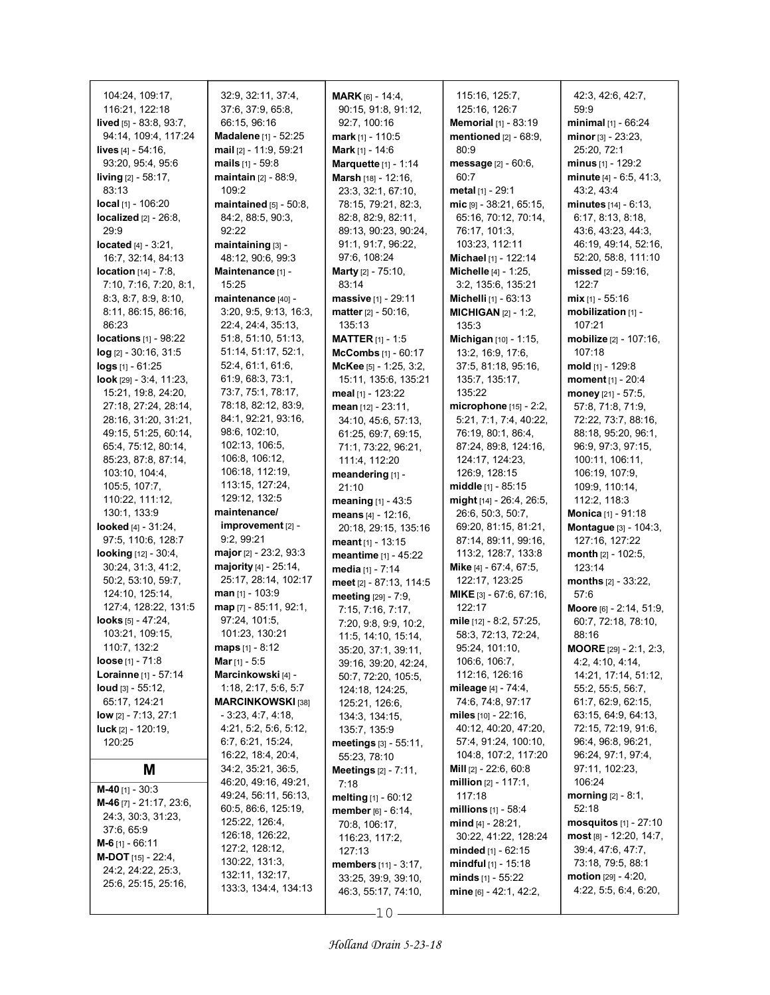| 104:24, 109:17,<br>116:21, 122:18<br>lived [5] - 83:8, 93:7,<br>94:14, 109:4, 117:24<br>lives $[4] - 54:16$ ,<br>93:20, 95:4, 95:6<br><b>living</b> $[2] - 58:17$ ,<br>83:13<br>local [1] - 106:20<br>localized [2] - 26:8,<br>29:9<br>located $[4] - 3:21$ ,<br>16:7, 32:14, 84:13<br><b>location</b> [14] - 7:8,<br>7:10, 7:16, 7:20, 8:1,<br>8.3, 8.7, 8.9, 8.10,<br>8:11, 86:15, 86:16,<br>86:23<br><b>locations</b> $[1]$ - $98:22$<br>$log$ [2] - 30:16, 31:5<br>$logs$ [1] - 61:25<br>look [29] - 3.4, 11:23,<br>15:21, 19:8, 24:20,<br>27:18, 27:24, 28:14,<br>28:16, 31:20, 31:21,<br>49:15, 51:25, 60:14,<br>65.4, 75.12, 80.14,<br>85:23, 87:8, 87:14,<br>103:10, 104:4,<br>105:5, 107:7,<br>110:22, 111:12,<br>130:1, 133:9<br>looked $[4] - 31:24$ ,<br>97:5, 110:6, 128:7<br><b>looking</b> $[12] - 30.4$ ,<br>30:24, 31:3, 41:2,<br>50:2, 53:10, 59:7,<br>124:10, 125:14, | 32:9, 32:11, 37:4,<br>37:6, 37:9, 65:8,<br>66:15, 96:16<br>Madalene [1] - 52:25<br>mail [2] - 11.9, 59:21<br>mails $[1] - 59.8$<br><b>maintain</b> $[2] - 88.9$ ,<br>109:2<br>$maintained$ [5] - 50:8,<br>84.2, 88.5, 90.3,<br>92:22<br>maintaining [3] -<br>48:12, 90:6, 99:3<br>Maintenance [1] -<br>15:25<br>maintenance [40] -<br>3:20, 9:5, 9:13, 16:3,<br>22:4, 24:4, 35:13,<br>51:8, 51:10, 51:13,<br>51:14, 51:17, 52:1,<br>52.4, 61.1, 61.6,<br>61.9, 68.3, 73.1,<br>73:7, 75:1, 78:17,<br>78:18, 82:12, 83:9,<br>84:1, 92:21, 93:16,<br>98:6, 102:10,<br>102:13, 106:5,<br>106:8, 106:12,<br>106:18, 112:19,<br>113:15, 127:24,<br>129:12, 132:5<br>maintenance/<br>improvement [2] -<br>9:2, 99:21<br>major $[2] - 23:2, 93:3$<br><b>majority</b> $[4] - 25:14$ ,<br>25:17, 28:14, 102:17<br><b>man</b> $[1]$ - 103:9 | <b>MARK</b> [6] - 14:4.<br>90:15, 91:8, 91:12,<br>92:7, 100:16<br><b>mark</b> [1] - 110:5<br><b>Mark</b> $[1] - 14.6$<br><b>Marquette [1] - 1:14</b><br>Marsh [18] - 12:16,<br>23:3, 32:1, 67:10,<br>78:15, 79:21, 82:3,<br>82:8, 82:9, 82:11,<br>89:13, 90:23, 90:24,<br>91:1, 91:7, 96:22,<br>97:6, 108:24<br><b>Marty</b> $[2] - 75.10$ ,<br>83:14<br><b>massive</b> $[1]$ - 29:11<br>matter $[2] - 50:16$ ,<br>135:13<br><b>MATTER</b> $[1] - 1:5$<br>McCombs [1] - 60:17<br>McKee [5] - 1:25, 3:2,<br>15:11, 135:6, 135:21<br>meal [1] - 123:22<br>mean [12] - 23:11,<br>34:10, 45:6, 57:13,<br>61:25, 69:7, 69:15,<br>71:1, 73:22, 96:21,<br>111:4, 112:20<br>meandering [1] -<br>21:10<br>meaning [1] - 43:5<br>means $[4] - 12:16$ ,<br>20:18, 29:15, 135:16<br>meant $[1]$ - 13:15<br>meantime [1] - 45:22<br>media $[1] - 7:14$<br>meet [2] - 87:13, 114:5<br>meeting [29] - 7:9, | 115:16, 125:7,<br>125:16, 126:7<br>Memorial [1] - 83:19<br>mentioned $[2] - 68:9$ ,<br>80.9<br>message [2] - 60:6,<br>60:7<br><b>metal</b> $[1]$ - 29:1<br>mic [9] - 38:21, 65:15,<br>65:16, 70:12, 70:14,<br>76:17, 101:3,<br>103:23, 112:11<br>Michael [1] - 122:14<br>Michelle [4] - 1:25,<br>3:2, 135:6, 135:21<br><b>Michelli</b> $[1]$ - 63:13<br><b>MICHIGAN</b> $[2] - 1:2$ ,<br>135:3<br>Michigan [10] - 1:15,<br>13:2, 16:9, 17:6,<br>37:5, 81:18, 95:16,<br>135.7, 135.17,<br>135:22<br>microphone $[15] - 2:2$ ,<br>5:21, 7:1, 7:4, 40:22,<br>76:19, 80:1, 86:4,<br>87:24, 89:8, 124:16,<br>124:17, 124:23,<br>126:9, 128:15<br>middle [1] - 85:15<br><b>might</b> [14] - 26:4, 26:5,<br>26:6, 50:3, 50:7,<br>69:20, 81:15, 81:21,<br>87:14, 89:11, 99:16,<br>113:2, 128:7, 133:8<br>Mike [4] - 67:4, 67:5,<br>122:17, 123:25<br>MIKE [3] - 67:6, 67:16, | 42.3, 42.6, 42.7,<br>59:9<br><b>minimal</b> [1] - 66:24<br>$minor_{[3]} - 23:23,$<br>25:20, 72:1<br>minus $[1]$ - 129:2<br>minute [4] - 6:5, 41:3,<br>43:2, 43:4<br>minutes $[14] - 6:13$ ,<br>6:17, 8:13, 8:18,<br>43.6, 43.23, 44.3,<br>46:19, 49:14, 52:16,<br>52:20, 58:8, 111:10<br>missed $[2] - 59:16$ ,<br>122:7<br>$mix$ [1] - 55:16<br>mobilization [1] -<br>107:21<br>mobilize [2] - 107:16,<br>107:18<br>mold $[1]$ - 129:8<br>moment $[1] - 20.4$<br>money [21] - 57:5,<br>57:8, 71:8, 71:9,<br>72:22, 73:7, 88:16,<br>88:18, 95:20, 96:1,<br>96.9, 97:3, 97:15,<br>100:11, 106:11,<br>106:19, 107:9,<br>109:9, 110:14,<br>112:2, 118:3<br>Monica [1] - 91:18<br>Montague [3] - 104:3,<br>127:16, 127:22<br><b>month</b> $[2] - 102.5$ ,<br>123:14<br>months $[2] - 33:22$ ,<br>57:6 |
|------------------------------------------------------------------------------------------------------------------------------------------------------------------------------------------------------------------------------------------------------------------------------------------------------------------------------------------------------------------------------------------------------------------------------------------------------------------------------------------------------------------------------------------------------------------------------------------------------------------------------------------------------------------------------------------------------------------------------------------------------------------------------------------------------------------------------------------------------------------------------------------|----------------------------------------------------------------------------------------------------------------------------------------------------------------------------------------------------------------------------------------------------------------------------------------------------------------------------------------------------------------------------------------------------------------------------------------------------------------------------------------------------------------------------------------------------------------------------------------------------------------------------------------------------------------------------------------------------------------------------------------------------------------------------------------------------------------------------------|---------------------------------------------------------------------------------------------------------------------------------------------------------------------------------------------------------------------------------------------------------------------------------------------------------------------------------------------------------------------------------------------------------------------------------------------------------------------------------------------------------------------------------------------------------------------------------------------------------------------------------------------------------------------------------------------------------------------------------------------------------------------------------------------------------------------------------------------------------------------------------------------|----------------------------------------------------------------------------------------------------------------------------------------------------------------------------------------------------------------------------------------------------------------------------------------------------------------------------------------------------------------------------------------------------------------------------------------------------------------------------------------------------------------------------------------------------------------------------------------------------------------------------------------------------------------------------------------------------------------------------------------------------------------------------------------------------------------------------------------------------------------------|---------------------------------------------------------------------------------------------------------------------------------------------------------------------------------------------------------------------------------------------------------------------------------------------------------------------------------------------------------------------------------------------------------------------------------------------------------------------------------------------------------------------------------------------------------------------------------------------------------------------------------------------------------------------------------------------------------------------------------------------------------------------------------------------------|
|                                                                                                                                                                                                                                                                                                                                                                                                                                                                                                                                                                                                                                                                                                                                                                                                                                                                                          |                                                                                                                                                                                                                                                                                                                                                                                                                                                                                                                                                                                                                                                                                                                                                                                                                                  |                                                                                                                                                                                                                                                                                                                                                                                                                                                                                                                                                                                                                                                                                                                                                                                                                                                                                             |                                                                                                                                                                                                                                                                                                                                                                                                                                                                                                                                                                                                                                                                                                                                                                                                                                                                      |                                                                                                                                                                                                                                                                                                                                                                                                                                                                                                                                                                                                                                                                                                                                                                                                   |
| 127:4, 128:22, 131:5<br>looks $[5] - 47:24$ ,<br>103:21, 109:15,                                                                                                                                                                                                                                                                                                                                                                                                                                                                                                                                                                                                                                                                                                                                                                                                                         | map [7] - 85:11, 92:1,<br>97:24, 101:5,<br>101:23, 130:21                                                                                                                                                                                                                                                                                                                                                                                                                                                                                                                                                                                                                                                                                                                                                                        | 7:15, 7:16, 7:17,<br>7:20, 9:8, 9:9, 10:2,<br>11:5, 14:10, 15:14,                                                                                                                                                                                                                                                                                                                                                                                                                                                                                                                                                                                                                                                                                                                                                                                                                           | 122:17<br>mile [12] - 8:2, 57:25,<br>58:3, 72:13, 72:24,                                                                                                                                                                                                                                                                                                                                                                                                                                                                                                                                                                                                                                                                                                                                                                                                             | Moore [6] - 2:14, 51:9,<br>60:7, 72:18, 78:10,<br>88:16                                                                                                                                                                                                                                                                                                                                                                                                                                                                                                                                                                                                                                                                                                                                           |
| 110:7, 132:2<br>loose $[1] - 71.8$<br>Lorainne [1] - 57:14<br><b>loud</b> [3] - 55:12,<br>65:17, 124:21<br>$low$ [2] - 7:13, 27:1<br>luck [2] - 120:19,<br>120:25                                                                                                                                                                                                                                                                                                                                                                                                                                                                                                                                                                                                                                                                                                                        | $maps$ [1] - 8:12<br><b>Mar</b> [1] - 5:5<br>Marcinkowski [4] -<br>1:18, 2:17, 5:6, 5:7<br><b>MARCINKOWSKI</b> [38]<br>$-3.23, 4.7, 4.18,$<br>4:21, 5:2, 5:6, 5:12,<br>6.7, 6.21, 15.24,<br>16:22, 18:4, 20:4,                                                                                                                                                                                                                                                                                                                                                                                                                                                                                                                                                                                                                   | 35:20, 37:1, 39:11,<br>39:16, 39:20, 42:24,<br>50:7, 72:20, 105:5,<br>124:18, 124:25,<br>125:21, 126:6,<br>134:3, 134:15,<br>135:7, 135:9<br>meetings [3] - 55:11,<br>55:23, 78:10                                                                                                                                                                                                                                                                                                                                                                                                                                                                                                                                                                                                                                                                                                          | 95:24, 101:10,<br>106:6, 106:7,<br>112:16, 126:16<br><b>mileage</b> [4] - 74:4,<br>74.6, 74.8, 97.17<br>miles [10] - 22:16,<br>40:12, 40:20, 47:20,<br>57:4, 91:24, 100:10,<br>104:8, 107:2, 117:20                                                                                                                                                                                                                                                                                                                                                                                                                                                                                                                                                                                                                                                                  | MOORE [29] - 2:1, 2:3,<br>4:2, 4:10, 4:14,<br>14:21, 17:14, 51:12,<br>55:2, 55:5, 56:7,<br>61.7, 62.9, 62.15,<br>63:15, 64:9, 64:13,<br>72:15, 72:19, 91:6,<br>96:4, 96:8, 96:21,<br>96:24, 97:1, 97:4,                                                                                                                                                                                                                                                                                                                                                                                                                                                                                                                                                                                           |
| Μ<br><b>M-40</b> [1] - 30:3<br><b>M-46</b> [7] - 21:17, 23:6,                                                                                                                                                                                                                                                                                                                                                                                                                                                                                                                                                                                                                                                                                                                                                                                                                            | 34.2, 35.21, 36.5,<br>46:20, 49:16, 49:21,<br>49:24, 56:11, 56:13,<br>60:5, 86:6, 125:19,                                                                                                                                                                                                                                                                                                                                                                                                                                                                                                                                                                                                                                                                                                                                        | <b>Meetings</b> $[2] - 7:11$ ,<br>7:18<br><b>melting</b> $[1] - 60:12$<br><b>member</b> $[6] - 6:14$ ,                                                                                                                                                                                                                                                                                                                                                                                                                                                                                                                                                                                                                                                                                                                                                                                      | <b>Mill</b> $[2]$ - 22:6, 60:8<br>million $[2] - 117:1$ ,<br>117:18<br><b>millions</b> $[1] - 58.4$                                                                                                                                                                                                                                                                                                                                                                                                                                                                                                                                                                                                                                                                                                                                                                  | 97:11, 102:23,<br>106:24<br><b>morning</b> $[2] - 8:1$ ,<br>52:18                                                                                                                                                                                                                                                                                                                                                                                                                                                                                                                                                                                                                                                                                                                                 |
| 24:3, 30:3, 31:23,<br>37:6, 65:9<br>$M-6$ [1] - 66:11<br><b>M-DOT</b> $[15] - 22:4$ ,<br>24:2, 24:22, 25:3,                                                                                                                                                                                                                                                                                                                                                                                                                                                                                                                                                                                                                                                                                                                                                                              | 125:22, 126:4,<br>126:18, 126:22,<br>127:2, 128:12,<br>130:22, 131:3,                                                                                                                                                                                                                                                                                                                                                                                                                                                                                                                                                                                                                                                                                                                                                            | 70:8, 106:17,<br>116:23, 117:2,<br>127:13<br>members [11] - 3:17,                                                                                                                                                                                                                                                                                                                                                                                                                                                                                                                                                                                                                                                                                                                                                                                                                           | mind $[4] - 28.21$ ,<br>30:22, 41:22, 128:24<br>minded $[1] - 62:15$<br><b>mindful</b> $[1]$ - 15:18                                                                                                                                                                                                                                                                                                                                                                                                                                                                                                                                                                                                                                                                                                                                                                 | <b>mosquitos</b> [1] - 27:10<br>$most$ [8] - 12:20, 14:7,<br>39:4, 47:6, 47:7,<br>73:18, 79:5, 88:1                                                                                                                                                                                                                                                                                                                                                                                                                                                                                                                                                                                                                                                                                               |
| 25:6, 25:15, 25:16,                                                                                                                                                                                                                                                                                                                                                                                                                                                                                                                                                                                                                                                                                                                                                                                                                                                                      | 132:11, 132:17,<br>133:3, 134:4, 134:13                                                                                                                                                                                                                                                                                                                                                                                                                                                                                                                                                                                                                                                                                                                                                                                          | 33:25, 39:9, 39:10,<br>46:3, 55:17, 74:10,<br>-10                                                                                                                                                                                                                                                                                                                                                                                                                                                                                                                                                                                                                                                                                                                                                                                                                                           | <b>minds</b> $[1]$ - 55:22<br>mine $[6] - 42:1, 42:2,$                                                                                                                                                                                                                                                                                                                                                                                                                                                                                                                                                                                                                                                                                                                                                                                                               | <b>motion</b> $[29] - 4:20$ ,<br>4:22, 5:5, 6:4, 6:20,                                                                                                                                                                                                                                                                                                                                                                                                                                                                                                                                                                                                                                                                                                                                            |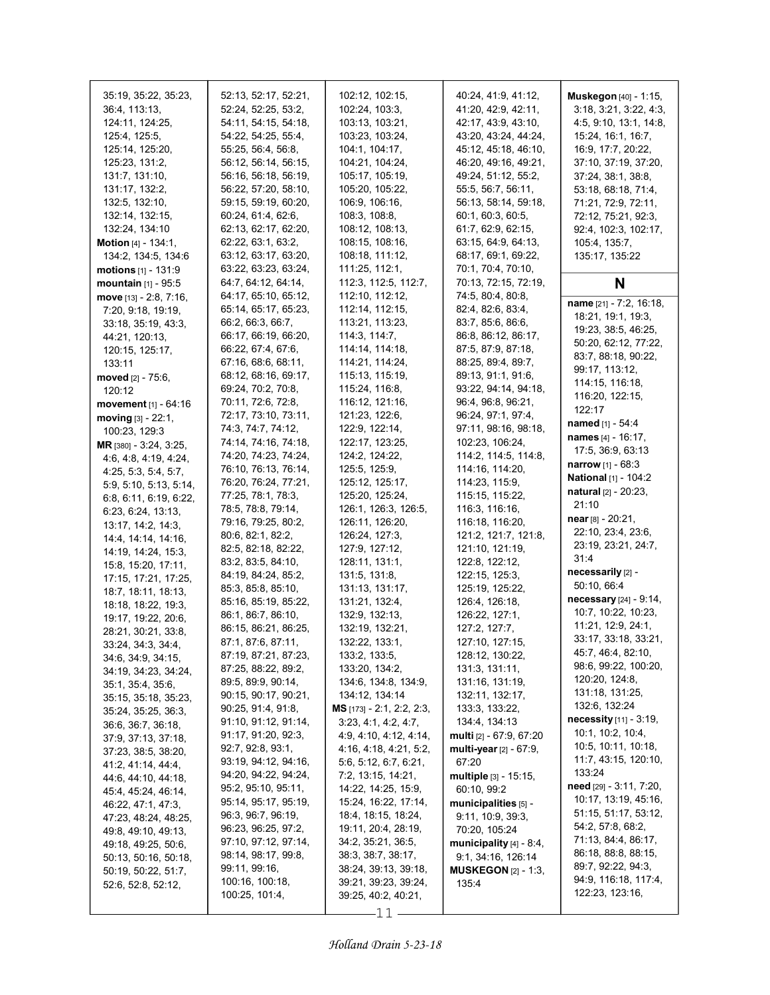| 35:19, 35:22, 35:23,<br>36:4, 113:13,<br>124:11, 124:25,<br>125:4, 125:5,<br>125:14, 125:20,<br>125:23, 131:2,<br>131.7, 131.10,<br>131:17, 132:2,<br>132:5, 132:10,<br>132:14, 132:15,<br>132.24, 134:10<br><b>Motion</b> $[4] - 134:1$ ,<br>134:2, 134:5, 134:6<br><b>motions</b> $[1] - 131:9$                                                                                                                                                                                                                                                                                                                                                                                                                                                                                                                                                                                               | 52:13, 52:17, 52:21,<br>52:24, 52:25, 53:2,<br>54:11, 54:15, 54:18,<br>54:22, 54:25, 55:4,<br>55:25, 56:4, 56:8,<br>56:12, 56:14, 56:15,<br>56:16, 56:18, 56:19,<br>56:22, 57:20, 58:10,<br>59:15, 59:19, 60:20,<br>60.24, 61.4, 62.6,<br>62:13, 62:17, 62:20,<br>62.22, 63.1, 63.2,<br>63:12, 63:17, 63:20,<br>63:22, 63:23, 63:24,                                                                                                                                                                                                                                                                                                                                                                                                                                                                                                                                                                                                               | 102:12, 102:15,<br>102:24, 103:3,<br>103:13, 103:21,<br>103:23, 103:24,<br>104:1, 104:17,<br>104:21, 104:24,<br>105:17, 105:19,<br>105:20, 105:22,<br>106.9, 106.16,<br>108:3, 108:8,<br>108:12, 108:13,<br>108:15, 108:16,<br>108:18, 111:12,<br>111:25, 112:1,                                                                                                                                                                                                                                                                                                                                                                                                                                                                                                                                                              | 40.24, 41:9, 41:12,<br>41:20, 42:9, 42:11,<br>42:17, 43:9, 43:10,<br>43:20, 43:24, 44:24,<br>45:12, 45:18, 46:10,<br>46:20, 49:16, 49:21,<br>49:24, 51:12, 55:2,<br>55.5, 56.7, 56.11,<br>56:13, 58:14, 59:18,<br>60:1, 60:3, 60:5,<br>61:7, 62:9, 62:15,<br>63:15, 64:9, 64:13,<br>68:17, 69:1, 69:22,<br>70:1, 70:4, 70:10,                                                                                                                                                                                                                                                                                                                                                                                                                                                                                     | Muskegon [40] - 1:15,<br>3.18, 3.21, 3.22, 4.3,<br>4:5, 9:10, 13:1, 14:8,<br>15:24, 16:1, 16:7,<br>16:9, 17:7, 20:22,<br>37:10, 37:19, 37:20,<br>37:24, 38:1, 38:8,<br>53:18, 68:18, 71:4,<br>71:21, 72:9, 72:11,<br>72:12, 75:21, 92:3,<br>92:4, 102:3, 102:17,<br>105:4, 135:7,<br>135:17, 135:22                                                                                                                                                                                                                                                                                                                                                                                                                                                                                                                                                                                     |
|-------------------------------------------------------------------------------------------------------------------------------------------------------------------------------------------------------------------------------------------------------------------------------------------------------------------------------------------------------------------------------------------------------------------------------------------------------------------------------------------------------------------------------------------------------------------------------------------------------------------------------------------------------------------------------------------------------------------------------------------------------------------------------------------------------------------------------------------------------------------------------------------------|----------------------------------------------------------------------------------------------------------------------------------------------------------------------------------------------------------------------------------------------------------------------------------------------------------------------------------------------------------------------------------------------------------------------------------------------------------------------------------------------------------------------------------------------------------------------------------------------------------------------------------------------------------------------------------------------------------------------------------------------------------------------------------------------------------------------------------------------------------------------------------------------------------------------------------------------------|-------------------------------------------------------------------------------------------------------------------------------------------------------------------------------------------------------------------------------------------------------------------------------------------------------------------------------------------------------------------------------------------------------------------------------------------------------------------------------------------------------------------------------------------------------------------------------------------------------------------------------------------------------------------------------------------------------------------------------------------------------------------------------------------------------------------------------|-------------------------------------------------------------------------------------------------------------------------------------------------------------------------------------------------------------------------------------------------------------------------------------------------------------------------------------------------------------------------------------------------------------------------------------------------------------------------------------------------------------------------------------------------------------------------------------------------------------------------------------------------------------------------------------------------------------------------------------------------------------------------------------------------------------------|-----------------------------------------------------------------------------------------------------------------------------------------------------------------------------------------------------------------------------------------------------------------------------------------------------------------------------------------------------------------------------------------------------------------------------------------------------------------------------------------------------------------------------------------------------------------------------------------------------------------------------------------------------------------------------------------------------------------------------------------------------------------------------------------------------------------------------------------------------------------------------------------|
| mountain [1] - 95:5                                                                                                                                                                                                                                                                                                                                                                                                                                                                                                                                                                                                                                                                                                                                                                                                                                                                             | 64: 7, 64: 12, 64: 14,                                                                                                                                                                                                                                                                                                                                                                                                                                                                                                                                                                                                                                                                                                                                                                                                                                                                                                                             | 112:3, 112:5, 112:7,                                                                                                                                                                                                                                                                                                                                                                                                                                                                                                                                                                                                                                                                                                                                                                                                          | 70:13, 72:15, 72:19,                                                                                                                                                                                                                                                                                                                                                                                                                                                                                                                                                                                                                                                                                                                                                                                              | N                                                                                                                                                                                                                                                                                                                                                                                                                                                                                                                                                                                                                                                                                                                                                                                                                                                                                       |
| move [13] - 2:8, 7:16,<br>7:20, 9:18, 19:19,<br>33:18, 35:19, 43:3,<br>44.21, 120.13,<br>120:15, 125:17,<br>133:11<br>moved [2] - 75:6,<br>120:12<br>movement $[1]$ - 64:16<br>moving $[3] - 22:1$ ,<br>100:23, 129:3<br>MR [380] - 3:24, 3:25,<br>4.6, 4.8, 4.19, 4.24,<br>4:25, 5:3, 5:4, 5:7,<br>5:9, 5:10, 5:13, 5:14,<br>6.8, 6.11, 6.19, 6.22,<br>6:23, 6:24, 13:13,<br>13:17, 14:2, 14:3,<br>14:4, 14:14, 14:16,<br>14:19, 14:24, 15:3,<br>15:8, 15:20, 17:11,<br>17:15, 17:21, 17:25,<br>18:7, 18:11, 18:13,<br>18:18, 18:22, 19:3,<br>19:17, 19:22, 20:6,<br>28:21, 30:21, 33:8,<br>33:24, 34:3, 34:4,<br>34:6, 34:9, 34:15,<br>34:19, 34:23, 34:24,<br>35:1, 35:4, 35:6,<br>35:15, 35:18, 35:23,<br>35:24, 35:25, 36:3,<br>36:6, 36:7, 36:18,<br>37:9, 37:13, 37:18,<br>37:23, 38:5, 38:20,<br>41.2, 41.14, 44.4,<br>44 6, 44 10, 44 18,<br>45.4, 45.24, 46.14,<br>46:22, 47:1, 47:3, | 64:17, 65:10, 65:12,<br>65:14, 65:17, 65:23,<br>66:2, 66:3, 66:7,<br>66:17, 66:19, 66:20,<br>66:22, 67:4, 67:6,<br>67:16, 68:6, 68:11,<br>68:12, 68:16, 69:17,<br>69.24, 70.2, 70.8,<br>70:11, 72:6, 72:8,<br>72:17, 73:10, 73:11,<br>74 3, 74 7, 74 12,<br>74:14, 74:16, 74:18,<br>74:20, 74:23, 74:24,<br>76:10, 76:13, 76:14,<br>76:20, 76:24, 77:21,<br>77:25, 78:1, 78:3,<br>78:5, 78:8, 79:14,<br>79:16, 79:25, 80:2,<br>80:6, 82:1, 82:2,<br>82:5, 82:18, 82:22,<br>83:2, 83:5, 84:10,<br>84:19, 84:24, 85:2,<br>85:3, 85:8, 85:10,<br>85:16, 85:19, 85:22,<br>86.1, 86.7, 86.10,<br>86:15, 86:21, 86:25,<br>87:1, 87:6, 87:11,<br>87:19, 87:21, 87:23,<br>87:25, 88:22, 89:2,<br>89.5, 89.9, 90.14,<br>90:15, 90:17, 90:21,<br>90.25, 91.4, 91.8,<br>91:10, 91:12, 91:14,<br>91:17, 91:20, 92:3,<br>92:7, 92:8, 93:1,<br>93:19, 94:12, 94:16,<br>94:20, 94:22, 94:24,<br>95:2, 95:10, 95:11,<br>95:14, 95:17, 95:19,<br>96:3, 96:7, 96:19, | 112:10, 112:12,<br>112:14, 112:15,<br>113:21, 113:23,<br>114:3, 114:7,<br>114:14, 114:18,<br>114:21, 114:24,<br>115:13, 115:19,<br>115:24, 116:8,<br>116:12, 121:16,<br>121:23, 122:6,<br>122:9, 122:14,<br>122:17, 123:25,<br>124:2, 124:22,<br>125:5, 125:9,<br>125:12, 125:17,<br>125:20, 125:24,<br>126:1, 126:3, 126:5,<br>126:11, 126:20,<br>126:24, 127:3,<br>127:9, 127:12,<br>128:11, 131:1,<br>131:5, 131:8,<br>131:13, 131:17,<br>131:21, 132:4,<br>132.9, 132.13,<br>132:19, 132:21,<br>132:22, 133:1,<br>133:2, 133:5,<br>133:20, 134:2,<br>134:6, 134:8, 134:9,<br>134:12, 134:14<br>MS [173] - 2:1, 2:2, 2:3,<br>3.23, 4.1, 4.2, 4.7,<br>4.9, 4.10, 4.12, 4.14,<br>4:16, 4:18, 4:21, 5:2,<br>5.6, 5.12, 6.7, 6.21,<br>7:2, 13:15, 14:21,<br>14:22, 14:25, 15:9,<br>15:24, 16:22, 17:14,<br>18:4, 18:15, 18:24, | 74:5, 80:4, 80:8,<br>82.4, 82.6, 83.4,<br>83:7, 85:6, 86:6,<br>86.8, 86.12, 86.17,<br>87:5, 87:9, 87:18,<br>88:25, 89:4, 89:7,<br>89:13, 91:1, 91:6,<br>93:22, 94:14, 94:18,<br>96.4, 96.8, 96.21,<br>96:24, 97:1, 97:4,<br>97:11, 98:16, 98:18,<br>102.23, 106:24,<br>114:2, 114:5, 114:8,<br>114:16, 114:20,<br>114:23, 115:9,<br>115:15, 115:22,<br>116:3, 116:16,<br>116:18, 116:20,<br>121:2, 121:7, 121:8,<br>121:10, 121:19,<br>122:8, 122:12,<br>122:15, 125:3,<br>125:19, 125:22,<br>126.4, 126:18,<br>126:22, 127:1,<br>127:2, 127:7,<br>127:10, 127:15,<br>128:12, 130:22,<br>131:3, 131:11,<br>131:16, 131:19,<br>132:11, 132:17,<br>133.3, 133.22,<br>134.4, 134.13<br>multi [2] - 67:9, 67:20<br>multi-year $[2] - 67.9$ ,<br>67:20<br>multiple [3] - 15:15,<br>60:10, 99:2<br>municipalities [5] - | name [21] - 7:2, 16:18,<br>18:21, 19:1, 19:3,<br>19:23, 38:5, 46:25,<br>50:20, 62:12, 77:22,<br>83:7, 88:18, 90:22,<br>99:17, 113:12,<br>114:15, 116:18,<br>116:20, 122:15,<br>122:17<br><b>named</b> [1] - 54:4<br><b>names</b> [4] - 16:17,<br>17:5, 36:9, 63:13<br><b>narrow</b> [1] - $68:3$<br><b>National</b> [1] - 104:2<br><b>natural</b> [2] - 20:23,<br>21:10<br>$near$ [8] - 20:21,<br>22:10, 23:4, 23:6,<br>23:19, 23:21, 24:7,<br>31:4<br>necessarily [2] -<br>50:10, 66:4<br>necessary [24] - 9:14,<br>10:7, 10:22, 10:23,<br>11:21, 12:9, 24:1,<br>33:17, 33:18, 33:21,<br>45:7, 46:4, 82:10,<br>98:6, 99:22, 100:20,<br>120:20, 124:8,<br>131:18, 131:25,<br>132:6, 132:24<br><b>necessity</b> $[11] - 3.19$ ,<br>10:1, 10:2, 10:4,<br>10:5, 10:11, 10:18,<br>11:7, 43:15, 120:10,<br>133:24<br>need [29] - 3:11, 7:20,<br>10:17, 13:19, 45:16,<br>51:15, 51:17, 53:12, |
| 47:23, 48:24, 48:25,<br>49.8, 49.10, 49.13,<br>49:18, 49:25, 50:6,<br>50:13, 50:16, 50:18,<br>50:19, 50:22, 51:7,<br>52:6, 52:8, 52:12,                                                                                                                                                                                                                                                                                                                                                                                                                                                                                                                                                                                                                                                                                                                                                         | 96:23, 96:25, 97:2,<br>97:10, 97:12, 97:14,<br>98:14, 98:17, 99:8,<br>99:11, 99:16,<br>100:16, 100:18,<br>100:25, 101:4,                                                                                                                                                                                                                                                                                                                                                                                                                                                                                                                                                                                                                                                                                                                                                                                                                           | 19:11, 20:4, 28:19,<br>34:2, 35:21, 36:5,<br>38:3, 38:7, 38:17,<br>38:24, 39:13, 39:18,<br>39:21, 39:23, 39:24,<br>39:25, 40:2, 40:21,<br>$-11$                                                                                                                                                                                                                                                                                                                                                                                                                                                                                                                                                                                                                                                                               | 9.11, 10.9, 39.3,<br>70:20, 105:24<br>municipality [4] - 8:4,<br>9:1, 34:16, 126:14<br><b>MUSKEGON</b> $[2]$ - 1:3,<br>135:4                                                                                                                                                                                                                                                                                                                                                                                                                                                                                                                                                                                                                                                                                      | 54:2, 57:8, 68:2,<br>71:13, 84:4, 86:17,<br>86:18, 88:8, 88:15,<br>89:7, 92:22, 94:3,<br>94:9, 116:18, 117:4,<br>122:23, 123:16,                                                                                                                                                                                                                                                                                                                                                                                                                                                                                                                                                                                                                                                                                                                                                        |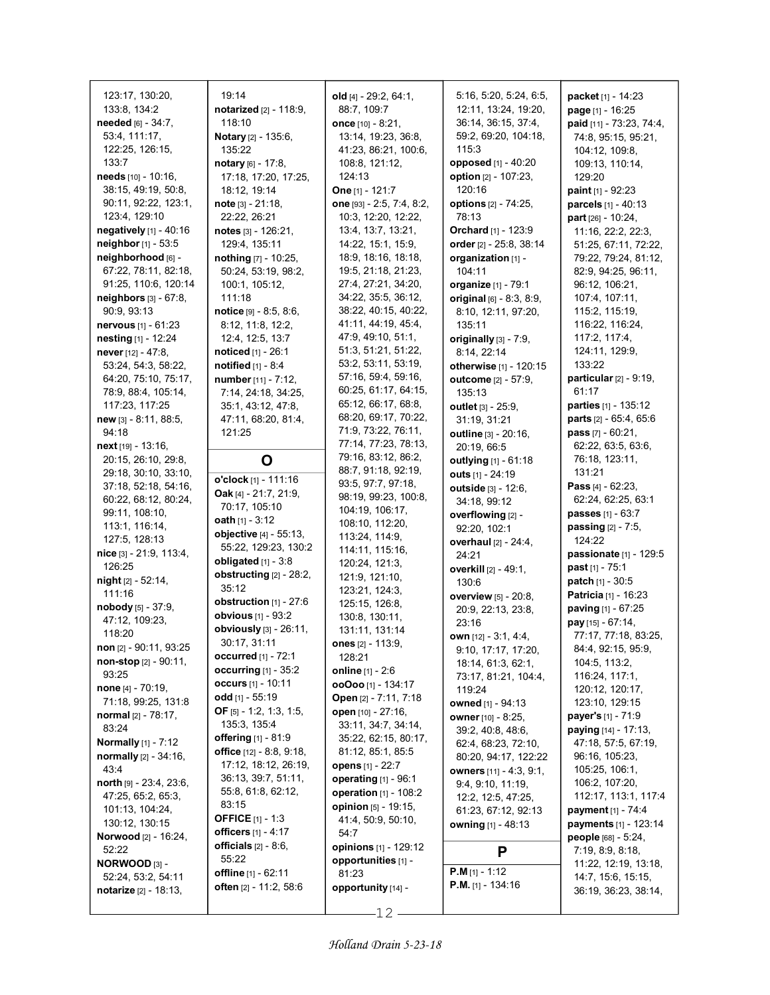| 123:17, 130:20,<br>133:8, 134:2<br>needed [6] - 34:7,<br>53:4, 111:17,<br>122:25, 126:15,    | 19:14<br>notarized [2] - 118:9,<br>118:10<br><b>Notary</b> $[2] - 135.6$ ,<br>135:22              | old [4] - 29:2, 64:1,<br>88:7, 109:7<br>once $[10] - 8:21$ ,<br>13:14, 19:23, 36:8,<br>41:23, 86:21, 100:6, | 5:16, 5:20, 5:24, 6:5,<br>12:11, 13:24, 19:20,<br>36:14, 36:15, 37:4,<br>59:2, 69:20, 104:18,<br>115:3 | packet [1] - 14:23<br>page [1] - 16:25<br>paid [11] - 73.23, 74:4,<br>74:8, 95:15, 95:21,<br>104:12, 109:8, |
|----------------------------------------------------------------------------------------------|---------------------------------------------------------------------------------------------------|-------------------------------------------------------------------------------------------------------------|--------------------------------------------------------------------------------------------------------|-------------------------------------------------------------------------------------------------------------|
| 133:7<br>needs [10] - 10:16,<br>38:15, 49:19, 50:8,<br>90:11, 92:22, 123:1,<br>123:4, 129:10 | notary [6] - 17:8,<br>17:18, 17:20, 17:25,<br>18:12, 19:14<br>$note$ [3] - 21:18,<br>22:22, 26:21 | 108:8, 121:12,<br>124:13<br>One [1] - 121:7<br>one [93] - 2:5, 7:4, 8:2,<br>10:3, 12:20, 12:22,             | <b>opposed</b> [1] - 40:20<br>option [2] - 107:23,<br>120:16<br><b>options</b> [2] - 74:25,<br>78:13   | 109:13, 110:14,<br>129:20<br><b>paint</b> $[1]$ - 92:23<br>parcels [1] - 40:13<br>part $[26] - 10:24$ ,     |
| negatively $[1]$ - 40:16<br>neighbor [1] - 53:5                                              | notes $[3] - 126:21$ ,<br>129:4, 135:11                                                           | 13:4, 13:7, 13:21,<br>14:22, 15:1, 15:9,                                                                    | Orchard [1] - 123:9<br>order [2] - 25:8, 38:14                                                         | 11:16, 22:2, 22:3,<br>51:25, 67:11, 72:22,                                                                  |
| neighborhood [6] -                                                                           | nothing [7] - 10:25,                                                                              | 18:9, 18:16, 18:18,                                                                                         | organization [1] -                                                                                     | 79:22, 79:24, 81:12,                                                                                        |
| 67:22, 78:11, 82:18,                                                                         | 50:24, 53:19, 98:2,                                                                               | 19:5, 21:18, 21:23,                                                                                         | 104:11                                                                                                 | 82:9, 94:25, 96:11,                                                                                         |
| 91:25, 110:6, 120:14                                                                         | 100:1, 105:12,                                                                                    | 27:4, 27:21, 34:20,                                                                                         | organize [1] - 79:1                                                                                    | 96:12, 106:21,                                                                                              |
| neighbors [3] - 67:8,                                                                        | 111:18                                                                                            | 34:22, 35:5, 36:12,<br>38:22, 40:15, 40:22,                                                                 | original $[6] - 8.3, 8.9,$                                                                             | 107:4, 107:11,                                                                                              |
| 90:9, 93:13<br><b>nervous</b> $[1] - 61:23$                                                  | $notice$ [9] - 8:5, 8:6,<br>8.12, 11:8, 12:2,                                                     | 41:11, 44:19, 45:4,                                                                                         | 8:10, 12:11, 97:20,<br>135:11                                                                          | 115:2, 115:19,<br>116:22, 116:24,                                                                           |
| nesting [1] - 12:24                                                                          | 12:4, 12:5, 13:7                                                                                  | 47.9, 49.10, 51.1,                                                                                          | originally $[3]$ - $7.9$ ,                                                                             | 117:2, 117:4,                                                                                               |
| never $[12] - 47:8$ ,                                                                        | noticed [1] - 26:1                                                                                | 51:3, 51:21, 51:22,                                                                                         | 8:14, 22:14                                                                                            | 124:11, 129.9,                                                                                              |
| 53:24, 54:3, 58:22,                                                                          | notified $[1] - 8.4$                                                                              | 53:2, 53:11, 53:19,                                                                                         | otherwise [1] - 120:15                                                                                 | 133:22                                                                                                      |
| 64:20, 75:10, 75:17,                                                                         | number [11] - 7:12,                                                                               | 57:16, 59:4, 59:16,                                                                                         | outcome [2] - 57:9,                                                                                    | particular [2] - 9:19,                                                                                      |
| 78:9, 88:4, 105:14,                                                                          | 7:14, 24:18, 34:25,                                                                               | 60:25, 61:17, 64:15,                                                                                        | 135:13                                                                                                 | 61:17                                                                                                       |
| 117:23, 117:25                                                                               | 35:1, 43:12, 47:8,                                                                                | 65:12, 66:17, 68:8,<br>68:20, 69:17, 70:22,                                                                 | outlet [3] - 25:9,                                                                                     | parties [1] - 135:12                                                                                        |
| new [3] - 8:11, 88:5,<br>94:18                                                               | 47:11, 68:20, 81:4,<br>121:25                                                                     | 71.9, 73.22, 76:11,                                                                                         | 31:19, 31:21                                                                                           | <b>parts</b> $[2] - 65.4, 65.6$<br>pass $[7] - 60:21$ ,                                                     |
| next [19] - 13:16,                                                                           |                                                                                                   | 77:14, 77:23, 78:13,                                                                                        | outline [3] - 20:16,<br>20:19, 66:5                                                                    | 62:22, 63:5, 63:6,                                                                                          |
| 20:15, 26:10, 29:8,                                                                          | O                                                                                                 | 79:16, 83:12, 86:2,                                                                                         | outlying [1] - 61:18                                                                                   | 76:18, 123:11,                                                                                              |
| 29:18, 30:10, 33:10,                                                                         |                                                                                                   | 88:7, 91:18, 92:19,                                                                                         | outs [1] - 24:19                                                                                       | 131:21                                                                                                      |
| 37:18, 52:18, 54:16,                                                                         | o'clock [1] - 111:16<br>Oak [4] - 21:7, 21:9,                                                     | 93:5, 97:7, 97:18,                                                                                          | outside [3] - 12:6,                                                                                    | <b>Pass</b> $[4] - 62:23$ ,                                                                                 |
| 60:22, 68:12, 80:24,                                                                         | 70:17, 105:10                                                                                     | 98:19, 99:23, 100:8,                                                                                        | 34:18, 99:12                                                                                           | 62:24, 62:25, 63:1                                                                                          |
| 99:11, 108:10,                                                                               | oath $[1] - 3:12$                                                                                 | 104:19, 106:17,<br>108:10, 112:20,                                                                          | overflowing [2] -                                                                                      | passes [1] - 63:7                                                                                           |
| 113.1, 116.14,<br>127:5, 128:13                                                              | objective [4] - 55:13,                                                                            | 113:24, 114:9,                                                                                              | 92:20, 102:1                                                                                           | passing [2] - 7:5,                                                                                          |
| nice [3] - 21:9, 113:4,                                                                      | 55:22, 129:23, 130:2                                                                              | 114:11, 115:16,                                                                                             | overhaul [2] - 24:4,<br>24:21                                                                          | 124:22<br>passionate [1] - 129:5                                                                            |
| 126:25                                                                                       | obligated $[1]$ - 3:8                                                                             | 120:24, 121:3,                                                                                              | overkill [2] - 49:1,                                                                                   | <b>past</b> $[1] - 75:1$                                                                                    |
| night [2] - 52:14,                                                                           | obstructing [2] - 28:2,                                                                           | 121:9, 121:10,                                                                                              | 130:6                                                                                                  | <b>patch</b> $[1] - 30.5$                                                                                   |
| 111:16                                                                                       | 35:12                                                                                             | 123:21, 124:3,                                                                                              | <b>overview</b> [5] - 20:8,                                                                            | Patricia [1] - 16:23                                                                                        |
| nobody $[5] - 37:9$ ,                                                                        | obstruction [1] - 27:6<br>obvious [1] - 93:2                                                      | 125:15, 126:8,                                                                                              | 20:9, 22:13, 23:8,                                                                                     | paving [1] - 67:25                                                                                          |
| 47:12, 109:23,                                                                               | obviously [3] - 26:11,                                                                            | 130:8, 130:11,<br>131:11, 131:14                                                                            | 23:16                                                                                                  | pay [15] - 67:14,                                                                                           |
| 118:20                                                                                       | 30.17, 31.11                                                                                      | ones [2] - 113:9,                                                                                           | <b>own</b> [12] $-3.1, 4.4,$                                                                           | 77:17, 77:18, 83:25,                                                                                        |
| non [2] - 90:11, 93:25<br><b>non-stop</b> $[2] - 90:11$ ,                                    | occurred [1] - 72:1                                                                               | 128:21                                                                                                      | 9:10, 17:17, 17:20,                                                                                    | 84:4, 92:15, 95:9,                                                                                          |
| 93:25                                                                                        | occurring $[1]$ - 35:2                                                                            | <b>online</b> $[1] - 2:6$                                                                                   | 18:14, 61:3, 62:1,<br>73:17, 81:21, 104:4,                                                             | 104:5, 113:2,<br>116:24, 117:1,                                                                             |
| <b>none</b> $[4] - 70.19$ ,                                                                  | occurs [1] - 10:11                                                                                | $00000$ [1] - 134:17                                                                                        | 119:24                                                                                                 | 120:12, 120:17,                                                                                             |
| 71:18, 99:25, 131:8                                                                          | odd $[1] - 55:19$                                                                                 | Open [2] - 7:11, 7:18                                                                                       | owned [1] - 94:13                                                                                      | 123:10, 129:15                                                                                              |
| normal [2] - 78:17,                                                                          | <b>OF</b> [5] - 1:2, 1:3, 1:5,<br>135:3, 135:4                                                    | open [10] - 27:16,                                                                                          | owner [10] - 8:25,                                                                                     | <b>payer's</b> [1] - 71:9                                                                                   |
| 83:24                                                                                        | offering [1] - 81:9                                                                               | 33:11, 34:7, 34:14,<br>35:22, 62:15, 80:17,                                                                 | 39:2, 40:8, 48:6,                                                                                      | <b>paying</b> $[14] - 17:13$ ,                                                                              |
| <b>Normally</b> [1] - 7:12                                                                   | office $[12] - 8.8, 9.18,$                                                                        | 81:12, 85:1, 85:5                                                                                           | 62:4, 68:23, 72:10,                                                                                    | 47:18, 57:5, 67:19,                                                                                         |
| <b>normally</b> $[2] - 34:16$ ,<br>43.4                                                      | 17:12, 18:12, 26:19,                                                                              | opens [1] - 22:7                                                                                            | 80:20, 94:17, 122:22<br>owners [11] - 4:3, 9:1,                                                        | 96:16, 105:23,<br>105:25, 106:1,                                                                            |
| north $[9] - 23:4, 23:6,$                                                                    | 36:13, 39:7, 51:11,                                                                               | operating [1] - 96:1                                                                                        | 9.4, 9.10, 11.19,                                                                                      | 106:2, 107:20,                                                                                              |
| 47:25, 65:2, 65:3,                                                                           | 55.8, 61.8, 62.12,                                                                                | operation [1] - 108:2                                                                                       | 12:2, 12:5, 47:25,                                                                                     | 112:17, 113:1, 117:4                                                                                        |
| 101:13, 104:24,                                                                              | 83:15                                                                                             | opinion [5] - 19:15,                                                                                        | 61:23, 67:12, 92:13                                                                                    | <b>payment</b> [1] - 74:4                                                                                   |
| 130:12, 130:15                                                                               | <b>OFFICE</b> [1] - 1:3<br><b>officers</b> $[1] - 4:17$                                           | 41:4, 50:9, 50:10,<br>54:7                                                                                  | <b>owning</b> [1] - 48:13                                                                              | payments [1] - 123:14                                                                                       |
| <b>Norwood</b> [2] - 16:24,                                                                  | officials $[2] - 8:6$ ,                                                                           | opinions [1] - 129:12                                                                                       |                                                                                                        | people [68] - 5:24,                                                                                         |
| 52:22<br>NORWOOD [3] -                                                                       | 55:22                                                                                             | opportunities [1] -                                                                                         | P                                                                                                      | 7:19, 8.9, 8.18,                                                                                            |
| 52:24, 53:2, 54:11                                                                           | <b>offline</b> [1] - 62:11                                                                        | 81:23                                                                                                       | <b>P.M</b> [1] - 1:12                                                                                  | 11:22, 12:19, 13:18,<br>14:7, 15:6, 15:15,                                                                  |
| notarize [2] - 18:13,                                                                        | <b>often</b> $[2] - 11:2, 58:6$                                                                   | opportunity [14] -                                                                                          | <b>P.M.</b> [1] - 134:16                                                                               | 36:19, 36:23, 38:14,                                                                                        |
|                                                                                              |                                                                                                   |                                                                                                             |                                                                                                        |                                                                                                             |

12

ı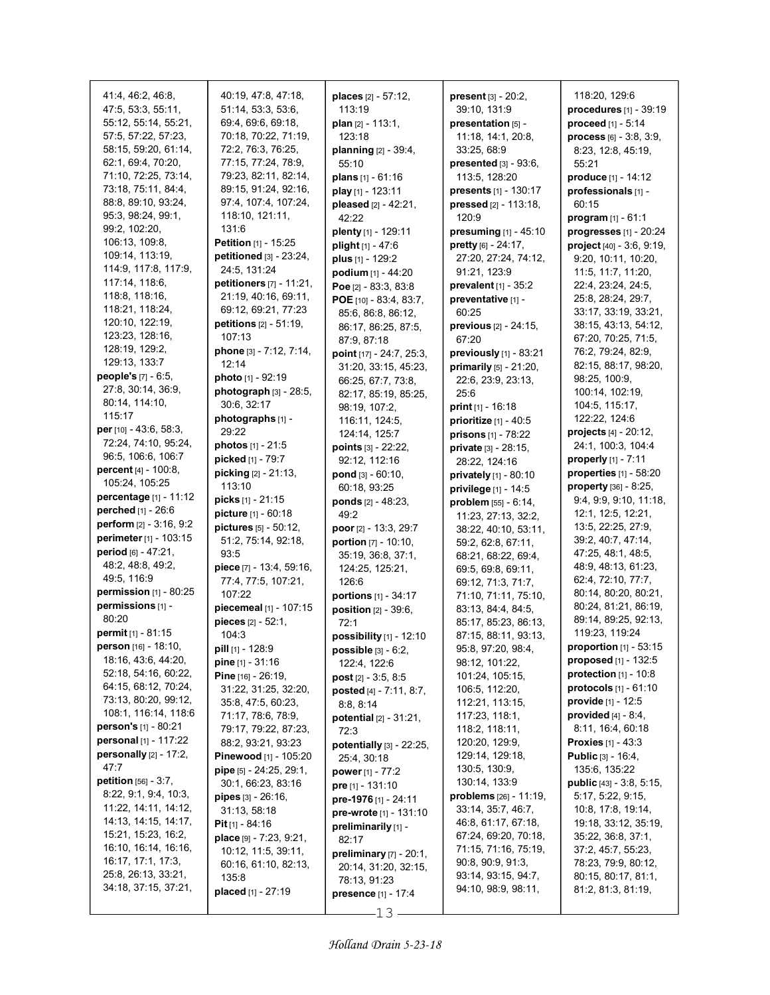| 41:4, 46:2, 46:8,<br>47:5, 53:3, 55:11, | 40:19, 47:8, 47:18,<br>51:14, 53:3, 53:6, | places [2] - 57:12,<br>113:19                 | <b>present</b> $[3] - 20:2$ ,<br>39:10, 131:9 | 118:20, 129:6<br>procedures [1] - 39:19      |
|-----------------------------------------|-------------------------------------------|-----------------------------------------------|-----------------------------------------------|----------------------------------------------|
| 55:12, 55:14, 55:21,                    | 69:4, 69:6, 69:18,                        | plan $[2] - 113:1$ ,                          | presentation [5] -                            | proceed [1] - 5:14                           |
| 57:5, 57:22, 57:23,                     | 70:18, 70:22, 71:19,                      | 123:18                                        | 11:18, 14:1, 20:8,                            | process [6] - 3:8, 3:9,                      |
| 58:15, 59:20, 61:14,                    | 72:2, 76:3, 76:25,                        | planning [2] - 39:4,                          | 33:25, 68.9                                   | 8:23, 12:8, 45:19,                           |
| 62:1, 69:4, 70:20,                      | 77:15, 77:24, 78:9,                       | 55:10                                         | presented [3] - 93:6,                         | 55:21                                        |
| 71:10, 72:25, 73:14,                    | 79:23, 82:11, 82:14,                      | plans $[1] - 61:16$                           | 113:5, 128:20                                 | <b>produce</b> [1] - 14:12                   |
| 73:18, 75:11, 84:4,                     | 89:15, 91:24, 92:16,                      | play [1] - 123:11                             | presents [1] - 130:17                         | professionals [1] -                          |
| 88:8, 89:10, 93:24,                     | 97:4, 107:4, 107:24,                      | pleased [2] - 42:21,                          | pressed [2] - 113:18,                         | 60:15                                        |
| 95:3, 98:24, 99:1,                      | 118:10, 121:11,                           | 42:22                                         | 120:9                                         | program $[1] - 61:1$                         |
| 99:2, 102:20,                           | 131:6                                     | plenty [1] - 129:11                           | presuming $[1] - 45:10$                       | progresses [1] - 20:24                       |
| 106:13, 109:8,                          | Petition [1] - 15:25                      | plight [1] - 47:6                             | <b>pretty</b> $[6] - 24.17$ ,                 | project [40] - 3:6, 9:19,                    |
| 109:14, 113:19,                         | petitioned [3] - 23:24,                   | plus [1] - 129:2                              | 27:20, 27:24, 74:12,                          | 9:20, 10:11, 10:20,                          |
| 114.9, 117:8, 117:9,                    | 24:5, 131:24                              | podium [1] - 44:20                            | 91:21, 123:9                                  | 11:5, 11:7, 11:20,                           |
| 117:14, 118:6,                          | petitioners [7] - 11:21,                  | Poe $[2] - 83.3, 83.8$                        | prevalent $[1]$ - 35:2                        | 22:4, 23:24, 24:5,                           |
| 118.8, 118.16,                          | 21:19, 40:16, 69:11,                      | POE $[10] - 83.4, 83.7,$                      | preventative [1] -                            | 25:8, 28:24, 29:7,                           |
| 118:21, 118:24,                         | 69:12, 69:21, 77:23                       | 85:6, 86:8, 86:12,                            | 60:25                                         | 33:17, 33:19, 33:21,                         |
| 120:10, 122:19,                         | petitions [2] - 51:19,                    | 86:17, 86:25, 87:5,                           | <b>previous</b> [2] - 24:15,                  | 38:15, 43:13, 54:12,                         |
| 123:23, 128:16,                         | 107:13                                    | 87:9, 87:18                                   | 67:20                                         | 67:20, 70:25, 71:5,                          |
| 128:19, 129:2,                          | phone [3] - 7:12, 7:14,                   | point [17] - 24:7, 25:3,                      | previously [1] - 83:21                        | 76:2, 79:24, 82:9,                           |
| 129:13, 133:7                           | 12:14                                     | 31:20, 33:15, 45:23,                          | primarily [5] - 21:20,                        | 82:15, 88:17, 98:20,                         |
| people's [7] - 6:5,                     | photo [1] - 92:19                         | 66:25, 67:7, 73:8,                            | 22:6, 23:9, 23:13,                            | 98:25, 100:9,                                |
| 27:8, 30:14, 36:9,                      | photograph [3] - 28:5,                    | 82:17, 85:19, 85:25,                          | 25:6                                          | 100:14, 102:19,                              |
| 80:14, 114:10,                          | 30:6, 32:17                               | 98:19, 107:2,                                 | print [1] - 16:18                             | 104:5, 115:17,                               |
| 115:17                                  | photographs [1] -                         | 116:11, 124:5,                                | prioritize [1] - 40:5                         | 122:22, 124:6                                |
| per [10] - 43:6, 58:3,                  | 29:22                                     | 124:14, 125:7                                 | prisons [1] - 78:22                           | projects [4] - 20:12,                        |
| 72:24, 74:10, 95:24,                    | <b>photos</b> $[1] - 21.5$                | points [3] - 22:22,                           | private [3] - 28:15,                          | 24:1, 100:3, 104:4                           |
| 96.5, 106.6, 106.7                      | picked [1] - 79:7                         | 92:12, 112:16                                 | 28:22, 124:16                                 | properly [1] - 7:11                          |
| percent [4] - 100:8,                    | picking [2] - 21:13,                      | pond [3] - 60:10,                             | privately [1] - 80:10                         | properties [1] - 58:20                       |
| 105:24, 105:25                          | 113:10                                    | 60:18, 93:25                                  | privilege [1] - 14:5                          | property [36] - 8:25,                        |
| percentage [1] - 11:12                  | <b>picks</b> $[1] - 21:15$                | ponds [2] - 48:23,                            | problem $[55] - 6:14$ ,                       | 9:4, 9:9, 9:10, 11:18,                       |
| perched [1] - 26:6                      | picture [1] - 60:18                       | 49:2                                          | 11:23, 27:13, 32:2,                           | 12:1, 12:5, 12:21,                           |
| perform [2] - 3:16, 9:2                 | pictures [5] - 50:12,                     | poor [2] - 13:3, 29:7                         | 38:22, 40:10, 53:11,                          | 13:5, 22:25, 27:9,                           |
| perimeter [1] - 103:15                  | 51:2, 75:14, 92:18,                       | portion [7] - 10:10,                          | 59.2, 62.8, 67:11,                            | 39:2, 40:7, 47:14,                           |
| period [6] - 47:21,                     | 93:5                                      | 35:19, 36:8, 37:1,                            | 68:21, 68:22, 69:4,                           | 47:25, 48:1, 48:5,                           |
| 48:2, 48:8, 49:2,<br>49:5, 116:9        | piece [7] - 13:4, 59:16,                  | 124:25, 125:21,                               | 69:5, 69:8, 69:11,                            | 48:9, 48:13, 61:23,                          |
| permission $[1]$ - 80:25                | 77:4, 77:5, 107:21,                       | 126:6                                         | 69:12, 71:3, 71:7,                            | 62:4, 72:10, 77:7,                           |
| permissions [1] -                       | 107:22                                    | portions [1] - 34:17                          | 71:10, 71:11, 75:10,                          | 80:14, 80:20, 80:21,                         |
| 80:20                                   | piecemeal [1] - 107:15                    | position [2] - 39:6,                          | 83:13, 84:4, 84:5,                            | 80:24, 81:21, 86:19,<br>89:14, 89:25, 92:13, |
| permit [1] - 81:15                      | pieces [2] - 52:1,                        | 72:1                                          | 85:17, 85:23, 86:13,                          | 119:23, 119:24                               |
| person [16] - 18:10,                    | 104:3<br>pill [1] - 128:9                 | possibility $[1]$ - 12:10                     | 87:15, 88:11, 93:13,                          | proportion [1] - 53:15                       |
| 18:16, 43:6, 44:20,                     | <b>pine</b> $[1] - 31:16$                 | possible [3] - 6:2,                           | 95:8, 97:20, 98:4,<br>98:12, 101:22,          | <b>proposed</b> [1] - 132:5                  |
| 52:18, 54:16, 60:22,                    | Pine $[16] - 26:19$ ,                     | 122.4, 122.6                                  | 101:24, 105:15,                               | protection $[1]$ - 10:8                      |
| 64:15, 68:12, 70:24,                    | 31:22, 31:25, 32:20,                      | <b>post</b> $[2] - 3.5, 8.5$                  | 106.5, 112:20,                                | protocols [1] - 61:10                        |
| 73:13, 80:20, 99:12,                    | 35.8, 47.5, 60.23,                        | <b>posted</b> $[4] - 7:11, 8:7,$<br>8.8, 8.14 | 112:21, 113:15,                               | provide [1] - 12:5                           |
| 108:1, 116:14, 118:6                    | 71:17, 78:6, 78:9,                        | <b>potential</b> $[2] - 31:21$ ,              | 117:23, 118:1,                                | <b>provided</b> $[4] - 8.4$ ,                |
| <b>person's</b> $[1]$ - 80:21           | 79:17, 79:22, 87:23,                      | 72:3                                          | 118:2, 118:11,                                | 8:11, 16:4, 60:18                            |
| personal [1] - 117:22                   | 88:2, 93:21, 93:23                        | potentially [3] - 22:25,                      | 120:20, 129:9,                                | <b>Proxies</b> $[1] - 43.3$                  |
| <b>personally</b> $[2] - 17:2$          | <b>Pinewood</b> [1] - 105:20              | 25:4, 30:18                                   | 129:14, 129:18,                               | <b>Public</b> $[3] - 16:4$                   |
| 47:7                                    | pipe [5] - 24:25, 29:1,                   | power [1] - 77:2                              | 130:5, 130:9,                                 | 135:6, 135:22                                |
| <b>petition</b> $[56] - 3.7$ ,          | 30:1, 66:23, 83:16                        | <b>pre</b> [1] - 131:10                       | 130:14, 133:9                                 | public [43] - 3:8, 5:15,                     |
| 8:22, 9:1, 9:4, 10:3,                   | <b>pipes</b> $[3] - 26:16$ ,              | pre-1976 [1] - 24:11                          | <b>problems</b> [26] - 11:19,                 | 5:17, 5:22, 9:15,                            |
| 11:22, 14:11, 14:12,                    | 31:13, 58:18                              | pre-wrote [1] - 131:10                        | 33:14, 35:7, 46:7,                            | 10.8, 17.8, 19.14,                           |
| 14:13, 14:15, 14:17,                    | <b>Pit</b> [1] - 84:16                    | preliminarily [1] -                           | 46.8, 61:17, 67:18,                           | 19:18, 33:12, 35:19,                         |
| 15:21, 15:23, 16:2,                     | place [9] - 7:23, 9:21,                   | 82:17                                         | 67:24, 69:20, 70:18,                          | 35:22, 36:8, 37:1,                           |
| 16:10, 16:14, 16:16,                    | 10:12, 11:5, 39:11,                       | preliminary $[7] - 20:1$ ,                    | 71:15, 71:16, 75:19,                          | 37:2, 45:7, 55:23,                           |
| 16:17, 17:1, 17:3,                      | 60:16, 61:10, 82:13,                      | 20:14, 31:20, 32:15,                          | 90.8, 90.9, 91.3,                             | 78:23, 79:9, 80:12,                          |
| 25:8, 26:13, 33:21,                     | 135:8                                     | 78:13, 91:23                                  | 93:14, 93:15, 94:7,                           | 80:15, 80:17, 81:1,                          |
| 34:18, 37:15, 37:21,                    | placed [1] - 27:19                        | presence [1] - 17:4                           | 94:10, 98:9, 98:11,                           | 81:2, 81:3, 81:19,                           |
|                                         |                                           | 1 O                                           |                                               |                                              |

 $-13-$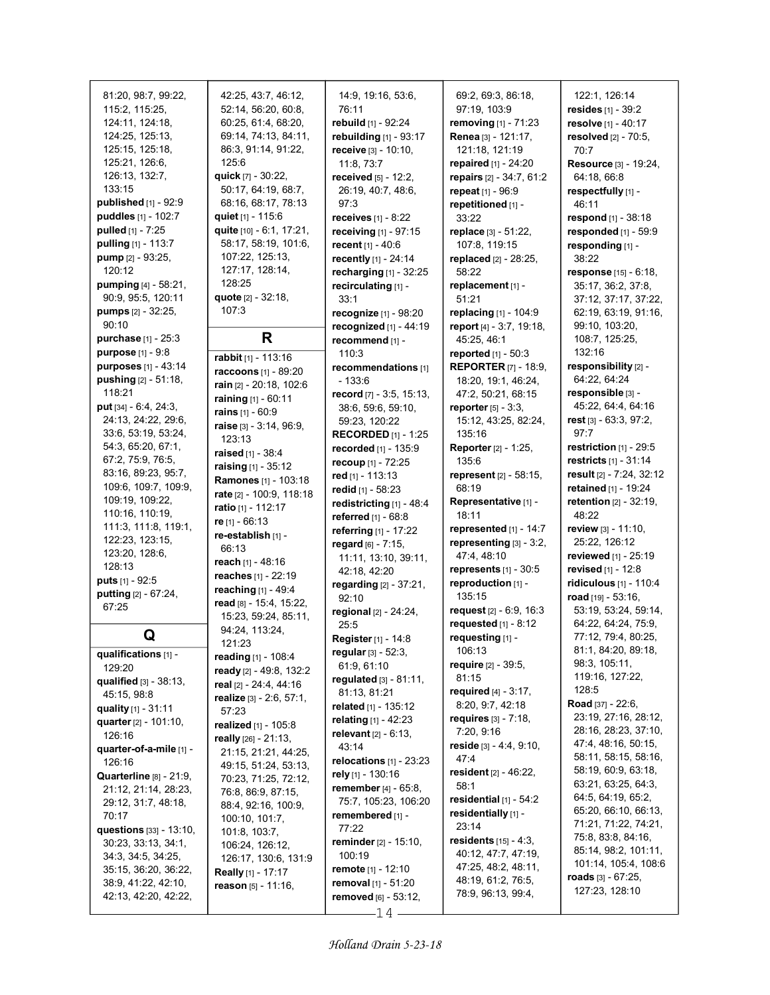81:20, 98:7, 99:22, 115:2, 115:25, 124:11, 124:18, 124:25, 125:13, 125:15, 125:18, 125:21, 126:6, 126:13, 132:7, 133:15 published [1] - 92:9 puddles [1] - 102:7 pulled [1] - 7:25 pulling [1] - 113:7 pump [2] - 93:25, 120:12 pumping [4] - 58:21, 90:9, 95:5, 120:11 pumps [2] - 32:25, 90:10 purchase [1] - 25:3 purpose [1] - 9:8 purposes [1] - 43:14 pushing [2] - 51:18, 118:21 put [34] - 6:4, 24:3, 24:13, 24:22, 29:6, 33:6, 53:19, 53:24, 54:3, 65:20, 67:1, 67:2, 75:9, 76:5, 83:16, 89:23, 95:7, 109:6, 109:7, 109:9, 109:19, 109:22, 110:16, 110:19, 111:3, 111:8, 119:1, 122:23, 123:15, 123:20, 128:6, 128:13 puts [1] - 92:5 putting [2] - 67:24, 67:25 Q qualifications [1] - 129:20 qualified [3] - 38:13, 45:15, 98:8 quality [1] - 31:11 quarter [2] - 101:10, 126:16 quarter-of-a-mile [1] - 126:16 Quarterline [8] - 21:9, 21:12, 21:14, 28:23, 29:12, 31:7, 48:18, 70:17 questions [33] - 13:10, 30:23, 33:13, 34:1, 34:3, 34:5, 34:25, 35:15, 36:20, 36:22, 38:9, 41:22, 42:10,

42:13, 42:20, 42:22,

42:25, 43:7, 46:12, 52:14, 56:20, 60:8, 60:25, 61:4, 68:20, 69:14, 74:13, 84:11, 86:3, 91:14, 91:22, 125:6 quick [7] - 30:22, 50:17, 64:19, 68:7, 68:16, 68:17, 78:13 quiet [1] - 115:6 quite [10] - 6:1, 17:21, 58:17, 58:19, 101:6, 107:22, 125:13, 127:17, 128:14, 128:25 quote [2] - 32:18, 107:3 R rabbit [1] - 113:16 raccoons [1] - 89:20 rain [2] - 20:18, 102:6 raining [1] - 60:11 rains [1] - 60:9 raise [3] - 3:14, 96:9, 123:13 raised [1] - 38:4

**raising**  $[1]$  - 35:12 Ramones [1] - 103:18 rate [2] - 100:9, 118:18 ratio [1] - 112:17 re [1] - 66:13 re-establish [1] - 66:13 reach [1] - 48:16 reaches [1] - 22:19 reaching [1] - 49:4 read [8] - 15:4, 15:22, 15:23, 59:24, 85:11, 94:24, 113:24, 121:23 reading [1] - 108:4 ready [2] - 49:8, 132:2 real [2] - 24:4, 44:16 realize [3] - 2:6, 57:1,

57:23

realized [1] - 105:8 really [26] - 21:13, 21:15, 21:21, 44:25, 49:15, 51:24, 53:13, 70:23, 71:25, 72:12, 76:8, 86:9, 87:15, 88:4, 92:16, 100:9, 100:10, 101:7, 101:8, 103:7, 106:24, 126:12, 126:17, 130:6, 131:9 Really [1] - 17:17 reason [5] - 11:16,

rebuild [1] - 92:24 rebuilding [1] - 93:17 **receive [3] - 10:10.** 11:8, 73:7 received [5] - 12:2, 26:19, 40:7, 48:6, 97:3 receives [1] - 8:22 receiving [1] - 97:15 recent [1] - 40:6 recently [1] - 24:14 recharging [1] - 32:25 recirculating [1] -33:1 recognize [1] - 98:20 recognized [1] - 44:19 recommend [1] - 110:3 recommendations [1] - 133:6 record [7] - 3:5, 15:13, 38:6, 59:6, 59:10, 59:23, 120:22 RECORDED [1] - 1:25 recorded [1] - 135:9 recoup [1] - 72:25 red [1] - 113:13 redid [1] - 58:23 redistricting [1] - 48:4 referred [1] - 68:8 referring [1] - 17:22 regard [6] - 7:15, 11:11, 13:10, 39:11, 42:18, 42:20 regarding [2] - 37:21, 92:10 regional [2] - 24:24, 25:5 Register [1] - 14:8 regular [3] - 52:3, 61:9, 61:10 regulated [3] - 81:11, 81:13, 81:21 related [1] - 135:12 relating [1] - 42:23 relevant [2] - 6:13, 43:14 relocations [1] - 23:23 rely [1] - 130:16 remember [4] - 65:8, 75:7, 105:23, 106:20 remembered [1] - 77:22 reminder [2] - 15:10, 100:19 remote [1] - 12:10 removal [1] - 51:20 removed [6] - 53:12,  $-14-$ 

14:9, 19:16, 53:6,

76:11

69:2, 69:3, 86:18, 97:19, 103:9 removing [1] - 71:23 Renea [3] - 121:17, 121:18, 121:19 repaired [1] - 24:20 repairs [2] - 34:7, 61:2 repeat [1] - 96:9 repetitioned [1] - 33:22 replace [3] - 51:22, 107:8, 119:15 replaced [2] - 28:25, 58:22 replacement [1] - 51:21 replacing [1] - 104:9 report [4] - 3:7, 19:18, 45:25, 46:1 reported [1] - 50:3 REPORTER [7] - 18:9, 18:20, 19:1, 46:24, 47:2, 50:21, 68:15 reporter [5] - 3:3, 15:12, 43:25, 82:24, 135:16 Reporter [2] - 1:25, 135:6 represent [2] - 58:15, 68:19 Representative [1] -18:11 represented [1] - 14:7 representing [3] - 3:2, 47:4, 48:10 represents  $[1]$  - 30:5 reproduction [1] -135:15 request [2] - 6:9, 16:3 requested [1] - 8:12 requesting [1] - 106:13 require [2] - 39:5, 81:15 required [4] - 3:17, 8:20, 9:7, 42:18 requires [3] - 7:18, 7:20, 9:16 reside [3] - 4:4, 9:10, 47:4 resident [2] - 46:22, 58:1 residential [1] - 54:2 residentially [1] -23:14 residents [15] - 4:3, 40:12, 47:7, 47:19, 47:25, 48:2, 48:11, 48:19, 61:2, 76:5, 78:9, 96:13, 99:4,

122:1, 126:14 resides [1] - 39:2 resolve [1] - 40:17 resolved [2] - 70:5, 70:7 Resource [3] - 19:24, 64:18, 66:8 respectfully [1] -46:11 respond [1] - 38:18 responded [1] - 59:9 responding [1] - 38:22 response [15] - 6:18, 35:17, 36:2, 37:8, 37:12, 37:17, 37:22, 62:19, 63:19, 91:16, 99:10, 103:20, 108:7, 125:25, 132:16 responsibility [2] - 64:22, 64:24 responsible [3] - 45:22, 64:4, 64:16 rest [3] - 63:3, 97:2, 97:7 restriction [1] - 29:5 restricts [1] - 31:14 result [2] - 7:24, 32:12 retained [1] - 19:24 retention [2] - 32:19, 48:22 review [3] - 11:10, 25:22, 126:12 reviewed [1] - 25:19 revised [1] - 12:8 ridiculous [1] - 110:4 road [19] - 53:16, 53:19, 53:24, 59:14, 64:22, 64:24, 75:9, 77:12, 79:4, 80:25, 81:1, 84:20, 89:18, 98:3, 105:11, 119:16, 127:22, 128:5 Road [37] - 22:6, 23:19, 27:16, 28:12, 28:16, 28:23, 37:10, 47:4, 48:16, 50:15, 58:11, 58:15, 58:16, 58:19, 60:9, 63:18, 63:21, 63:25, 64:3, 64:5, 64:19, 65:2, 65:20, 66:10, 66:13, 71:21, 71:22, 74:21, 75:8, 83:8, 84:16, 85:14, 98:2, 101:11, 101:14, 105:4, 108:6 roads [3] - 67:25, 127:23, 128:10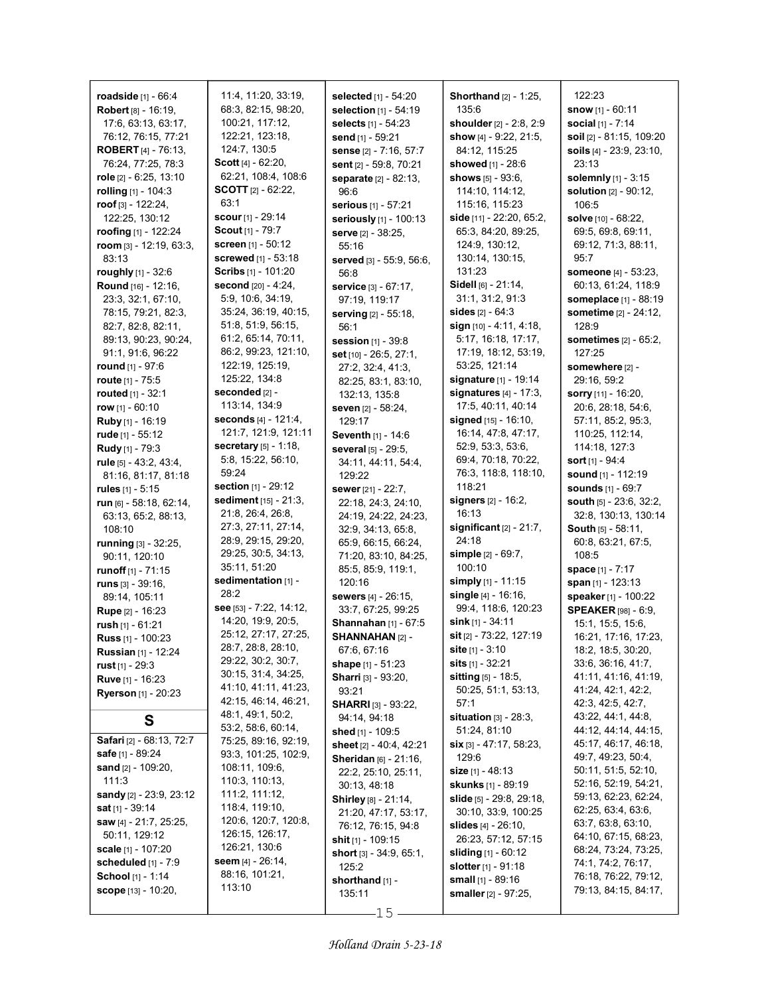| <b>roadside</b> $[1] - 66:4$     | 11:4, 11:20, 33:19,           | <b>selected</b> $[1]$ - 54:20    | <b>Shorthand</b> [2] - 1:25,      | 122:23                               |
|----------------------------------|-------------------------------|----------------------------------|-----------------------------------|--------------------------------------|
| Robert [8] - 16:19,              | 68.3, 82.15, 98.20,           | selection [1] - 54:19            | 135:6                             | <b>snow</b> $[1] - 60:11$            |
| 17:6, 63:13, 63:17,              | 100:21, 117:12,               | selects [1] - 54:23              | shoulder [2] - 2:8, 2:9           | social [1] - 7:14                    |
| 76:12, 76:15, 77:21              | 122:21, 123:18,               | send [1] - 59:21                 | show [4] - 9:22, 21:5,            | soil [2] - 81:15, 109:20             |
| <b>ROBERT</b> [4] - 76:13,       | 124:7, 130:5                  | sense [2] - 7:16, 57:7           | 84:12, 115:25                     | soils [4] - 23:9, 23:10,             |
| 76:24, 77:25, 78:3               | <b>Scott</b> $[4] - 62:20$ ,  | sent [2] - 59.8, 70:21           | showed [1] - 28:6                 | 23:13                                |
| role $[2] - 6.25, 13.10$         | 62:21, 108:4, 108:6           | <b>separate</b> [2] - 82:13,     | shows $[5] - 93.6$ ,              | <b>solemnly</b> $[1] - 3:15$         |
| rolling [1] - 104:3              | <b>SCOTT</b> $[2] - 62:22$    | 96:6                             | 114:10, 114:12,                   | <b>solution</b> [2] - 90:12,         |
| roof $[3] - 122:24$ ,            | 63:1                          | serious [1] - 57:21              | 115:16, 115:23                    | 106:5                                |
| 122:25, 130:12                   | <b>scour</b> [1] - $29:14$    | seriously [1] - 100:13           | side [11] - 22:20, 65:2,          | <b>solve</b> [10] - 68:22,           |
| roofing $[1]$ - 122:24           | <b>Scout</b> $[1] - 79:7$     | serve [2] - 38:25,               | 65.3, 84.20, 89.25,               | 69:5, 69:8, 69:11,                   |
| room $[3]$ - 12:19, 63:3,        | screen [1] - 50:12            | 55:16                            | 124:9, 130:12,                    | 69:12, 71:3, 88:11,                  |
| 83:13                            | <b>screwed</b> [1] - 53:18    | served [3] - 55:9, 56:6,         | 130.14, 130.15,                   | 95:7                                 |
| roughly [1] - 32:6               | Scribs [1] - 101:20           | 56:8                             | 131:23                            | someone [4] - 53:23,                 |
| Round [16] - 12:16,              | <b>second</b> $[20] - 4:24$ , | service [3] - 67:17,             | Sidell [6] - 21:14,               | 60:13, 61:24, 118:9                  |
| 23:3, 32:1, 67:10,               | 5.9, 10:6, 34:19,             | 97:19, 119:17                    | 31:1, 31:2, 91:3                  | someplace [1] - 88:19                |
| 78:15, 79:21, 82:3,              | 35:24, 36:19, 40:15,          | <b>serving</b> [2] - 55:18,      | <b>sides</b> [2] - 64:3           | sometime [2] - 24:12,                |
| 82:7, 82:8, 82:11,               | 51:8, 51:9, 56:15,            | 56:1                             | sign [10] - 4:11, 4:18,           | 128:9                                |
| 89:13, 90:23, 90:24,             | 61:2, 65:14, 70:11,           | <b>session</b> [1] - 39:8        | 5:17, 16:18, 17:17,               | <b>sometimes</b> [2] - 65:2.         |
| 91:1, 91:6, 96:22                | 86:2, 99:23, 121:10,          | set [10] - 26:5, 27:1,           | 17:19, 18:12, 53:19,              | 127:25                               |
| <b>round</b> $[1] - 97:6$        | 122:19, 125:19,               | 27:2, 32:4, 41:3,                | 53:25, 121:14                     | somewhere [2] -                      |
| <b>route</b> $[1]$ - 75:5        | 125:22, 134:8                 | 82:25, 83:1, 83:10,              | signature [1] - 19:14             | 29:16, 59:2                          |
| <b>routed</b> $[1] - 32:1$       | seconded [2] -                | 132:13, 135:8                    | signatures [4] - 17:3,            | sorry [11] - 16:20,                  |
| row $[1] - 60:10$                | 113:14, 134.9                 | seven [2] - 58:24,               | 17:5, 40:11, 40:14                | 20:6, 28:18, 54:6,                   |
| Ruby [1] - 16:19                 | <b>seconds</b> $[4] - 121:4,$ | 129:17                           | <b>signed</b> $[15] - 16:10$ ,    | 57:11, 85:2, 95:3,                   |
| rude [1] - 55:12                 | 121:7, 121:9, 121:11          | Seventh [1] - 14:6               | 16:14, 47:8, 47:17,               | 110:25, 112:14,                      |
| Rudy [1] - 79:3                  | secretary [5] - 1:18,         | several [5] - 29:5.              | 52:9, 53:3, 53:6,                 | 114:18, 127:3                        |
|                                  | 5.8, 15.22, 56.10,            |                                  | 69:4, 70:18, 70:22,               | sort $[1]$ - 94:4                    |
| rule [5] - 43:2, 43:4,           | 59:24                         | 34:11, 44:11, 54:4,              | 76:3, 118:8, 118:10,              | sound [1] - 112:19                   |
| 81:16, 81:17, 81:18              | <b>section</b> $[1] - 29:12$  | 129:22                           | 118:21                            | <b>sounds</b> [1] - 69:7             |
| <b>rules</b> $[1] - 5:15$        | sediment [15] - 21:3,         | <b>sewer</b> $[21] - 22:7$ ,     | signers [2] - 16:2,               |                                      |
| <b>run</b> $[6]$ - 58:18, 62:14, | 21:8, 26:4, 26:8,             | 22:18, 24:3, 24:10,              | 16:13                             | <b>south</b> $[5] - 23.6$ , $32:2$ , |
| 63:13, 65:2, 88:13,              | 27:3, 27:11, 27:14,           | 24:19, 24:22, 24:23,             | significant $[2]$ - 21:7,         | 32:8, 130:13, 130:14                 |
| 108:10                           | 28:9, 29:15, 29:20,           | 32:9, 34:13, 65:8,               | 24:18                             | South [5] - 58:11,                   |
| running [3] - 32:25,             | 29:25, 30:5, 34:13,           | 65:9, 66:15, 66:24,              | simple $[2] - 69.7$ ,             | 60:8, 63:21, 67:5,                   |
| 90:11, 120:10                    | 35:11, 51:20                  | 71:20, 83:10, 84:25,             | 100:10                            | 108:5                                |
| runoff [1] - 71:15               | sedimentation [1] -           | 85:5, 85:9, 119:1,               | simply $[1]$ - 11:15              | space [1] - 7:17                     |
| runs $[3]$ - 39:16,              | 28:2                          | 120:16                           | single $[4]$ - 16:16,             | span $[1]$ - 123:13                  |
| 89:14, 105:11                    | see [53] - 7:22, 14:12,       | <b>sewers</b> [4] - 26:15,       | 99:4, 118:6, 120:23               | speaker [1] - 100:22                 |
| <b>Rupe [2] - 16:23</b>          | 14:20, 19:9, 20:5,            | 33:7, 67:25, 99:25               |                                   | <b>SPEAKER</b> [98] - 6:9,           |
| rush $[1] - 61:21$               | 25:12, 27:17, 27:25,          | <b>Shannahan</b> $[1]$ - 67:5    | <b>sink</b> $[1]$ - 34:11         | 15:1, 15:5, 15:6,                    |
| <b>Russ</b> $[1] - 100:23$       | 28:7, 28:8, 28:10,            | SHANNAHAN <sub>[2]</sub> -       | sit [2] - 73:22, 127:19           | 16:21, 17:16, 17:23,                 |
| <b>Russian</b> $[1]$ - 12:24     | 29:22, 30:2, 30:7,            | 67:6, 67:16                      | $\textsf{site}$ [1] - $3:10$      | 18:2, 18:5, 30:20,                   |
| <b>rust</b> $[1]$ - 29:3         | 30:15, 31:4, 34:25,           | <b>shape</b> $[1] - 51:23$       | sits $[1] - 32:21$                | 33:6, 36:16, 41:7,                   |
| <b>Ruve</b> [1] - 16:23          | 41:10, 41:11, 41:23,          | <b>Sharri</b> [3] - 93:20,       | <b>sitting</b> $[5] - 18:5$ ,     | 41:11, 41:16, 41:19,                 |
| <b>Ryerson</b> [1] - 20:23       | 42:15, 46:14, 46:21,          | 93:21                            | 50:25, 51:1, 53:13,               | 41:24, 42:1, 42:2,                   |
|                                  | 48:1, 49:1, 50:2,             | <b>SHARRI</b> [3] - 93:22,       | 57:1                              | 42:3, 42:5, 42:7,                    |
| S                                | 53:2, 58:6, 60:14,            | 94:14, 94:18                     | situation $[3]$ - $28:3$ ,        | 43:22, 44:1, 44:8,                   |
| Safari [2] - 68:13, 72:7         | 75:25, 89:16, 92:19,          | <b>shed</b> [1] - 109:5          | 51:24, 81:10                      | 44:12, 44:14, 44:15,                 |
| <b>safe</b> [1] - 89:24          | 93:3, 101:25, 102:9,          | sheet [2] - 40:4, 42:21          | <b>six</b> [3] - 47:17, 58:23,    | 45:17, 46:17, 46:18,                 |
| <b>sand</b> [2] - 109:20,        | 108:11, 109.6,                | <b>Sheridan</b> [6] - 21:16,     | 129:6                             | 49:7, 49:23, 50:4,                   |
| 111.3                            | 110:3, 110:13,                | 22:2, 25:10, 25:11,              | <b>size</b> [1] - 48:13           | 50:11, 51:5, 52:10,                  |
| sandy [2] - 23.9, 23.12          | 111:2, 111:12,                | 30:13, 48:18                     | <b>skunks</b> [1] - 89:19         | 52:16, 52:19, 54:21,                 |
|                                  | 118:4, 119:10,                | <b>Shirley</b> [8] - 21:14,      | <b>slide</b> $[5]$ - 29:8, 29:18, | 59:13, 62:23, 62:24,                 |
| sat [1] - 39:14                  | 120:6, 120:7, 120:8,          | 21:20, 47:17, 53:17,             | 30:10, 33:9, 100:25               | 62:25, 63:4, 63:6,                   |
| saw [4] - 21:7, 25:25,           | 126:15, 126:17,               | 76:12, 76:15, 94:8               | slides $[4] - 26.10$ ,            | 63:7, 63:8, 63:10,                   |
| 50:11, 129:12                    | 126:21, 130:6                 | shit [1] - 109:15                | 26:23, 57:12, 57:15               | 64:10, 67:15, 68:23,                 |
| scale [1] - 107:20               |                               | <b>short</b> $[3] - 34.9, 65.1,$ | <b>sliding</b> [1] - 60:12        | 68:24, 73:24, 73:25,                 |
| scheduled $[1]$ - $7:9$          | seem $[4]$ - $26:14$ ,        | 125:2                            | <b>slotter</b> $[1]$ - 91:18      | 74:1, 74:2, 76:17,                   |
| School [1] - 1:14                |                               |                                  |                                   |                                      |
|                                  | 88:16, 101:21,                | shorthand [1] -                  | <b>small</b> $[1]$ - 89:16        | 76:18, 76:22, 79:12,                 |
| <b>scope</b> $[13] - 10:20$ ,    | 113:10                        | 135:11                           | <b>smaller</b> [2] - 97:25,       | 79:13, 84:15, 84:17,                 |

 $-15 -$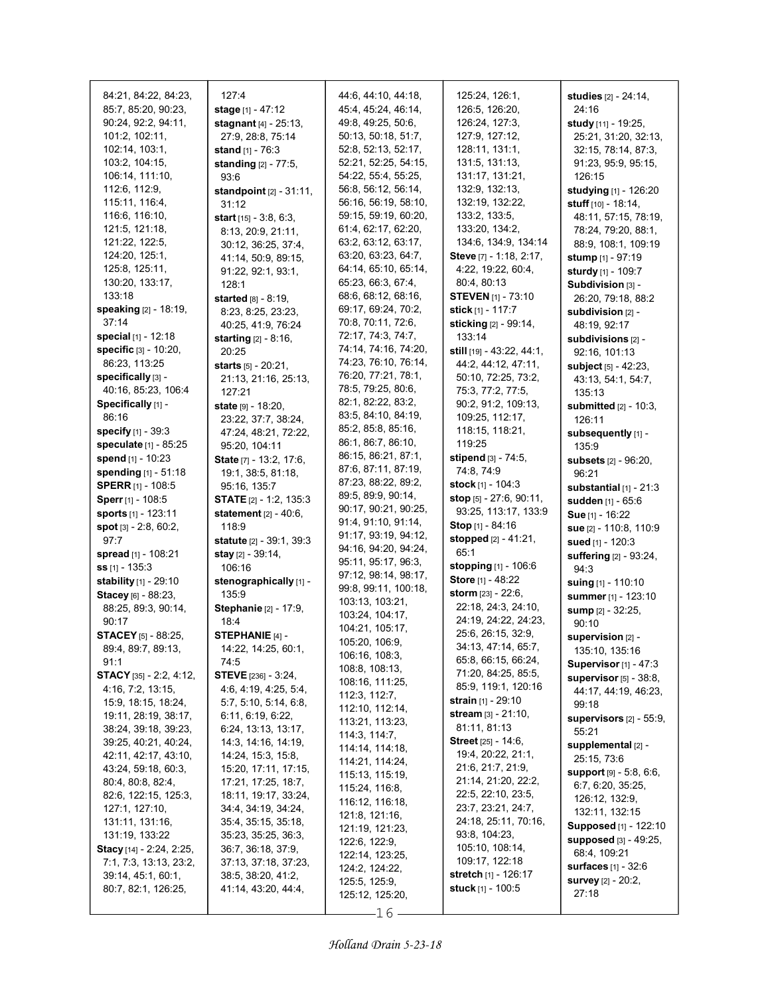| 84:21, 84:22, 84:23,<br>85:7, 85:20, 90:23,  | 127:4<br>stage [1] - 47:12                  | 44.6, 44.10, 44.18,<br>45:4, 45:24, 46:14, | 125:24, 126:1,<br>126:5, 126:20,              | <b>studies</b> [2] - 24:14,<br>24:16                  |
|----------------------------------------------|---------------------------------------------|--------------------------------------------|-----------------------------------------------|-------------------------------------------------------|
| 90:24, 92:2, 94:11,                          | <b>stagnant</b> $[4] - 25:13$ ,             | 49:8, 49:25, 50:6,                         | 126:24, 127:3,                                | study [11] - 19:25,                                   |
| 101:2, 102:11,                               | 27:9, 28:8, 75:14                           | 50:13, 50:18, 51:7,                        | 127:9, 127:12,                                | 25:21, 31:20, 32:13,                                  |
| 102:14, 103:1,                               | stand [1] - 76:3                            | 52:8, 52:13, 52:17,                        | 128:11, 131:1,                                | 32:15, 78:14, 87:3,                                   |
| 103:2, 104:15,                               | standing [2] - 77:5,                        | 52:21, 52:25, 54:15,                       | 131:5, 131:13,                                | 91:23, 95:9, 95:15,                                   |
| 106.14, 111:10,                              | 93:6                                        | 54:22, 55:4, 55:25,                        | 131:17, 131:21,                               | 126:15                                                |
| 112.6, 112.9,                                | <b>standpoint</b> $[2] - 31:11$ ,           | 56:8, 56:12, 56:14,                        | 132.9, 132.13,                                | <b>studying</b> [1] - 126:20                          |
| 115:11, 116:4,                               | 31:12                                       | 56:16, 56:19, 58:10,                       | 132:19, 132:22,                               | stuff $[10] - 18:14$ ,                                |
| 116:6, 116:10,                               | start $[15] - 3:8, 6:3,$                    | 59:15, 59:19, 60:20,                       | 133:2, 133:5,                                 | 48:11, 57:15, 78:19,                                  |
| 121:5, 121:18,                               | 8:13, 20:9, 21:11,                          | 61:4, 62:17, 62:20,                        | 133:20, 134:2,                                | 78:24, 79:20, 88:1,                                   |
| 121:22, 122:5,<br>124:20, 125:1,             | 30:12, 36:25, 37:4,                         | 63:2, 63:12, 63:17,<br>63.20, 63:23, 64:7, | 134:6, 134:9, 134:14                          | 88:9, 108:1, 109:19                                   |
| 125:8, 125:11,                               | 41:14, 50:9, 89:15,                         | 64:14, 65:10, 65:14,                       | Steve [7] - 1:18, 2:17,<br>4:22, 19:22, 60:4, | <b>stump</b> [1] - 97:19                              |
| 130:20, 133:17,                              | 91:22, 92:1, 93:1,<br>128:1                 | 65.23, 66.3, 67.4,                         | 80:4, 80:13                                   | sturdy [1] - 109:7<br>Subdivision [3] -               |
| 133:18                                       | started [8] - 8:19,                         | 68:6, 68:12, 68:16,                        | <b>STEVEN</b> [1] - 73:10                     | 26:20, 79:18, 88:2                                    |
| speaking [2] - 18:19,                        | 8:23, 8:25, 23:23,                          | 69:17, 69:24, 70:2,                        | stick [1] - 117:7                             | subdivision [2] -                                     |
| 37:14                                        | 40:25, 41:9, 76:24                          | 70:8, 70:11, 72:6,                         | sticking [2] - 99:14,                         | 48:19, 92:17                                          |
| special [1] - 12:18                          | <b>starting</b> $[2] - 8:16$ ,              | 72:17, 74:3, 74:7,                         | 133:14                                        | subdivisions [2] -                                    |
| <b>specific</b> $[3] - 10:20$ ,              | 20:25                                       | 74:14, 74:16, 74:20,                       | still [19] - 43:22, 44:1,                     | 92:16, 101:13                                         |
| 86:23, 113:25                                | starts [5] - 20:21,                         | 74:23, 76:10, 76:14,                       | 44:2, 44:12, 47:11,                           | subject [5] - 42:23,                                  |
| specifically [3] -                           | 21:13, 21:16, 25:13,                        | 76.20, 77:21, 78:1,                        | 50:10, 72:25, 73:2,                           | 43:13, 54:1, 54:7,                                    |
| 40.16, 85.23, 106.4                          | 127:21                                      | 78:5, 79:25, 80:6,                         | 75:3, 77:2, 77:5,                             | 135:13                                                |
| Specifically [1] -                           | <b>state</b> $[9] - 18:20$ ,                | 82:1, 82:22, 83:2,                         | 90:2, 91:2, 109:13,                           | submitted [2] - 10:3,                                 |
| 86:16                                        | 23:22, 37:7, 38:24,                         | 83:5, 84:10, 84:19,                        | 109:25, 112:17,                               | 126:11                                                |
| specify [1] - 39:3                           | 47:24, 48:21, 72:22,                        | 85:2, 85:8, 85:16,                         | 118:15, 118:21,                               | subsequently [1] -                                    |
| speculate [1] - 85:25                        | 95:20, 104:11                               | 86:1, 86:7, 86:10,                         | 119:25                                        | 135:9                                                 |
| spend [1] - 10:23                            | State [7] - 13:2, 17:6,                     | 86:15, 86:21, 87:1,                        | stipend [3] - 74:5,                           | subsets [2] - 96:20,                                  |
| spending [1] - 51:18                         | 19:1, 38:5, 81:18,                          | 87:6, 87:11, 87:19,<br>87:23, 88:22, 89:2, | 74:8, 74:9                                    | 96:21                                                 |
| <b>SPERR</b> [1] - 108:5                     | 95:16, 135:7                                | 89.5, 89.9, 90.14,                         | stock [1] - 104:3                             | substantial $[1]$ - 21:3                              |
| Sperr [1] - 108:5                            | <b>STATE</b> $[2] - 1.2, 135.3$             | 90:17, 90:21, 90:25,                       | stop [5] - 27:6, 90:11,                       | sudden [1] - 65:6                                     |
| sports [1] - 123:11                          | statement [2] - 40:6,                       | 91:4, 91:10, 91:14,                        | 93:25, 113:17, 133:9<br>Stop [1] - 84:16      | Sue [1] - 16:22                                       |
| spot [3] - 2:8, 60:2,                        | 118:9                                       | 91:17, 93:19, 94:12,                       | stopped [2] - 41:21,                          | sue [2] - 110:8, 110:9                                |
| 97.7                                         | <b>statute</b> $[2] - 39:1, 39:3$           | 94:16, 94:20, 94:24,                       | 65:1                                          | sued [1] - 120:3                                      |
| spread [1] - 108:21<br><b>ss</b> [1] - 135:3 | stay [2] - 39:14,<br>106:16                 | 95:11, 95:17, 96:3,                        | stopping [1] - 106:6                          | suffering [2] - 93:24,                                |
| stability [1] - 29:10                        | stenographically [1] -                      | 97:12, 98:14, 98:17,                       | Store [1] - 48:22                             | 94:3                                                  |
| Stacey [6] - 88:23,                          | 135.9                                       | 99:8, 99:11, 100:18,                       | storm [23] - 22:6,                            | suing [1] - 110:10                                    |
| 88:25, 89:3, 90:14,                          | Stephanie [2] - 17:9,                       | 103:13, 103:21,                            | 22:18, 24:3, 24:10,                           | summer [1] - 123:10<br>sump [2] - 32:25,              |
| 90:17                                        | 18:4                                        | 103:24, 104:17,                            | 24:19, 24:22, 24:23,                          | 90:10                                                 |
| <b>STACEY</b> [5] - 88:25,                   | STEPHANIE [4] -                             | 104:21, 105:17,                            | 25:6, 26:15, 32:9,                            | supervision [2] -                                     |
| 89:4, 89:7, 89:13,                           | 14:22, 14:25, 60:1,                         | 105:20, 106:9,                             | 34:13, 47:14, 65:7,                           | 135:10, 135:16                                        |
| 91:1                                         | 74:5                                        | 106:16, 108:3,                             | 65:8, 66:15, 66:24,                           | Supervisor $[1]$ - 47:3                               |
| <b>STACY</b> [35] - 2:2, 4:12,               | <b>STEVE</b> [236] - 3:24,                  | 108:8, 108:13,<br>108:16, 111:25,          | 71:20, 84:25, 85:5,                           | supervisor [5] - 38:8,                                |
| 4:16, 7:2, 13:15,                            | 4 6, 4 19, 4 25, 5 4,                       | 112:3, 112:7,                              | 85:9, 119:1, 120:16                           | 44:17, 44:19, 46:23,                                  |
| 15:9, 18:15, 18:24,                          | 5:7, 5:10, 5:14, 6:8,                       | 112:10, 112:14,                            | strain [1] - 29:10                            | 99:18                                                 |
| 19:11, 28:19, 38:17,                         | 6:11, 6:19, 6:22,                           | 113:21, 113:23,                            | stream [3] - 21:10,                           | supervisors $[2]$ - 55:9,                             |
| 38:24, 39:18, 39:23,                         | 6:24, 13:13, 13:17,                         | 114:3, 114:7,                              | 81:11, 81:13                                  | 55:21                                                 |
| 39:25, 40:21, 40:24,                         | 14:3, 14:16, 14:19,                         | 114:14, 114:18,                            | <b>Street</b> $[25] - 14.6$ ,                 | supplemental [2] -                                    |
| 42:11, 42:17, 43:10,                         | 14:24, 15:3, 15:8,                          | 114:21, 114:24,                            | 19:4, 20:22, 21:1,<br>21:6, 21:7, 21:9,       | 25:15, 73:6                                           |
| 43:24, 59:18, 60:3,<br>80:4, 80:8, 82:4,     | 15:20, 17:11, 17:15,<br>17:21, 17:25, 18:7, | 115:13, 115:19,                            | 21:14, 21:20, 22:2,                           | <b>support</b> [9] - 5:8, 6:6,                        |
| 82:6, 122:15, 125:3,                         | 18:11, 19:17, 33:24,                        | 115:24, 116:8,                             | 22:5, 22:10, 23:5,                            | 6:7, 6:20, 35:25,                                     |
| 127:1, 127:10,                               | 34:4, 34:19, 34:24,                         | 116:12, 116:18,                            | 23:7, 23:21, 24:7,                            | 126:12, 132:9,                                        |
| 131:11, 131:16,                              | 35:4, 35:15, 35:18,                         | 121:8, 121:16,                             | 24:18, 25:11, 70:16,                          | 132:11, 132:15                                        |
| 131:19, 133:22                               | 35:23, 35:25, 36:3,                         | 121:19, 121:23,                            | 93.8, 104.23,                                 | <b>Supposed</b> [1] - 122:10<br>supposed [3] - 49:25, |
| Stacy [14] - 2:24, 2:25,                     | 36:7, 36:18, 37:9,                          | 122:6, 122:9,                              | 105:10, 108:14,                               | 68:4, 109:21                                          |
| 7:1, 7:3, 13:13, 23:2,                       | 37:13, 37:18, 37:23,                        | 122:14, 123:25,<br>124:2, 124:22,          | 109:17, 122:18                                | <b>surfaces</b> [1] - 32:6                            |
| 39:14, 45:1, 60:1,                           | 38:5, 38:20, 41:2,                          | 125:5, 125:9,                              | <b>stretch</b> [1] - 126:17                   | <b>survey</b> [2] - 20:2,                             |
| 80:7, 82:1, 126:25,                          | 41:14, 43:20, 44:4,                         | 125:12, 125:20,                            | <b>stuck</b> [1] - 100:5                      | 27:18                                                 |
|                                              |                                             | -16                                        |                                               |                                                       |
|                                              |                                             |                                            |                                               |                                                       |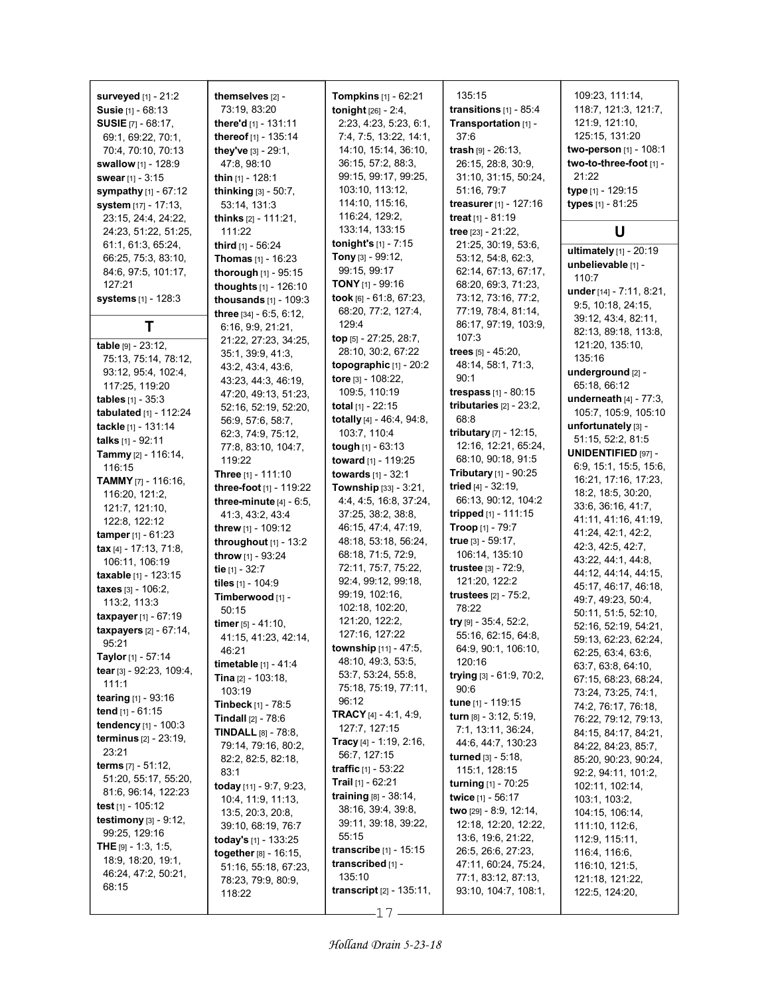| <b>surveyed</b> $[1] - 21:2$<br>Susie [1] - 68:13<br><b>SUSIE</b> [7] - 68:17,<br>69:1, 69:22, 70:1,<br>70:4, 70:10, 70:13<br>swallow [1] - 128:9<br><b>swear</b> [1] - 3:15<br>sympathy [1] - 67:12<br>system [17] - 17:13,<br>23:15, 24:4, 24:22,<br>24:23, 51:22, 51:25,<br>61.1, 61.3, 65.24,<br>66.25, 75:3, 83:10,<br>84:6, 97:5, 101:17,<br>127:21<br><b>systems</b> [1] - 128:3 | themselves [2] -<br>73:19, 83:20<br>there'd [1] - 131:11<br>thereof [1] - 135:14<br>they've [3] - 29:1,<br>47:8, 98:10<br>thin $[1]$ - 128:1<br><b>thinking</b> $[3] - 50:7$ ,<br>53:14, 131:3<br><b>thinks</b> $[2] - 111.21$ ,<br>111:22<br><b>third</b> $[1]$ - 56:24<br><b>Thomas</b> $[1] - 16:23$<br>thorough $[1]$ - 95:15<br>thoughts [1] - 126:10<br>thousands $[1] - 109:3$<br>three [34] - 6:5, 6:12, | <b>Tompkins</b> $[1]$ - 62:21<br>tonight [26] - 2:4,<br>2:23, 4:23, 5:23, 6:1,<br>7:4, 7:5, 13:22, 14:1,<br>14:10, 15:14, 36:10,<br>36:15, 57:2, 88:3,<br>99:15, 99:17, 99:25,<br>103:10, 113:12,<br>114:10, 115:16,<br>116:24, 129:2,<br>133:14, 133:15<br>tonight's $[1]$ - 7:15<br><b>Tony</b> [3] - 99:12,<br>99:15, 99:17<br><b>TONY</b> [1] - 99:16<br>took [6] - 61:8, 67:23,<br>68:20, 77:2, 127:4, | 135:15<br>transitions $[1]$ - 85:4<br>Transportation [1] -<br>37.6<br>trash [9] - 26:13,<br>26:15, 28:8, 30:9,<br>31:10, 31:15, 50:24,<br>51:16, 79:7<br>treasurer [1] - 127:16<br>treat $[1] - 81:19$<br>tree $[23] - 21:22$ ,<br>21:25, 30:19, 53:6,<br>53:12, 54:8, 62:3,<br>62:14, 67:13, 67:17,<br>68:20, 69:3, 71:23,<br>73:12, 73:16, 77:2,<br>77:19, 78:4, 81:14, | 109:23, 111:14,<br>118:7, 121:3, 121:7,<br>121:9, 121:10,<br>125:15, 131:20<br>two-person [1] - 108:1<br>two-to-three-foot [1] -<br>21:22<br>type [1] - 129:15<br>types [1] - 81:25<br>U<br>ultimately [1] - 20:19<br>unbelievable [1] -<br>110:7<br>under $[14] - 7:11, 8:21,$<br>9:5, 10:18, 24:15, |
|-----------------------------------------------------------------------------------------------------------------------------------------------------------------------------------------------------------------------------------------------------------------------------------------------------------------------------------------------------------------------------------------|------------------------------------------------------------------------------------------------------------------------------------------------------------------------------------------------------------------------------------------------------------------------------------------------------------------------------------------------------------------------------------------------------------------|-------------------------------------------------------------------------------------------------------------------------------------------------------------------------------------------------------------------------------------------------------------------------------------------------------------------------------------------------------------------------------------------------------------|---------------------------------------------------------------------------------------------------------------------------------------------------------------------------------------------------------------------------------------------------------------------------------------------------------------------------------------------------------------------------|-------------------------------------------------------------------------------------------------------------------------------------------------------------------------------------------------------------------------------------------------------------------------------------------------------|
| Т                                                                                                                                                                                                                                                                                                                                                                                       | 6:16, 9.9, 21.21,                                                                                                                                                                                                                                                                                                                                                                                                | 129:4                                                                                                                                                                                                                                                                                                                                                                                                       | 86:17, 97:19, 103:9,                                                                                                                                                                                                                                                                                                                                                      | 39:12, 43:4, 82:11,<br>82:13, 89:18, 113:8,                                                                                                                                                                                                                                                           |
| table [9] - 23:12,                                                                                                                                                                                                                                                                                                                                                                      | 21:22, 27:23, 34:25,                                                                                                                                                                                                                                                                                                                                                                                             | top [5] - 27:25, 28:7,                                                                                                                                                                                                                                                                                                                                                                                      | 107:3                                                                                                                                                                                                                                                                                                                                                                     | 121:20, 135:10,                                                                                                                                                                                                                                                                                       |
| 75:13, 75:14, 78:12,                                                                                                                                                                                                                                                                                                                                                                    | 35:1, 39:9, 41:3,<br>43:2, 43:4, 43:6,                                                                                                                                                                                                                                                                                                                                                                           | 28:10, 30:2, 67:22<br>topographic $[1]$ - 20:2                                                                                                                                                                                                                                                                                                                                                              | trees $[5] - 45.20$ ,<br>48:14, 58:1, 71:3,                                                                                                                                                                                                                                                                                                                               | 135:16                                                                                                                                                                                                                                                                                                |
| 93:12, 95:4, 102:4,                                                                                                                                                                                                                                                                                                                                                                     | 43:23, 44:3, 46:19,                                                                                                                                                                                                                                                                                                                                                                                              | tore $[3] - 108:22$ ,                                                                                                                                                                                                                                                                                                                                                                                       | 90:1                                                                                                                                                                                                                                                                                                                                                                      | underground [2] -                                                                                                                                                                                                                                                                                     |
| 117:25, 119:20                                                                                                                                                                                                                                                                                                                                                                          | 47:20, 49:13, 51:23,                                                                                                                                                                                                                                                                                                                                                                                             | 109:5, 110:19                                                                                                                                                                                                                                                                                                                                                                                               | trespass $[1] - 80:15$                                                                                                                                                                                                                                                                                                                                                    | 65:18, 66:12<br>underneath $[4]$ - $77:3$ ,                                                                                                                                                                                                                                                           |
| <b>tables</b> $[1] - 35.3$<br>tabulated [1] - 112:24                                                                                                                                                                                                                                                                                                                                    | 52:16, 52:19, 52:20,                                                                                                                                                                                                                                                                                                                                                                                             | total $[1] - 22:15$                                                                                                                                                                                                                                                                                                                                                                                         | tributaries $[2] - 23:2$ ,                                                                                                                                                                                                                                                                                                                                                | 105:7, 105:9, 105:10                                                                                                                                                                                                                                                                                  |
| tackle [1] - 131:14                                                                                                                                                                                                                                                                                                                                                                     | 56.9, 57.6, 58.7,                                                                                                                                                                                                                                                                                                                                                                                                | totally [4] - 46:4, 94:8,                                                                                                                                                                                                                                                                                                                                                                                   | 68.8                                                                                                                                                                                                                                                                                                                                                                      | unfortunately [3] -                                                                                                                                                                                                                                                                                   |
| <b>talks</b> $[1]$ - 92:11                                                                                                                                                                                                                                                                                                                                                              | 62:3, 74:9, 75:12,                                                                                                                                                                                                                                                                                                                                                                                               | 103:7, 110:4                                                                                                                                                                                                                                                                                                                                                                                                | tributary [7] - 12:15,                                                                                                                                                                                                                                                                                                                                                    | 51:15, 52:2, 81:5                                                                                                                                                                                                                                                                                     |
| Tammy [2] - 116:14,                                                                                                                                                                                                                                                                                                                                                                     | 77:8, 83:10, 104:7,<br>119:22                                                                                                                                                                                                                                                                                                                                                                                    | tough $[1] - 63:13$                                                                                                                                                                                                                                                                                                                                                                                         | 12:16, 12:21, 65:24,<br>68:10, 90:18, 91:5                                                                                                                                                                                                                                                                                                                                | <b>UNIDENTIFIED [97] -</b>                                                                                                                                                                                                                                                                            |
| 116:15                                                                                                                                                                                                                                                                                                                                                                                  | <b>Three</b> $[1]$ - 111:10                                                                                                                                                                                                                                                                                                                                                                                      | <b>toward</b> $[1]$ - 119:25<br>towards [1] - 32:1                                                                                                                                                                                                                                                                                                                                                          | <b>Tributary</b> $[1]$ - 90:25                                                                                                                                                                                                                                                                                                                                            | 6:9, 15:1, 15:5, 15:6,                                                                                                                                                                                                                                                                                |
| TAMMY [7] - 116:16,                                                                                                                                                                                                                                                                                                                                                                     | three-foot [1] - 119:22                                                                                                                                                                                                                                                                                                                                                                                          | Township [33] - 3:21,                                                                                                                                                                                                                                                                                                                                                                                       | tried $[4] - 32:19$ ,                                                                                                                                                                                                                                                                                                                                                     | 16:21, 17:16, 17:23,                                                                                                                                                                                                                                                                                  |
| 116:20, 121:2,                                                                                                                                                                                                                                                                                                                                                                          | three-minute $[4]$ - 6:5,                                                                                                                                                                                                                                                                                                                                                                                        | 4:4, 4:5, 16:8, 37:24,                                                                                                                                                                                                                                                                                                                                                                                      | 66:13, 90:12, 104:2                                                                                                                                                                                                                                                                                                                                                       | 18:2, 18:5, 30:20,                                                                                                                                                                                                                                                                                    |
| 121:7, 121:10,                                                                                                                                                                                                                                                                                                                                                                          | 41:3, 43:2, 43:4                                                                                                                                                                                                                                                                                                                                                                                                 | 37:25, 38:2, 38:8,                                                                                                                                                                                                                                                                                                                                                                                          | tripped [1] - 111:15                                                                                                                                                                                                                                                                                                                                                      | 33:6, 36:16, 41:7,<br>41:11, 41:16, 41:19,                                                                                                                                                                                                                                                            |
| 122:8, 122:12                                                                                                                                                                                                                                                                                                                                                                           | <b>threw</b> $[1]$ - 109:12                                                                                                                                                                                                                                                                                                                                                                                      | 46:15, 47:4, 47:19,                                                                                                                                                                                                                                                                                                                                                                                         | Troop [1] - 79:7                                                                                                                                                                                                                                                                                                                                                          | 41:24, 42:1, 42:2,                                                                                                                                                                                                                                                                                    |
| <b>tamper</b> $[1] - 61:23$<br>tax $[4] - 17:13$ , 71:8,                                                                                                                                                                                                                                                                                                                                | throughout $[1]$ - 13:2                                                                                                                                                                                                                                                                                                                                                                                          | 48:18, 53:18, 56:24,                                                                                                                                                                                                                                                                                                                                                                                        | true [3] - 59:17,                                                                                                                                                                                                                                                                                                                                                         | 42:3, 42:5, 42:7,                                                                                                                                                                                                                                                                                     |
| 106:11, 106:19                                                                                                                                                                                                                                                                                                                                                                          | throw [1] - 93:24                                                                                                                                                                                                                                                                                                                                                                                                | 68:18, 71:5, 72:9,                                                                                                                                                                                                                                                                                                                                                                                          | 106:14, 135:10                                                                                                                                                                                                                                                                                                                                                            | 43:22, 44:1, 44:8,                                                                                                                                                                                                                                                                                    |
| <b>taxable</b> [1] - 123:15                                                                                                                                                                                                                                                                                                                                                             | tie $[1] - 32:7$                                                                                                                                                                                                                                                                                                                                                                                                 | 72:11, 75:7, 75:22,                                                                                                                                                                                                                                                                                                                                                                                         | <b>trustee</b> $[3] - 72.9$ ,                                                                                                                                                                                                                                                                                                                                             | 44:12, 44:14, 44:15,                                                                                                                                                                                                                                                                                  |
| taxes [3] - 106:2,                                                                                                                                                                                                                                                                                                                                                                      | tiles [1] - 104:9                                                                                                                                                                                                                                                                                                                                                                                                | 92:4, 99:12, 99:18,                                                                                                                                                                                                                                                                                                                                                                                         | 121:20, 122:2                                                                                                                                                                                                                                                                                                                                                             | 45:17, 46:17, 46:18,                                                                                                                                                                                                                                                                                  |
| 113:2, 113:3                                                                                                                                                                                                                                                                                                                                                                            | Timberwood [1] -                                                                                                                                                                                                                                                                                                                                                                                                 | 99:19, 102:16,<br>102:18, 102:20,                                                                                                                                                                                                                                                                                                                                                                           | <b>trustees</b> $[2] - 75:2$ ,<br>78:22                                                                                                                                                                                                                                                                                                                                   | 49:7, 49:23, 50:4,                                                                                                                                                                                                                                                                                    |
| taxpayer $[1] - 67:19$                                                                                                                                                                                                                                                                                                                                                                  | 50:15                                                                                                                                                                                                                                                                                                                                                                                                            | 121:20, 122:2,                                                                                                                                                                                                                                                                                                                                                                                              | $try$ [9] - 35:4, 52:2,                                                                                                                                                                                                                                                                                                                                                   | 50:11, 51:5, 52:10,                                                                                                                                                                                                                                                                                   |
| taxpayers [2] - 67:14,                                                                                                                                                                                                                                                                                                                                                                  | timer $[5] - 41:10$ ,<br>41:15, 41:23, 42:14,                                                                                                                                                                                                                                                                                                                                                                    | 127:16, 127:22                                                                                                                                                                                                                                                                                                                                                                                              | 55:16, 62:15, 64:8,                                                                                                                                                                                                                                                                                                                                                       | 52:16, 52:19, 54:21,                                                                                                                                                                                                                                                                                  |
| 95:21                                                                                                                                                                                                                                                                                                                                                                                   | 46:21                                                                                                                                                                                                                                                                                                                                                                                                            | <b>township</b> $[11] - 47.5$ ,                                                                                                                                                                                                                                                                                                                                                                             | 64:9, 90:1, 106:10,                                                                                                                                                                                                                                                                                                                                                       | 59:13, 62:23, 62:24,                                                                                                                                                                                                                                                                                  |
| Taylor [1] - 57:14                                                                                                                                                                                                                                                                                                                                                                      | <b>timetable</b> $[1] - 41.4$                                                                                                                                                                                                                                                                                                                                                                                    | 48:10, 49:3, 53:5,                                                                                                                                                                                                                                                                                                                                                                                          | 120:16                                                                                                                                                                                                                                                                                                                                                                    | 62:25, 63:4, 63:6,<br>63:7, 63:8, 64:10,                                                                                                                                                                                                                                                              |
| tear [3] - 92:23, 109:4,                                                                                                                                                                                                                                                                                                                                                                | <b>Tina</b> $[2] - 103.18$ ,                                                                                                                                                                                                                                                                                                                                                                                     | 53:7, 53:24, 55:8,                                                                                                                                                                                                                                                                                                                                                                                          | trying $[3] - 61.9, 70.2$ ,                                                                                                                                                                                                                                                                                                                                               | 67:15, 68:23, 68:24,                                                                                                                                                                                                                                                                                  |
| 111:1                                                                                                                                                                                                                                                                                                                                                                                   | 103:19                                                                                                                                                                                                                                                                                                                                                                                                           | 75:18, 75:19, 77:11,                                                                                                                                                                                                                                                                                                                                                                                        | 90:6                                                                                                                                                                                                                                                                                                                                                                      | 73:24, 73:25, 74:1,                                                                                                                                                                                                                                                                                   |
| tearing [1] - 93:16<br>tend $[1] - 61:15$                                                                                                                                                                                                                                                                                                                                               | <b>Tinbeck</b> [1] - $78.5$                                                                                                                                                                                                                                                                                                                                                                                      | 96:12                                                                                                                                                                                                                                                                                                                                                                                                       | <b>tune</b> [1] - 119:15                                                                                                                                                                                                                                                                                                                                                  | 74:2, 76:17, 76:18,                                                                                                                                                                                                                                                                                   |
| <b>tendency</b> $[1]$ - 100:3                                                                                                                                                                                                                                                                                                                                                           | <b>Tindall</b> $[2] - 78.6$                                                                                                                                                                                                                                                                                                                                                                                      | TRACY [4] - 4:1, 4:9,                                                                                                                                                                                                                                                                                                                                                                                       | turn $[8] - 3.12, 5.19$ ,                                                                                                                                                                                                                                                                                                                                                 | 76:22, 79:12, 79:13,                                                                                                                                                                                                                                                                                  |
| <b>terminus</b> $[2] - 23:19$ ,                                                                                                                                                                                                                                                                                                                                                         | <b>TINDALL</b> $[8] - 78.8$                                                                                                                                                                                                                                                                                                                                                                                      | 127:7, 127:15<br>Tracy $[4] - 1:19, 2:16$ ,                                                                                                                                                                                                                                                                                                                                                                 | 7:1, 13:11, 36:24,                                                                                                                                                                                                                                                                                                                                                        | 84:15, 84:17, 84:21,                                                                                                                                                                                                                                                                                  |
| 23:21                                                                                                                                                                                                                                                                                                                                                                                   | 79:14, 79:16, 80:2,                                                                                                                                                                                                                                                                                                                                                                                              | 56:7, 127:15                                                                                                                                                                                                                                                                                                                                                                                                | 44:6, 44:7, 130:23<br>turned [3] - 5:18,                                                                                                                                                                                                                                                                                                                                  | 84:22, 84:23, 85:7,                                                                                                                                                                                                                                                                                   |
| <b>terms</b> $[7] - 51:12$ ,                                                                                                                                                                                                                                                                                                                                                            | 82:2, 82:5, 82:18,                                                                                                                                                                                                                                                                                                                                                                                               | <b>traffic</b> $[1] - 53:22$                                                                                                                                                                                                                                                                                                                                                                                | 115:1, 128:15                                                                                                                                                                                                                                                                                                                                                             | 85:20, 90:23, 90:24,                                                                                                                                                                                                                                                                                  |
| 51:20, 55:17, 55:20,                                                                                                                                                                                                                                                                                                                                                                    | 83:1<br><b>today</b> $[11]$ - 9:7, 9:23,                                                                                                                                                                                                                                                                                                                                                                         | <b>Trail</b> $[1]$ - 62:21                                                                                                                                                                                                                                                                                                                                                                                  | <b>turning</b> $[1] - 70:25$                                                                                                                                                                                                                                                                                                                                              | 92:2, 94:11, 101:2,<br>102:11, 102:14,                                                                                                                                                                                                                                                                |
| 81:6, 96:14, 122:23                                                                                                                                                                                                                                                                                                                                                                     | 10:4, 11:9, 11:13,                                                                                                                                                                                                                                                                                                                                                                                               | training $[8] - 38.14$ ,                                                                                                                                                                                                                                                                                                                                                                                    | twice [1] - 56:17                                                                                                                                                                                                                                                                                                                                                         | 103:1, 103:2,                                                                                                                                                                                                                                                                                         |
| test $[1]$ - 105:12                                                                                                                                                                                                                                                                                                                                                                     | 13:5, 20:3, 20:8,                                                                                                                                                                                                                                                                                                                                                                                                | 38:16, 39:4, 39:8,                                                                                                                                                                                                                                                                                                                                                                                          | two [29] - 8:9, 12:14,                                                                                                                                                                                                                                                                                                                                                    | 104:15, 106:14,                                                                                                                                                                                                                                                                                       |
| testimony $[3] - 9.12$ ,                                                                                                                                                                                                                                                                                                                                                                | 39:10, 68:19, 76:7                                                                                                                                                                                                                                                                                                                                                                                               | 39:11, 39:18, 39:22,                                                                                                                                                                                                                                                                                                                                                                                        | 12:18, 12:20, 12:22,                                                                                                                                                                                                                                                                                                                                                      | 111:10, 112:6,                                                                                                                                                                                                                                                                                        |
| 99:25, 129:16                                                                                                                                                                                                                                                                                                                                                                           | today's $[1]$ - 133:25                                                                                                                                                                                                                                                                                                                                                                                           | 55:15                                                                                                                                                                                                                                                                                                                                                                                                       | 13.6, 19.6, 21.22,                                                                                                                                                                                                                                                                                                                                                        | 112:9, 115:11,                                                                                                                                                                                                                                                                                        |
| <b>THE</b> [9] $- 1:3, 1:5,$<br>18.9, 18.20, 19.1,                                                                                                                                                                                                                                                                                                                                      | together [8] - 16:15,                                                                                                                                                                                                                                                                                                                                                                                            | <b>transcribe</b> $[1] - 15:15$                                                                                                                                                                                                                                                                                                                                                                             | 26:5, 26:6, 27:23,                                                                                                                                                                                                                                                                                                                                                        | 116:4, 116:6,                                                                                                                                                                                                                                                                                         |
| 46:24, 47:2, 50:21,                                                                                                                                                                                                                                                                                                                                                                     | 51:16, 55:18, 67:23,                                                                                                                                                                                                                                                                                                                                                                                             | transcribed [1] -                                                                                                                                                                                                                                                                                                                                                                                           | 47:11, 60:24, 75:24,                                                                                                                                                                                                                                                                                                                                                      | 116:10, 121:5,                                                                                                                                                                                                                                                                                        |
| 68:15                                                                                                                                                                                                                                                                                                                                                                                   | 78:23, 79:9, 80:9,<br>118:22                                                                                                                                                                                                                                                                                                                                                                                     | 135:10<br><b>transcript</b> $[2] - 135:11$ ,                                                                                                                                                                                                                                                                                                                                                                | 77:1, 83:12, 87:13,<br>93:10, 104:7, 108:1,                                                                                                                                                                                                                                                                                                                               | 121:18, 121:22,<br>122:5, 124:20,                                                                                                                                                                                                                                                                     |

17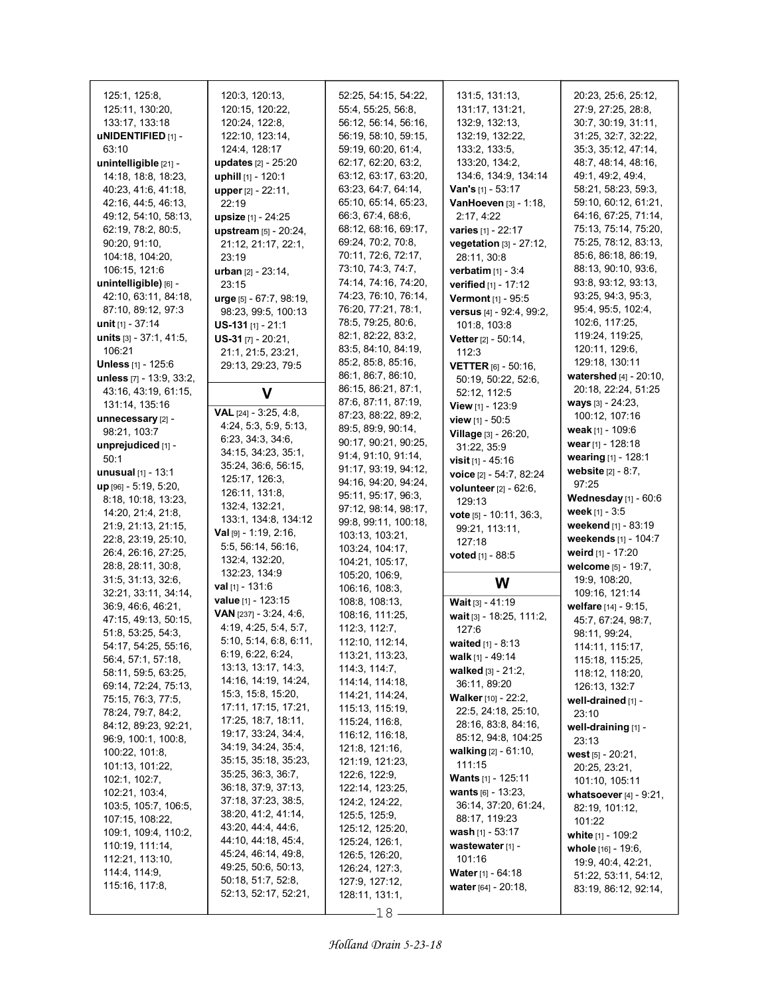| 125:1, 125:8,                             | 120:3, 120:13,                            | 52:25, 54:15, 54:22,                     | 131:5, 131:13,                      | 20:23, 25:6, 25:12,                          |
|-------------------------------------------|-------------------------------------------|------------------------------------------|-------------------------------------|----------------------------------------------|
| 125:11, 130:20,                           | 120:15, 120:22,                           | 55:4, 55:25, 56:8,                       | 131:17, 131:21,                     | 27:9, 27:25, 28:8,                           |
| 133:17, 133:18                            | 120:24, 122:8,                            | 56:12, 56:14, 56:16,                     | 132.9, 132.13,                      | 30:7, 30:19, 31:11,                          |
| uNIDENTIFIED [1] -                        | 122:10, 123:14,                           | 56:19, 58:10, 59:15,                     | 132:19, 132:22,                     | 31:25, 32:7, 32:22,                          |
| 63:10                                     | 124:4, 128:17                             | 59:19, 60:20, 61:4,                      | 133:2, 133:5,                       | 35:3, 35:12, 47:14,                          |
| unintelligible [21] -                     | updates [2] - 25:20                       | 62:17, 62:20, 63:2,                      | 133:20, 134:2,                      | 48:7, 48:14, 48:16,                          |
| 14:18, 18:8, 18:23,                       | uphill [1] - 120:1                        | 63:12, 63:17, 63:20,                     | 134:6, 134:9, 134:14                | 49:1, 49:2, 49:4,                            |
| 40.23, 41:6, 41:18,                       | upper [2] - 22:11,                        | 63:23, 64:7, 64:14,                      | <b>Van's</b> $[1]$ - 53:17          | 58:21, 58:23, 59:3,                          |
| 42:16, 44:5, 46:13,                       | 22:19                                     | 65:10, 65:14, 65:23,                     | VanHoeven [3] - 1:18,               | 59:10, 60:12, 61:21,                         |
| 49:12, 54:10, 58:13,                      | upsize [1] - 24:25                        | 66:3, 67:4, 68:6,                        | 2:17, 4:22                          | 64:16, 67:25, 71:14,                         |
| 62:19, 78:2, 80:5,                        | upstream [5] - 20:24,                     | 68:12, 68:16, 69:17,                     | varies [1] - 22:17                  | 75:13, 75:14, 75:20,                         |
| 90:20, 91:10,                             | 21:12, 21:17, 22:1,                       | 69:24, 70:2, 70:8,                       | vegetation [3] - 27:12,             | 75:25, 78:12, 83:13,                         |
| 104:18, 104:20,                           | 23:19                                     | 70:11, 72:6, 72:17,                      | 28:11, 30:8                         | 85:6, 86:18, 86:19,                          |
| 106:15, 121:6                             | <b>urban</b> $[2] - 23:14$ ,              | 73:10, 74:3, 74:7,                       | verbatim [1] - 3:4                  | 88:13, 90:10, 93:6,                          |
| unintelligible) [6] -                     | 23:15                                     | 74:14, 74:16, 74:20,                     | verified [1] - 17:12                | 93.8, 93.12, 93:13,                          |
| 42:10, 63:11, 84:18,                      | urge [5] - 67:7, 98:19,                   | 74:23, 76:10, 76:14,                     | Vermont [1] - 95:5                  | 93:25, 94:3, 95:3,                           |
| 87:10, 89:12, 97:3                        | 98:23, 99:5, 100:13                       | 76:20, 77:21, 78:1,                      | versus [4] - 92:4, 99:2,            | 95:4, 95:5, 102:4,                           |
| unit $[1] - 37:14$                        | $US-131$ [1] - 21:1                       | 78:5, 79:25, 80:6,<br>82:1, 82:22, 83:2, | 101:8, 103:8                        | 102:6, 117:25,<br>119:24, 119:25,            |
| units [3] - 37:1, 41:5,<br>106:21         | $US-31$ [7] - 20:21,                      | 83:5, 84:10, 84:19,                      | Vetter [2] - 50:14,                 | 120:11, 129:6,                               |
| <b>Unless</b> [1] - 125:6                 | 21:1, 21:5, 23:21,                        | 85:2, 85:8, 85:16,                       | 112:3                               | 129:18, 130:11                               |
| unless [7] - 13:9, 33:2,                  | 29.13, 29.23, 79.5                        | 86:1, 86:7, 86:10,                       | <b>VETTER</b> $[6] - 50:16$ ,       | watershed [4] - 20:10,                       |
| 43:16, 43:19, 61:15,                      | V                                         | 86:15, 86:21, 87:1,                      | 50:19, 50:22, 52:6,<br>52:12, 112:5 | 20:18, 22:24, 51:25                          |
| 131:14, 135:16                            |                                           | 87:6, 87:11, 87:19,                      | View [1] - 123:9                    | <b>ways</b> $[3] - 24.23$ ,                  |
| unnecessary [2] -                         | VAL [24] - 3:25, 4:8,                     | 87:23, 88:22, 89:2,                      | view $[1] - 50.5$                   | 100:12, 107:16                               |
| 98:21, 103:7                              | 4:24, 5:3, 5:9, 5:13,                     | 89:5, 89:9, 90:14,                       | Village [3] - 26:20,                | weak [1] - 109:6                             |
| unprejudiced [1] -                        | 6.23, 34.3, 34.6,                         | 90:17, 90:21, 90:25,                     | 31:22, 35.9                         | wear [1] - 128:18                            |
| 50:1                                      | 34:15, 34:23, 35:1,                       | 91:4, 91:10, 91:14,                      | <b>visit</b> $[1] - 45:16$          | wearing [1] - 128:1                          |
| <b>unusual</b> $[1] - 13:1$               | 35:24, 36:6, 56:15,                       | 91:17, 93:19, 94:12,                     | voice [2] - 54:7, 82:24             | website $[2] - 8:7$ ,                        |
| $up$ [96] - 5:19, 5:20,                   | 125:17, 126:3,                            | 94:16, 94:20, 94:24,                     | volunteer [2] - 62:6,               | 97:25                                        |
| 8:18, 10:18, 13:23,                       | 126:11, 131:8,                            | 95:11, 95:17, 96:3,                      | 129:13                              | Wednesday [1] - 60:6                         |
|                                           |                                           |                                          |                                     |                                              |
| 14:20, 21:4, 21:8,                        | 132:4, 132:21,                            | 97:12, 98:14, 98:17,                     | vote [5] - 10:11, 36:3,             | week $[1] - 3:5$                             |
| 21:9, 21:13, 21:15,                       | 133:1, 134:8, 134:12                      | 99:8, 99:11, 100:18,                     | 99:21, 113:11,                      | weekend [1] - 83:19                          |
| 22:8, 23:19, 25:10,                       | <b>Val</b> $[9] - 1:19, 2:16,$            | 103:13, 103:21,                          | 127:18                              | weekends [1] - 104:7                         |
| 26:4, 26:16, 27:25,                       | 5.5, 56.14, 56.16,                        | 103:24, 104:17,                          | <b>voted</b> $[1]$ - 88:5           | weird $[1]$ - 17:20                          |
| 28.8, 28.11, 30.8,                        | 132:4, 132:20,                            | 104:21, 105:17,                          |                                     | welcome [5] - 19:7,                          |
| 31:5, 31:13, 32:6,                        | 132:23, 134:9<br>val $[1]$ - 131:6        | 105:20, 106:9,                           | W                                   | 19:9, 108:20,                                |
| 32:21, 33:11, 34:14,                      | value [1] - 123:15                        | 106:16, 108:3,<br>108.8, 108.13,         |                                     | 109:16, 121:14                               |
| 36.9, 46.6, 46.21,                        | VAN [237] - 3:24, 4:6,                    | 108:16, 111:25,                          | Wait [3] - 41:19                    | welfare [14] - 9:15,                         |
| 47:15, 49:13, 50:15,                      | 4:19, 4:25, 5:4, 5:7,                     | 112:3, 112:7,                            | wait [3] - 18:25, 111:2,<br>127:6   | 45:7, 67:24, 98:7,                           |
| 51:8, 53:25, 54:3,                        | 5:10, 5:14, 6:8, 6:11,                    | 112:10, 112:14,                          | waited $[1] - 8:13$                 | 98:11, 99:24,                                |
| 54:17, 54:25, 55:16,                      | 6.19, 6.22, 6.24,                         | 113:21, 113:23,                          | walk [1] - 49:14                    | 114:11, 115:17,                              |
| 56.4, 57.1, 57.18,<br>58:11, 59:5, 63:25, | 13:13, 13:17, 14:3,                       | 114:3, 114:7,                            | walked [3] - 21:2,                  | 115:18, 115:25,                              |
| 69:14, 72:24, 75:13,                      | 14:16, 14:19, 14:24,                      | 114:14, 114:18,                          | 36:11, 89:20                        | 118:12, 118:20,<br>126:13, 132.7             |
| 75:15, 76:3, 77:5,                        | 15:3, 15:8, 15:20,                        | 114:21, 114:24,                          | <b>Walker</b> [10] - 22:2,          | well-drained [1] -                           |
| 78:24, 79:7, 84:2,                        | 17:11, 17:15, 17:21,                      | 115:13, 115:19,                          | 22:5, 24:18, 25:10,                 | 23:10                                        |
| 84:12, 89:23, 92:21,                      | 17:25, 18:7, 18:11,                       | 115:24, 116:8,                           | 28:16, 83:8, 84:16,                 | well-draining [1] -                          |
| 96:9, 100:1, 100:8,                       | 19:17, 33:24, 34:4,                       | 116:12, 116:18,                          | 85:12, 94:8, 104:25                 | 23:13                                        |
| 100:22, 101:8,                            | 34:19, 34:24, 35:4,                       | 121:8, 121:16,                           | <b>walking</b> $[2] - 61:10$ ,      | west $[5] - 20:21$ ,                         |
| 101:13, 101:22,                           | 35:15, 35:18, 35:23,                      | 121:19, 121:23,                          | 111:15                              | 20:25, 23:21,                                |
| 102:1, 102:7,                             | 35:25, 36:3, 36:7,<br>36:18, 37:9, 37:13, | 122.6, 122.9,                            | <b>Wants</b> $[1]$ - 125:11         | 101:10, 105:11                               |
| 102:21, 103:4,                            | 37:18, 37:23, 38:5,                       | 122:14, 123:25,<br>124:2, 124:22,        | wants [6] - 13:23,                  | whatsoever $[4]$ - $9:21$ ,                  |
| 103:5, 105:7, 106:5,                      | 38:20, 41:2, 41:14,                       | 125:5, 125:9,                            | 36:14, 37:20, 61:24,                | 82:19, 101:12,                               |
| 107:15, 108:22,                           | 43.20, 44.4, 44.6,                        | 125:12, 125:20,                          | 88:17, 119:23                       | 101:22                                       |
| 109:1, 109:4, 110:2,                      | 44:10, 44:18, 45:4,                       | 125:24, 126:1,                           | wash $[1] - 53:17$                  | white [1] - 109:2                            |
| 110:19, 111:14,<br>112:21, 113:10,        | 45:24, 46:14, 49:8,                       | 126:5, 126:20,                           | wastewater [1] -<br>101:16          | whole [16] - 19:6,                           |
| 114.4, 114.9,                             | 49:25, 50:6, 50:13,                       | 126:24, 127:3,                           | <b>Water</b> [1] - 64:18            | 19:9, 40:4, 42:21,                           |
| 115:16, 117:8,                            | 50:18, 51:7, 52:8,                        | 127:9, 127:12,                           | water $[64] - 20.18$ ,              | 51:22, 53:11, 54:12,<br>83:19, 86:12, 92:14, |
|                                           | 52:13, 52:17, 52:21,                      | 128:11, 131:1,<br>18                     |                                     |                                              |